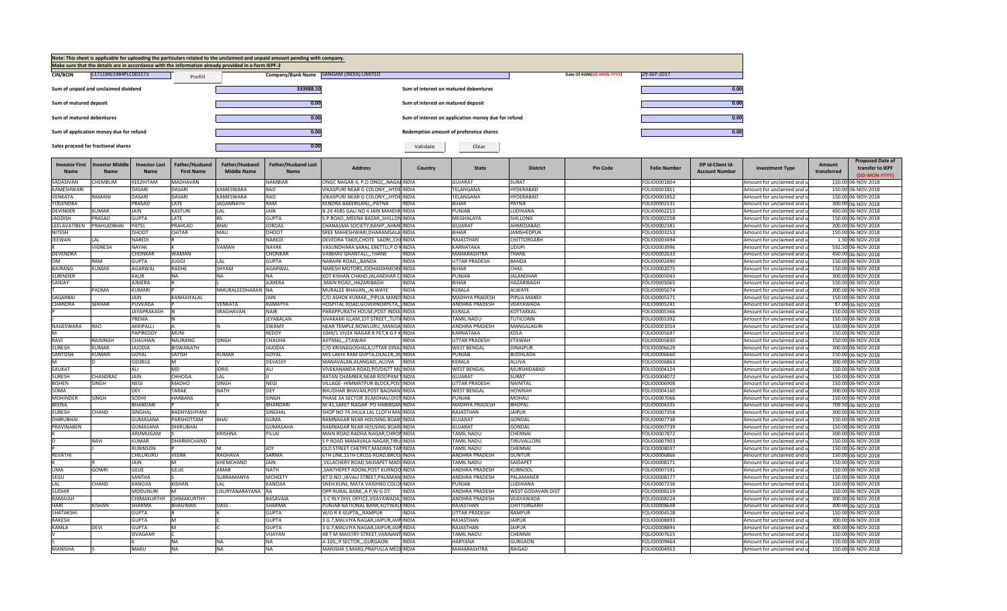|                               |                                         |                                |                                      |                                                                                                     | Note: This sheet is applicable for uploading the particulars related to the unclaimed and unpaid amount pending with company. |                                                                                |                                       |                                                     |                                        |                          |                              |                                           |                                                          |                       |                                                              |
|-------------------------------|-----------------------------------------|--------------------------------|--------------------------------------|-----------------------------------------------------------------------------------------------------|-------------------------------------------------------------------------------------------------------------------------------|--------------------------------------------------------------------------------|---------------------------------------|-----------------------------------------------------|----------------------------------------|--------------------------|------------------------------|-------------------------------------------|----------------------------------------------------------|-----------------------|--------------------------------------------------------------|
|                               |                                         |                                |                                      | Make sure that the details are in accordance with the information already provided in e-form IEPF-2 |                                                                                                                               |                                                                                |                                       |                                                     |                                        |                          |                              |                                           |                                                          |                       |                                                              |
| <b>CIN/BCIN</b>               | L17118RJ1984PLC003173                   |                                | Prefill                              |                                                                                                     |                                                                                                                               | Company/Bank Name   SANGAM (INDIA) LIMITED                                     |                                       |                                                     |                                        | Date Of AGM(DD-MON-YYYY) | 29-SEP-2017                  |                                           |                                                          |                       |                                                              |
|                               | Sum of unpaid and unclaimed dividend    |                                |                                      |                                                                                                     | 333988.50                                                                                                                     |                                                                                | Sum of interest on matured debentures |                                                     |                                        |                          |                              | 0.00                                      |                                                          |                       |                                                              |
| Sum of matured deposit        |                                         |                                |                                      |                                                                                                     | 0.00                                                                                                                          |                                                                                | Sum of interest on matured deposit    |                                                     |                                        |                          |                              | 0.00                                      |                                                          |                       |                                                              |
| Sum of matured debentures     |                                         |                                |                                      |                                                                                                     | 0.00                                                                                                                          |                                                                                |                                       | Sum of interest on application money due for refund |                                        |                          |                              | 0.00                                      |                                                          |                       |                                                              |
|                               | Sum of application money due for refund |                                |                                      |                                                                                                     | 0.00                                                                                                                          |                                                                                |                                       | Redemption amount of preference shares              |                                        |                          |                              | 0.00                                      |                                                          |                       |                                                              |
|                               | Sales proceed for fractional shares     |                                |                                      |                                                                                                     | 0.00                                                                                                                          |                                                                                | Validate                              | Clear                                               |                                        |                          |                              |                                           |                                                          |                       |                                                              |
| <b>Investor First</b><br>Name | <b>Investor Middle</b><br>Name          | <b>Investor Last</b><br>Name   | Father/Husband<br><b>First Name</b>  | Father/Husband<br><b>Middle Name</b>                                                                | Father/Husband Last<br>Name                                                                                                   | <b>Address</b>                                                                 | Country                               | State                                               | <b>District</b>                        | <b>Pin Code</b>          | <b>Folio Number</b>          | DP Id-Client Id-<br><b>Account Number</b> | <b>Investment Type</b>                                   | Amount<br>transferred | <b>Proposed Date of</b><br>transfer to IEPF<br>(DD-MON-YYYY) |
| SADASIVAN                     | <b>CHEMBUM</b>                          | KEEZHITAM                      | <b>MADHAVAN</b>                      |                                                                                                     | <b>NAMBIAF</b>                                                                                                                | ONGC NAGAR-II, P.O.ONGC., NAGAHINDIA                                           |                                       | GUJARAT                                             | SURAT                                  |                          | FOLIO0001804                 |                                           | Amount for unclaimed and u                               |                       | 150.00 06-NOV-2018                                           |
| KAMESHWARI                    |                                         | DASARI                         | <b>DASARI</b>                        | <b>KAMFSWARA</b>                                                                                    | RAO                                                                                                                           | VIKASPURI NEAR G COLONY,,,HYDE INDIA                                           |                                       | TELANGANA                                           | <b>HYDERABAD</b>                       |                          | FOLIO0001851                 |                                           | Amount for unclaimed and u                               |                       | 150.00 06-NOV-2018                                           |
| VENKATA                       | RAMANI                                  | <b>DASARI</b>                  | <b>DASARI</b>                        | <b>KAMESWARA</b>                                                                                    | <b>RAO</b>                                                                                                                    | VIKASPURI NEAR G COLONY,,,HYDE INDIA                                           |                                       | <b>TELANGANA</b>                                    | <b>HYDERABAD</b>                       |                          | FOLIO0001852                 |                                           | Amount for unclaimed and u                               |                       | 150.00 06-NOV-2018                                           |
| YOGENDRA                      |                                         | PRASAD                         | LATE                                 | <b>JAGANNATH</b>                                                                                    | RAM                                                                                                                           | KENDRA BAKERGANJPATNA                                                          | <b>INDIA</b>                          | <b>BIHAR</b>                                        | PATNA                                  |                          | FOLIO0002131                 |                                           | Amount for unclaimed and u                               |                       | 300.00 06-NOV-2018                                           |
| <b>DEVINDER</b>               | KUMAR                                   | <b>JAIN</b>                    | <b>KASTURI</b>                       | LAL.                                                                                                | JAIN                                                                                                                          | B-24 4585 GALI NO 4 JAIN MANDIR INDIA                                          |                                       | PUNJAB                                              | LUDHIANA                               |                          | FOLIO0002215                 |                                           | Amount for unclaimed and u                               |                       | 450.00 06-NOV-2018                                           |
| JAGDISH                       | PRASAD                                  | <b>GUPTA</b>                   | LATE                                 | <b>RS</b>                                                                                           | <b>GUPTA</b>                                                                                                                  | S.P.ROAD,, MEENA BAZAR,, SHILLON INDIA                                         |                                       | MEGHALAYA                                           | SHILLONG                               |                          | FOLIO0002258                 |                                           | Amount for unclaimed and u                               |                       | 150.00 06-NOV-2018                                           |
| LEELAVATIBEN                  | PRAHLADBHAI                             | PATEL                          | PRAHLAD                              | <b>BHAI</b>                                                                                         | <b>JORDAS</b>                                                                                                                 | CHANASMA SOCIETY.RANIPAHME INDIA                                               |                                       | <b>GUJARA1</b>                                      | AHMEDABAD                              |                          | FOLIO0002381                 |                                           | Amount for unclaimed and u                               |                       | 300.00 06-NOV-2018                                           |
| <b>NITESH</b>                 |                                         | DHOOT                          | <b>CHITAR</b>                        | <b>MAU</b>                                                                                          | DHOOT                                                                                                                         | SREE MAHESHWARI, DHARAMSALA INDIA                                              |                                       | <b>BIHAR</b>                                        | <b>JAMSHEDPUR</b>                      |                          | FOLIO0003253                 |                                           | Amount for unclaimed and u                               |                       | 150.00 06-NOV-2018                                           |
| <b>JEEWAN</b>                 | LAL<br>VIGNESH                          | <b>NAREDI</b><br><b>NAYAK</b>  |                                      | VAMAN                                                                                               | NAREDI<br><b>NAYAK</b>                                                                                                        | DEVEDRA TAKIS, CHOTE SADRI, , CHI INDIA<br>VASUNDHARA SARAL EBETTU,P O NINDIA  |                                       | RAJASTHAN<br><b>KARNATAKA</b>                       | CHITTORGARH<br><b>UDUPI</b>            |                          | FOLIO0003494<br>FOLIO0003996 |                                           | Amount for unclaimed and u<br>Amount for unclaimed and u |                       | 1.50 06-NOV-2018<br>592.50 06-NOV-2018                       |
| DEVENDRA                      |                                         | <b>CHONKAR</b>                 | <b>WAMAN</b>                         |                                                                                                     | <b>CHONKAR</b>                                                                                                                | VAIBHAV GHANTALI,,,THANE                                                       | INDIA                                 | <b>MAHARASHTRA</b>                                  | THANF                                  |                          | FOLIO0002633                 |                                           | Amount for unclaimed and u                               |                       | 450.00 06-NOV-2018                                           |
| <b>OM</b>                     | RAM                                     | <b>GUPTA</b>                   | <b>JUGGI</b>                         | LAL                                                                                                 | <b>GUPTA</b>                                                                                                                  | NARAINI ROAD,,,BANDA                                                           | <b>INDIA</b>                          | <b>UTTAR PRADESH</b>                                | <b>BANDA</b>                           |                          | FOLIO0002490                 |                                           | Amount for unclaimed and u                               |                       | 150.00 06-NOV-2018                                           |
| BAJRANG                       | KUMAR                                   | AGARWAL                        | <b>RADHE</b>                         | SHYAM                                                                                               | <b>AGARWAL</b>                                                                                                                | NARESH MOTORS, JODHADIHMORE INDIA                                              |                                       | <b>BIHAR</b>                                        | CHAS                                   |                          | FOLIO0002075                 |                                           | Amount for unclaimed and u                               |                       | 150.00 06-NOV-2018                                           |
| <b>SURINDER</b>               |                                         | KALIR                          | NA                                   | <b>NA</b>                                                                                           | <b>NA</b>                                                                                                                     | KOT KISHAN CHAND, JALANDHAR CHINDIA                                            |                                       | PUNJAB                                              | <b>JALANDHAR</b>                       |                          | FOLIO0005043                 |                                           | Amount for unclaimed and u                               |                       | 300.00 06-NOV-2018                                           |
| SANJAY                        |                                         | <b>AJMERA</b>                  |                                      |                                                                                                     | <b>AJMERA</b>                                                                                                                 | MAIN ROAD,, HAZARIBAGH                                                         | <b>INDIA</b>                          | <b>BIHAR</b>                                        | HAZARIBAGH                             |                          | FOLIO0005065                 |                                           | Amount for unclaimed and u                               |                       | 150.00 06-NOV-2018                                           |
|                               | PADMA                                   | KUMARI                         |                                      | NMURALEEDHARAN NA                                                                                   |                                                                                                                               | MURALEE BHAVAN,,,ALWAYE                                                        | <b>INDIA</b>                          | KERALA                                              | ALWAYE                                 |                          | FOLIO0005074                 |                                           | Amount for unclaimed and u                               |                       | 300.00 06-NOV-2018                                           |
| SAGARRAI                      |                                         | JAIN                           | KANHAIYALAL                          |                                                                                                     | JAIN                                                                                                                          | C/O ASHOK KUMAR, ,, PIPLIA MAND INDIA                                          |                                       | <b>MADHYA PRADESH</b>                               | PIPLIA MANDI                           |                          | FOLIO0005171                 |                                           | Amount for unclaimed and u                               |                       | 150.00 06-NOV-2018                                           |
| <b>CHANDRA</b>                | <b>SEKHAR</b>                           | PUVVADA                        |                                      | VENKATA                                                                                             | RAMAYYA                                                                                                                       | HOSPITAL ROAD, GOVERNORPETA,, INDIA                                            |                                       | <b>ANDHRA PRADESH</b>                               | <b>VIJAYAWADA</b>                      |                          | FOLIO0005241                 |                                           | Amount for unclaimed and u                               |                       | 87.00 06-NOV-2018                                            |
|                               |                                         | <b>JAYAPRAKASH</b>             |                                      | SRAGHAVAN                                                                                           | <b>NAIR</b>                                                                                                                   | PARAPPURATH HOUSE, POST INDIALINDIA                                            |                                       | KERALA                                              | KOTTAKKAL                              |                          | FOLIO0005366                 |                                           | Amount for unclaimed and u                               |                       | 150.00 06-NOV-2018                                           |
|                               |                                         | <b>PREMA</b>                   |                                      |                                                                                                     | <b>JEYABALAN</b>                                                                                                              | SIVAKAMI ILLAM,1ST STREET,,TUTI(INDIA                                          |                                       | <b>TAMIL NADU</b>                                   | <b>TUTICORIN</b>                       |                          | FOLIO0005392                 |                                           | Amount for unclaimed and u                               |                       | 150.00 06-NOV-2018                                           |
| NAGESWARA                     | <b>RAO</b>                              | AKKIPALLI                      |                                      |                                                                                                     | <b>SWAMY</b>                                                                                                                  | NEAR TEMPLE, NOWLURU,, MANGA INDIA                                             |                                       | <b>ANDHRA PRADESH</b>                               | MANGALAGIRI                            |                          | FOLIO0001054                 |                                           | Amount for unclaimed and u                               |                       | 150.00 06-NOV-2018                                           |
|                               |                                         | PAPIREDDY                      | <b>MUNI</b>                          |                                                                                                     | <b>REDDY</b>                                                                                                                  | 1049/1 VIVEK NAGAR R PET, K G F K INDIA                                        |                                       | <b>KARNATAKA</b>                                    | KOLA                                   |                          | FOLIO0005697                 |                                           | Amount for unclaimed and u                               |                       | 150.00 06-NOV-2018                                           |
| RAVI                          | <b>RAJSINGH</b>                         | <b>CHAUHAN</b>                 | <b>NAURANG</b>                       | <b>SINGH</b>                                                                                        | CHAUHA                                                                                                                        | AJITMALETAWAH                                                                  | <b>INDIA</b>                          | <b>UTTAR PRADESH</b>                                | <b>ETAWAH</b>                          |                          | FOLIO0005830                 |                                           | Amount for unclaimed and u                               |                       | 150.00 06-NOV-2018                                           |
| <b>SURESH</b>                 | KUMAR                                   | <b>JAJODIA</b>                 | <b>BISWANATH</b>                     |                                                                                                     | <b>JAJODIA</b>                                                                                                                | C/O KRISNAGOSHALA, UTTAR DINAJINDIA                                            |                                       | <b>WEST BENGAL</b>                                  | <b>DINAJPUR</b>                        |                          | FOLIO0006629                 |                                           | Amount for unclaimed and u                               |                       | 300.00 06-NOV-2018                                           |
| SANTOSH                       | KUMARI                                  | GOYAL                          | SATISH                               | <b>KUMAR</b>                                                                                        | GOYAL                                                                                                                         | MIS LAKHI RAM GUPTA,DEALER,,BUINDIA                                            |                                       | PUNJAB                                              | BUDHLADA                               |                          | FOLIO0006660                 |                                           | Amount for unclaimed and u                               |                       | 150.00 06-NOV-2018                                           |
|                               |                                         | <b>GEORGE</b>                  | м                                    |                                                                                                     | <b>DEVASSY</b>                                                                                                                | MANAVALAN,ALANGAD,,ALUVA                                                       | <b>INDIA</b>                          | KERALA                                              | ALUVA                                  |                          | FOLIO0006863                 |                                           | Amount for unclaimed and u                               |                       | 300.00 06-NOV-2018                                           |
| SAUKAT                        |                                         | ALI                            | MD                                   | <b>IDRIS</b>                                                                                        | ALI                                                                                                                           | VIVEKANANDA ROAD, PO/DISTT MUINDIA                                             |                                       | <b>WEST BENGAL</b>                                  | <b>MURSHIDABAD</b>                     |                          | FOLIO0004124                 |                                           | Amount for unclaimed and u                               |                       | 150.00 06-NOV-2018                                           |
| <b>SURESH</b>                 | CHANDRAC                                | JAIN                           | CHHOGA<br><b>MADHO</b>               | LAL                                                                                                 | <b>NEGI</b>                                                                                                                   | RATAN CHAMBER, NEAR ROOPAM TINDIA<br>VILLAGE- HIMMATPUR BLOCK, POSTINDIA       |                                       | <b>GUJARAT</b>                                      | SURAT                                  |                          | FOLIO0004072                 |                                           | Amount for unclaimed and u                               |                       | 150.00 06-NOV-2018<br>150.00 06-NOV-2018                     |
| <b>BISHEN</b><br>SOMA         | SINGH                                   | <b>NEGI</b><br><b>DEY</b>      | <b>TARAK</b>                         | SINGH<br><b>NATH</b>                                                                                | <b>DEY</b>                                                                                                                    | BHUDHAR BHAVAN, POST BAGNAN, INDIA                                             |                                       | <b>UTTAR PRADESH</b><br><b>WEST BENGAL</b>          | NAINITAL<br><b>HOWRAH</b>              |                          | FOLIO0006908<br>FOLIO0004160 |                                           | Amount for unclaimed and u<br>Amount for unclaimed and u |                       | 300.00 06-NOV-2018                                           |
| <b>MOHINDEI</b>               | SINGH                                   | SODHI                          | <b>HARBANS</b>                       |                                                                                                     | SINGH                                                                                                                         | PHASE 3A SECTOR 35, MOHALI, DIST INDIA                                         |                                       | <b>PUNJAB</b>                                       | MOHALI                                 |                          | FOLIO0007066                 |                                           | Amount for unclaimed and u                               |                       | 150.00 06-NOV-2018                                           |
| <b>BEENA</b>                  |                                         | BHANDARI                       |                                      |                                                                                                     | <b>BHANDARI</b>                                                                                                               | M-41, SAKET NAGAR PO HABIBGAN INDIA                                            |                                       | <b>MADHYA PRADESH</b>                               | <b>BHOPAL</b>                          |                          | FOLIO0004335                 |                                           | Amount for unclaimed and u                               |                       | 709.50 06-NOV-2018                                           |
| <b>SURESH</b>                 | CHAND                                   | SINGHAL                        | RADHYASHYAM                          |                                                                                                     | SINGHAL                                                                                                                       | SHOP NO 74 JHULA LAL CLOTH MAHINDIA                                            |                                       | RAJASTHAN                                           | <b>JAIPUR</b>                          |                          | FOLIO0007358                 |                                           | Amount for unclaimed and u                               |                       | 300.00 06-NOV-2018                                           |
| <b>DHIRUBHAI</b>              |                                         | GUMASANA                       | PARSHOTTAM                           | <b>BHAI</b>                                                                                         | GUMA                                                                                                                          | RAMNAGAR NEAR HOUSING BOARLINDIA                                               |                                       | <b>GUJARAT</b>                                      | GONDAL                                 |                          | FOLIO0007738                 |                                           | Amount for unclaimed and u                               |                       | 150.00 06-NOV-2018                                           |
| PRAVINABEN                    |                                         | <b>GUMASANA</b>                | <b>DHIRUBHAI</b>                     |                                                                                                     | <b>GUMASAHA</b>                                                                                                               | RAMNAGAR NEAR HOUSING BOARLINDIA                                               |                                       | <b>GUJARAT</b>                                      | GONDAL                                 |                          | FOLIO0007739                 |                                           | Amount for unclaimed and u                               |                       | 150.00 06-NOV-2018                                           |
|                               |                                         | ARUMUGAM                       |                                      | <b>KRISHNA</b>                                                                                      | PILLAI                                                                                                                        | MAIN ROAD RADHA NAGAR.CHRONINDIA                                               |                                       | <b>TAMIL NADU</b>                                   | CHENNAI                                |                          | FOLIO0007872                 |                                           | Amount for unclaimed and u                               |                       | 300.00 06-NOV-2018                                           |
|                               | RAVI                                    | <b>KUMAR</b>                   | <b>DHARMICHAND</b>                   |                                                                                                     |                                                                                                                               | S P ROAD MANAVALA NAGAR, TIRU INDIA                                            |                                       | <b>TAMIL NADU</b>                                   | <b>TIRUVALLORI</b>                     |                          | FOLIO0007903                 |                                           | Amount for unclaimed and u                               |                       | 150.00 06-NOV-2018                                           |
|                               |                                         | <b>RUBINSON</b>                |                                      |                                                                                                     | <b>JOY</b>                                                                                                                    | OLD STREET CHETPET, MADRAS TANINDIA                                            |                                       | <b>TAMIL NADU</b>                                   | CHENNAL                                |                          | FOLIO0008037                 |                                           | Amount for unclaimed and u                               |                       | 150.00 06-NOV-2018                                           |
| <b>REVATHI</b>                |                                         | CHILUKURU                      | <b>VEERA</b>                         | <b>RAGHAVA</b>                                                                                      | SARMA                                                                                                                         | 6TH LINE.15TH CROSS ROAD.BRODLINDIA                                            |                                       | <b>ANDHRA PRADESH</b>                               | GUNTUR                                 |                          | FOLIO0006866                 |                                           | Amount for unclaimed and u                               |                       | 150.00 06-NOV-2018                                           |
|                               |                                         | <b>JAIN</b>                    | м                                    | <b>KHEMCHAND</b>                                                                                    | <b>JAIN</b>                                                                                                                   | VELACHERY ROAD, SAIDAPET MADI INDIA                                            |                                       | <b>TAMIL NADU</b>                                   | SAIDAPET                               |                          | FOLIO0008171                 |                                           | Amount for unclaimed and u                               |                       | 150.00 06-NOV-2018                                           |
| <b>UMA</b>                    | GOWRI                                   | GEJJE                          | GEJJE                                | AMAR                                                                                                | <b>NATH</b>                                                                                                                   | SANTHEPET ADONI, POST KURNOO INDIA                                             |                                       | <b>ANDHRA PRADESH</b>                               | KURNOOL                                |                          | FOLIO0007191                 |                                           | Amount for unclaimed and u                               |                       | 150.00 06-NOV-2018                                           |
| SEGU                          |                                         | <b>SANTHA</b>                  |                                      | SUBRAMANYA                                                                                          | <b>MCHEETY</b>                                                                                                                | 87 D.NO., JAVALI STREET, PALAMAN INDIA                                         |                                       | <b>ANDHRA PRADESH</b>                               | PALAMANER                              |                          | FOLIO0008177                 |                                           | Amount for unclaimed and u                               |                       | 150.00 06-NOV-2018                                           |
| LAL                           | CHAND                                   | KANOJIA                        | <b>KISHAN</b>                        | LAL                                                                                                 | KANOJIA                                                                                                                       | SNEH KUNJ, MATA VAISHNO COLONINDIA                                             |                                       | <b>PUNJAB</b>                                       | <b>UDHIANA</b>                         |                          | FOLIO0007236                 |                                           | Amount for unclaimed and u                               |                       | 150.00 06-NOV-2018                                           |
| <b>SUDHIR</b>                 |                                         | <b>MODUNURI</b><br>CHIMAKURTHY | M                                    | USURYANARAYANA RA                                                                                   |                                                                                                                               | OPP RURAL BANK, A P, W G DT                                                    | <b>INDIA</b>                          | <b>ANDHRA PRADESH</b>                               | WEST GODAVARI DIST<br><b>IJAYAWADA</b> |                          | FOLIO0008219                 |                                           | Amount for unclaimed and u                               |                       | 150.00 06-NOV-2018                                           |
| RAMAIAH<br>HARI               | KISHAN                                  | <b>SHARMA</b>                  | <b>CHIMAKURTHY</b><br><b>BHAGWAN</b> | DASS                                                                                                | <b>BASAVAIA</b><br><b>SHARMA</b>                                                                                              | ,S C RLY DIVL OFFICE, VIJAYAWADA, INDIA<br>PUNJAB NATIONAL BANK, KOTWALI INDIA |                                       | <b>ANDHRA PRADESH</b><br>RAJASTHAN                  | CHITTORGARH                            |                          | FOLIO0008224<br>FOLIO0008648 |                                           | Amount for unclaimed and u<br>Amount for unclaimed and u |                       | 300.00 06-NOV-2018<br>300.00 06-NOV-2018                     |
| SHATAKSHI                     |                                         | <b>GUPTA</b>                   |                                      |                                                                                                     | <b>GUPTA</b>                                                                                                                  | W/O R K GUPTA,,,RAMPUR                                                         | <b>INDIA</b>                          | <b>UTTAR PRADESH</b>                                | RAMPUR                                 |                          | FOLIO0004528                 |                                           | Amount for unclaimed and u                               |                       | 150.00 06-NOV-2018                                           |
| <b>RAKESH</b>                 |                                         | <b>GUPTA</b>                   | M                                    |                                                                                                     | <b>GUPTA</b>                                                                                                                  | 3 G 7, MALVIYA NAGAR, JAIPUR, JAIP INDIA                                       |                                       | RAJASTHAN                                           | <b>JAIPUR</b>                          |                          | FOLIO0008893                 |                                           | Amount for unclaimed and u                               |                       | 300.00 06-NOV-2018                                           |
| KAMLA                         | <b>DEVI</b>                             | <b>GUPTA</b>                   | M                                    |                                                                                                     | <b>GUPTA</b>                                                                                                                  | 3 G 7, MALVIYA NAGAR, JAIPUR, JAIP INDIA                                       |                                       | <b>RAJASTHAN</b>                                    | <b>JAIPUR</b>                          |                          | FOLIO0008894                 |                                           | Amount for unclaimed and u                               |                       | 300.00 06-NOV-2018                                           |
|                               |                                         | SIVAGAMI                       |                                      |                                                                                                     | VIJAYAN                                                                                                                       | 48 T M MAISTRY STREET, VANNANT INDIA                                           |                                       | <b>TAMIL NADU</b>                                   | CHENNAI                                |                          | FOLIO0007615                 |                                           | Amount for unclaimed and u                               |                       | 150.00 06-NOV-2018                                           |
|                               |                                         |                                | <b>NA</b>                            | <b>NA</b>                                                                                           | <b>NA</b>                                                                                                                     | A-1059 SECTORGURGAON                                                           | INDIA                                 | <b>HARYANA</b>                                      | <b>GURGAON</b>                         |                          | FOLIO0009464                 |                                           | Amount for unclaimed and u                               |                       | 150.00 06-NOV-2018                                           |
| <b>MANISHA</b>                |                                         | MARU                           | <b>NA</b>                            | <b>NA</b>                                                                                           | <b>NA</b>                                                                                                                     | MANISHA S MARG.PRAFULLA MEDIINDIA                                              |                                       | <b>MAHARASHTRA</b>                                  | RAIGAD                                 |                          | FOLIO0004953                 |                                           | Amount for unclaimed and u                               |                       | 150.00 06-NOV-2018                                           |
|                               |                                         |                                |                                      |                                                                                                     |                                                                                                                               |                                                                                |                                       |                                                     |                                        |                          |                              |                                           |                                                          |                       |                                                              |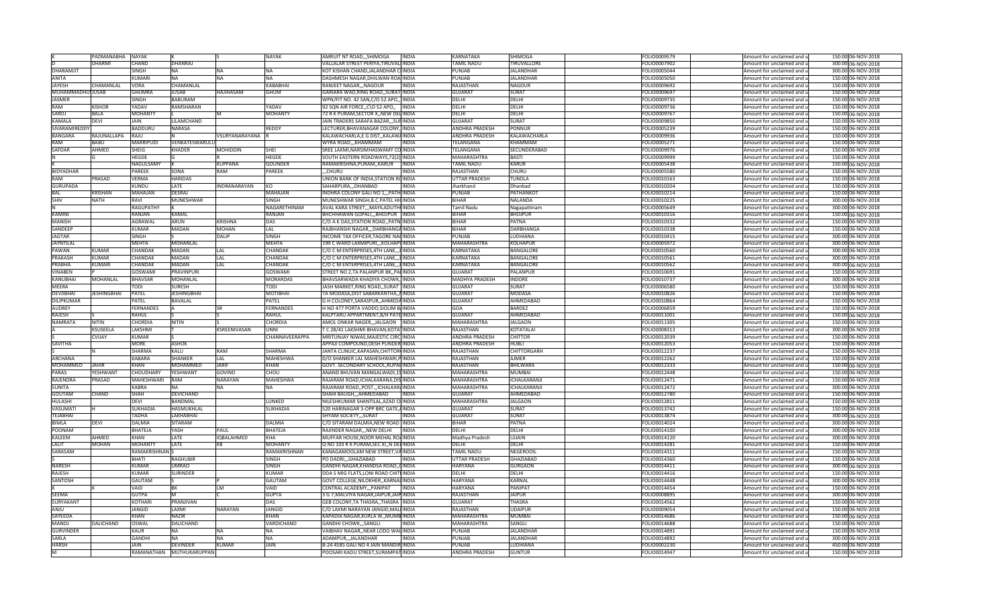|                   | PADMANABHA NAYAK   |                   |                          |                   | <b>NAYAK</b>    | AMRUIT NT ROAD,,,SHIMOGA<br><b>INDIA</b>   | KARNATAKA             | SHIMOGA                        | FOLIO0009579 | Amount for unclaimed and u | 150.00 06-NOV-2018 |
|-------------------|--------------------|-------------------|--------------------------|-------------------|-----------------|--------------------------------------------|-----------------------|--------------------------------|--------------|----------------------------|--------------------|
|                   | <b>DHARMI</b>      | CHAND             | <b>DHANRAJ</b>           |                   |                 | VALLALAR STREET PERIYA, TIRUVALI INDIA     | <b>TAMIL NADU</b>     | TIRUVALLORE                    | FOLIO0007902 | Amount for unclaimed and u | 300.00 06-NOV-2018 |
| <b>DHARAMJIT</b>  |                    | <b>SINGH</b>      | <b>NA</b>                | <b>NA</b>         | <b>NA</b>       | KOT KISHAN CHAND, JALANDHAR CHINDIA        | PUNJAB                | <b>JALANDHAR</b>               | FOLIO0005044 | Amount for unclaimed and u | 300.00 06-NOV-2018 |
| <b>ANITA</b>      |                    | <b>KUMARI</b>     | <b>NA</b>                | <b>NA</b>         | <b>NA</b>       | DASHMESH NAGAR, DHILWAN ROA INDIA          | PUNJAB                | <b>JALANDHAR</b>               | FOLIO0005050 | Amount for unclaimed and u | 150.00 06-NOV-2018 |
| <b>JAYESH</b>     | CHAMANLAL          | <b>VORA</b>       | CHAMANLAL                |                   | <b>KABABHAI</b> | RANJEET NAGAR,,,NAGOUR<br><b>INDIA</b>     | RAJASTHAN             | <b>NAGOUR</b>                  | FOLIO0009692 | Amount for unclaimed and u | 150.00 06-NOV-2018 |
| MUHAMMADHU: JUSAB |                    | <b>GHUMRA</b>     | <b>JUSAB</b>             | HAJIHASAM         | <b>GHUM</b>     | GARIARA WAD, RING ROAD,, SURAT INDIA       | <b>GUJARA1</b>        | <b>SURAT</b>                   | FOLIO0009697 | Amount for unclaimed and u | 150.00 06-NOV-2018 |
| <b>JASMER</b>     |                    | SINGH             | <b>BABURAM</b>           |                   |                 | WPN/FIT NO. 42 SAN, C/O 52 APO,, INDIA     | DFLHI                 | DFLHI                          | FOLIO0009735 | Amount for unclaimed and u | 150.00 06-NOV-2018 |
| RAM               | <b>KISHOR</b>      | <b>ADAV</b>       | RAMSHARAN                |                   | YADAV           | 92 SQN AIR FORCE, C\O 52 APO,,  INDIA      | DELHI                 | DELHI                          | OLIO0009736  | Amount for unclaimed and u | 150.00 06-NOV-2018 |
| SAROJ             | <b>BALA</b>        | MOHANTY           |                          |                   | <b>MOHANTY</b>  | 72 R K PURAM, SECTOR X, NEW DELINDIA       | DELHI                 | DELHI                          | FOLIO0009767 |                            | 150.00 06-NOV-2018 |
| KAMALA            |                    | <b>JAIN</b>       |                          |                   |                 |                                            |                       |                                |              | Amount for unclaimed and u |                    |
|                   | <b>DEVI</b>        |                   | LILAMCHAND               |                   |                 | JAIN TRADERS SARAFA BAZAR, ,, SUFINDIA     | <b>GUJARAT</b>        | <b>SURAT</b>                   | FOLIO0009850 | Amount for unclaimed and u | 150.00 06-NOV-2018 |
| SIVARAMIREDDY     |                    | <b>BADDURU</b>    | <b>NARASA</b>            |                   | <b>REDDY</b>    | LECTURER, BHAVANAGAR COLONY, INDIA         | <b>ANDHRA PRADESH</b> | <b>PONNUR</b>                  | FOLIO0005239 | Amount for unclaimed and u | 150.00 06-NOV-2018 |
| <b>BANGARA</b>    | RAJUNALLAPA        | RAJU              |                          | /SURYANARAYANA    |                 | KALAWACHARLA, E G DIST,, KALAWAINDIA       | <b>ANDHRA PRADESH</b> | <b>KALAWACHARLA</b>            | FOLIO0009936 | Amount for unclaimed and u | 150.00 06-NOV-2018 |
| RAM               | <b>BABU</b>        | <b>MARRIPUDI</b>  | VENKATESWARULL           |                   |                 | WYRA ROAD,,,KHAMMAM<br><b>INDIA</b>        | <b>FELANGANA</b>      | KHAMMAM                        | FOLIO0005271 | Amount for unclaimed and u | 150.00 06-NOV-2018 |
| SAFDAR            | AHMED              | SHEIG             | <b>KHADER</b>            | <b>MOHIDDIN</b>   | SHEI            | SREE LAXMI, NARSIMHASWAMY CO INDIA         | ELANGANA              | SECUNDERABAD                   | FOLIO0009976 | Amount for unclaimed and u | 150.00 06-NOV-2018 |
|                   |                    | HEGDE             |                          |                   | HEGDE           | SOUTH EASTERN ROADWAYS, 72(2) INDIA        | MAHARASHTRA           | <b>BASTI</b>                   | FOLIO0009999 | Amount for unclaimed and u | 150.00 06-NOV-2018 |
|                   |                    | NAGULSAMY         |                          | <b>KUPPANA</b>    | <b>GOUNDER</b>  | INDIA<br>RAMAKRISHNA, PURAM, , KARUR       | TAMIL NADU            | <b>KARUR</b>                   | FOLIO0005438 | Amount for unclaimed and u | 150.00 06-NOV-2018 |
| <b>BIDYADHAR</b>  |                    | <b>PAREEK</b>     | SONA                     | RAM               | <b>PAREEK</b>   | $$ CHURU<br><b>INDIA</b>                   | RAJASTHAN             | <b>CHURU</b>                   | FOLIO0005580 | Amount for unclaimed and u | 150.00 06-NOV-2018 |
| <b>RAM</b>        | PRASAD             | <b>VERMA</b>      | <b>HARIDAS</b>           |                   |                 | UNION BANK OF INDIA, STATION ROINDIA       | <b>UTTAR PRADESH</b>  | <b>TUNDLA</b>                  | FOLIO0010163 | Amount for unclaimed and u | 150.00 06-NOV-2018 |
| <b>GURUPADA</b>   |                    | <b>KUNDU</b>      | LATE                     | INDRANARAYAN      | KO              | SAHARPURA,,,DHANBAD<br><b>INDIA</b>        | Jharkhand             | Dhanbad                        | FOLIO0010204 | Amount for unclaimed and u | 150.00 06-NOV-2018 |
| BAI               | <b>KRISHAN</b>     | MAHAJAN           | <b>DESRAI</b>            |                   | MAHAJAN         | INDHRA COLONY GALI NO 1,,, PATH INDIA      | PUNJAB                | PATHANKOT                      | FOLIO0010214 | Amount for unclaimed and u | 150.00 06-NOV-2018 |
| <b>SHIV</b>       | <b>NATH</b>        | RAVI              | <b>MUNESHWAR</b>         |                   | SINGH           | MUNESHWAR SINGH, B.C. PATEL HICINDIA       | <b>SIHAR</b>          | NALANDA                        | FOLIO0010225 | Amount for unclaimed and u | 300.00 06-NOV-2018 |
|                   |                    | RAGUPATHY         |                          |                   | NAGARETHINAM    | AVAL KARA STREET MAYILADUTHUNDIA           | Tamil Nadu            |                                | OLIO0005649  | Amount for unclaimed and u | 300.00 06-NOV-2018 |
| <b>KAMINI</b>     |                    |                   |                          |                   |                 |                                            | <b>BIHAR</b>          | Nagapattinam                   |              |                            |                    |
|                   |                    | RANJAN            | KAMAL                    | <b>KRISHNA</b>    | RANJAN<br>DAS   | BHCHHAWAN GOPALI,, BHOJPUR  INDIA          | <b>BIHAR</b>          | <b>BHOJPUR</b><br><b>PATNA</b> | FOLIO0010316 | Amount for unclaimed and u | 150.00 06-NOV-2018 |
| <b>MANISH</b>     |                    | AGRAWAL           | <b>ARUN</b>              |                   |                 | C/O A K DAS, STATION ROAD, , PATN INDIA    |                       |                                | FOLIO0010332 | Amount for unclaimed and u | 150.00 06-NOV-2018 |
| SANDEER           |                    | <b>KUMAR</b>      | <b>MADAN</b>             | <b>MOHAN</b>      | LAL             | RAJBHANSHI NAGAR,,,DARBHANGAINDIA          | <b>BIHAR</b>          | <b>DARBHANGA</b>               | FOLIO0010338 | Amount for unclaimed and u | 150.00 06-NOV-2018 |
| <b>JAGTAR</b>     |                    | <b>SINGH</b>      |                          | DALIP             | <b>SINGH</b>    | INCOME TAX OFFICER, TAGORE NACINDIA        | <b>PUNJAB</b>         | <b>LUDHIANA</b>                | FOLIO0010415 | Amount for unclaimed and u | 300.00 06-NOV-2018 |
| <b>JAYNTILAL</b>  |                    | MEHTA             | MOHANLAL                 |                   | MEHTA           | 199 C WARD LAXMIPURI,,,KOLHAPUINDIA        | MAHARASHTRA           | KOLHAPUR                       | FOLIO0005972 | Amount for unclaimed and u | 300.00 06-NOV-2018 |
| PAWAN             | KUMAR              | CHANDAK           | MADAN                    | LAL               | CHANDA          | C/O C M ENTERPRISES, 4TH LANE LINDIA       | KARNATAKA             | <b>BANGALORE</b>               | FOLIO0010560 | Amount for unclaimed and u | 300.00 06-NOV-2018 |
| <b>PRAKASH</b>    | <b>KUMAR</b>       | CHANDAK           | <b>MADAN</b>             | LAL               | CHANDAK         | C/O C M ENTERPRISES, 4TH LANE, , HINDIA    | <b>KARNATAKA</b>      | <b>BANGALORE</b>               | FOLIO0010561 | Amount for unclaimed and u | 300.00 06-NOV-2018 |
| PRABHA            | KUMARI             | CHANDAK           | MADAN                    | LAL               | CHANDAK         | C/O C M ENTERPRISES, 4TH LANE,,, HINDIA    | KARNATAKA             | <b>BANGALORE</b>               | FOLIO0010562 | Amount for unclaimed and u | 300.00 06-NOV-2018 |
| VINABEN           |                    | <b>GOSWAMI</b>    | <b>PRAVINPUR</b>         |                   | GOSWAMI         | STREET NO 2, TA PALANPUR BK,, PALINDIA     | <b>GUJARAT</b>        | PALANPUR                       | FOLIO0010691 | Amount for unclaimed and u | 150.00 06-NOV-2018 |
| <b>KANUBHA</b>    | <b>MOHANLAL</b>    | <b>BHAVSAR</b>    | <b>MOHANLAL</b>          |                   | <b>MORARDAS</b> | BHAVSARWADA KHADIYA CHOWK, INDIA           | <b>MADHYA PRADESH</b> | <b>INDORE</b>                  | FOLIO0010737 | Amount for unclaimed and u | 300.00 06-NOV-2018 |
| <b>MFFRA</b>      |                    | <b>TODI</b>       | <b>SURESH</b>            |                   | <b>TODI</b>     | JASH MARKET, RING ROAD,, SURAT INDIA       | <b>GUJARAT</b>        | SURAT                          | FOLIO0006580 | Amount for unclaimed and u | 150.00 06-NOV-2018 |
| <b>DEVJIBHAI</b>  | <b>JESHINGBHAI</b> | PATEL             | <b>JESHINGBHAI</b>       |                   | <b>MOTIBHAI</b> | TA MODASA, DIST SABARKANTHA,, NINDIA       | <b>GUJARAT</b>        | <b>MODASA</b>                  | FOLIO0010826 | Amount for unclaimed and u | 150.00 06-NOV-2018 |
| <b>DILIPKUMAR</b> |                    | PATEL             | <b>BAVALAL</b>           |                   | PATEL           | G H COLONEY, SARASPUR, , AHMEDAINDIA       | <b>GUJARAT</b>        | AHMEDABAD                      | FOLIO0010864 | Amount for unclaimed and u | 150.00 06-NOV-2018 |
| <b>AUDREY</b>     |                    | <b>ERNANDES</b>   |                          |                   | FERNANDES       | H NO 477 PORTA VADDO, SIOLIM BAINDIA       | GOA                   | <b>BARDEZ</b>                  | OLIO0006859  | Amount for unclaimed and u | 150.00 06-NOV-2018 |
| <b>RAJESH</b>     |                    | RAHUL             |                          |                   | RAHUL           | KALPTARU APPARTMENT, B/H PATE INDIA        | <b>GUJARAT</b>        | AHMEDABAD                      | OLIO0011001  | Amount for unclaimed and u | 150.00 06-NOV-2018 |
| <b>NAMRATA</b>    | <b>NITIN</b>       | CHORDIA           | NITIN                    |                   | CHORDIA         | AMOL ONKAR NAGER,,,JALGAON  INDIA          | MAHARASHTRA           | <b>JALGAON</b>                 | FOLIO0011305 |                            | 150.00 06-NOV-2018 |
|                   |                    |                   |                          |                   |                 |                                            |                       |                                |              | Amount for unclaimed and u | 300.00 06-NOV-2018 |
|                   | KSUSEELA           | LAKSHM            |                          | KSREENIVASAN      | UNNI            | T C 28/41 LAKSHMI BHAVAN, KOTA INDIA       | RAJASTHAN             | KOTATALA                       | FOLIO0008313 | Amount for unclaimed and u |                    |
|                   | <b>CVIJAY</b>      | <b>KUMAR</b>      |                          |                   | CHANNAVEERAPPA  | MRITUNJAY NIWAS, MAJESTIC CIRC INDIA       | <b>ANDHRA PRADESH</b> | <b>CHITTOR</b>                 | FOLIO0012039 | Amount for unclaimed and u | 150.00 06-NOV-2018 |
| SAVITHA           |                    | <b>MORE</b>       | <b>ASHOK</b>             |                   |                 | APPAJI COMPOUND, DESH PUNDER INDIA         | ANDHRA PRADESH        | HUBLI                          | FOLIO0012053 | Amount for unclaimed and u | 150.00 06-NOV-2018 |
|                   |                    | SHARMA            | KALU                     | RAM               | <b>SHARMA</b>   | JANTA CLINUIC, KAPASAN, CHITTOR INDIA      | RAJASTHAN             | CHITTORGARH                    | FOLIO0012237 | Amount for unclaimed and u | 150.00 06-NOV-2018 |
| <b>ARCHANA</b>    |                    | KABARA            | SHANKER                  | LAL               | <b>MAHESHWA</b> | D/O SHANKER LAL MAHESHWARI.PIINDIA         | RAJASTHAN             | <b>AJMER</b>                   | FOLIO0012262 | Amount for unclaimed and u | 150.00 06-NOV-2018 |
| <b>MOHAMMED</b>   | <b>IAHIR</b>       | KHAN              | MOHAMMED                 | <b>IARIE</b>      | KHAN            | GOVT. SECONDARY SCHOOL, RUPAHINDIA         | <b>RAJASTHAN</b>      | <b>BHILWARA</b>                | FOLIO0012333 | Amount for unclaimed and u | 150.00 06-NOV-2018 |
| PARAS             | <b>ESHWANT</b>     | CHOUDHARY         | YESHWANT                 | GOVIND            | CHOU            | ANAND BHUVAN MANGALWADI,1SINDIA            | MAHARASHTRA           | <b>MUMBAI</b>                  | FOLIO0012448 | Amount for unclaimed and u | 150.00 06-NOV-2018 |
| <b>RAJENDRA</b>   | PRASAD             | <b>MAHESHWARI</b> | RAM                      | NARAYAN           | MAHESHWA        | RAJARAM ROAD, ICHALKARANJI, DIS INDIA      | MAHARASHTRA           | ICHALKARANJI                   | FOLIO0012471 | Amount for unclaimed and u | 150.00 06-NOV-2018 |
| <b>SUNITA</b>     |                    | <b>KABRA</b>      | <b>NA</b>                | <b>NA</b>         | <b>NA</b>       | RAJARAM ROAD, POST., ICHALKARAINDIA        | <b>MAHARASHTRA</b>    | <b>ICHALKARANJI</b>            | FOLIO0012472 | Amount for unclaimed and u | 300.00 06-NOV-2018 |
| GOUTAM            | CHAND              | SHAH              | DEVICHAND                |                   |                 | SHAHI BAUGH,,,AHMEDABAD<br>INDIA           | <b>GUJARAT</b>        | AHMEDABAD                      | FOLIO0012780 | Amount for unclaimed and u | 150.00 06-NOV-2018 |
| <b>HULASHI</b>    |                    | <b>DEVI</b>       | BANDMAL                  |                   | LUNKED          | NILESHKUMAR SHANTILAL, AZAD CHINDIA        | MAHARASHTRA           | <b>JALGAON</b>                 | FOLIO0012811 | Amount for unclaimed and u | 150.00 06-NOV-2018 |
| VASUMAT           |                    | <b>SUKHADIA</b>   | HASMUKHLAL               |                   | SUKHADIA        | 520 HARINAGAR 3-OPP BRC GATE, AINDIA       | <b>GUJARAT</b>        | SURAT                          | OLIO0013742  | Amount for unclaimed and u | 150.00 06-NOV-2018 |
| <b>TEJABHAI</b>   |                    | <b>TADHA</b>      | <b>LAKHABHAI</b>         |                   |                 | SHYAM SOCIETY,,,SURAT<br><b>INDIA</b>      | <b>GUJARA1</b>        | <b>SURAT</b>                   | FOLIO0013874 | Amount for unclaimed and u | 300.00 06-NOV-2018 |
| BIMLA             | <b>DEVI</b>        | DALMIA            | SITARAM                  |                   | DALMIA          | C/O SITARAM DALMIA, NEW ROAD IINDIA        | <b>BIHAR</b>          | <b>PATNA</b>                   | FOLIO0014024 | Amount for unclaimed and u | 300.00 06-NOV-2018 |
| POONAM            |                    | BHATEJA           | <b>ASH</b>               | PAUL              | <b>BHATEJA</b>  | RAJINDER NAGAR, "NEW DELHI<br><b>INDIA</b> | DFLHI                 | DELHI                          | FOLIO0014100 | Amount for unclaimed and u | 300.00 06-NOV-2018 |
| <b>KALEEM</b>     | AHMED              | <b>KHAN</b>       | LATE                     | <b>IOBALAHMED</b> | KHA             | MUFFAR HOUSE, NOOR MEHAL ROAINDIA          | Madhya Pradesh        | <b>UJJAIN</b>                  | FOLIO0014120 | Amount for unclaimed and u | 300.00 06-NOV-2018 |
| <b>I AI IT</b>    | <b>MOHAN</b>       | <b>MOHANTY</b>    | LATE                     | <b>KB</b>         | <b>MOHANTY</b>  | Q NO 103 R K PURAM, SEC XI,, N DELINDIA    | DFLHI                 | DFLHI                          | FOLIO0014281 | Amount for unclaimed and u | 150.00 06-NOV-2018 |
|                   |                    |                   |                          |                   |                 |                                            |                       | <b>NEGEROOIL</b>               |              |                            |                    |
| SARASAM           |                    | RAMAKRISHNAN      |                          |                   | RAMAKRISHNAN    | KANAGAMOOLAM NEW STREET, VAINDIA           | TAMIL NADU            |                                | FOLIO0014311 | Amount for unclaimed and u | 150.00 06-NOV-2018 |
|                   |                    | BHATI             | <b>RAGHUBIR</b>          |                   | <b>SINGH</b>    | PO DADRI,,,GHAZIABAD<br><b>NDIA</b>        | <b>JTTAR PRADESH</b>  | GHAZIABAD                      | FOLIO0014360 | Amount for unclaimed and u | 150.00 06-NOV-2018 |
| <b>NARFSH</b>     |                    | <b>KUMAR</b>      | <b>JMRAO</b>             |                   | SINGH           | GANDHI NAGAR, KHANDSA ROAD, GINDIA         | <b>HARYANA</b>        | <b>GURGAON</b>                 | FOLIO0014411 | Amount for unclaimed and u | 300.00 06-NOV-2018 |
| <b>RAJESH</b>     |                    | <b>KUMAR</b>      | SURINDER                 |                   | KUMAF           | DDA S MIG FLATS, LONI ROAD CHITFINDIA      | DELHI                 | DELHI                          | FOLIO0014416 | Amount for unclaimed and u | 150.00 06-NOV-2018 |
| SANTOSH           |                    | GAUTAM            |                          |                   | GAUTAM          | GOVT COLLEGE, NILOKHER,, KARNAL INDIA      | <b>HARYANA</b>        | <b>KARNAL</b>                  | FOLIO0014448 | Amount for unclaimed and u | 300.00 06-NOV-2018 |
|                   |                    | VAID              |                          | LM                | VAID            | CENTRAL ACADEMY,,,PANIPAT<br>INDIA         | <b>HARYANA</b>        | PANIPAT                        | FOLIO0014454 | Amount for unclaimed and u | 150.00 06-NOV-2018 |
| SEEMA             |                    | <b>GUTPA</b>      |                          |                   | <b>GUPTA</b>    | 3 G 7, MALVIYA NAGAR, JAIPUR, JAIP INDIA   | <b>RAJASTHAN</b>      | <b>JAIPUR</b>                  | FOLIO0008895 | Amount for unclaimed and u | 300.00 06-NOV-2018 |
| SURYAKANT         |                    | <b>KOTHARI</b>    | PRANJIVAN                |                   | DAS             | GEB COLONY, TA THASRA, , THASRA INDIA      | <b>GUJARAT</b>        | THASRA                         | FOLIO0014562 | Amount for unclaimed and u | 150.00 06-NOV-2018 |
| ANJU              |                    | <b>JANGID</b>     | AXM                      | NARAYAN           | <b>JANGID</b>   | C/O LAXMI NARAYAN JANGID, MALI INDIA       | <b>RAJASTHAN</b>      | <b>UDAIPUR</b>                 | FOLIO0009054 | Amount for unclaimed and u | 150.00 06-NOV-2018 |
| SAYEEDA           |                    | KHAN              | NAZIR                    |                   | KHAN            | KAPADIA NAGAR.KURLA WMUMBINDIA             | <b>MAHARASHTRA</b>    | <b>MUMBAI</b>                  | OLIO0014686  | Amount for unclaimed and u | 150.00 06-NOV-2018 |
| <b>MANOI</b>      | DALICHAND          | <b>OSWAL</b>      | <b>DALICHAND</b>         |                   | VARDICHAND      | GANDHI CHOWK,,,SANGLI<br><b>INDIA</b>      | <b>MAHARASHTRA</b>    | SANGLI                         | FOLIO0014688 | Amount for unclaimed and u | 150.00 06-NOV-2018 |
| <b>GURVINDER</b>  |                    | KAUR              | NA                       | <b>NA</b>         | <b>NA</b>       | VAIBHAV NAGAR,, NEAR LODO WALINDIA         | PUNJAB                | <b>JALANDHAR</b>               | FOLIO0014891 | Amount for unclaimed and u | 150.00 06-NOV-2018 |
| SARLA             |                    | <b>GANDH</b>      | <b>NA</b>                | <b>NA</b>         | <b>NA</b>       | ADAMPUR, , JALANDHAR<br><b>INDIA</b>       | PUNJAB                | <b>JALANDHAR</b>               | FOLIO0014892 | Amount for unclaimed and u | 300.00 06-NOV-2018 |
| <b>HARSH</b>      |                    | <b>JAIN</b>       | <b>DEVINDER</b>          | <b>KUMAR</b>      | <b>JAIN</b>     | B-24 4585 GALI NO 4 JAIN MANDIR INDIA      | PUNJAB                | <b>LUDHIANA</b>                | FOLIO0002230 | Amount for unclaimed and u | 450.00 06-NOV-2018 |
|                   |                    |                   | RAMANATHAN MUTHUKARUPPAN |                   |                 | POOSARI KADU STREET, SURAMPAT INDIA        | ANDHRA PRADESH        | <b>GUNTUR</b>                  | FOLIO0014947 | Amount for unclaimed and u | 150.00 06-NOV-2018 |
|                   |                    |                   |                          |                   |                 |                                            |                       |                                |              |                            |                    |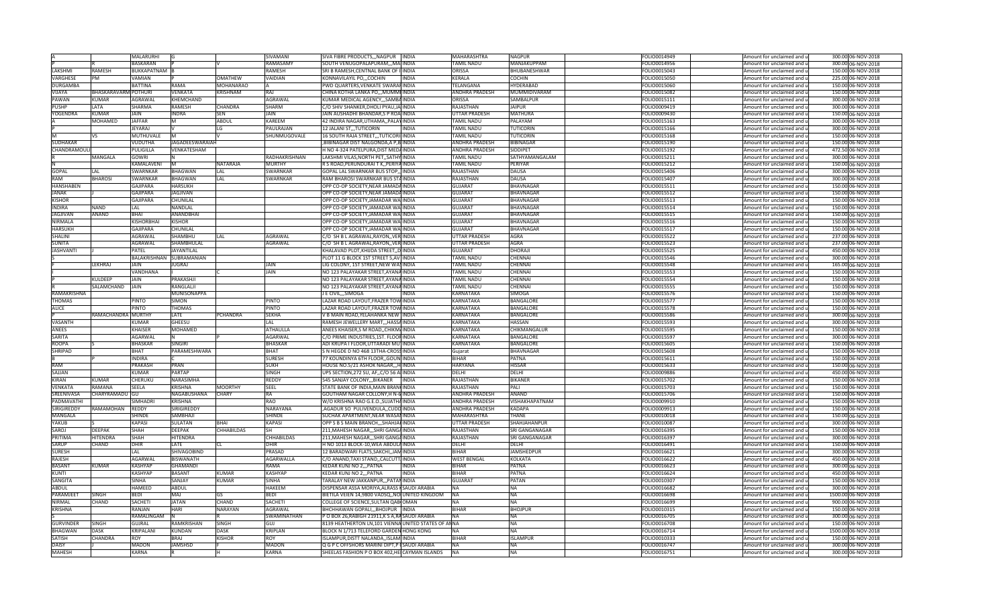|                              |                      | MALARURHI                    |                             |                   | SIVAMANI              | SIVA FIBRE PRODUCTS,,,NAGPUR  INDIA                                                              |              | <b>MAHARASHTRA</b>     | <b>NAGPUR</b>          | FOLIO0014949                 | Amount for unclaimed and u                               | 300.00 06-NOV-2018                       |
|------------------------------|----------------------|------------------------------|-----------------------------|-------------------|-----------------------|--------------------------------------------------------------------------------------------------|--------------|------------------------|------------------------|------------------------------|----------------------------------------------------------|------------------------------------------|
|                              |                      | <b>BASKARAN</b>              |                             |                   | RAMASAMY              | SOUTH VENUGOPALAPURAM,,,MAIINDIA                                                                 |              | <b>TAMIL NADU</b>      | MANJAKUPPAM            | FOLIO0014956                 | Amount for unclaimed and u                               | 300.00 06-NOV-2018                       |
| LAKSHMI                      | <b>RAMESH</b>        | <b>BUKKAPATNAM</b> B         |                             |                   | RAMESH                | SRI B RAMESH, CENTNAL BANK OF ILINDIA                                                            |              | ORISSA                 | BHUBANESHWAR           | FOLIO0015043                 | Amount for unclaimed and u                               | 150.00 06-NOV-2018                       |
| <b>VARGHESE</b>              | PM                   | VAMIAN                       |                             | <b>OMATHEW</b>    | VAIDIAN               | KONNAVILAYIL PO,,,COCHIN                                                                         | INDIA        | KERALA                 | <b>COCHIN</b>          | FOLIO0015050                 | Amount for unclaimed and u                               | 225.00 06-NOV-2018                       |
| <b>DURGAMBA</b>              |                      | <b>BATTINA</b>               | <b>RAMA</b>                 | <b>MOHANARAO</b>  |                       | PWD QUARTERS, VENKATE SWARAFINDIA                                                                |              | TELANGANA              | <b>HYDERABAD</b>       | FOLIO0015060                 | Amount for unclaimed and u                               | 150.00 06-NOV-2018                       |
| VIJAYA                       | BHASKARAVARM POTHURI |                              | <b>VENKATA</b>              | KRISHNAM          | RAI                   | CHINA KOTHA LANKA PO,,, MUMMI INDIA                                                              |              | ANDHRA PRADESH         | MUMMIDIVARAM           | FOLIO0015082                 | Amount for unclaimed and u                               | 150.00 06-NOV-2018                       |
| PAWAN                        | KUMAR                | AGRAWAL                      | <b>KHEMCHAND</b>            |                   | AGRAWAL               | KUMAR MEDICAL AGENCY,,,SAMBAINDIA                                                                |              | ORISSA                 | SAMBALPUR              | FOLIO0015111                 | Amount for unclaimed and u                               | 300.00 06-NOV-2018                       |
| PUSHP                        | LATA                 | SHARMA                       | RAMESH                      | <b>CHANDRA</b>    | SHARM                 | C/O SHIV SHANKER,DHOLI PYAU,JAIINDIA                                                             |              | RAJASTHAN              | <b>JAIPUR</b>          | FOLIO0009419                 | Amount for unclaimed and u                               | 300.00 06-NOV-2018                       |
| YOGENDRA                     | <b>KUMAR</b>         | JAIN                         | <b>INDRA</b>                | <b>SEN</b>        | JAIN                  | JAIN AUSHADHI BHANDAR,S P ROAINDIA                                                               |              | <b>JTTAR PRADESH</b>   | MATHURA                | FOLIO0009430                 | Amount for unclaimed and u                               | 150.00 06-NOV-2018                       |
|                              | MOHAMED              | <b>JAFFAR</b>                | м                           | <b>ABDUL</b>      | KAREEM                | 42 INDIRA NAGAR, UTHAMA,, PALAYINDIA                                                             |              | <b>TAMIL NADU</b>      | PALAYAM                | FOLIO0015163                 | Amount for unclaimed and u                               | 300.00 06-NOV-2018                       |
|                              |                      | <b>JEYARAJ</b>               |                             | LG                | PAULRAJAN             | 12 JALANI ST., TUTICORIN                                                                         | INDIA        | TAMIL NADU             | <b>TUTICORIN</b>       | FOLIO0015166                 | Amount for unclaimed and u                               | 300.00 06-NOV-2018                       |
|                              | vs                   | <b>MUTHUVALE</b>             | <b>IM</b>                   |                   | SHUNMUGOVALE          | 16 SOUTH RAJA STREET,,,TUTICORI INDIA                                                            |              | <b>FAMIL NADU</b>      | <b>TUTICORIN</b>       | FOLIO0015168                 | Amount for unclaimed and u                               | 150.00 06-NOV-2018                       |
| <b>SUDHAKAR</b>              |                      | <b>VUDUTHA</b>               | JAGADEESWARAIAH             |                   |                       | BIBINAGAR DIST NALGONDA, A P, B INDIA                                                            |              | <b>ANDHRA PRADESH</b>  | <b>BIBINAGAR</b>       | FOLIO0015190                 | Amount for unclaimed and u                               | 150.00 06-NOV-2018                       |
| CHANDRAMOUL                  |                      | PULIGILLA                    | VENKATESHAM                 |                   |                       | H NO 4-324 PATELPURA, DIST MEDAINDIA                                                             |              | <b>ANDHRA PRADESH</b>  | SIDDIPET               | FOLIO0015192                 | Amount for unclaimed and u                               | 472.50 06-NOV-2018                       |
|                              | MANGALA              | <b>GOWRI</b>                 | N.                          |                   | RADHAKRISHNAN         | LAKSHMI VILAS, NORTH PET,, SATHY INDIA                                                           |              | TAMIL NADU             | SATHYAMANGALAM         | FOLIO0015211                 | Amount for unclaimed and u                               | 300.00 06-NOV-2018                       |
|                              |                      | KAMALAVENI                   | ΙM                          | <b>NATARAJA</b>   | MURTHY                | R S ROAD, PERUNDURAI T K,, PERIYA INDIA                                                          |              | TAMIL NADU             | PERIYAR                | FOLIO0015212                 | Amount for unclaimed and u                               | 150.00 06-NOV-2018                       |
| <b>GOPAL</b>                 | LAI.                 | <b>SWARNKAR</b>              | <b>BHAGWAN</b>              | LAL               | SWARNKAR              | GOPAL LAL SWARNKAR BUS STOP,, INDIA                                                              |              | RAJASTHAN              | DAUSA                  | FOLIO0015406                 | Amount for unclaimed and u                               | 300.00 06-NOV-2018                       |
| <b>RAM</b>                   | <b>BHAROSI</b>       | <b>SWARNKAR</b>              | <b>BHAGWAN</b>              | LAL               | <b>SWARNKAR</b>       | RAM BHAROSI SWARNKAR BUS STAINDIA                                                                |              | <b>RAJASTHAN</b>       | <b>DAUSA</b>           | FOLIO0015407                 | Amount for unclaimed and u                               | 300.00 06-NOV-2018                       |
| <b>HANSHABEN</b>             |                      | <b>GAJIPARA</b>              | <b>HARSUKH</b>              |                   |                       | OPP CO-OP SOCIETY, NEAR JAMADA INDIA                                                             |              | <b>GUJARAT</b>         | <b>BHAVNAGAR</b>       | FOLIO0015511                 | Amount for unclaimed and u                               | 150.00 06-NOV-2018                       |
| <b>JANAK</b>                 |                      | GAJIPARA                     | <b>JAGJIVAN</b>             |                   |                       | OPP CO-OP SOCIETY, NEAR JAMADA INDIA                                                             |              | <b>GUJARAT</b>         | BHAVNAGAR              | FOLIO0015512                 | Amount for unclaimed and u                               | 150.00 06-NOV-2018                       |
| <b>KISHOR</b>                |                      | GAJIPARA                     | CHUNILAL                    |                   |                       | OPP CO-OP SOCIETY, JAMADAR WAINDIA                                                               |              | GUJARAT                | <b>BHAVNAGAR</b>       | OLIO0015513                  | Amount for unclaimed and u                               | 150.00 06-NOV-2018                       |
| <b>INDIRA</b>                | NAND                 | LAL                          | <b>NANDLAL</b>              |                   |                       | OPP CO-OP SOCIETY, JAMADAR WA INDIA                                                              |              | GUJARAT                | <b>BHAVNAGAR</b>       | FOLIO0015514                 | Amount for unclaimed and u                               | 150.00 06-NOV-2018                       |
| JAGJIVAN                     | ANAND                | <b>BHAI</b>                  | ANANDBHAI                   |                   |                       | OPP CO-OP SOCIETY, JAMADAR WAINDIA                                                               |              | GUJARAT                | BHAVNAGAR              | FOLIO0015515                 | Amount for unclaimed and u                               | 150.00 06-NOV-2018                       |
| NIRMALA                      |                      | <b>KISHORBHAI</b>            | <b>KISHOR</b>               |                   |                       | OPP CO-OP SOCIETY, JAMADAR WAINDIA                                                               |              | <b>GUJARA1</b>         | <b>BHAVNAGAF</b>       | FOLIO0015516                 | Amount for unclaimed and u                               | 150.00 06-NOV-2018                       |
| HARSUKH                      |                      | GAJIPARA                     | CHUNILAL                    |                   |                       | OPP CO-OP SOCIETY, JAMADAR WA INDIA                                                              |              | <b>GUJARAT</b>         | <b>BHAVNAGAR</b>       | FOLIO0015517                 | Amount for unclaimed and u                               | 150.00 06-NOV-2018                       |
| SHALINI                      |                      | AGRAWAL                      | SHAMBHU                     | LAL               | AGRAWAL               | C/O SH B L AGRAWAL, RAYON, , VER INDIA                                                           |              | <b>UTTAR PRADESH</b>   | AGRA                   | FOLIO0015522                 | Amount for unclaimed and u                               | 237.00 06-NOV-2018                       |
| <b>SUNITA</b>                |                      | AGRAWAL                      | SHAMBHULAL                  |                   | AGRAWAL               | C/O SH B L AGRAWAL, RAYON, , VER INDIA                                                           |              | <b>UTTAR PRADESH</b>   | AGRA                   | FOLIO0015523                 | Amount for unclaimed and u                               | 237.00 06-NOV-2018                       |
| <b>JASHVANTI</b>             |                      | PATFL                        | <b>JAYANTILAL</b>           |                   |                       | KHALAVAD PLOT, KHIJDA STREET,, D INDIA                                                           |              | <b>GUJARAT</b>         | DHORAJ                 | FOLIO0015525                 | Amount for unclaimed and u                               | 450.00 06-NOV-2018                       |
|                              |                      | BALAKRISHNAN SUBRAMANIAN     |                             |                   |                       | PLOT 11 G BLOCK 1ST STREET 5, AV INDIA                                                           |              | TAMIL NADU             | CHENNAI                | FOLIO0015546                 | Amount for unclaimed and u                               | 300.00 06-NOV-2018                       |
|                              | LFKHRAJ              | JAIN                         | <b>JUGRAJ</b>               |                   | JAIN                  | LIG COLONY, 1ST STREET, NEW WAS INDIA                                                            |              | <b>TAMIL NADU</b>      | CHENNAI                | FOLIO0015548                 | Amount for unclaimed and u                               | 165.00 06-NOV-2018                       |
|                              |                      | VANDHANA                     |                             |                   | <b>JAIN</b>           | NO 123 PALAYAKAR STREET, AYANA INDIA                                                             |              | <b>TAMIL NADU</b>      | CHENNAI                | FOLIO0015553                 | Amount for unclaimed and u                               | 150.00 06-NOV-2018                       |
|                              | KULDFFI              | <b>JAIN</b>                  | PRAKASHJI                   |                   |                       | NO 123 PALAYAKAR STREET, AYANA INDIA                                                             |              | TAMIL NADU             | CHENNAI                | FOLIO0015554                 | Amount for unclaimed and u                               | 150.00 06-NOV-2018                       |
|                              | SALAMCHAND           | <b>JAIN</b>                  | RANGLALJI                   |                   |                       | NO 123 PALAYAKAR STREET, AYANA INDIA                                                             | <b>NDIA</b>  | TAMIL NADU             | <b>CHENNAI</b>         | FOLIO0015555                 | Amount for unclaimed and u                               | 150.00 06-NOV-2018                       |
| RAMAKRISHNA<br><b>THOMAS</b> |                      | PINTO                        | MUNISONAPPA<br><b>SIMON</b> |                   |                       | J E CIVIL,,,SIMOGA<br>LAZAR ROAD LAYOUT, FRAZER TOW INDIA                                        |              | KARNATAKA<br>KARNATAKA | SIMOGA<br>BANGALORE    | FOLIO0015576<br>FOLIO0015577 | Amount for unclaimed and u                               | 150.00 06-NOV-2018<br>150.00 06-NOV-2018 |
| <b>ALICE</b>                 |                      | PINTO                        | THOMAS                      |                   | <b>OTNI</b><br>PINTO  | LAZAR ROAD LAYOUT, FRAZER TOW INDIA                                                              |              | KARNATAKA              | BANGALORE              | OLIO0015578                  | Amount for unclaimed and u<br>Amount for unclaimed and u | 150.00 06-NOV-2018                       |
|                              | RAMACHANDRA MURTHY   |                              |                             |                   | SEKHA                 |                                                                                                  |              |                        | BANGALORE              |                              |                                                          |                                          |
| VASANTH                      |                      | KUMAR                        | LATE<br>GHEESU              | PCHANDRA          | LAL                   | V B MAIN ROAD, YELAHANKA NEW INDIA<br>RAMESH JEWELLERY MART,,, HASSAINDIA                        |              | KARNATAKA<br>KARNATAKA | HASSAN                 | FOLIO0015586<br>FOLIO0015593 | Amount for unclaimed and u                               | 300.00 06-NOV-2018<br>300.00 06-NOV-2018 |
| ANEES                        |                      | <b>KHAISER</b>               | <b>MOHAMED</b>              |                   | ATHAULLA              | ANEES KHAISER, S M ROAD, CHIKMAINDIA                                                             |              | <b>KARNATAKA</b>       | CHIKMANGALUR           | FOLIO0015595                 | Amount for unclaimed and u<br>Amount for unclaimed and u | 150.00 06-NOV-2018                       |
| SARITA                       |                      | <b>AGARWAI</b>               |                             |                   | AGARWAL               | C/O PRIME INDUSTRIES, 1ST. FLOORINDIA                                                            |              | <b>KARNATAKA</b>       | <b>BANGALORE</b>       | FOLIO0015597                 | Amount for unclaimed and u                               | 300.00 06-NOV-2018                       |
| <b>ROOPA</b>                 |                      | <b>BHASKAR</b>               | <b>SINGIRI</b>              |                   | <b>BHASKAR</b>        | ADI KRUPA I FLOOR, UTTARADI MUTINDIA                                                             |              | <b>KARNATAKA</b>       | BANGALORE              | FOLIO0015605                 | Amount for unclaimed and u                               | 150.00 06-NOV-2018                       |
| <b>SHRIPAD</b>               |                      | <b>BHAT</b>                  | PARAMESHWARA                |                   | <b>BHAT</b>           | S N HEGDE D NO 468 13THA-CROSSINDIA                                                              |              | Gujarat                | <b>BHAVNAGAR</b>       | FOLIO0015608                 | Amount for unclaimed and u                               | 150.00 06-NOV-2018                       |
|                              |                      | <b>INDIRA</b>                |                             |                   | SURESH                | 77 KOUNDINYA 6TH FLOORGOUNIINDIA                                                                 |              | <b>BIHAR</b>           | PATNA                  | FOLIO0015611                 | Amount for unclaimed and u                               | 150.00 06-NOV-2018                       |
| RAM                          |                      | <b>PRAKASH</b>               | PRAN                        |                   | SUKH                  | HOUSE NO.5/21 ASHOK NAGAR,,,HINDIA                                                               |              | <b>HARYANA</b>         | <b>HISSAR</b>          | FOLIO0015633                 | Amount for unclaimed and u                               | 150.00 06-NOV-2018                       |
| SAJJAN                       |                      | KUMAR                        | <b>PARTAP</b>               |                   | SINGH                 | UPS SECTION, 272 SU, AF, C/O 56 ALINDIA                                                          |              | DELHI                  | DELHI                  | FOLIO0009886                 | Amount for unclaimed and u                               | 450.00 06-NOV-2018                       |
| <b>KIRAN</b>                 | KUMAR                | CHERUKU                      | NARASIMHA                   |                   | REDDY                 | 545 SANJAY COLONY,,, BIKANER                                                                     | <b>INDIA</b> | RAJASTHAN              | BIKANER                | FOLIO0015702                 | Amount for unclaimed and u                               | 150.00 06-NOV-2018                       |
| <b>VENKATA</b>               | RAMANA               | SEELA                        | <b>KRISHNA</b>              | <b>MOORTHY</b>    | SEEL                  | STATE BANK OF INDIA, MAIN BRANCINDIA                                                             |              | <b>RAJASTHAN</b>       | PALI                   | FOLIO0015703                 | Amount for unclaimed and u                               | 150.00 06-NOV-2018                       |
| <b>SREENIVASA</b>            | CHARYRAMADU GU       |                              | NAGABUSHANA                 | <b>CHARY</b>      |                       | GOUTHAM NAGAR COLLONY, H N-6 INDIA                                                               |              | ANDHRA PRADESH         | ANAND                  | FOLIO0015706                 | Amount for unclaimed and u                               | 150.00 06-NOV-2018                       |
| PADMAVATHI                   |                      | SIMHADR                      | <b>KRISHNA</b>              |                   | RAO                   | W/O KRISHNA RAO G.E.O., SUJATHA INDIA                                                            |              | ANDHRA PRADESH         | VISHAKHAPATNAM         | FOLIO0009910                 | Amount for unclaimed and u                               | 150.00 06-NOV-2018                       |
| SIRIGIREDDY                  | RAMAMOHAN            | <b>REDDY</b>                 | SIRIGIREDDY                 |                   | NARAYANA              | AGADUR SO PULIVENDULA,, CUDD INDIA                                                               |              | <b>ANDHRA PRADESH</b>  | KADAPA                 | FOLIO0009913                 | Amount for unclaimed and u                               | 150.00 06-NOV-2018                       |
| <b>MANGALA</b>               |                      | SHINDE                       | SAMBHAJI                    |                   | SHINDE                | SUCHAK APARTMENT.NEAR WASANINDIA                                                                 |              | <b>MAHARASHTRA</b>     | <b>HANE</b>            | FOLIO0010018                 | Amount for unclaimed and u                               | 150.00 06-NOV-2018                       |
| YAKUB                        |                      | <b>KAPASI</b>                | SULATAN                     | BHAI              | KAPASI                | OPP S B S MAIN BRANCH, SHAHJAHINDIA                                                              |              | UTTAR PRADESH          | SHAHJAHANPUR           | FOLIO0010087                 | Amount for unclaimed and u                               | 300.00 06-NOV-2018                       |
| SAROJ                        | <b>DEEPAK</b>        | <b>SHAH</b>                  | <b>DEEPAK</b>               | <b>CHHABILDAS</b> |                       | 211, MAHESH NAGAR, ,, SHRI GANGAINDIA                                                            |              | RAJASTHAN              | SRI GANGANAGAF         | FOLIO0016395                 | Amount for unclaimed and u                               | 150.00 06-NOV-2018                       |
| PRITIMA                      | <b>HITENDRA</b>      | <b>SHAH</b>                  | <b>HITENDRA</b>             |                   | <b>CHHABILDAS</b>     | 211, MAHESH NAGAR,,, SHRI GANGAINDIA                                                             |              | RAJASTHAN              | SRI GANGANAGAR         | FOLIO0016397                 | Amount for unclaimed and u                               | 300.00 06-NOV-2018                       |
| <b>SARLIP</b>                | CHAND                | <b>DHIR</b>                  | LATE                        | <b>CL</b>         | DHIR                  | H NO 1013 BLOCK-10, WEA ABDULA INDIA                                                             |              | DELHI                  | DELHI                  | FOLIO0016491                 | Amount for unclaimed and u                               | 150.00 06-NOV-2018                       |
| <b>SURESH</b>                |                      | LAL                          | SHIVAGOBIND                 |                   | PRASAD                | 12 BARADWARI FLATS, SAKCHI, JAMINDIA                                                             |              | <b>BIHAR</b>           | <b>JAMSHEDPUR</b>      | FOLIO0016621                 | Amount for unclaimed and u                               | 300.00 06-NOV-2018                       |
| RAJESH                       |                      | AGARWAL                      | <b>BISWANATH</b>            |                   | <b>AGARWALLA</b>      | C/O ANAND, TAXI STAND, CALCUTT INDIA                                                             |              | <b>WEST BENGAL</b>     | KOLKATA                | FOLIO0016622                 | Amount for unclaimed and u                               | 450.00 06-NOV-2018                       |
| <b>BASANT</b>                | KUMAR                | KASHYAP                      | <b>GHAMANDI</b>             |                   | RAMA                  | KEDAR KUNJ NO 2,,, PATNA                                                                         | <b>NDIA</b>  | <b>BIHAR</b>           | PATNA                  | FOLIO0016623                 | Amount for unclaimed and u                               | 300.00 06-NOV-2018                       |
| KUNTI                        |                      | KASHYAP                      | BASANT                      | <b>KUMAR</b>      | KASHYAF               | KEDAR KUNJ NO 2,,, PATNA                                                                         | NDIA         | <b>BIHAR</b>           | PATNA                  | FOLIO0016624                 | Amount for unclaimed and u                               | 450.00 06-NOV-2018                       |
| SANGITA                      |                      | SINHA                        | SANJAY                      | <b>KUMAR</b>      | SINHA                 | TARALAY NEW JAKKANPUR,,,PATANINDIA                                                               |              | <b>GUJARA</b>          | PATAN                  | FOLIO0010307                 | Amount for unclaimed and u                               | 150.00 06-NOV-2018                       |
| ABDUL                        |                      | HAMEED                       | <b>ABDUL</b>                |                   | HAKEEM                | DISPENSAR ASSA MORIYA, ALRASS KSAUDI ARABIA                                                      |              | <b>NA</b>              | NA                     | FOLIO0016682                 | Amount for unclaimed and u                               | 300.00 06-NOV-2018                       |
| PARAMJEE <sup>-</sup>        | <b>SINGH</b>         | <b>BEDI</b>                  | MAJ                         | <b>GS</b>         | BEDI                  | BIETILA VEIEN 14,9800 VADSQ,, NO UNITED KINGDOM                                                  |              | NA.                    | <b>NA</b>              | FOLIO0016698                 | Amount for unclaimed and u                               | 1500.00 06-NOV-2018                      |
| NIRMAL                       | CHAND                | <b>SACHETI</b>               | <b>JATAN</b>                | CHAND             | SACHETI               | COLLEGE OF SCIENCE, SULTAN QABIOMAN                                                              |              |                        | <b>NA</b>              | FOLIO0016699                 | Amount for unclaimed and u                               | 900.00 06-NOV-2018                       |
| <b>KRISHNA</b>               |                      | RANJAN                       | <b>HARI</b>                 | <b>NARAYAN</b>    | AGRAWAL               | BHCHHAWAN GOPALI,,, BHOJPUR   INDIA                                                              |              | <b>BIHAR</b>           | <b>BHOJPUR</b>         | FOLIO0010315                 | Amount for unclaimed and u                               | 150.00 06-NOV-2018                       |
|                              |                      | RAMALINGAM                   |                             |                   | SWAMINATHAN           | P O BOX 26.RABIGH 21911.K S A.RASAUDI ARABIA                                                     |              |                        | NΑ                     | OLIO0016705                  | Amount for unclaimed and u                               | 300.00 06-NOV-2018                       |
| <b>GURVINDER</b>             | SINGH                | <b>GUJRAL</b>                | RAMKRISHAN                  | <b>SINGH</b>      | GUJ                   | 8139 HEATHERTON LN, 101 VIENNAUNITED STATES OF ANNA                                              |              |                        | NΔ                     | FOLIO0016708                 | Amount for unclaimed and u                               | 150.00 06-NOV-2018                       |
| <b>BHAGWAN</b>               | <b>DASK</b>          | KRIPALANI                    | <b>KUNDAN</b>               | <b>DASK</b>       | KRIPLAN               | BLOCK N 1/713 TELEFORD GARDEN HONG KONG                                                          |              | <b>NA</b>              | <b>NA</b>              | FOLIO0016714                 | Amount for unclaimed and u                               | 1500.00 06-NOV-2018                      |
| SATISH                       | CHANDRA              | <b>ROY</b>                   | <b>BRAJ</b>                 | <b>KISHOR</b>     | ROY                   | ISLAMPUR, DISTT NALANDA,, ISLAMI INDIA                                                           |              | <b>BIHAR</b>           | <b>ISLAMPUR</b>        | FOLIO0010333                 | Amount for unclaimed and u                               | 150.00 06-NOV-2018                       |
| <b>DAISY</b>                 |                      |                              |                             |                   |                       |                                                                                                  |              |                        |                        |                              |                                                          |                                          |
| <b>MAHESH</b>                |                      | <b>MADON</b><br><b>KARNA</b> | <b>JAMSHSD</b>              |                   | MADON<br><b>KARNA</b> | Q G P C OFFSHORS MARINI DIPT, P (SAUDI ARABIA<br>SHEELAS FASHION P O BOX 402, HEI CAYMAN ISLANDS |              | <b>NA</b><br><b>NA</b> | <b>NA</b><br><b>NA</b> | FOLIO0016747<br>FOLIO0016751 | Amount for unclaimed and u<br>Amount for unclaimed and u | 300.00 06-NOV-2018<br>300.00 06-NOV-2018 |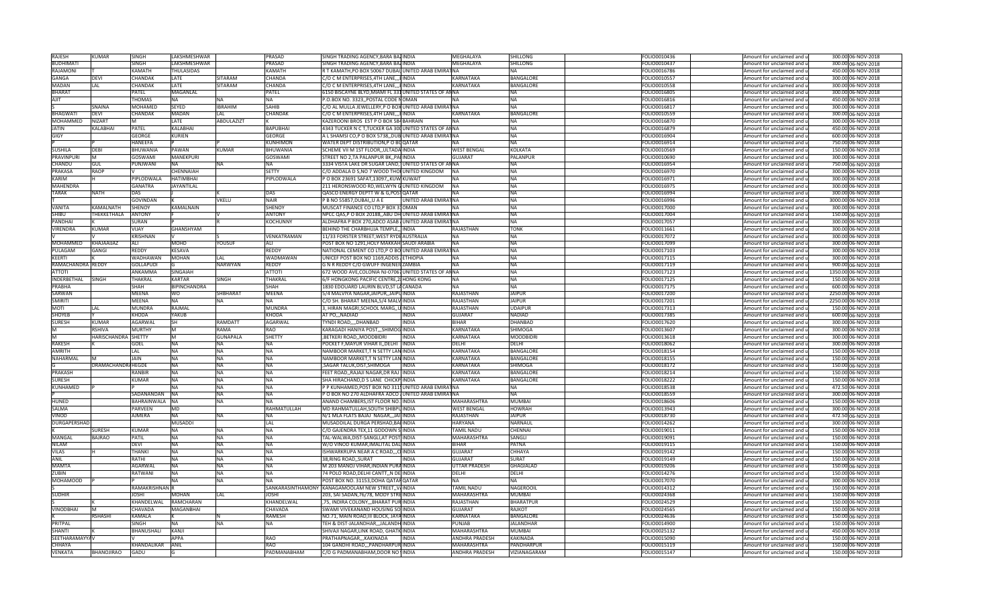| <b>RAJESH</b>            | KUMAR                    | <b>SINGH</b>             | LAKSHMESHWAR      |                   | PRASAD                    | SINGH TRADING AGENCY, BARA BAZINDIA                                    |                      | <b>MFGHALAYA</b>                            | SHILLONG                   | FOLIO0010436                 | Amount for unclaimed and u                               | 300.00 06-NOV-2018                       |
|--------------------------|--------------------------|--------------------------|-------------------|-------------------|---------------------------|------------------------------------------------------------------------|----------------------|---------------------------------------------|----------------------------|------------------------------|----------------------------------------------------------|------------------------------------------|
| <b>BUDHIMATI</b>         |                          | SINGH                    | LAKSHMESHWAR      |                   | PRASAD                    | SINGH TRADING AGENCY, BARA BAZINDIA                                    |                      | <b>MFGHALAYA</b>                            | <b>SHILLONG</b>            | FOLIO0010437                 | Amount for unclaimed and u                               | 300.00 06-NOV-2018                       |
| RAJAMONI                 |                          | KAMATH                   | THULASIDAS        |                   | KAMATH                    | R T KAMATH, PO BOX 50067 DUBAI, UNITED ARAB EMIRATNA                   |                      |                                             | NΑ                         | FOLIO0016786                 | Amount for unclaimed and u                               | 450.00 06-NOV-2018                       |
| GANGA                    | <b>DEVI</b>              | CHANDAK                  | LATE              | SITARAM           | CHANDA                    | C/O C M ENTERPRISES, 4TH LANE HINDIA                                   |                      | <b>KARNATAKA</b>                            | BANGALORE                  | FOLIO0010557                 | Amount for unclaimed and u                               | 300.00 06-NOV-2018                       |
| <b>MADAN</b>             | LAL                      | CHANDAK                  | LATE              | <b>SITARAM</b>    | <b>HANDA</b>              | C/O C M ENTERPRISES, 4TH LANE, HINDIA                                  |                      | KARNATAKA                                   | BANGALORE                  | OLIO0010558                  | Amount for unclaimed and u                               | 300.00 06-NOV-2018                       |
| <b>BHARAT</b>            |                          | PATEL                    | <b>MAGANLAL</b>   |                   |                           |                                                                        |                      |                                             |                            |                              |                                                          |                                          |
|                          |                          |                          |                   |                   | PATEL                     | 6150 BISCAYNE BLYD, MIAMI FL 331 UNITED STATES OF ANNA                 |                      |                                             | NA                         | FOLIO0016805                 | Amount for unclaimed and u                               | 300.00 06-NOV-2018                       |
| AJIT                     |                          | THOMAS                   | ΝA                | <b>NA</b>         | NА                        | P.O.BOX NO. 3323,, POSTAL CODE NOMAN                                   |                      |                                             | <b>NA</b>                  | FOLIO0016816                 | Amount for unclaimed and u                               | 450.00 06-NOV-2018                       |
|                          | SNAINA                   | MOHAMED                  | <b>SEYED</b>      | <b>IBRAHIM</b>    | SAHIB                     | C/O AL MULLA JEWELLERY, P O BOX UNITED ARAB EMIRAT NA                  |                      |                                             | <b>NA</b>                  | FOLIO0016817                 | Amount for unclaimed and u                               | 300.00 06-NOV-2018                       |
| <b>BHAGWATI</b>          | DEVI                     | CHANDAK                  | <b>MADAN</b>      | LAL               | CHANDAK                   | C/O C M ENTERPRISES, 4TH LANE, HINDIA                                  |                      | KARNATAKA                                   | <b>BANGALORE</b>           | FOLIO0010559                 | Amount for unclaimed and u                               | 300.00 06-NOV-2018                       |
| MOHAMMED                 | NIZART                   | M                        | LATE              | <b>ABDULAZIZT</b> |                           | KAZEROONI BROS EST P O BOX 584 BAHRAIN                                 |                      |                                             | NΔ                         | FOLIO0016870                 | Amount for unclaimed and u                               | 300.00 06-NOV-2018                       |
| <b>JATIN</b>             | KALABHAI                 | PATEL                    | <b>KALABHAI</b>   |                   | <b>BAPUBHAI</b>           | 4343 TUCKER N C T, TUCKER GA 300 UNITED STATES OF ANNA                 |                      |                                             | <b>NA</b>                  | FOLIO0016879                 | Amount for unclaimed and u                               | 450.00 06-NOV-2018                       |
| <b>GIGY</b>              |                          | <b>GEORGE</b>            | KURIEN            |                   | GEORGE                    | A L SHAMSI CO,P O BOX 5738, DUB UNITED ARAB EMIRATNA                   |                      |                                             | <b>NA</b>                  | FOLIO0016904                 | Amount for unclaimed and u                               | 600.00 06-NOV-2018                       |
|                          |                          | <b>HANEEFA</b>           |                   |                   | <b>KUNHIMON</b>           | WATER DEPT DISTRIBUTION, P O BOQATAR                                   |                      |                                             | NΔ                         | FOLIO0016914                 | Amount for unclaimed and u                               | 750.00 06-NOV-2018                       |
| <b>SUSHILA</b>           | DEBI                     | <b>BHUWANIA</b>          | PAWAN             | <b>KUMAR</b>      | BHUWANIA                  | SCHEME VII M 1ST FLOOR, ULTADA INDIA                                   |                      | <b>WEST BENGAL</b>                          | <b>KOLKATA</b>             | FOLIO0010569                 | Amount for unclaimed and u                               | 150.00 06-NOV-2018                       |
| <b>PRAVINPUR</b>         | M                        | <b>GOSWAMI</b>           | MANEKPURI         |                   | GOSWAMI                   | STREET NO 2, TA PALANPUR BK,, PALINDIA                                 |                      | <b>GUJARAT</b>                              | PALANPUR                   | FOLIO0010690                 | Amount for unclaimed and u                               | 300.00 06-NOV-2018                       |
| CHANDU                   | <b>GUL</b>               | PUNJWANI                 | <b>NA</b>         | <b>NA</b>         | <b>NA</b>                 | 3334 VISTA LAKE DR SUGAR LAND, JUNITED STATES OF ANNA                  |                      |                                             | NA                         | FOLIO0016954                 | Amount for unclaimed and u                               | 750.00 06-NOV-2018                       |
| PRAKASA                  | <b>RAOP</b>              |                          | CHENNAIAH         |                   | <b>SETTY</b>              | C/O ADDALA D S, NO 7 WOOD THOI UNITED KINGDOM                          |                      | <b>NA</b>                                   | <b>NA</b>                  | FOLIO0016970                 |                                                          | 300.00 06-NOV-2018                       |
|                          |                          |                          |                   |                   |                           |                                                                        |                      |                                             |                            |                              | Amount for unclaimed and u                               |                                          |
| KARIM                    |                          | PIPLODWALA               | <b>HATIMBHAI</b>  |                   | PIPLODWALA                | P O BOX 23691 SAFAT,13097,,KUW KUWAIT                                  |                      |                                             | <b>NA</b>                  | FOLIO0016971                 | Amount for unclaimed and u                               | 300.00 06-NOV-2018                       |
| <b>MAHENDRA</b>          |                          | <b>GANATRA</b>           | <b>JAYANTILAL</b> |                   |                           | 211 HERONSWOOD RD, WELWYN GUNITED KINGDOM                              |                      | <b>NA</b>                                   | <b>NA</b>                  | FOLIO0016975                 | Amount for unclaimed and u                               | 300.00 06-NOV-2018                       |
| TARAK                    | NATH                     | DAS                      |                   |                   | DAS                       | QASCO ENERGY DEPTT W & G,POSTQATAR                                     |                      |                                             | <b>NA</b>                  | OLIO0016994                  | Amount for unclaimed and u                               | 300.00 06-NOV-2018                       |
|                          |                          | <b>GOVINDAN</b>          |                   | VKFLU             | <b>NAIR</b>               | P B NO 55857.DUBAIU A E                                                | UNITED ARAB EMIRATNA |                                             | <b>NA</b>                  | FOLIO0016996                 | Amount for unclaimed and u                               | 3000.00 06-NOV-2018                      |
| VANITA                   | KAMALNATH                | SHENOY                   | KAMALNAIN         |                   | SHENOY                    | MUSCAT FINANCE CO LTD,P BOX 310MAN                                     |                      |                                             | <b>NA</b>                  | FOLIO0017000                 | Amount for unclaimed and u                               | 300.00 06-NOV-2018                       |
| SHIBU                    | THEKKETHALA              | <b>ANTONY</b>            |                   |                   | <b>ANTONY</b>             | NPCC QAS, P O BOX 20188, ABU DH UNITED ARAB EMIRATNA                   |                      |                                             | <b>NA</b>                  | FOLIO0017004                 | Amount for unclaimed and u                               | 150.00 06-NOV-2018                       |
| PANDHAI                  |                          | SURAN                    |                   |                   | KOCHUNNY                  | ALDHAFRA P BOX 270, ADCO ASAB / UNITED ARAB EMIRAT NA                  |                      |                                             | NΔ                         | FOLIO0017057                 | Amount for unclaimed and u                               | 300.00 06-NOV-2018                       |
| VIRENDRA                 | <b>KUMAR</b>             | VIJAY                    | GHANSHYAM         |                   |                           | BEHIND THE CHARBHUJA TEMPLE,, INDIA                                    |                      | RAJASTHAN                                   | <b>TONK</b>                | FOLIO0011661                 | Amount for unclaimed and u                               | 300.00 06-NOV-2018                       |
|                          |                          | <b>KRISHNAN</b>          |                   |                   | VENKATRAMAN               | 11/33 FORSTER STREET, WEST RYDEAUSTRALIA                               |                      |                                             | <b>NA</b>                  | FOLIO0017072                 | Amount for unclaimed and u                               | 300.00 06-NOV-2018                       |
| <b>MOHAMMED</b>          | KHAJAAIJAZ               | AL I                     | <b>MOHD</b>       | YOUSUF            |                           | POST BOX NO 1291, HOLY MAKKAH SAUDI ARABIA                             |                      |                                             | NA                         | FOLIO0017099                 | Amount for unclaimed and u                               | 300.00 06-NOV-2018                       |
| PULAGAM                  | GANGI                    | REDDY                    | <b>KESAVA</b>     |                   | REDDY                     | NATIONAL CEMENT CO LTD, P O BOLUNITED ARAB EMIRATNA                    |                      |                                             | <b>NA</b>                  | FOLIO0017103                 | Amount for unclaimed and u                               | 300.00 06-NOV-2018                       |
|                          |                          |                          |                   |                   |                           |                                                                        |                      |                                             |                            |                              |                                                          |                                          |
| KEERTI                   |                          | WADHAWAN                 | <b>MOHAN</b>      | LAL               | WADMAWAN                  | UNICEF POST BOX NO 1169, ADDIS / ETHIOPIA                              |                      | <b>NA</b>                                   | <b>NA</b>                  | FOLIO0017115                 | Amount for unclaimed and u                               | 300.00 06-NOV-2018                       |
| RAMACHANDRA REDDY        |                          | <b>GOLLAPUDI</b>         |                   | <b>NARWYAN</b>    | REDDY                     | G N R REDDY C/O GWUFF INGENEILZAMBIA                                   |                      | <b>NA</b>                                   | <b>NA</b>                  | FOLIO0017119                 | Amount for unclaimed and u                               | 900.00 06-NOV-2018                       |
| <b>ATTOTI</b>            |                          | ANKAMMA                  | <b>SINGAIAH</b>   |                   | <b>ATTOTI</b>             | 672 WOOD AVE, COLONIA NJ-07067 UNITED STATES OF ANNA                   |                      |                                             | <b>NA</b>                  | FOLIO0017123                 | Amount for unclaimed and u                               | 1350.00 06-NOV-2018                      |
| <b>INDERBETHAL</b>       | <b>SINGH</b>             | THAKRAL                  | <b>KARTAR</b>     | <b>SINGH</b>      | THAKRAL                   | 6/F HONGKONG PACIFIC CENTRE, 28 HONG KONG                              |                      | <b>NA</b>                                   | <b>NA</b>                  | FOLIO0017125                 | Amount for unclaimed and u                               | 150.00 06-NOV-2018                       |
| PRABHA                   |                          | SHAH                     | BIPINCHANDRA      |                   | SHAH                      | 1830 EDOUARD LAURIN BLVD, ST LACANADA                                  |                      |                                             | NΔ                         | FOLIO0017175                 | Amount for unclaimed and u                               | 600.00 06-NOV-2018                       |
| <b>SARWAN</b>            |                          | MEENA                    | wo                | SHBHARAT          | MEENA                     | 5/4 MALVIYA NAGAR,JAIPUR,,JAIPUINDIA                                   |                      | RAJASTHAN                                   | <b>JAIPUR</b>              | FOLIO0017200                 | Amount for unclaimed and u                               | 2250.00 06-NOV-2018                      |
| <b>SMIRITI</b>           |                          | MEENA                    | <b>NA</b>         | <b>NA</b>         |                           | C/O SH. BHARAT MEENA,5/4 MALV INDIA                                    |                      | RAJASTHAN                                   | <b>JAIPUR</b>              | FOLIO0017201                 | Amount for unclaimed and u                               | 2250.00 06-NOV-2018                      |
|                          |                          |                          |                   |                   |                           |                                                                        |                      |                                             |                            |                              |                                                          |                                          |
| <b>MOTI</b>              | LAL                      | MUNDRA                   | RAJMAL            |                   | MUNDRA                    | 3, HIRAN MAGRI,SCHOOL MARG,,U INDIA                                    |                      | RAJASTHAN                                   | UDAIPUR                    | FOLIO0017313                 | Amount for unclaimed and u                               |                                          |
| SHOYEB                   |                          | KHODA                    | YAKUB             |                   | KHODA                     | AT PO,,, NADIAD                                                        | INDIA                | <b>GUJARAT</b>                              | NADIAD                     | FOLIO0017385                 |                                                          | 150.00 06-NOV-2018                       |
|                          | KUMAR                    |                          | lsн               | RAMDATT           |                           |                                                                        | INDIA                | <b>BIHAR</b>                                | <b>DHANBAD</b>             |                              | Amount for unclaimed and u                               | 600.00 06-NOV-2018                       |
| <b>SURESH</b><br>M       |                          | <b>AGARWAI</b>           | M                 |                   | AGARWAL                   | TYNDI ROAD,,,,DHANBAD                                                  |                      |                                             |                            | FOLIO0017620                 | Amount for unclaimed and u                               | 300.00 06-NOV-2018                       |
|                          | <b>RSHIVA</b>            | <b>MURTHY</b>            |                   | <b>RAMA</b>       | <b>RAO</b>                | KARAGADI HANIYA POST,,,SHIMOGINDIA                                     |                      | <b>KARNATAKA</b>                            | SHIMOGA                    | FOLIO0013607                 | Amount for unclaimed and u                               | 300.00 06-NOV-2018                       |
| 'M                       | HARISCHANDRA SHETTY      |                          | M                 | <b>GUNAPALA</b>   | SHETTY                    | ,BETKERI ROAD,,MOODBIDRI                                               | <b>INDIA</b>         | KARNATAKA                                   | <b>MOODBIDRI</b>           | FOLIO0013618                 | Amount for unclaimed and u                               | 300.00 06-NOV-2018                       |
| <b>RAKESH</b>            |                          | GOEL                     | <b>NA</b>         | <b>NA</b>         |                           | POCKET F, MAYUR VIHAR II, , DELHI  INDIA                               |                      | DELHI                                       | DELHI                      | FOLIO0018062                 | Amount for unclaimed and u                               | 300.00 06-NOV-2018                       |
| <b>AMRITH</b>            |                          | <b>LAL</b>               | <b>NA</b>         | <b>NA</b>         | NA                        | NAMBOOR MARKET,T N SETTY LAN INDIA                                     |                      | KARNATAKA                                   | BANGALORE                  | FOLIO0018154                 | Amount for unclaimed and u                               | 150.00 06-NOV-2018                       |
| NAHARMAL                 |                          | JAIN                     | <b>NA</b>         | <b>NA</b>         | ΝA                        | NAMBOOR MARKET, TN SETTY LAN INDIA                                     |                      | <b>KARNATAKA</b>                            | BANGALORE                  | FOLIO0018155                 | Amount for unclaimed and u                               | 150.00 06-NOV-2018                       |
|                          | <b>DRAMACHANDRAHEGDE</b> |                          | <b>NA</b>         | <b>NA</b>         | NA                        | ,SAGAR TALUK,DIST,SHIMOGA                                              | INDIA                | KARNATAKA                                   | SHIMOGA                    | FOLIO0018172                 | Amount for unclaimed and u                               | 150.00 06-NOV-2018                       |
| PRAKASH                  |                          | RANBIR                   | <b>NA</b>         | <b>NA</b>         | <b>NA</b>                 | FEET ROAD, RAJAJI NAGAR, DR RAJ IINDIA                                 |                      | <b>KARNATAKA</b>                            | <b>BANGALORI</b>           | FOLIO0018214                 | Amount for unclaimed and u                               | 150.00 06-NOV-2018                       |
| SURESH                   |                          | KUMAR                    | <b>NA</b>         | <b>NA</b>         | <b>NA</b>                 | SHA HIRACHAND, D S LANE CHICKP INDIA                                   |                      | <b>KARNATAKA</b>                            | BANGALORE                  | FOLIO0018222                 | Amount for unclaimed and u                               | 150.00 06-NOV-2018                       |
| <b>KUNHAMED</b>          |                          |                          | <b>NA</b>         | <b>NA</b>         | <b>NA</b>                 | P P KUNHAMED, POST BOX NO 311 JUNITED ARAB EMIRATNA                    |                      |                                             | <b>NA</b>                  | FOLIO0018538                 | Amount for unclaimed and u                               | 472.50 06-NOV-2018                       |
|                          |                          | SADANANDAN NA            |                   | <b>NA</b>         | <b>NA</b>                 | P O BOX NO 270 ALDHAFRA ADCO / UNITED ARAB EMIRAT NA                   |                      |                                             | <b>NA</b>                  | FOLIO0018559                 | Amount for unclaimed and u                               | 300.00 06-NOV-2018                       |
| HUNED                    |                          | BAHRAINWALA NA           |                   | <b>NA</b>         |                           | ANAND CHAMBERS, IST FLOOR NO. INDIA                                    |                      | MAHARASHTRA                                 | <b>MUMBAI</b>              | FOLIO0018606                 | Amount for unclaimed and u                               | 150.00 06-NOV-2018                       |
| SALMA                    |                          | <b>PARVEEN</b>           | <b>MD</b>         |                   | RAHMATULLAH               | MD RAHMATULLAH, SOUTH SHIBPUINDIA                                      |                      | <b>WEST BENGAL</b>                          | <b>HOWRAH</b>              | FOLIO0013943                 | Amount for unclaimed and u                               | 300.00 06-NOV-2018                       |
| VINOD                    |                          | AJMERA                   | NA                | <b>NA</b>         | ΝA                        | N/1 MLA FLATS BAJAJ NAGAR,,,JAILINDIA                                  |                      | RAJASTHAN                                   | JAIPUR                     | FOLIO0018730                 | Amount for unclaimed and u                               |                                          |
| DURGAPERSHAD             |                          |                          | <b>MUSADDI</b>    |                   | LAL                       |                                                                        |                      | <b>HARYANA</b>                              | NARNAUI                    |                              |                                                          | 472.50 06-NOV-2018                       |
|                          |                          |                          |                   |                   | NA                        | MUSADDILAL DURGA PERSHAD, BAI INDIA                                    |                      |                                             |                            | FOLIO0014262                 | Amount for unclaimed and u                               | 300.00 06-NOV-2018                       |
|                          | SURESH                   | KUMAR                    | <b>NA</b>         | <b>NA</b>         |                           | C/O GAJENDRA TEX, 11 GODOWN SINDIA                                     |                      | TAMIL NADU                                  | CHENNAI                    | FOLIO0019011                 | Amount for unclaimed and u                               | 150.00 06-NOV-2018                       |
| <b>MANGAL</b>            | <b>BAJRAO</b>            | <b>PATIL</b>             | <b>NA</b>         | <b>NA</b>         | <b>NA</b>                 | TAL-WALWA, DIST-SANGLI, AT POST, INDIA                                 |                      | <b>MAHARASHTRA</b>                          | SANGLI                     | FOLIO0019091                 | Amount for unclaimed and u                               | 150.00 06-NOV-2018                       |
| <b>NILAM</b>             |                          | <b>DEVI</b>              | <b>NA</b>         | <b>NA</b>         | <b>NA</b>                 | W/O VINOD KUMAR, IMALITAL DALINDIA                                     |                      | <b>BIHAR</b>                                | PATNA                      | FOLIO0019115                 | Amount for unclaimed and u                               | 150.00 06-NOV-2018                       |
| VILAS                    |                          | <b>THANK</b>             | <b>NA</b>         | <b>NA</b>         | <b>NA</b>                 | ISHWARKRUPA NEAR A C ROAD, , CHINDIA                                   |                      | <b>GUJARA1</b>                              | CHHAYA                     | FOLIO0019142                 | Amount for unclaimed and u                               | 150.00 06-NOV-2018                       |
| <b>ANIL</b>              |                          | RATHI                    | <b>NA</b>         | <b>NA</b>         | NA                        | 38.RING ROADSURAT                                                      | <b>INDIA</b>         | <b>GUJARAT</b>                              | <b>SURAT</b>               | FOLIO0019149                 | Amount for unclaimed and u                               | 150.00 06-NOV-2018                       |
| <b>MAMTA</b>             |                          | AGARWAL                  | <b>NA</b>         | <b>NA</b>         | NA                        | M 203 MANOJ VIHAR, INDIAN PURA INDIA                                   |                      | UTTAR PRADESH                               | GHAGIALAD                  | FOLIO0019206                 | Amount for unclaimed and u                               | 150.00 06-NOV-2018                       |
| ZUBIN                    |                          | RATWANI                  | <b>NA</b>         | <b>NA</b>         | <b>NA</b>                 | 74 POLO ROAD, DELHI CANTT,, N DE INDIA                                 |                      | DELHI                                       | DELHI                      | FOLIO0014276                 | Amount for unclaimed and u                               | 150.00 06-NOV-2018                       |
| <b>MOHAMOOD</b>          |                          |                          | <b>NA</b>         | <b>NA</b>         |                           | POST BOX NO. 31153, DOHA QATAR QATAR                                   |                      |                                             | NA                         | FOLIO0017070                 | Amount for unclaimed and u                               | 300.00 06-NOV-2018                       |
|                          |                          | RAMAKRISHNAN R           |                   |                   |                           | SANKARASINTHAMONY KANAGAMOOLAM NEW STREET,, VAINDIA                    |                      | TAMIL NADU                                  | NAGEROOIL                  | FOLIO0014312                 | Amount for unclaimed and u                               | 150.00 06-NOV-2018                       |
| <b>SUDHIR</b>            |                          | <b>JOSHI</b>             | <b>MOHAN</b>      | LAL               | <b>JOSHI</b>              | 203, SAI SADAN, 76/78, MODY STREINDIA                                  |                      | MAHARASHTRA                                 | <b>MUMBAI</b>              | FOLIO0024368                 | Amount for unclaimed and u                               | 150.00 06-NOV-2018                       |
|                          |                          | KHANDELWAL               | RAMCHARAN         |                   | KHANDELWAL                | ,75, INDIRA COLONY,,,BHARAT PUR INDIA                                  |                      | RAJASTHAN                                   | <b>BHARATPUR</b>           | FOLIO0024529                 | Amount for unclaimed and u                               | 150.00 06-NOV-2018                       |
| VINODBHAI                |                          | <b>CHAVADA</b>           | <b>MAGANBHAI</b>  |                   | CHAVADA                   | SWAMI VIVEKANAND HOUSING SOLINDIA                                      |                      | <b>GUJARAT</b>                              | RAJKOT                     | FOLIO0024565                 | Amount for unclaimed and u                               | 150.00 06-NOV-2018                       |
|                          | RSHASHI                  | KAMALA                   |                   |                   | RAMESH                    | NO.71. MAIN ROAD.III BLOCK, JAYA INDIA                                 |                      | KARNATAKA                                   | <b>BANGALORE</b>           | OLIO0024636                  |                                                          |                                          |
|                          |                          | SINGH                    | NΑ                |                   |                           |                                                                        |                      |                                             |                            |                              | Amount for unclaimed and u                               | 150.00 06-NOV-2018                       |
| PRITPAL                  |                          |                          |                   | <b>NA</b>         | NA                        | TEH & DIST-JALANDHAR,,,JALANDH <mark>INDIA</mark>                      |                      | PUNJAB                                      | <b>JALANDHAR</b>           | FOLIO0014900                 | Amount for unclaimed and u                               | 150.00 06-NOV-2018                       |
| <b>SHANTI</b>            |                          | BHANUSHALI               | KANJI             |                   |                           | SHIVAJI NAGAR, LINK ROAD, GHATK INDIA                                  |                      | MAHARASHTRA                                 | MUMBAI                     | FOLIO0025132                 | Amount for unclaimed and u                               | 450.00 06-NOV-2018                       |
| <b>SEETHARAMAYYAV</b>    |                          |                          | <b>APPA</b>       |                   | RAO                       | PRATHAPNAGAR,,,KAKINADA                                                | INDIA                | <b>ANDHRA PRADESH</b>                       | KAKINADA                   | FOLIO0015090                 | Amount for unclaimed and u                               | 150.00 06-NOV-2018                       |
| CHHAYA<br><b>VENKATA</b> | BHANOJIRAO               | KHANDALIKAR ANIL<br>GADU |                   |                   | <b>RAO</b><br>PADMANABHAM | 104 GANDHI ROAD,,,PANDHARPUR INDIA<br>C/O G PADMANABHAM, DOOR NO INDIA |                      | <b>MAHARASHTRA</b><br><b>ANDHRA PRADESH</b> | PANDHARPUR<br>VIZIANAGARAM | FOLIO0015119<br>FOLIO0015147 | Amount for unclaimed and u<br>Amount for unclaimed and u | 150.00 06-NOV-2018<br>150.00 06-NOV-2018 |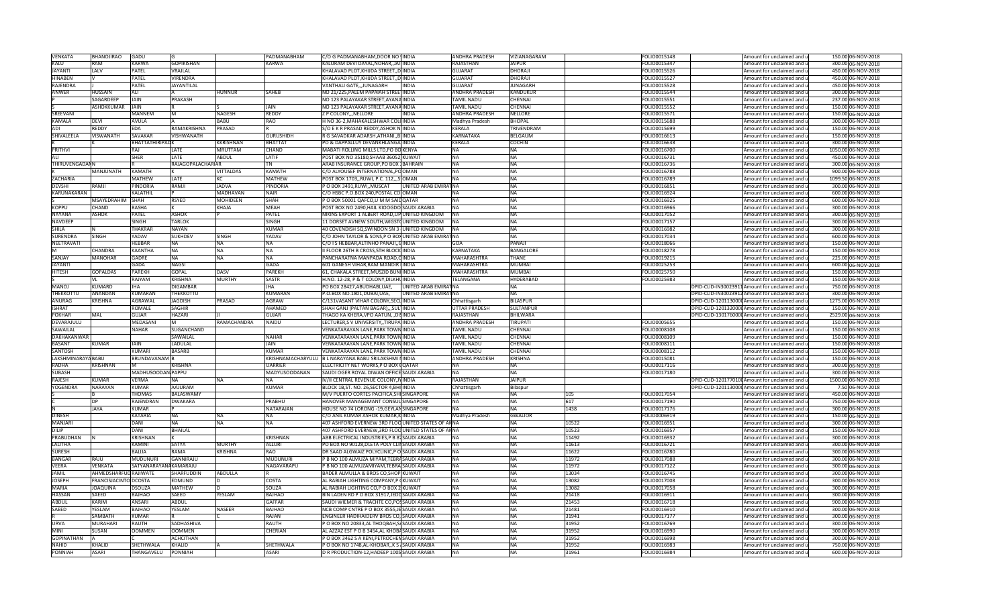| <b>VENKATA</b>                 | <b>BHANOJIRAO</b>     | GADU                    |                   |                  | PADMANABHAM        | C/O G PADMANABHAM, DOOR NO INDIA                                                                |                       | ANDHRA PRADESH                  | VIZIANAGARAM           |                | FOLIO0015148                 | Amount for unclaimed and u                               | 150.00 06-NOV-2018                       |
|--------------------------------|-----------------------|-------------------------|-------------------|------------------|--------------------|-------------------------------------------------------------------------------------------------|-----------------------|---------------------------------|------------------------|----------------|------------------------------|----------------------------------------------------------|------------------------------------------|
| KALU                           | RAM                   | KARWA                   | <b>GOPIKISHAN</b> |                  | KARWA              | KALURAM DEVI DAYAL, NOHAR, JAILINDIA                                                            |                       | <b>RAJASTHAN</b>                | <b>JAIPUR</b>          |                | FOLIO0015347                 | Amount for unclaimed and                                 | 300.00 06-NOV-2018                       |
| <b>JAYANTI</b>                 | <b>LALV</b>           | PATEL                   | VRAJLAL           |                  |                    | KHALAVAD PLOT, KHIJDA STREET, DINDIA                                                            |                       | <b>GUJARAT</b>                  | <b>DHORAJI</b>         |                | FOLIO0015526                 | Amount for unclaimed and                                 | 450.00 06-NOV-2018                       |
| <b>HINABEN</b>                 |                       | PATEL                   | VIRENDRA          |                  |                    | KHALAVAD PLOT, KHIJDA STREET,, D INDIA                                                          |                       | <b>GUJARAT</b>                  | DHORAJI                |                | FOLIO0015527                 | Amount for unclaimed and                                 | 450.00 06-NOV-2018                       |
| RAJENDRA                       |                       | PATEL                   | JAYANTILAL        |                  |                    | VANTHALI GATE,,,JUNAGARH                                                                        | INDIA                 | <b>GUJARAT</b>                  | <b>JUNAGARH</b>        |                | FOLIO0015528                 | Amount for unclaimed and                                 | 450.00 06-NOV-2018                       |
| ANWER                          | HUSSAIN               | ALI                     |                   | HUNNUR           | SAHEB              | NO 21/225, PALEM PAPAIAH STREE INDIA                                                            |                       | ANDHRA PRADESH                  | KANDUKUR               |                | OLIO0015544                  | Amount for unclaimed and                                 | 300.00 06-NOV-2018                       |
|                                | SAGARDFFF             | Jain                    | PRAKASH           |                  |                    | NO 123 PALAYAKAR STREET, AYANA INDIA                                                            |                       | <b>TAMIL NADU</b>               | CHENNAI                |                | FOLIO0015551                 | Amount for unclaimed and                                 | 237.00 06-NOV-2018                       |
|                                | ASHOKKUMAR            | <b>JAIN</b>             |                   |                  | JAIN               | NO 123 PALAYAKAR STREET, AYANA INDIA                                                            |                       | TAMIL NADU                      | CHENNAI                |                | FOLIO0015552                 | Amount for unclaimed and u                               | 150.00 06-NOV-2018                       |
| SREEVANI                       |                       | <b>MANNEM</b>           | M                 | <b>NAGESH</b>    | REDDY              | Z P COLONY, , NELLORE                                                                           | INDIA                 | <b>ANDHRA PRADESH</b>           | <b>NELLORE</b>         |                | FOLIO0015571                 | Amount for unclaimed and u                               | 150.00 06-NOV-2018                       |
| <b>KAMALA</b>                  | <b>DEVI</b>           | AVULA                   |                   | <b>BABU</b>      | <b>RAO</b>         | H NO 36-2. MAHAKALESHWAR COLUINDIA                                                              |                       | Madhya Pradesh                  | <b>BHOPAL</b>          |                | FOLIO0015688                 | Amount for unclaimed and u                               | 300.00 06-NOV-2018                       |
| ADI                            | REDDY                 | <b>EDA</b>              | RAMAKRISHNA       | PRASAD           |                    | S/O E K R PRASAD REDDY, ASHOK N. INDIA                                                          |                       | <b>KERALA</b>                   | TRIVENDRAM             |                | FOLIO0015699                 |                                                          | 150.00 06-NOV-2018                       |
|                                |                       |                         |                   |                  |                    |                                                                                                 |                       |                                 |                        |                |                              | Amount for unclaimed and u                               |                                          |
| SHIVALEELA                     | VISWANATH             | SAVAKAR                 | VISHWANATH        |                  | <b>GURUSHIDH</b>   | R G SAVADKAR ADARSH,ATHANI,,BIINDIA                                                             |                       | KARNATAKA                       | <b>BELGAUM</b>         |                | FOLIO0016613                 | Amount for unclaimed and                                 | 150.00 06-NOV-2018                       |
|                                |                       | BHATTATHIRIPAD K        |                   | <b>KKRISHNAN</b> | BHATTAT            | PO & DAPPALLUY DEVANKHLANGA INDIA                                                               |                       | KERALA                          | <b>COCHIN</b>          |                | FOLIO0016638                 | Amount for unclaimed and                                 | 300.00 06-NOV-2018                       |
| <b>PRITHVI</b>                 |                       | RAJ                     | LATE              | <b>MRUTTAM</b>   | CHAND              | MABATI ROLLING MILLS LTD,PO BO KENYA                                                            |                       | <b>NA</b>                       | <b>NA</b>              |                | FOLIO0016700                 | Amount for unclaimed and                                 | 1050.00 06-NOV-2018                      |
| ALI                            |                       | SHER                    | LATE              | ABDUL            | LATIF              | POST BOX NO 35180, SHAAB 36052, KUWAIT                                                          |                       | NA.                             | <b>NA</b>              |                | FOLIO0016731                 | Amount for unclaimed and                                 | 450.00 06-NOV-2018                       |
| THIRUVENGADANN                 |                       |                         | RAJAGOPALACHARIAR |                  | TN                 | ARAB INSURANCE GROUP, PO BOX JBAHRAIN                                                           |                       | <b>NA</b>                       | <b>NA</b>              |                | FOLIO0016736                 | Amount for unclaimed and                                 | 300.00 06-NOV-2018                       |
|                                | MANJUNATH             | KAMATH                  |                   | <b>VITTALDAS</b> | <b>KAMATH</b>      | C/O ALYOUSEF INTERNATIONAL, POOMAN                                                              |                       | <b>NA</b>                       | <b>NA</b>              |                | FOLIO0016788                 | Amount for unclaimed and                                 | 900.00 06-NOV-2018                       |
| <b>ZACHARIA</b>                |                       | <b>MATHEW</b>           | LATE              | KC               | <b>MATHEW</b>      | POST BOX 1703,, RUWI, P.C. 112,,, SIOMAN                                                        |                       | <b>NA</b>                       | <b>NA</b>              |                | FOLIO0016789                 | Amount for unclaimed and                                 | 1099.50 06-NOV-2018                      |
| <b>DEVSHI</b>                  | RAMJI                 | PINDORIA                | RAMJI             | <b>JADVA</b>     | PINDORIA           | P O BOX 3491, RUWI, , MUSCAT                                                                    | UNITED ARAB EMIRATNA  |                                 | <b>NA</b>              |                | FOLIO0016851                 | Amount for unclaimed and                                 | 300.00 06-NOV-2018                       |
| <b>KARUNAKARAN</b>             |                       | KALATHIL                |                   | <b>MADHAVAN</b>  | NAIR               | C/O HSBC P.O.BOX 240, POSTAL COLOMAN                                                            |                       |                                 | <b>INA</b>             |                | FOLIO0016924                 | Amount for unclaimed and                                 | 600.00 06-NOV-2018                       |
|                                | MSAYEDRAHIM           | SHAH                    | <b>RSYED</b>      | <b>MOHIDEEN</b>  | SHAH               | P O BOX 50001 QAFCO.U M M SAIDQATAR                                                             |                       | <b>NA</b>                       | <b>NA</b>              |                | FOLIO0016925                 | Amount for unclaimed and                                 | 600.00 06-NOV-2018                       |
| <b>KOPPU</b>                   | CHAND                 | BASHA                   |                   | KHAJA            | MEAH               | POST BOX NO 2490, HAIL KIOOGDO SAUDI ARABIA                                                     |                       | <b>NA</b>                       | <b>NA</b>              |                | FOLIO0016966                 | Amount for unclaimed and                                 | 300.00 06-NOV-2018                       |
| <b>NAYANA</b>                  | <b>ASHOK</b>          | PATEL                   | <b>ASHOK</b>      |                  | PATEL              | NIKINS EXPORT 1 ALBERT ROAD, UP UNITED KINGDOM                                                  |                       | <b>NA</b>                       | <b>NA</b>              |                | FOLIO0017052                 | Amount for unclaimed and u                               | 300.00 06-NOV-2018                       |
| <b>NAVDEEF</b>                 |                       | SINGH                   | TARLOK            |                  | SINGH              | 11 DORSET AVNEW SOUTH, WIGSTOUNITED KINGDOM                                                     |                       | <b>NA</b>                       | <b>NA</b>              |                | FOLIO0017157                 | Amount for unclaimed and u                               | 300.00 06-NOV-2018                       |
| <b>SHILA</b>                   |                       | THAKRAR                 | NAYAN             |                  | KUMAR              | 40 COVENDISH SQ, SWINDON SN 3 UNITED KINGDOM                                                    |                       | <b>NA</b>                       | <b>NA</b>              |                | FOLIO0016982                 | Amount for unclaimed and                                 | 300.00 06-NOV-2018                       |
| <b>SURENDRA</b>                | <b>SINGH</b>          | YADAV                   | SUKHDEV           | SINGH            | YADAV              | C/O JOHN TAYLOR & SONS, P O BOXUNITED ARAB EMIRATNA                                             |                       |                                 | <b>NA</b>              |                | FOLIO0017034                 | Amount for unclaimed and                                 | 600.00 06-NOV-2018                       |
| NEETRAVATI                     |                       | HEBBAR                  | ΝA                | <b>NA</b>        | NΑ                 | C/O I S HEBBAR, ALTINHO PANAJI, GINDIA                                                          |                       | GOA                             | PANAJI                 |                | FOLIO0018066                 | Amount for unclaimed and                                 | 150.00 06-NOV-2018                       |
|                                |                       |                         |                   |                  |                    |                                                                                                 |                       |                                 |                        |                |                              |                                                          |                                          |
| м                              | CHANDRA               | KAANTHA                 | <b>NA</b>         | <b>NA</b>        | <b>NA</b>          | II FLOOR 26TH B CROSS, 5TH BLOCK INDIA                                                          |                       | KARNATAKA                       | <b>BANGALORE</b>       |                | FOLIO0018278                 | Amount for unclaimed and                                 | 150.00 06-NOV-2018                       |
| SANJAY                         | <b>MANOHAR</b>        | GADRE                   | <b>NA</b>         | <b>NA</b>        | <b>NA</b>          | PANCHARATNA MANPADA ROAD, CINDIA                                                                |                       | <b>MAHARASHTRA</b>              | THANE                  |                | FOLIO0019215                 | Amount for unclaimed and                                 | 225.00 06-NOV-2018                       |
| <b>JAYANTI</b>                 |                       | GADA                    | <b>NAGSI</b>      |                  | GADA               | 601 GANESH VIHAR, RAM MANDIR INDIA                                                              |                       | <b>MAHARASHTRA</b>              | <b>MUMBAI</b>          |                | FOLIO0025253                 | Amount for unclaimed and u                               | 600.00 06-NOV-2018                       |
| <b>HITESH</b>                  | <b>GOPALDAS</b>       | PAREKH                  | <b>GOPAL</b>      | <b>DASV</b>      | PAREKI             | 61, CHAKALA STREET, MUSZID BUNIINDIA                                                            |                       | <b>MAHARASHTRA</b>              | <b>MUMBAI</b>          |                | FOLIO0025750                 | Amount for unclaimed and                                 | 150.00 06-NOV-2018                       |
|                                | VL                    | RAJYAM                  | <b>KRISHNA</b>    | <b>MURTHY</b>    | <b>SASTR</b>       | H.NO. 12-28, P & T COLONY, DILKHUINDIA                                                          |                       | TELANGANA                       | <b>HYDERABAD</b>       |                | FOLIO0025983                 | Amount for unclaimed and                                 | 150.00 06-NOV-2018                       |
| MANOJ                          | KUMARD                | JHA                     | <b>DIGAMBAR</b>   |                  | JHA                | PO BOX 28427, ABUDHABI, UAE,                                                                    | UNITED ARAB EMIRAT NA |                                 | <b>NA</b>              |                |                              | DPID-CLID-IN30023911 Amount for unclaimed and            | 750.00 06-NOV-2018                       |
| THEKKOTTL                      | ANANDAN               | KUMARAN                 | THEKKOTTU         |                  | <b>KUMARAN</b>     | P.O.BOX NO.1801, DUBAI, UAE,                                                                    | UNITED ARAB EMIRATNA  |                                 | <b>NA</b>              |                |                              | DPID-CLID-IN30023912 Amount for unclaimed and            | 300.00 06-NOV-2018                       |
| ANURAG                         | KRISHNA               | AGRAWAL                 | <b>JAGDISH</b>    |                  |                    |                                                                                                 |                       |                                 |                        |                |                              |                                                          |                                          |
|                                |                       |                         |                   | PRASAD           | AGRAW              | C/131VASANT VIHAR COLONY, SECLINDIA                                                             |                       | Chhattisgarh                    | <b>BILASPUR</b>        |                |                              | DPID-CLID-1201130000 Amount for unclaimed and            | 1275.00 06-NOV-2018                      |
| <b>ISHRAT</b>                  |                       | ROMALE                  | SAGHIR            |                  | AHAMED             | SHAH GANJ (PALTAN BAGAR),,,SULTINDIA                                                            |                       | <b>UTTAR PRADESH</b>            | <b>SULTANPUR</b>       |                |                              | DPID-CLID-120132000 Amount for unclaimed and u           | 150.00 06-NOV-2018                       |
| <b>POKHAR</b>                  | MAL                   | <b>GUJAR</b>            | HAZARI            |                  | GUJAR              | THAGO KA KHERA, VPO AATUN, ., DISINDIA                                                          |                       | RAJASTHAN                       | <b>BHILWARA</b>        |                |                              | DPID-CLID-1301760000 Amount for unclaimed and u          | 2529.00 06-NOV-2018                      |
| DEVARAJULU                     |                       | MEDASANI                | M                 | RAMACHANDRA      | <b>NAIDU</b>       | LECTURER, SV UNIVERSITY, TIRUPA INDIA                                                           |                       | <b>ANDHRA PRADESH</b>           | <b>TIRUPATI</b>        |                | FOLIO0005655                 | Amount for unclaimed and u                               | 150.00 06-NOV-2018                       |
| SAWAILAL                       |                       | <b>NAHAR</b>            | SUGANCHAND        |                  |                    | VENKATARAYAN LANE, PARK TOWN INDIA                                                              |                       | TAMIL NADU                      | <b>CHENNAI</b>         |                | FOLIO0008108                 | Amount for unclaimed and u                               | 150.00 06-NOV-2018                       |
| <b>DAKHAKANWAR</b>             |                       |                         | SAWAILAL          |                  | <b>NAHAR</b>       | VENKATARAYAN LANE, PARK TOWN INDIA                                                              |                       |                                 | <b>CHENNAI</b>         |                | FOLIO0008109                 | Amount for unclaimed and u                               | 150.00 06-NOV-2018                       |
| <b>BASANT</b>                  | KUMAR                 | JAIN                    | LADULAL           |                  | JAIN               |                                                                                                 |                       | <b>TAMIL NADU</b><br>TAMIL NADU | CHENNAI                |                | FOLIO0008111                 | Amount for unclaimed and                                 |                                          |
| <b>SANTOSH</b>                 |                       | KUMARI                  | <b>BASARB</b>     |                  | KUMAR              | VENKATARAYAN LANE, PARK TOWN INDIA<br>VENKATARAYAN LANE.PARK TOWNINDIA                          |                       | <b>TAMIL NADU</b>               | CHENNAI                |                | FOLIO0008112                 | Amount for unclaimed and                                 | 150.00 06-NOV-2018                       |
|                                |                       |                         |                   |                  |                    |                                                                                                 |                       |                                 |                        |                |                              |                                                          | 150.00 06-NOV-2018                       |
| LAKSHMINARAYA BABU             |                       | <b>BRUNDAVANAM</b> B    |                   |                  |                    | KRISHNAMACHARYULU B L NARAYANA BABU SRILAKSHMI NINDIA                                           |                       | ANDHRA PRADESH                  | <b>KRISHNA</b>         |                | FOLIO0015081                 | Amount for unclaimed and                                 | 150.00 06-NOV-2018                       |
| <b>RADHA</b>                   | <b>KRISHNAN</b>       | м                       | KRISHNA           |                  | <b>UARRIFF</b>     | ELECTRICITY NET WORKS, P O BOX COATAR                                                           |                       | <b>NA</b>                       | <b>NA</b>              |                | FOLIO0017116                 | Amount for unclaimed and                                 | 300.00 06-NOV-2018                       |
| <b>SUBASH</b>                  |                       | MADHUSOODAN PAPPU       |                   |                  | MADYUSOODANAN      | SAUDI OGER ROYAL DIWAN OFFICE SAUDI ARABIA                                                      |                       |                                 | <b>NA</b>              |                | FOLIO0017180                 | Amount for unclaimed and u                               | 300.00 06-NOV-2018                       |
| RAJESH                         | KUMAR                 | <b>VERMA</b>            | <b>NA</b>         | <b>NA</b>        | <b>NA</b>          | IV/II CENTRAL REVENUE COLONY, JYINDIA                                                           |                       | RAJASTHAN                       | <b>JAIPUR</b>          |                |                              | DPID-CLID-1201770100 Amount for unclaimed and            | 1500.00 06-NOV-2018                      |
| <b>YOGENDRA</b>                | <b>NARAYAN</b>        | <b>KUMAR</b>            | <b>AAJURAM</b>    |                  | <b>KUMAR</b>       | BLOCK 1B, ST. NO. 26, SECTOR 4, BHI INDIA                                                       |                       | Chhattisgarh                    | Bilaspur               |                |                              | DPID-CLID-1201130000 Amount for unclaimed and            | 7.50 06-NOV-2018                         |
|                                |                       | THOMAS                  | BALASWAMY         |                  |                    | M/V PUERTO CORTES PACIFICA, SHI SINGAPORE                                                       |                       |                                 | <b>NA</b>              | 105            | FOLIO0017054                 | Amount for unclaimed and                                 | 450.00 06-NOV-2018                       |
|                                |                       | RAJENDRAN               | <b>DWAKARA</b>    |                  | PRABHL             | HANOVER MANAGEMANT CONSUL SINGAPORE                                                             |                       |                                 | <b>NA</b>              | 617            | FOLIO0017190                 | Amount for unclaimed and                                 | 750.00 06-NOV-2018                       |
|                                | <b>JAYA</b>           | KUMAR                   |                   |                  | NATARAJAN          | HOUSE NO 74 LORONG -19, GEYLAN SINGAPORE                                                        |                       | <b>NA</b>                       | <b>NA</b>              | 1438           | FOLIO0017176                 | Amount for unclaimed and                                 | 300.00 06-NOV-2018                       |
| <b>DINESH</b>                  |                       | KATARIA                 | NA                | <b>NA</b>        | NA                 | C/O ANIL KUMAR ASHOK KUMAR, KINDIA                                                              |                       | Madhya Pradesh                  | <b>GWALIOR</b>         |                | FOLIO0006919                 | Amount for unclaimed and                                 | 150.00 06-NOV-2018                       |
| <b>MANJARI</b>                 |                       | DANI                    | <b>NA</b>         | <b>NA</b>        | <b>NA</b>          | 407 ASHFORD EVERNEW 3RD FLOO UNITED STATES OF ANNA                                              |                       |                                 | <b>NA</b>              | 10522          | FOLIO0016951                 | Amount for unclaimed and u                               | 300.00 06-NOV-2018                       |
| <b>DILIP</b>                   |                       | DANI                    | <b>BHAILAL</b>    |                  |                    | 407 ASHFORD EVERNEW.3RD FLOOUNITED STATES OF ANNA                                               |                       |                                 | <b>NA</b>              | 10523          | FOLIO0016957                 | Amount for unclaimed and u                               | 150.00 06-NOV-2018                       |
| PRABUDHAN                      |                       | <b>KRISHNAN</b>         |                   |                  | <b>KRISHNAN</b>    | ABB ELECTRICAL INDUSTRIES, P B 87 SAUDI ARABIA                                                  |                       | <b>NA</b>                       | <b>NA</b>              | 11492          | FOLIO0016932                 | Amount for unclaimed and u                               | 300.00 06-NOV-2018                       |
| LALITHA                        |                       | KAMINI                  | SATYA             | <b>MURTHY</b>    | ALLURI             | PO BOX NO 90128, DLETA POLY CLINSAUDI ARABIA                                                    |                       | <b>NA</b>                       | <b>NA</b>              | 11613          | FOLIO0016721                 | Amount for unclaimed and                                 | 300.00 06-NOV-2018                       |
| <b>SURESH</b>                  |                       | <b>BALIJA</b>           | RAMA              | KRISHNA          | RAO                | DR SAAD ALGWAIZ POLYCLINIC, PO SAUDI ARABIA                                                     |                       | <b>NA</b>                       | <b>NA</b>              | 11622          | FOLIO0016780                 | Amount for unclaimed and                                 | 300.00 06-NOV-2018                       |
| <b>BANGAR</b>                  | RAIU                  | MUDUNURI                | GANNIRAJU         |                  | MUDUNUR            | P B NO 100 ALMUZA MIYAM, TEBRASAUDI ARABIA                                                      |                       | <b>NA</b>                       | <b>NA</b>              | 11972          | FOLIO0017088                 | Amount for unclaimed and                                 | 300.00 06-NOV-2018                       |
| VEERA                          | VENKATA               | SATYANARAYANA KAMARAJU  |                   |                  | NAGAVARAPU         | P B NO 100 ALMUZAMIYAM, TEBRA SAUDI ARABIA                                                      |                       | <b>NA</b>                       | <b>NA</b>              | 11972          | FOLIO0017122                 | Amount for unclaimed and                                 | 300.00 06-NOV-2018                       |
| <b>JAMIL</b>                   | AHMEDSHARFUD RAJIWATE |                         | SHARFUDDIN        | <b>ABDULLA</b>   |                    | BADER ALMULLA & BROS CO, SHOP KUWAIT                                                            |                       | <b>NA</b>                       | <b>NA</b>              | 13034          | FOLIO0016745                 | Amount for unclaimed and                                 | 300.00 06-NOV-2018                       |
| <b>JOSEPH</b>                  | FRANCISJACINTO DCOSTA |                         | EDMUND            |                  | COSTA              | AL RABIAH LIGHTING COMPANY, P (KUWAIT                                                           |                       | <b>NA</b>                       | <b>INA</b>             | 13082          | FOLIO0017008                 | Amount for unclaimed and                                 | 300.00 06-NOV-2018                       |
| <b>MARIA</b>                   | <b>JOAQUINA</b>       | <b>DSOUZA</b>           | <b>MATHEW</b>     |                  | SOUZA              | AL RABIAH LIGHTING CO,P O BOX 2 KUWAIT                                                          |                       | <b>NA</b>                       | <b>NA</b>              | 13082          | FOLIO0017058                 | Amount for unclaimed and                                 | 300.00 06-NOV-2018                       |
| <b>HASSAN</b>                  | SAEED                 | BAJHAO                  | SAEED             | YESLAM           | <b>BAJHAO</b>      | BIN LADEN RD P O BOX 31917, JEDD SAUDI ARABIA                                                   |                       | <b>NA</b>                       | <b>NA</b>              | 21418          | FOLIO0016911                 | Amount for unclaimed and                                 | 300.00 06-NOV-2018                       |
| <b>ABDUL</b>                   | KARIM                 | ANSARI                  | ABDUL             |                  | GAFFAR             | SAUDI WIEMER & TRACHTE CO, POSSAUDI ARABIA                                                      |                       | <b>NA</b>                       | <b>NA</b>              | 21453          | FOLIO0016718                 | Amount for unclaimed and                                 | 900.00 06-NOV-2018                       |
| SAEED                          | YESLAM                | BAJHAO                  | YESLAM            | <b>NASEER</b>    | <b>BAJHAO</b>      | NCB COMP CNTRE P O BOX 3555, JE SAUDI ARABIA                                                    |                       | <b>NA</b>                       | <b>NA</b>              | 21481          | FOLIO0016910                 | Amount for unclaimed and                                 | 300.00 06-NOV-2018                       |
|                                | SAMRATH               | KIIMAR                  |                   |                  | RAJAN              |                                                                                                 |                       | <b>NA</b>                       | <b>NA</b>              | 31941          | FOLIO0017177                 | Amount for unclaimed and                                 | 300.00 06-NOV-2018                       |
| URVA                           |                       | RAUTH                   |                   |                  |                    | ENGINEER HADIHAIDERV BROS CO, SAUDI ARABIA                                                      |                       |                                 | <b>INA</b>             | 31952          |                              |                                                          |                                          |
|                                | MURAHARI              |                         | SADHASHIVA        |                  | RAUTH              | P O BOX NO 20833, AL THOQBAH, SASAUDI ARABIA                                                    |                       | <b>NA</b>                       | <b>INA</b>             |                | FOLIO0016769                 | Amount for unclaimed and u                               | 300.00 06-NOV-2018                       |
| MINI                           | SUSAN                 | OOMMEN                  | <b>OOMMEN</b>     |                  | CHERIAN            | AL AZZAZ EST P O B 3454, AL KHOBA SAUDI ARABIA                                                  |                       | <b>NA</b>                       |                        | 31952          | FOLIO0016990                 | Amount for unclaimed and                                 | 300.00 06-NOV-2018                       |
| <b>GOPINATHAN</b>              |                       |                         | <b>ACHCITHAN</b>  |                  |                    | P O BOX 3462 S A KENI, PETROCHEN SAUDI ARABIA                                                   |                       | <b>NA</b>                       | <b>NA</b>              | 31952          | FOLIO0016998                 | Amount for unclaimed and u                               | 300.00 06-NOV-2018                       |
| <b>NAHID</b><br><b>PONNIAH</b> | KHALID<br><b>ASAR</b> | SHETHWALA<br>THANGAVELU | KHALID<br>PONNIAH |                  | SHETHWALA<br>ASARI | P O BOX NO 1748, AL-KHOBAR, , K S / SAUDI ARABIA<br>D R PRODUCTION-12, HADEEP 1005 SAUDI ARABIA |                       | <b>NA</b><br><b>NA</b>          | <b>NA</b><br><b>NA</b> | 31952<br>31961 | FOLIO0016983<br>FOLIO0016984 | Amount for unclaimed and u<br>Amount for unclaimed and u | 750.00 06-NOV-2018<br>600.00 06-NOV-2018 |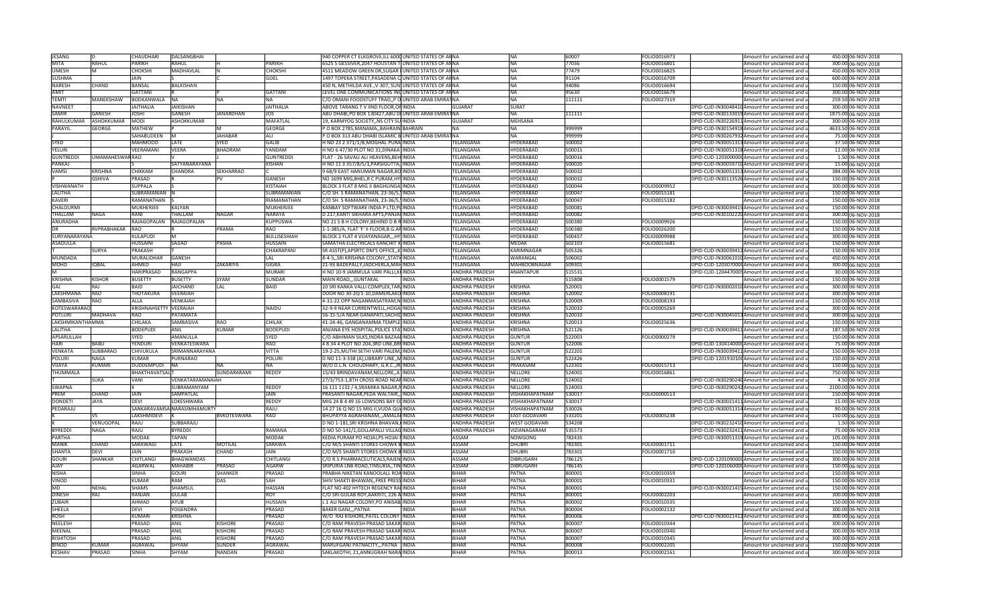| <b>JESANG</b>       |                 | CHAUDHARI             | <b>DALSANGBHAI</b>          |                  |                  | 940 COPPER CT ELKGROVE, ILL 6000 UNITED STATES OF AN NA |                         | <b>NA</b>            | 60007  | FOLIO0016973 | Amount for unclaimed and u                      | 450.00 06-NOV-2018  |
|---------------------|-----------------|-----------------------|-----------------------------|------------------|------------------|---------------------------------------------------------|-------------------------|----------------------|--------|--------------|-------------------------------------------------|---------------------|
|                     |                 |                       |                             |                  |                  |                                                         |                         |                      |        |              |                                                 |                     |
| <b>MITA</b>         | RAHUL           | <b>PARIKH</b>         | RAHUL                       |                  | <b>PARIKH</b>    | 6525 S GESSIVER, 2047 HOUSTAN TIUNITED STATES OF ANNA   |                         | <b>NA</b>            | 77036  | FOLIO0016801 | Amount for unclaimed and u                      | 300.00 06-NOV-2018  |
| <b>UMESH</b>        |                 | СНОКЅНІ               | MADHAVLAL                   |                  | CHOKSHI          | 4511 MEADOW GREEN DR, SUGAR UNITED STATES OF ANNA       |                         | <b>NA</b>            | 77479  | FOLIO0016825 | Amount for unclaimed and u                      | 450.00 06-NOV-2018  |
| <b>SUSHMA</b>       |                 | <b>JAIN</b>           |                             |                  | GOEL             | 1497 TOPEKA STREET, PASADENA C/UNITED STATES OF ANNA    |                         | <b>NA</b>            | 91104  | FOLIO0016709 | Amount for unclaimed and u                      | 600.00 06-NOV-2018  |
| <b>NARESH</b>       | CHAND           | <b>BANSAL</b>         | BALKISHAN                   |                  |                  | 450 N, METHILDA AVE., V-307, SUNIUNITED STATES OF ANNA  |                         | <b>NA</b>            | 94086  | OLIO0016694  | Amount for unclaimed and u                      | 150.00 06-NOV-2018  |
|                     |                 |                       |                             |                  |                  |                                                         |                         |                      |        |              |                                                 |                     |
| <b>AMIT</b>         |                 | GATTANI               |                             |                  | GATTANI          | LEVEL ONE COMMUNICATIONS INCUNITED STATES OF ANNA       |                         | <b>INA</b>           | 95630  | FOLIO0016679 | Amount for unclaimed and u                      | 300.00 06-NOV-2018  |
| TEMTI               | MANEKSHAW       | BODKANWALA            | <b>NA</b>                   | NA               | <b>NA</b>        | C/O OMANI FOODSTUFF TRAD, P O UNITED ARAB EMIRATNA      |                         | <b>NA</b>            | 111111 | FOLIO0027319 | Amount for unclaimed and u                      | 259.50 06-NOV-2018  |
| <b>NAVNEET</b>      |                 | <b>JAITHALIA</b>      | JAIKISHAN                   |                  | <b>JAITHALIA</b> | ABOVE TARANG TV IIND FLOOR, OF INDIA                    | GUIARAT                 | <b>SURAT</b>         |        |              | DPID-CLID-IN30048410 Amount for unclaimed and u | 300.00 06-NOV-2018  |
| <b>SAMIR</b>        | GANESH          | <b>JOSHI</b>          | GANESH                      | <b>JANARDHAN</b> | <b>JOS</b>       | ABU DHABI, PO BOX 130427, ABU DI UNITED ARAB EMIRAT NA  |                         | <b>NA</b>            | 111111 |              | DPID-CLID-IN30133019 Amount for unclaimed and u | 1875.00 06-NOV-2018 |
|                     |                 |                       |                             |                  |                  |                                                         |                         |                      |        |              |                                                 |                     |
| RAHULKUMAR          | ASHOKKUMAR      | <b>MODI</b>           | <b>ASHOKKUMAR</b>           |                  | <b>MAFATLAL</b>  | 19, KARMYOG SOCIETY,, NS CITY SU INDIA                  | <b>GUJARAT</b>          | <b>MEHSANA</b>       |        |              | DPID-CLID-IN30226911 Amount for unclaimed and u | 300.00 06-NOV-2018  |
| <b>PARAYIL</b>      | <b>GEORGE</b>   | <b>MATHEW</b>         |                             |                  | <b>GEORGE</b>    | P O BOX 2785, MANAMA,, BAHRAIN BAHRAIN                  |                         | <b>NA</b>            | 999999 |              | DPID-CLID-IN30154918 Amount for unclaimed and u | 4633.50 06-NOV-2018 |
|                     |                 | SAHABUDEEN            |                             | <b>JAHABAR</b>   | ALI              | P O BOX 313 ABU DHABI ISLAMIC BUNITED ARAB EMIRATNA     |                         | <b>NA</b>            | 999999 |              | DPID-CLID-IN30267932 Amount for unclaimed and u | 75.00 06-NOV-2018   |
| SYED                |                 | <b>MAHMOOD</b>        | LATE                        | SYFD             | GALIB            | H NO 23 2 371/1/B, MOGHAL PURA INDIA                    | <b>FELANGANA</b>        | <b>HYDERABAD</b>     | 500002 |              | DPID-CLID-IN30051313 Amount for unclaimed and u | 37.50 06-NOV-2018   |
|                     |                 |                       |                             |                  |                  |                                                         |                         |                      |        |              |                                                 |                     |
| YELURI              |                 | VEERAMANI             | <b>VEERA</b>                | <b>BHADRAM</b>   | YANDAM           | H NO 6 47/30 PLOT NO 31, DINAKA INDIA                   | <b>FELANGANA</b>        | <b>HYDERABAD</b>     | 500015 |              | DPID-CLID-IN30051318 Amount for unclaimed and u | 12.00 06-NOV-2018   |
| <b>GUNTREDD</b>     | UMAMAHESWAR RAO |                       |                             |                  | <b>GUNTREDDI</b> | FLAT - 26 SAVALI ALI HEAVENS, BEH INDIA                 | <b>FELANGANA</b>        | HYDERABAD            | 500016 |              | DPID-CLID-120300000 Amount for unclaimed and u  | 1.50 06-NOV-2018    |
| PANKAJ              |                 |                       | SATYANARAYANA               |                  | <b>KISHAN</b>    | H NO 11 3 357/8/5/1, PARSIGUTTA, INDIA                  | <b>FELANGANA</b>        | <b>HYDERABAD</b>     | 500020 |              | DPID-CLID-IN30059710 Amount for unclaimed and u | 15.00 06-NOV-2018   |
| VAMSI               | <b>KRISHNA</b>  | <b>CHIKKAM</b>        | <b>CHANDRA</b>              | <b>SEKHARRAO</b> |                  | 9 68/9 EAST HANUMAN NAGAR, BO INDIA                     | TELANGANA               | <b>HYDERABAD</b>     | 500032 |              | DPID-CLID-IN30051313 Amount for unclaimed and u | 384.00 06-NOV-2018  |
|                     |                 |                       |                             |                  |                  |                                                         |                         |                      |        |              |                                                 |                     |
|                     | <b>GSHIVA</b>   | PRASAD                |                             |                  | GANESH           | NO 1699 MIG, BHEL, R C PURAM, HYI INDIA                 | TELANGANA               | <b>HYDERABAD</b>     | 500032 |              | DPID-CLID-IN30113526 Amount for unclaimed and u | 150.00 06-NOV-2018  |
| VISHWANATH          |                 | <b>SUPPALA</b>        |                             |                  | KISTAIAH         | BLOCK 3 FLAT 8 MIG II BAGHLINGAI INDIA                  | TELANGANA               | <b>HYDERABAD</b>     | 500044 | FOLIO0009952 | \mount for unclaimed and u                      | 300.00 06-NOV-2018  |
| LALITHA             |                 | SUBRAMANIAN           |                             |                  | SUBRAMANIAN      | C/O SH. S RAMANATHAN, 23-36/5, INDIA                    | ELANGANA                | HYDERABAD            | 500047 | OLIO0015181  | Amount for unclaimed and u                      | 150.00 06-NOV-2018  |
| <b>KAVERI</b>       |                 | RAMANATHAN            |                             |                  | RIAMANATHAN      | C/O SH. S RAMANATHAN, 23-36/5, INDIA                    | <b>FELANGANA</b>        | <b>HYDERABAD</b>     | 500047 | FOLIO0015182 | Amount for unclaimed and u                      |                     |
|                     |                 |                       |                             |                  |                  |                                                         |                         |                      |        |              |                                                 | 150.00 06-NOV-2018  |
| CHALOURMI           |                 | MUKHERJEE             | <b>KALYAN</b>               |                  | MUKHERJEE        | KANBAY SOFTWARE INDIA P LTD, PLINDIA                    | <b>FELANGANA</b>        | HYDERABAD            | 500081 |              | DPID-CLID-IN30039415 Amount for unclaimed and u | 150.00 06-NOV-2018  |
| THALLAM             | <b>NAGA</b>     | RANI                  | <b>THALLAM</b>              | NAGAR            | NARAYA           | D 217, KANTI SIKHARA APTS, PANJA INDIA                  | <b>FELANGANA</b>        | HYDERABAD            | 500082 |              | DPID-CLID-IN30102220 Amount for unclaimed and u | 300.00 06-NOV-2018  |
| <b>ANURADHA</b>     |                 | RAJAGOPALAN           | RAJAGOPALAN                 |                  | <b>KUPPUSWA</b>  | NO 21 S B H COLONY, BEHIND D B R INDIA                  | TELANGANA               | <b>HYDERABAD</b>     | 500380 | FOLIO0009926 | Amount for unclaimed and u                      | 150.00 06-NOV-2018  |
|                     | RVPRABHAKAR RAO |                       |                             | PRAMA            | RAO              |                                                         | TELANGANA               | <b>HYDERABAD</b>     | 500380 | FOLIO0026200 |                                                 | 150.00 06-NOV-2018  |
|                     |                 |                       |                             |                  |                  | 1-1-385/A, FLAT 'F' II FLOOR, B.G. AP INDIA             |                         |                      |        |              | Amount for unclaimed and u                      |                     |
| SURYANARAYANA       |                 | <b>KULAPUDI</b>       |                             |                  | BULLISESHIAH     | BLOCK 2 FLAT 4 VIJAYANAGAR,,, HY INDIA                  | TELANGANA               | <b>HYDERABAD</b>     | 500457 | FOLIO0009988 | Amount for unclaimed and u                      | 300.00 06-NOV-2018  |
| <b>ASADULLA</b>     |                 | <b>HUSSAINI</b>       | SAJJAD                      | <b>PASHA</b>     | HUSSAIN          | SAMATHA ELECTRICALS KANCHIT X INDIA                     | <b>FELANGANA</b>        | <b>MEDAK</b>         | 502103 | FOLIO0015681 | Amount for unclaimed and u                      | 150.00 06-NOV-2018  |
|                     | SURYA           | PRAKASH               |                             |                  | CHAKRAPANI       | SR ASST(P), APSRTC DM'S OFFICE,, KIINDIA                | <b><i>TELANGANA</i></b> | KARIMNAGAR           | 505326 |              | DPID-CLID-IN30039412 Amount for unclaimed and u | 150.00 06-NOV-2018  |
| <b>MUNDADA</b>      |                 | MURALIDHAR            |                             |                  |                  |                                                         |                         | WARANGAL             |        |              |                                                 | 450.00 06-NOV-2018  |
|                     |                 |                       | GANESH                      |                  | LAL              | 8-4-5,, SRI KRISHNA COLONY,, STATI INDIA                | <b>FELANGANA</b>        |                      | 506002 |              | DPID-CLID-IN30061010 Amount for unclaimed and u |                     |
| MOHD                | <b>IQBAL</b>    | AHMED                 | IIAH                        | ZAKARIYA         | GIGRA            | 21-93 BADEPALLY, JADCHERLA, MAHINDIA                    | <b>FELANGANA</b>        | <b>MAHBOOBNAGAR</b>  | 509301 |              | DPID-CLID-1203070000 Amount for unclaimed and u | 300.00 06-NOV-2018  |
|                     |                 | HARIPRASAD            | <b>RANGAPPA</b>             |                  | <b>MURAR</b>     | H NO 10-9 JAMMULA VARI PALLI, KUINDIA                   | ANDHRA PRADESH          | <b>ANANTAPUR</b>     | 515531 |              | DPID-CLID-1204470005 Amount for unclaimed and u | 30.00 06-NOV-2018   |
| <b>KRISHNA</b>      | <b>KISHOR</b>   | <b>BUSETTY</b>        | <b>BUSETTY</b>              | <b>SYAM</b>      | <b>SUNDAR</b>    | MAIN ROAD,,,GUNTAKAL<br><b>INDIA</b>                    | <b>ANDHRA PRADESH</b>   |                      | 515808 | FOLIO0001579 | Amount for unclaimed and u                      | 150.00 06-NOV-2018  |
| <b>GA</b>           | RAI             | <b>BAID</b>           | <b>JAICHAND</b>             |                  |                  |                                                         |                         | <b>KRISHNA</b>       |        |              |                                                 |                     |
|                     |                 |                       |                             | LAL              | BAID             | 20 SRI KANKA VALLI COMPLEX, TAR INDIA                   | ANDHRA PRADESH          |                      | 520001 |              | DPID-CLID-IN30002010 Amount for unclaimed and u | 300.00 06-NOV-2018  |
| LAKSHMANA           | RAO             | THOTAKURA             | <b>VEERAIAH</b>             |                  |                  | DOOR NO 30-20/1-10, DAMERLAKO INDIA                     | <b>ANDHRA PRADESH</b>   | <b>KRISHNA</b>       | 520002 | FOLIO0008191 | mount for unclaimed and u                       | 300.00 06-NOV-2018  |
| SAMBASIVA           | <b>RAO</b>      | ALLA                  | <b><i>VENKAIAH</i></b>      |                  |                  | 4-31-22 OPP NAGANMASATRAM, N INDIA                      | <b>ANDHRA PRADESH</b>   | KRISHNA              | 520009 | OLIO0008193  | Amount for unclaimed and u                      | 150.00 06-NOV-2018  |
| <b>KOTESWARARAO</b> |                 | <b>KRISHNAHSETTY</b>  | <b>VEERAIAH</b>             |                  | <b>NAIDU</b>     | 32-9-9 NEAR CURRENTWELL, HOGA INDIA                     | ANDHRA PRADESH          | <b>KRISHNA</b>       | 520010 | FOLIO0005269 | Amount for unclaimed and u                      | 300.00 06-NOV-2018  |
| <b>POTLURI</b>      | MADHAVA         | <b>RAO</b>            | PATAMATA                    |                  |                  | 56-15-5/A NEAR GANAPATI, SACHID INDIA                   | ANDHRA PRADESH          | <b>KRISHNA</b>       | 520010 |              | DPID-CLID-IN30045013 Amount for unclaimed and u | 300.00 06-NOV-2018  |
|                     |                 |                       |                             |                  |                  |                                                         |                         |                      |        |              |                                                 |                     |
| LAKSHMIKANTHAMMA    |                 | CHILAKA               | SAMBASIVA                   | <b>RAO</b>       | CHILAK           | 41-24-46, GANGANAMMA TEMPLE INDIA                       | ANDHRA PRADESH          | <b>KRISHNA</b>       | 520013 | FOLIO0025636 | Amount for unclaimed and u                      | 150.00 06-NOV-2018  |
| <b>LALITHA</b>      |                 | <b>BODEPUDI</b>       | <b>ANIL</b>                 | <b>KUMAR</b>     | <b>BODEPUDI</b>  | ANJANA EYE HOSPITAL, POLICE STATINDIA                   | <b>ANDHRA PRADESH</b>   | <b>KRISHNA</b>       | 521126 |              | DPID-CLID-IN30039411 Amount for unclaimed and u | 187.50 06-NOV-2018  |
| APSARULLAH          |                 | SYED                  | AMANULLA                    |                  | <b>SYED</b>      | C/O ABHIMAN SILKS, INDRA BAZAAFINDIA                    | <b>ANDHRA PRADESH</b>   | <b>GUNTUR</b>        | 522003 | FOLIO0000279 | Amount for unclaimed and u                      | 150.00 06-NOV-2018  |
| <b>HAR</b>          | <b>BABU</b>     | <b>YENDUR</b>         | VENKATESWARA                |                  | <b>RAO</b>       | 4 8 34 4 PLOT NO 204,3RD LINE, BRUNDIA                  | ANDHRA PRADESH          | <b>GUNTUR</b>        | 522006 |              | DPID-CLID-1304140000 Amount for unclaimed and u | 75.00 06-NOV-2018   |
|                     |                 |                       |                             |                  |                  |                                                         |                         |                      |        |              |                                                 |                     |
| VENKATA             | <b>SUBBARAO</b> | CHIVUKULA             | SRIMANNARAYANA              |                  | VITTA            | 19-2-25, MUTHI SETHI VARI PALEM, INDIA                  | <b>ANDHRA PRADESH</b>   | <b>GUNTUR</b>        | 522201 |              | DPID-CLID-IN30039411 Amount for unclaimed and u | 150.00 06-NOV-2018  |
| <b>POLURI</b>       | <b>NAGA</b>     | <b>KUMAR</b>          | <b>PURNARAO</b>             |                  | <b>POLUR</b>     | D NO 11-3-338 (A), LIBRARY LINE, , MINDIA               | <b>ANDHRA PRADESH</b>   | <b>GUNTUR</b>        | 522426 |              | DPID-CLID-120191010(Amount for unclaimed and u  | 150.00 06-NOV-2018  |
| VIJAYA              | KUMARI          | DUDDEMPUDI            | NA                          |                  | <b>NA</b>        | W/O D.L.N. CHOUDHARY, G.R.C., JR. INDIA                 | ANDHRA PRADESH          | PRAKASAM             | 523301 | FOLIO0015713 | Amount for unclaimed and u                      | 150.00 06-NOV-2018  |
| THUMMALA            |                 | <b>BHAKTHAVATSALT</b> |                             | SUNDARARAMI      | REDDY            | 15/43 BRINDAVANAM, NELLORE,, A INDIA                    | ANDHRA PRADESH          | <b>NELLORE</b>       | 524001 | FOLIO0016861 | Amount for unclaimed and u                      | 750.00 06-NOV-2018  |
|                     |                 |                       |                             |                  |                  |                                                         |                         |                      |        |              |                                                 |                     |
|                     | <b>SUKA</b>     | VANI                  | VENKATARAMANAIAH            |                  |                  | 27/3/753-1,8TH CROSS ROAD NEARINDIA                     | <b>ANDHRA PRADESH</b>   | <b>NELLORE</b>       | 524002 |              | DPID-CLID-IN30290240 Amount for unclaimed and u | 4.50 06-NOV-2018    |
| <b>SWAPNA</b>       |                 |                       | SUBRAMANYAM                 |                  | <b>REDDY</b>     | 16 111 1132 / 4, SRAMIKA NAGAR, NINDIA                  | <b>ANDHRA PRADESH</b>   | <b>NELLORE</b>       | 524003 |              | DPID-CLID-IN30290242 Amount for unclaimed and u | 2100.00 06-NOV-2018 |
| PRFM                | CHAND           | JAIN                  | SAMPATLAL                   |                  | <b>JAIN</b>      | PRASANTI NAGAR, PEDA WALTAIR,, INDIA                    | ANDHRA PRADESH          | VISHAKHAPATNAM       | 530017 | FOLIO0000513 | Amount for unclaimed and u                      | 150.00 06-NOV-2018  |
| <b>DONDETI</b>      | <b>JAYA</b>     | <b>DEVI</b>           | LOKESHWARA                  |                  | REDDY            | MIG 24 B 4 49 16 LOWSONS BAY COINDIA                    | <b>ANDHRA PRADESH</b>   | VISHAKHAPATNAM       | 530017 |              | DPID-CLID-IN30021411Amount for unclaimed and u  | 15.00 06-NOV-2018   |
| PEDARAJU            |                 |                       | SANKARAVAMSA NARASIMHAMURTY |                  | RAJU             | 14 27 16 Q NO 15 MIG II, VUDA QUAINDIA                  | <b>ANDHRA PRADESH</b>   | VISHAKHAPATNAM       | 530026 |              | DPID-CLID-IN30051314 Amount for unclaimed and u | 90.00 06-NOV-2018   |
|                     |                 |                       |                             |                  |                  |                                                         |                         |                      |        |              |                                                 |                     |
|                     | VS.             | LAKSHMIDEVI           |                             | BVKOTESWARA      | RAO              | BHUPAYYA AGRAHANAM,,,AMALAFINDIA                        | ANDHRA PRADESH          | <b>EAST GODAVARI</b> | 533201 | FOLIO0005238 | Amount for unclaimed and u                      | 150.00 06-NOV-2018  |
|                     | VENUGOPAL       | RAJU                  | SUBBARAJU                   |                  |                  | D NO 1-181, SRI KRISHNA BHAVAN, INDIA                   | ANDHRA PRADESH          | <b>WEST GODAVARI</b> | 534208 |              | DPID-CLID-IN30232410 Amount for unclaimed and u | 1.50 06-NOV-2018    |
| <b>BYREDDI</b>      | <b>NAGA</b>     | RAJU                  | <b>BYREDDI</b>              |                  | RAMANA           | D NO 50-141/1, GOLLAPALLI VILLAG INDIA                  | ANDHRA PRADESH          | VIZIANAGARAM         | 535573 |              | DPID-CLID-IN30232411Amount for unclaimed and u  | 75.00 06-NOV-2018   |
| <b>PARTHA</b>       |                 | <b>MODAK</b>          | <b>TAPAN</b>                |                  | <b>MODAK</b>     | KEDIA PURAM PO HOJAI, PS HOJAI NINDIA                   | <b>ASSAM</b>            | <b>NOWGONG</b>       | 782435 |              | DPID-CLID-IN30051319 Amount for unclaimed and u | 105.00 06-NOV-2018  |
|                     |                 |                       |                             |                  |                  |                                                         |                         |                      |        |              |                                                 |                     |
| <b>MANIK</b>        | CHAND           | SARAWAGI              | LATE                        | MOTILAL          | SARAWA           | C/O M/S SHANTI STORES CHOWK BINDIA                      | ASSAM                   | <b>DHUBRI</b>        | 783301 | FOLIO0001711 | Amount for unclaimed and u                      | 150.00 06-NOV-2018  |
| <b>SHANTA</b>       | <b>DEVI</b>     | <b>JAIN</b>           | PRAKASH                     | CHAND            |                  | C/O M/S SHANTI STORES CHOWK BINDIA                      | ASSAM                   | <b>DHUBRI</b>        | 783301 | FOLIO0001710 | Amount for unclaimed and u                      | 150.00 06-NOV-2018  |
| <b>GOURI</b>        |                 |                       |                             |                  |                  |                                                         |                         |                      |        |              |                                                 |                     |
| <b>AIAY</b>         | <b>SHANKAR</b>  | CHITLANGI             | <b>BHAGWANDAS</b>           |                  | CHITLANGI        | C/O R.S.PHARMACEUTICALS, RAJEN INDIA                    | <b>ASSAM</b>            | <b>DIBRUGARH</b>     | 786125 |              | DPID-CLID-120109000 Amount for unclaimed and u  | 300.00 06-NOV-2018  |
| <b>NISHA</b>        |                 |                       |                             |                  |                  |                                                         |                         |                      |        |              |                                                 |                     |
|                     |                 | <b>AGARWAL</b>        | <b>MAHABIR</b>              | PRASAD           | <b>AGARW</b>     | SRIPURIA LNB ROAD, TINSUKIA,, TINJINDIA                 | <b>ASSAM</b>            | <b>DIBRUGARH</b>     | 786145 |              | DPID-CLID-120106000(Amount for unclaimed and u  | 150.00 06-NOV-2018  |
|                     |                 | SINHA                 | GOURI                       | SHANKER          | PRASAD           | PRABHA NIKETAN KANOOLALL ROAINDIA                       | <b>BIHAR</b>            | PATNA                | 800001 | FOLIO0010359 | Amount for unclaimed and u                      | 150.00 06-NOV-2018  |
| VINOD               |                 | <b>KUMAR</b>          | RAM                         | DAS              | SAH              | SHIV SHAKTI BHAWAN, FREE PRESS INDIA                    | <b>BIHAR</b>            | <b>PATNA</b>         | 800001 | FOLIO0010331 | Amount for unclaimed and u                      | 150.00 06-NOV-2018  |
| MD                  | NEHAL           | <b>SHAMS</b>          | SHAMSUL                     |                  | <b>HASSAN</b>    | FLAT NO 402 HYTECH REGENCY RAI INDIA                    | <b>BIHAR</b>            | <b>PATNA</b>         | 800001 |              | DPID-CLID-IN30021415 Amount for unclaimed and u | 150.00 06-NOV-2018  |
|                     |                 |                       |                             |                  |                  |                                                         |                         |                      |        |              |                                                 |                     |
| <b>DINESH</b>       | RAJ             | RANJAN                | GULAB                       |                  | <b>ROY</b>       | C/O SRI GULAB ROY, AAKRITI, 226 A INDIA                 | <b>BIHAR</b>            | <b>PATNA</b>         | 800001 | FOLIO0002203 | Amount for unclaimed and u                      | 300.00 06-NOV-2018  |
| ZUBAIR              |                 | AHMAD                 | AYUB                        |                  | HUSSAIN          | L 1 ALI NAGAR COLONY, PO ANISABI INDIA                  | <b>BIHAR</b>            | PATNA                | 800002 | FOLIO0010335 | Amount for unclaimed and u                      | 150.00 06-NOV-2018  |
| SHEELA              |                 | DFVI                  | <b>YOGENDRA</b>             |                  | PRASAD           | <b>BAKER GANJ,,,PATNA</b><br><b>INDIA</b>               | BIHAR                   | PATNA                | 800004 | FOLIO0002132 | Amount for unclaimed and u                      | 300.00 06-NOV-2018  |
| <b>ROSH</b>         |                 | KUMARI                | <b>KRISHNA</b>              |                  | PRASAD           | W/O RAJ KISHORE, PATEL COLONY INDIA                     | <b>BIHAR</b>            | PATNA                | 800006 |              | DPID-CLID-IN30021412 Amount for unclaimed and u | 300.00 06-NOV-2018  |
| <b>NEELESH</b>      |                 | PRASAD                |                             | <b>KISHORE</b>   |                  |                                                         | <b>BIHAR</b>            | PATNA                | 800007 |              |                                                 |                     |
|                     |                 |                       | ANIL                        |                  | PRASAD           | C/O RAM PRAVESH PRASAD SAKAR INDIA                      |                         |                      |        | FOLIO0010344 | Amount for unclaimed and u                      | 300.00 06-NOV-2018  |
| MEENAL              |                 | PRASAD                | ANIL                        | <b>KISHORE</b>   | PRASAD           | C/O RAM PRAVESH PRASAD SAKAR INDIA                      | <b>BIHAR</b>            | PATNA                | 800007 | FOLIO0010340 | Amount for unclaimed and u                      | 300.00 06-NOV-2018  |
| <b>RISHITOSH</b>    |                 | PRASAD                | <b>ANIL</b>                 | <b>KISHORE</b>   | PRASAD           | C/O RAM PRAVESH PRASAD SAKAR INDIA                      | <b>BIHAR</b>            | <b>PATNA</b>         | 800007 | FOLIO0010345 | Amount for unclaimed and u                      | 300.00 06-NOV-2018  |
| <b>BINOD</b>        | KUMAR           | <b>AGRAWAL</b>        | SHYAM                       | SUNDER           | AGRAWAI          | MARUFGANJ PATNACITY,,,PATNA INDIA                       | <b>BIHAR</b>            | <b>PATNA</b>         | 800008 | FOLIO0002205 | Amount for unclaimed and u                      | 150.00 06-NOV-2018  |
| <b>KESHAV</b>       | PRASAD          | <b>SINHA</b>          | SHYAM                       | <b>NANDAN</b>    | PRASAD           | SAKLAKOTHI, 21, ANNUGRAH NARA INDIA                     | <b>BIHAR</b>            | PATNA                | 800013 | FOLIO0002161 | Amount for unclaimed and u                      | 300.00 06-NOV-2018  |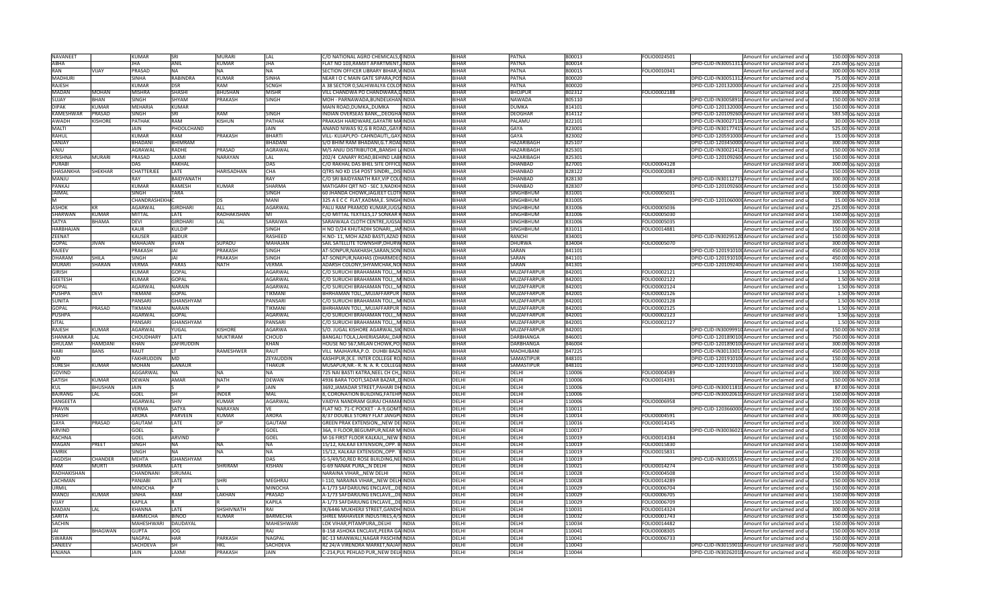| <b>NAVANEET</b>  |                 | <b>KUMAR</b>            | SRI                 | <b>MURARI</b>     | LAL               | C/O NATIONAL AGRO CHEMICALS, CINDIA      |              | <b>BIHAR</b> | <b>PATNA</b>            | 800013 | FOLIO0024501 | Amount for unclaimed and u                      | 150.00 06-NOV-2018 |
|------------------|-----------------|-------------------------|---------------------|-------------------|-------------------|------------------------------------------|--------------|--------------|-------------------------|--------|--------------|-------------------------------------------------|--------------------|
| ABHA             |                 | <b>IHA</b>              | <b>ANIL</b>         | <b>KUMAR</b>      | <b>JHA</b>        | FLAT NO 103, RAMJIT APARTMENT, INDIA     |              | <b>BIHAR</b> | PATNA                   | 800014 |              | DPID-CLID-IN30051311Amount for unclaimed and u  | 225.00 06-NOV-2018 |
| <b>RAN</b>       | VIJAY           | PRASAD                  | <b>NA</b>           | <b>NA</b>         | NA                | SECTION OFFICER LIBRARY BIHAR, VINDIA    |              | <b>BIHAR</b> | PATNA                   | 800015 | FOLIO0010341 | Amount for unclaimed and u                      | 300.00 06-NOV-2018 |
| MADHURI          |                 | SINHA                   | <b>RABINDRA</b>     | <b>KUMAR</b>      | SINHA             | NEAR I O C MAIN GATE SIPARA, POSINDIA    |              | <b>BIHAR</b> | PATNA                   | 800020 |              | DPID-CLID-IN30051312 Amount for unclaimed and u | 75.00 06-NOV-2018  |
| RAJESH           |                 | <b>KUMAR</b>            | DSR                 | RAM               | SCNGH             | A 38 SECTOR 0, SALHIWALYA COLONINDIA     |              | BIHAR        | PATNA                   | 800020 |              | DPID-CLID-1201320000 Amount for unclaimed and u | 225.00 06-NOV-2018 |
| <b>MADAN</b>     | MOHAN           | <b>MISHRA</b>           | SHASH               | <b>BHUSHAN</b>    | <b>MISHR</b>      | VILL CHANDWA PO CHANDWARA,DINDIA         |              | <b>BIHAR</b> | <b>BHOJPUR</b>          | 802312 | FOLIO0002188 | Amount for unclaimed and u                      | 300.00 06-NOV-2018 |
| <b>SUJAY</b>     | RHAN            | SINGH                   | SHYAM               | <b>PRAKASH</b>    | SINGH             | MOH - PARNAWADA.BUNDELKHANINDIA          |              | RIHAR        | NAWADA                  | 805110 |              | DPID-CLID-IN30058910 Amount for unclaimed and u | 150.00 06-NOV-2018 |
| <b>DIPAK</b>     |                 |                         |                     |                   |                   |                                          | <b>INDIA</b> | <b>BIHAR</b> |                         |        |              |                                                 |                    |
| <b>KAMESHWAR</b> | KUMAR<br>PRASAD | MEHARIA<br><b>SINGH</b> | <b>KUMAR</b><br>SRI | <b>RAM</b>        | SINGH             | MAIN ROAD, DUMKA,, DUMKA                 |              | <b>BIHAR</b> | DUMKA<br><b>DEOGHAF</b> | 814101 |              | DPID-CLID-1201320000 Amount for unclaimed and u | 150.00 06-NOV-2018 |
|                  |                 |                         |                     |                   |                   | INDIAN OVERSEAS BANK,,, DEOGHAINDIA      |              |              |                         | 814112 |              | DPID-CLID-1201092600 Amount for unclaimed and u | 583.50 06-NOV-2018 |
| AWADH            | <b>KISHORE</b>  | PATHAK                  | <b>RAM</b>          | <b>KISHUN</b>     | PATHAK            | PRAKASH HARDWARE, GAYATRI MAINDIA        |              | <b>BIHAR</b> | PALAMU                  | 822101 |              | DPID-CLID-IN30027110 Amount for unclaimed and u | 30.00 06-NOV-2018  |
| <b>MALTI</b>     |                 | <b>JAIN</b>             | PHOOLCHAND          |                   | JAIN              | ANAND NIWAS 92,G B ROAD,, GAYA INDIA     |              | <b>BIHAR</b> | GAYA                    | 823001 |              | DPID-CLID-IN30177415 Amount for unclaimed and u | 525.00 06-NOV-2018 |
| RAHUL            |                 | <b>KUMAR</b>            | RAM                 | PRAKASH           | BHARTI            | VILL- KUJAPI, PO- CAHNDAUTI,, GAY, INDIA |              | BIHAR        | GAYA                    | 823002 |              | DPID-CLID-1205910000 Amount for unclaimed and u | 15.00 06-NOV-2018  |
| SANJAY           |                 | BHADANI                 | <b>BHIMRAM</b>      |                   | <b>HADANI</b>     | S/O BHIM RAM BHADANI, G.T. ROADINDIA     |              | <b>BIHAR</b> | HAZARIBAGH              | 825107 |              | DPID-CLID-1203450000 Amount for unclaimed and u | 300.00 06-NOV-2018 |
| ANJU             |                 | AGRAWAL                 | <b>RADHF</b>        | PRASAD            | AGRAWAL           | M/S ANJU DISTRIBUTOR, BANSHI LIINDIA     |              | <b>BIHAR</b> | HAZARIBAGH              | 825301 |              | DPID-CLID-IN30021412 Amount for unclaimed and u | 150.00 06-NOV-2018 |
| <b>KRISHNA</b>   | MURARI          | PRASAD                  | LAXMI               | <b>NARAYAN</b>    | LAL               | 202/4 CANARY ROAD, BEHIND LABOINDIA      |              | <b>BIHAR</b> | <b>HAZARIBAGH</b>       | 825301 |              | DPID-CLID-1201092600 Amount for unclaimed and u | 150.00 06-NOV-2018 |
| <b>PURABI</b>    |                 | DAS                     | RAKHAL              |                   | DAS               | C/O RAKHAL DAS BHEL SITE OFFICE INDIA    |              | <b>BIHAR</b> | DHANBAD                 | 827001 | FOLIO0004128 | Amount for unclaimed and u                      | 300.00 06-NOV-2018 |
| SHASANKHA        | <b>SHEKHAR</b>  | CHATTERJEE              | LATE                | <b>HARISADHAN</b> | CHA               | QTRS NO KD 154 POST SINDRI, ,, DIS INDIA |              | <b>BIHAR</b> | <b>DHANBAD</b>          | 828122 | FOLIO0002083 | Amount for unclaimed and u                      | 150.00 06-NOV-2018 |
| MANJU            |                 | <b>RAY</b>              | <b>BAIDYANATH</b>   |                   | <b>RAY</b>        | C/O SRI BAIDYANATH RAY, VIP COLOIDIA     |              | <b>BIHAR</b> | <b>DHANBAD</b>          | 828130 |              | DPID-CLID-IN30112715 Amount for unclaimed and u | 300.00 06-NOV-2018 |
| PANKAJ           |                 | <b>KUMAR</b>            | <b>RAMESH</b>       | <b>KUMAR</b>      | SHARMA            | MATIGARH QRT NO - SEC 3, NADKH INDIA     |              | <b>BIHAR</b> | DHANBAD                 | 828307 |              | DPID-CLID-1201092600 Amount for unclaimed and u | 150.00 06-NOV-2018 |
| <b>JAIMAL</b>    |                 | SINGH                   | TARA                |                   | SINGH             | 60 JHANDA CHOWK, JAGJEET CLOTHINDIA      |              | <b>BIHAR</b> | SINGHBHUM               | 831001 | FOLIO0005031 | Amount for unclaimed and u                      | 300.00 06-NOV-2018 |
|                  |                 | <b>CHANDRASHEKH</b>     |                     | DS                | MANI              | 325 A E C C FLAT, KADMA, E. SINGHIINDIA  |              | BIHAR        | SINGHBHUM               | 831005 |              | DPID-CLID-1201060000 Amount for unclaimed and u | 15.00 06-NOV-2018  |
|                  | KR              |                         |                     |                   | <b>AGARWAL</b>    | PALU RAM PRAMOD KUMAR, JUGSAINDIA        |              | <b>BIHAR</b> |                         | 831006 |              |                                                 |                    |
| <b>ASHOK</b>     |                 | AGARWAL                 | <b>GIRDHARI</b>     | ALL               |                   |                                          |              |              | SINGHBHUM               |        | FOLIO0005036 | Amount for unclaimed and u                      | 225.00 06-NOV-2018 |
| SHARWAN          | <b>KUMAR</b>    | MITTAL                  | LATE                | RADHAKISHAN       | MI                | C/O MITTAL TEXTILES, 17 SONKAR KINDIA    |              | <b>BIHAR</b> | SINGHBHUM               | 831006 | FOLIO0005030 | Amount for unclaimed and u                      | 150.00 06-NOV-2018 |
| SATYA            | <b>BHAMA</b>    | <b>DEVI</b>             | <b>GIRDHARI</b>     | LAL               | SARAIWA           | SARAIWALA CLOTH CENTRE, JUGSAI INDIA     |              | <b>BIHAR</b> | SINGHBHUM               | 831006 | FOLIO0005035 | Amount for unclaimed and u                      | 300.00 06-NOV-2018 |
| <b>HARBHAJAN</b> |                 | <b>KAUR</b>             | <b>KULDIP</b>       |                   | SINGH             | H NO D/24 KHUTADIH SONARI,,,JANINDIA     |              | <b>BIHAR</b> | <b>SINGHBHUM</b>        | 831011 | FOLIO0014881 | Amount for unclaimed and u                      | 150.00 06-NOV-2018 |
| <b>ZEENAT</b>    |                 | <b>KAUSER</b>           | <b>ABDUR</b>        |                   | RASHEED           | H.NO-11, MOH AZAD BASTI, AZAD I INDIA    |              | <b>BIHAR</b> | <b>RANCHI</b>           | 834001 |              | DPID-CLID-IN30295120 Amount for unclaimed and u | 150.00 06-NOV-2018 |
| <b>GOPAL</b>     | <b>IIVAN</b>    | MAHAJAN                 | <b>JIVAN</b>        | SUPADU            | MAHAJAN           | SAIL SATELLITE TOWNSHIP, DHURWINDIA      |              | <b>BIHAR</b> | DHURWA                  | 834004 | FOLIO0005070 | Amount for unclaimed and u                      | 300.00 06-NOV-2018 |
| RAJEEV           |                 | <b>PRAKASH</b>          | JAI                 | <b>PRAKASH</b>    | SINGH             | AT-SONPUR, NAKHASH, SARAN, SONINDIA      |              | <b>BIHAR</b> | SARAN                   | 841101 |              | DPID-CLID-120191010(Amount for unclaimed and u  | 450.00 06-NOV-2018 |
| <b>DHARAM</b>    | SHILA           | SINGH                   | <b>JAI</b>          | <b>PRAKASH</b>    | SINGH             | AT-SONEPUR, NAKHAS (DHARMDECINDIA        |              | <b>BIHAR</b> | SARAN                   | 841101 |              | DPID-CLID-1201910100 Amount for unclaimed and u | 450.00 06-NOV-2018 |
| MURARI           | SHARAN          | VERMA                   | PARAS               | NATH              | VERMA             | ADARSH COLONY, SHYAMCHAK, NOI INDIA      |              | <b>BIHAR</b> | SARAN                   | 841301 |              | DPID-CLID-1201092400 Amount for unclaimed and u | 150.00 06-NOV-2018 |
| <b>GIRISH</b>    |                 | <b>KUMAR</b>            | GOPAL               |                   | AGARWAL           | C/O SURUCHI BRAHAMAN TOLI,,, MINDIA      |              | <b>BIHAR</b> | MUZAFFARPUR             | 842001 | FOLIO0002121 | Amount for unclaimed and u                      | 1.50 06-NOV-2018   |
| <b>GEETESH</b>   |                 | <b>KUMAR</b>            | <b>GOPAL</b>        |                   | AGARWAL           | C/O SURUCHI BRAHAMAN TOLI,,, MINDIA      |              | <b>BIHAR</b> | <b>MUZAFFARPUR</b>      | 842001 | FOLIO0002122 | Amount for unclaimed and u                      | 1.50 06-NOV-2018   |
| <b>GOPAL</b>     |                 | <b>AGARWAL</b>          | NARAIN              |                   | AGARWAL           | C/O SURUCHI BRAHAMAN TOLI,,, MINDIA      |              | <b>BIHAR</b> | <b>MUZAFFARPUR</b>      | 842001 | FOLIO0002124 | Amount for unclaimed and u                      | 1.50 06-NOV-2018   |
| <b>PUSHPA</b>    | <b>DEVI</b>     | <b>TIKMANI</b>          | <b>GOPAL</b>        |                   | TIKMANI           | BHRHAMAN TOLI,,, MUJAFFARPUR INDIA       |              | <b>BIHAR</b> | MUZAFFARPUR             | 842001 | FOLIO0002126 | Amount for unclaimed and u                      | 1.50 06-NOV-2018   |
| <b>SUNITA</b>    |                 | PANSARI                 | <b>GHANSHYAM</b>    |                   | PANSARI           | C/O SURUCHI BRAHAMAN TOLI,,, MINDIA      |              | <b>BIHAR</b> | MUZAFFARPUR             | 842001 | FOLIO0002128 | Amount for unclaimed and u                      | 1.50 06-NOV-2018   |
| <b>GOPAL</b>     | PRASAD          | <b>TIKMANI</b>          | <b>NARAIN</b>       |                   | <b>IKMANI</b>     | BHRHAMAN TOLI,,,MUJAFFARPUR INDIA        |              | <b>BIHAR</b> | <b>MUZAFFARPUR</b>      | 842001 | OLIO0002125  | Amount for unclaimed and u                      | 1.50 06-NOV-2018   |
|                  |                 |                         |                     |                   |                   |                                          |              | <b>BIHAR</b> |                         |        |              |                                                 |                    |
| PUSHPA           |                 | AGARWAI                 | <b>GOPAL</b>        |                   | AGARWAL           | C/O SURUCHI BRAHAMAN TOLI,,, MINDIA      |              |              | <b>MUZAFFARPUR</b>      | 842001 | FOLIO0002123 | Amount for unclaimed and u                      | 1.50 06-NOV-2018   |
| SITAL            |                 | PANSARI                 | GHANSHYAM           |                   | PANSARI           | C/O SURUCHI BRAHAMAN TOLI,,, MINDIA      |              | <b>BIHAR</b> | MUZAFFARPUR             | 842001 | FOLIO0002127 | Amount for unclaimed and u                      | 1.50 06-NOV-2018   |
| RAJESH           | KUMAR           | AGARWAL                 | YUGAL               | <b>KISHORF</b>    | AGARWA            | S/O. JUGAL KISHORE AGARWAL, SIK INDIA    |              | <b>BIHAR</b> | MUZAFFARPUR             | 842001 |              | DPID-CLID-IN30099910 Amount for unclaimed and u | 150.00 06-NOV-2018 |
| <b>SHANKAF</b>   | LAL             | CHOUDHARY               | LATE                | <b>MUKTIRAM</b>   | <b>CHOUD</b>      | BANGALI TOLA, LAHERIASARAI, , DARINDIA   |              | <b>BIHAR</b> | <b>DARBHANGA</b>        | 846001 |              | DPID-CLID-1201890100 Amount for unclaimed and u | 750.00 06-NOV-2018 |
| <b>GHULAM</b>    | HAMDANI         | <b>KHAN</b>             | ZAFIRUDDIN          |                   | KHAN              | HOUSE NO 567, MILAN CHOWK, PO: INDIA     |              | <b>BIHAR</b> | DARBHANGA               | 846004 |              | DPID-CLID-1201890100 Amount for unclaimed and u | 300.00 06-NOV-2018 |
| <b>HARI</b>      | <b>BANS</b>     | RAUT                    |                     | RAMESHWER         | RAUT              | VILL MAJHAVRA, P.O. DUHBI BAZA INDIA     |              | <b>BIHAR</b> | MADHUBANI               | 847225 |              | DPID-CLID-IN30133017 Amount for unclaimed and u | 450.00 06-NOV-2018 |
| MD               |                 | FAKHRUDDIN              | MD                  |                   | ZEYAUDDIN         | KASHIPUR, (K.E. INTER COLLEGE RO/INDIA   |              | <b>BIHAR</b> | SAMASTIPUR              | 848101 |              | DPID-CLID-1201910100 Amount for unclaimed and u | 150.00 06-NOV-2018 |
| <b>SURESH</b>    | KUMAR           | <b>MOHAN</b>            | GANAUR              |                   | THAKUR            | MUSAPUR, NR. - R. N. A. R. COLLEGE INDIA |              | <b>BIHAR</b> | SAMASTIPUR              | 848101 |              | DPID-CLID-120191010(Amount for unclaimed and u  | 150.00 06-NOV-2018 |
| <b>GOVIND</b>    |                 | <b>AGGARWAL</b>         | <b>NA</b>           | <b>NA</b>         | NA                | 725 NAI BASTI KATRA, NEEL CH CH,, INDIA  |              | DELHI        | DELHI                   | 110006 | FOLIO0004589 | Amount for unclaimed and u                      | 300.00 06-NOV-2018 |
| SATISH           | KUMAR           | <b>DEWAN</b>            | AMAR                | <b>NATH</b>       | <b>DEWAN</b>      | 4936 BARA TOOTI, SADAR BAZAR, DINDIA     |              | DELHI        | DELHI                   | 110006 | FOLIO0014391 | Amount for unclaimed and u                      | 150.00 06-NOV-2018 |
| <b>KUL</b>       | <b>BHUSHAN</b>  | <b>JAIN</b>             |                     |                   | <b>JAIN</b>       | 3692, JAMADAR STREET, PAHARI DH INDIA    |              | <b>DELHI</b> | DELHI                   | 110006 |              | DPID-CLID-IN30011810 Amount for unclaimed and u | 87.00 06-NOV-2018  |
| <b>BAJRANG</b>   | LAL             | <b>GOEL</b>             | SH                  | <b>INDER</b>      | <b>MAL</b>        | 8, CORONATION BUILDING, FATEHP INDIA     |              | DELHI        | DELHI                   | 110006 |              | DPID-CLID-IN30020610 Amount for unclaimed and u | 150.00 06-NOV-2018 |
| SANGEETA         |                 | AGARWA                  | SHIV                | KUMAR             | AGARWAL           | VAIDYA NANDRAM GIJRAJ CHAMAFINDIA        |              | DELHI        | DELHI                   | 110006 | FOLIO0006958 | mount for unclaimed and u                       | 300.00 06-NOV-2018 |
| <b>PRAVIN</b>    |                 | VFRMA                   | SATYA               | <b>NARAYAN</b>    |                   | FLAT NO. 71-C POCKET - A-9, GOMT INDIA   |              | <b>DELHI</b> | DELHI                   | 110011 |              | DPID-CLID-1203660000 Amount for unclaimed and u | 150.00 06-NOV-2018 |
| <b>SHASHI</b>    |                 | ARORA                   | PARVEEN             | <b>KUMAR</b>      | ARORA             | 8/37 DOUBLE STOREY FLAT JANGPUINDIA      |              | DELHI        | DELHI                   | 110014 | FOLIO0004591 | Amount for unclaimed and u                      | 300.00 06-NOV-2018 |
| GAYA             | PRASAD          | GAUTAM                  | LATE                | DP                | GAUTAM            | GREEN PRAK EXTENSION,,, NEW DELINDIA     |              | DELHI        | DELHI                   | 110016 | FOLIO0014145 | Amount for unclaimed and u                      | 300.00 06-NOV-2018 |
| ARVIND           |                 | GOEL                    |                     |                   | GOEL              | 36A, II FLOOR, BEGUMPUR, NEAR MINDIA     |              | DELHI        | DELHI                   | 110017 |              | DPID-CLID-IN30036021 Amount for unclaimed and u | 150.00 06-NOV-2018 |
| <b>RACHNA</b>    |                 | GOEL                    | ARVIND              |                   | GOEL              | M-16 FIRST FLOOR KALKAJI,,,NEW LINDIA    |              | DELHI        | DELHI                   | 110019 | FOLIO0014184 | Amount for unclaimed and u                      | 150.00 06-NOV-2018 |
| <b>MAGAN</b>     | PREET           | <b>SINGH</b>            | <b>NA</b>           | <b>NA</b>         | <b>NA</b>         | 15/12, KALKAJI EXTENSION, OPP. B-INDIA   |              | DELHI        | DELHI                   | 110019 | FOLIO0015830 |                                                 | 150.00 06-NOV-2018 |
| <b>AMRIK</b>     |                 |                         |                     |                   | <b>NA</b>         |                                          |              |              |                         |        |              | Amount for unclaimed and u                      |                    |
|                  |                 | <b>SINGH</b>            | <b>NA</b>           | <b>NA</b>         |                   | 15/12, KALKAJI EXTENSION,, OPP. `BINDIA  |              | DELHI        | DELHI                   | 110019 | FOLIO0015831 | Amount for unclaimed and u                      | 150.00 06-NOV-2018 |
| <b>JAGDISH</b>   | CHANDER         | <b>MEHTA</b>            | <b>GHANSHYAM</b>    |                   | DAS               | G-5/49/50,RED ROSE BUILDING,NEIINDIA     |              | DELHI        | DELHI                   | 110019 |              | DPID-CLID-IN30105510 Amount for unclaimed and u | 270.00 06-NOV-2018 |
| RAM              | <b>MURTI</b>    | SHARMA                  | LATE                | SHRIRAM           | KISHAN            | G-69 NANAK PURAN DELHI                   | INDIA        | <b>DELHI</b> | DELHI                   | 110021 | FOLIO0014274 | Amount for unclaimed and u                      | 150.00 06-NOV-2018 |
| RADHAKISHAN      |                 | CHANDNANI               | SIRUMAL             |                   |                   | NARAINA VIHAR,,,NEW DELHI                | <b>INDIA</b> | DELHI        | DELHI                   | 110028 | FOLIO0004508 | Amount for unclaimed and u                      | 150.00 06-NOV-2018 |
| LACHMAN          |                 | PANJABI                 | LATE                | SHRI              | MEGHRAJ           | I-110, NARAINA VIHAR,,, NEW DELH INDIA   |              | DELHI        | DELHI                   | 110028 | FOLIO0014289 | Amount for unclaimed and u                      | 150.00 06-NOV-2018 |
| <b>URMIL</b>     |                 | <b>MINOCHA</b>          |                     |                   | MINOCHA           | A-1/73 SAFDARJUNG ENCLAVE,, DE INDIA     |              | DELHI        | DELHI                   | 110029 | FOLIO0006704 | Amount for unclaimed and u                      | 150.00 06-NOV-2018 |
| <b>MANOJ</b>     | KUMAR           | <b>SINHA</b>            | RAM                 | LAKHAN            | PRASAD            | A-1/73 SAFDARJUNG ENCLAVE,, DE INDIA     |              | DELHI        | DELHI                   | 110029 | FOLIO0006705 | Amount for unclaimed and u                      | 150.00 06-NOV-2018 |
| VIJAY            |                 | KAPILA                  |                     |                   | KAPILA            | A-1/73 SAFDARJUNG ENCLAVE,, DE INDIA     |              | DELHI        | DELHI                   | 110029 | FOLIO0006709 | Amount for unclaimed and u                      | 150.00 06-NOV-2018 |
| MADAN            | LAL             | KHANNA                  | LATE                | <b>SHSHIVNATH</b> |                   | IX/6446 MUKHERJI STREET, GANDHI INDIA    |              | DELHI        | DELHI                   | 110031 | FOLIO0014324 | Amount for unclaimed and u                      | 300.00 06-NOV-2018 |
| SARITA           |                 | BARMECHA                | <b>BINOD</b>        | KUMAR             | <b>BARMECHA</b>   | SHREE MAHAVEER INDUSTRIES, 4/5 INDIA     |              | DELHI        | DFLHI                   | 110032 | OLIO0001743  | Amount for unclaimed and u                      | 150.00 06-NOV-2018 |
| <b>SACHIN</b>    |                 | MAHFSHWARI              | DAUDAYAL            |                   | <b>MAHESHWARI</b> | LOK VIHAR.PITAMPURADELHI                 | <b>INDIA</b> | DFLHI        | DELHI                   | 110034 | FOLIO0014482 | Amount for unclaimed and ul                     | 150.00 06-NOV-2018 |
| <b>IAI</b>       | BHAGWAN         | GUPTA                   | JOG                 |                   | RAI               | B-158 ASHOKA ENCLAVE, PEERA GA INDIA     |              | DELHI        | DELHI                   | 110041 | FOLIO0008305 | Amount for unclaimed and u                      | 150.00 06-NOV-2018 |
| <b>SWARAN</b>    |                 | <b>NAGPAL</b>           | <b>HAR</b>          | <b>PARKASH</b>    | NAGPAL            | BC-13 MIANWALI, NAGAR PASCHIM INDIA      |              | DELHI        | DELHI                   | 110041 | FOLIO0006733 | Amount for unclaimed and u                      | 150.00 06-NOV-2018 |
| SANJEEV          |                 | SACHDEVA                | <b>SH</b>           | <b>HKL</b>        | SACHDEVA          | RZ 24/A VIRENDRA MARKET, NAJAF INDIA     |              | DELHI        | DELHI                   | 110043 |              | DPID-CLID-IN30159010 Amount for unclaimed and u | 750.00 06-NOV-2018 |
| ANJANA           |                 | <b>JAIN</b>             | LAXMI               | <b>PRAKASH</b>    | JAIN              | C-214, PUL PEHLAD PUR, NEW DELHINDIA     |              |              | DFLHI                   | 110044 |              | DPID-CLID-IN30262010 Amount for unclaimed and u | 450.00 06-NOV-2018 |
|                  |                 |                         |                     |                   |                   |                                          |              | DELHI        |                         |        |              |                                                 |                    |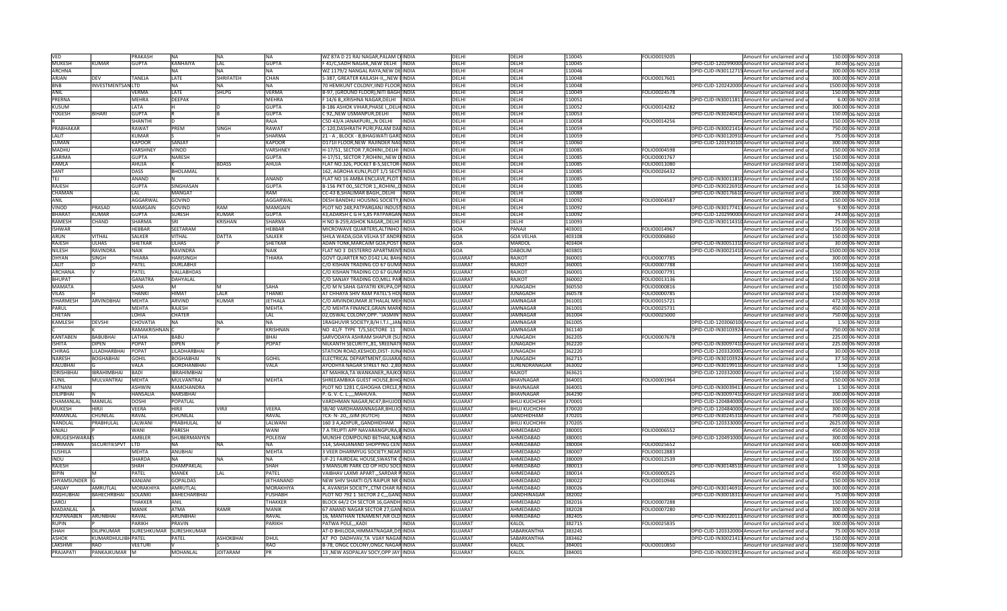| <b>VED</b>                         |                             | PRAKASH              | ΝA                              | NA               | <b>NA</b>       | WZ 87A D 21 RAJ NAGAR, PALAM COINDIA                                          |              | DELHI          | DELHI               | 110045 | FOLIO0019205 | Amount for unclaimed and u                      | 150.00 06-NOV-2018  |
|------------------------------------|-----------------------------|----------------------|---------------------------------|------------------|-----------------|-------------------------------------------------------------------------------|--------------|----------------|---------------------|--------|--------------|-------------------------------------------------|---------------------|
| <b>MUKESH</b>                      | KUMAR                       | <b>GUPTA</b>         | <b>KANHAIYA</b>                 | LAL              | <b>GUPTA</b>    | F 41/C, SADH NAGAR, NEW DELHI INDIA                                           |              | DELHI          | DELHI               | 110045 |              | DPID-CLID-1202990000 Amount for unclaimed and u | 30.00 06-NOV-2018   |
| <b>ARCHNA</b>                      |                             |                      | NΔ                              | <b>NA</b>        | <b>NA</b>       | WZ 1179/2 NANGAL RAYA, NEW DE INDIA                                           |              | DELHI          | DELHI               | 110046 |              | DPID-CLID-IN30112715 Amount for unclaimed and u | 300.00 06-NOV-2018  |
| ARJAN                              | <b>DFV</b>                  | <b>TANFIA</b>        | LATE                            | <b>SHRIFATEH</b> | <b>CHAN</b>     | S-387, GREATER KAILASH-II,,, NEW LINDIA                                       |              | <b>DELHI</b>   | DELHI               | 110048 | FOLIO0017601 | Amount for unclaimed and u                      | 300.00 06-NOV-2018  |
| <b>BNB</b>                         | <b>INVESTMENTSAN LTD</b>    |                      | NA                              | <b>NA</b>        | <b>NA</b>       | 70 HEMKUNT COLONY, IIND FLOOR, INDIA                                          |              | <b>DELHI</b>   | DELHI               | 110048 |              | DPID-CLID-120242000(Amount for unclaimed and u  | 1500.00 06-NOV-2018 |
| ANIL                               |                             | VERMA                | LATE                            | SHLPG            | <b>VERMA</b>    | B-97, (GROUND FLOOR), NITI BAGH, INDIA                                        |              | DELHI          | DELHI               | 110049 | FOLIO0024578 | Amount for unclaimed and u                      | 150.00 06-NOV-2018  |
| PRERNA                             |                             | <b>MEHRA</b>         | <b>DEEPAK</b>                   |                  | <b>MEHRA</b>    | 14/6 B,, KRISHNA NAGAR, DELHI INDIA                                           |              | DFLHI          | DELHI               | 110051 |              | DPID-CLID-IN30011811 Amount for unclaimed and u | 6.00 06-NOV-2018    |
| <b>KUSUM</b>                       |                             | LATA                 |                                 |                  | <b>GUPTA</b>    | B-186 ASHOK VIHAR, PHASE I, , DELH INDIA                                      |              | DELHI          | DELHI               | 110052 | FOLIO0014282 | Amount for unclaimed and u                      | 300.00 06-NOV-2018  |
| YOGESH                             | <b>BIHARI</b>               | <b>GUPTA</b>         |                                 |                  | <b>GUPTA</b>    | C 92,, NEW USMANPUR, DELHI                                                    | <b>INDIA</b> | DELHI          | DELHI               | 10053  |              | DPID-CLID-IN30240410 Amount for unclaimed and u | 150.00 06-NOV-2018  |
|                                    |                             | SHANTH               |                                 |                  | RAJA            | C5D 43/A JANAKPURI,,,N DELHI                                                  | <b>INDIA</b> | DELHI          | DELHI               | 110058 | FOLIO0014256 | Amount for unclaimed and u                      | 150.00 06-NOV-2018  |
| PRABHAKAR                          |                             | <b>RAWAT</b>         | PREM                            | <b>SINGH</b>     | <b>RAWAT</b>    | C-120, DASHRATH PURI, PALAM DABINDIA                                          |              | <b>DELHI</b>   | DELHI               | 110059 |              | DPID-CLID-IN30021414 Amount for unclaimed and u | 750.00 06-NOV-2018  |
| LALIT                              |                             | KUMAR                |                                 |                  | <b>SHARMA</b>   | 21 - A, BLOCK - B, BHAGWATI GARDINDIA                                         |              | DELHI          | DELHI               | 110059 |              | DPID-CLID-IN30120910 Amount for unclaimed and u | 75.00 06-NOV-2018   |
| <b>SUMAN</b>                       |                             | <b>KAPOOR</b>        | SANJAY                          |                  | <b>KAPOOR</b>   | D171II FLOOR, NEW RAJINDER NAGINDIA                                           |              | <b>DELHI</b>   | DELHI               | 110060 |              | DPID-CLID-1201910100 Amount for unclaimed and u | 300.00 06-NOV-2018  |
| <b>MADHU</b>                       |                             | VARSHNEY             | VINOD                           |                  | <b>VARSHNE</b>  | H-17/51, SECTOR 7, ROHINI, DELHI INDIA                                        |              | <b>DELHI</b>   | DELHI               | 10085  | OLIO0004598  | Amount for unclaimed and u                      | 150.00 06-NOV-2018  |
| <b>GARIMA</b>                      |                             | <b>GUPTA</b>         | <b>NARESH</b>                   |                  | <b>GUPTA</b>    | H-17/51, SECTOR 7, ROHINI, NEW DINDIA                                         |              | <b>DELHI</b>   | DELHI               | 110085 | FOLIO0001767 | Amount for unclaimed and u                      | 150.00 06-NOV-2018  |
| KAMLA                              |                             | AHUJA                |                                 | BDASS            | AHUJA           | FLAT NO.326, POCKET B-5, SECTOR-INDIA                                         |              | <b>DELHI</b>   | DELHI               | 110085 | FOLIO0011080 | Amount for unclaimed and u                      | 150.00 06-NOV-2018  |
| SANT                               |                             | <b>DASS</b>          | BHOLAMAL                        |                  |                 | 162, AGROHA KUNJ, PLOT 1/1 SECTIINDIA                                         |              | DELHI          | DELHI               | 110085 | FOLIO0026432 | Amount for unclaimed and u                      | 150.00 06-NOV-2018  |
| <b>TEJ</b>                         |                             | <b>ANAND</b>         |                                 |                  | <b>ANAND</b>    | FLAT NO 16 AMBA ENCLAVE, PLOT NINDIA                                          |              | DFLHI          | DFLHI               | 110085 |              | DPID-CLID-IN30011810 Amount for unclaimed and u | 150.00 06-NOV-2018  |
| <b>RAJESH</b>                      |                             | <b>GUPTA</b>         | SINGHASAN                       |                  | <b>GUPTA</b>    | B-156 PKT 00, SECTOR 1, ROHINI, DINDIA                                        |              | DELHI          | DELHI               | 110085 |              | DPID-CLID-IN30226910 Amount for unclaimed and u | 16.50 06-NOV-2018   |
| CHAMAN                             |                             | LAL                  | MANGAT                          |                  | <b>RAM</b>      | CC-43 B, SHALIMAR BAGH, , DELHI  INDIA                                        |              | DELHI          | DELHI               | 110088 |              | DPID-CLID-IN30176610 Amount for unclaimed and u | 300.00 06-NOV-2018  |
| ANIL                               |                             | AGGARWAL             | GOVIND                          |                  | <b>AGGARWAL</b> | DESH BANDHU HOUSING SOCIETY, FINDIA                                           |              | DFLHI          | DELHI               | 10092  | FOLIO0004587 | Amount for unclaimed and u                      | 150.00 06-NOV-2018  |
| VINOD                              | PRASAD                      | MAMGAIN              |                                 | RAM              | <b>MAMGAIN</b>  | PLOT NO 248.PATPARGANJ INDUSTINDIA                                            |              | <b>DELHI</b>   | DELHI               | 10092  |              |                                                 |                     |
|                                    |                             |                      | GOVIND                          |                  |                 |                                                                               |              |                |                     |        |              | DPID-CLID-IN30177413 Amount for unclaimed and u | 9.00 06-NOV-2018    |
| <b>BHARAT</b>                      | KUMAF                       | GUPTA                | SURESH                          | KUMAF            | <b>GUPTA</b>    | 43, ADARSH C G H S, 85 PATPARGAN INDIA                                        |              | DELHI          | DELHI               | 10092  |              | DPID-CLID-1202990006 Amount for unclaimed and u | 24.00 06-NOV-2018   |
| <b>RAMESH</b>                      | CHAND                       | <b>SHARMA</b>        | SRI                             | KRISHAN          | <b>SHARMA</b>   | H NO B-259, ASHOK NAGAR, , DELHI INDIA                                        |              | DELHI          | DELHI               | 110093 |              | DPID-CLID-IN30114310 Amount for unclaimed and u | 75.00 06-NOV-2018   |
| <b>ISHWAR</b>                      |                             | HEBBAR               | SEETARAM                        |                  | <b>HEBBAR</b>   | MICROWAVE QUARTERS, ALTINHO IINDIA                                            |              | GOA            | PANAJI              | 403001 | OLIO0014967  | Amount for unclaimed and u                      | 150.00 06-NOV-2018  |
| <b>ARUN</b>                        | <b>VITHAL</b>               | <b>SALKER</b>        | VITHAL                          | <b>DATTA</b>     | <b>SALKER</b>   | SHILA WADA, GOA VELHA ST ANDREINDIA                                           |              | GOA            | <b>GOA VELHA</b>    | 403108 | FOLIO0006860 | Amount for unclaimed and u                      | 150.00 06-NOV-2018  |
| <b>RAJESH</b>                      | <b>ULHAS</b>                | <b>SHETKAR</b>       | ULHAS                           |                  | <b>SHETKAR</b>  | ADAN TONK, MARCAIM GOA, POST IINDIA                                           |              | <b>GOA</b>     | MARDOL              | 403404 |              | DPID-CLID-IN30051310 Amount for unclaimed and u | 30.00 06-NOV-2018   |
| <b>NILESH</b>                      | RAVINDRA                    | <b>NAIK</b>          | RAVINDRA                        |                  | NAIK            | FLAT NO 3 DESTERRO APARTMENT INDIA                                            |              | GOA            | <b>DABOLIM</b>      | 403801 |              | DPID-CLID-IN30021410 Amount for unclaimed and u | 1500.00 06-NOV-2018 |
| <b>DHYAN</b>                       | <b>SINGH</b>                | THIARA               | <b>HARISINGH</b>                |                  | THIARA          | GOVT QUARTER NO.D142 LAL BAH/INDIA                                            |              | <b>GUJARAT</b> | RAJKOT              | 360001 | FOLIO0007785 | Amount for unclaimed and u                      | 300.00 06-NOV-2018  |
| LALIT                              | D                           | PATEL                | DURLABHJI                       |                  |                 | C/O KISHAN TRADING CO 67 GUMAINDIA                                            |              | <b>GUJARAT</b> | RAJKOT              | 360001 | FOLIO0007788 | Amount for unclaimed and u                      | 150.00 06-NOV-2018  |
| <b>ARCHANA</b>                     | $\mathsf{V}$                | PATEL                | VALLABHDAS                      |                  |                 | C/O KISHAN TRADING CO 67 GUMAINDIA                                            |              | <b>GUJARAT</b> | RAJKOT              | 360001 | FOLIO0007791 | Amount for unclaimed and u                      | 150.00 06-NOV-2018  |
| <b>BHUPAT</b>                      |                             | <b>GANATRA</b>       | <b>DAHYALAL</b>                 |                  |                 | C/O SANJAY TRADING CO, MILL PAR INDIA                                         |              | <b>GUJARAT</b> | RAJKOT              | 360002 | FOLIO0013136 | Amount for unclaimed and u                      | 150.00 06-NOV-2018  |
| <b>MAMATA</b>                      |                             | SAHA                 |                                 |                  | SAHA            | C/O M N SAHA GAYATRI KRUPA, OP INDIA                                          |              | <b>GUJARAT</b> | <b>JUNAGADH</b>     | 360550 | FOLIO0000816 | Amount for unclaimed and u                      | 150.00 06-NOV-2018  |
| <b>VILAS</b>                       |                             | THANKI               | HIMAT                           | <b>LALR</b>      | THANKI          | AT CHHAYA SHIV RAM PATEL'S HOUINDIA                                           |              | <b>GUJARAT</b> | JUNAGADH            | 360578 | FOLIO0000785 | Amount for unclaimed and u                      | 150.00 06-NOV-2018  |
| <b>DHARMESH</b>                    | <b>ARVINDBHAI</b>           | <b>MEHTA</b>         | ARVIND                          | KUMAF            | <b>JETHALA</b>  | C/O ARVINDKUMAR JETHALAL MEHINDIA                                             |              | <b>GUJARAT</b> | AMNAGAR             | 61001  | OLIO0015721  | Amount for unclaimed and u                      | 472.50 06-NOV-2018  |
| <b>PARUL</b>                       |                             | MEHTA                | RAJESH                          |                  | <b>MEHTA</b>    | C/O MEHTA FINANCE, GRAIN MARK INDIA                                           |              | <b>GUJARAT</b> | AMNAGAR             | 361001 | OLIO0025731  | Amount for unclaimed and u                      | 450.00 06-NOV-2018  |
| CHETAN                             |                             | LOHIA                | CHATER                          |                  | LAL             | 02, OSWAL COLONY, OPP. "JASMIN" INDIA                                         |              | <b>GUJARAT</b> | <b>JAMNAGAR</b>     | 361004 | FOLIO0025000 | Amount for unclaimed and u                      | 750.00 06-NOV-2018  |
| <b>KAMLESH</b>                     | DEVSHI                      | CHOVATIA             | <b>NA</b>                       | <b>NA</b>        | <b>NA</b>       | 1RAGHUVIR SOCIETY, B/H I.T.I., JAM INDIA                                      |              | <b>GUJARAT</b> | JAMNAGAR            | 361005 |              | DPID-CLID-1203060100 Amount for unclaimed and u | 1.50 06-NOV-2018    |
|                                    |                             | RAMAKRISHNANIC       |                                 |                  | <b>KRISHNAN</b> | NO 41/F TYPE T/5, SECTORE 11 INDIA                                            |              | <b>GUJARAT</b> | <b>JAMNAGAR</b>     | 361140 |              | DPID-CLID-IN30103924 Amount for unclaimed and u | 750.00 06-NOV-2018  |
| <b>KANTABEN</b>                    | <b>BABUBHAI</b>             | LATHIA               | <b>BABU</b>                     |                  | BHAI            | SARVODAYA ASHRAM SHAPUR {SULINDIA                                             |              | <b>GUJARAT</b> | <b>JUNAGADH</b>     | 362205 | FOLIO0007678 | Amount for unclaimed and u                      | 225.00 06-NOV-2018  |
|                                    |                             | POPAT                |                                 |                  |                 | NILKANTH SECURITY,, 81, SREENATHINDIA                                         |              |                |                     |        |              | DPID-CLID-IN30097410 Amount for unclaimed and u |                     |
| <b>ISHITA</b>                      | <b>DIPEN</b>                |                      | <b>DIPEN</b>                    |                  | <b>POPAT</b>    |                                                                               |              | <b>GUJARAT</b> | <b>JUNAGADH</b>     |        |              |                                                 |                     |
| CHIRAG                             | LILADHARBHAI                | POPAT                | LILADHARBHAI                    |                  |                 |                                                                               |              |                | <b>IUNAGADH</b>     | 362220 |              |                                                 | 225.00 06-NOV-2018  |
|                                    |                             |                      |                                 |                  | <b>GOHIL</b>    | STATION ROAD, KESHOD, DIST- JUNAINDIA                                         |              | <b>GUJARAT</b> |                     | 362220 |              | DPID-CLID-1203320002 Amount for unclaimed and u | 30.00 06-NOV-2018   |
| <b>NARESH</b>                      | <b>BOGHABHAI</b>            | <b>GOHIL</b><br>VALA | <b>BOGHABHAI</b><br>GORDHANBHAI |                  |                 | ELECTRICAL DEPARTMENT, GUJARA INDIA                                           |              | <b>GUJARAT</b> | <b>JUNAGADH</b>     | 362715 |              | DPID-CLID-IN30103924 Amount for unclaimed and u | 37.50 06-NOV-2018   |
| KALUBHAI                           |                             |                      | <b>IBRAHIMBHAI</b>              |                  | VALA            | AYODHYA NAGAR STREET NO. 2,80 INDIA                                           |              | <b>GUJARAT</b> | SURENDRANAGAR       | 363002 |              | DPID-CLID-IN30199110 Amount for unclaimed and u | 1.50 06-NOV-2018    |
| <b>IDRISHBHAI</b>                  | <b>IBRAHIMBHAI</b>          | <b>BADI</b>          |                                 |                  |                 | AT MAHIKA, TA WANKANER, , RAJKO INDIA                                         |              | <b>GUJARAT</b> | RAJKOT              | 363621 |              | DPID-CLID-1203320001Amount for unclaimed and u  | 150.00 06-NOV-2018  |
| <b>SUNIL</b>                       | MULVANTRAJ                  | <b>MEHTA</b>         | <b>MULVANTRAJ</b>               | M                | <b>MEHTA</b>    | SHREEAMBIKA GUEST HOUSE, BIHG INDIA                                           |              | <b>GUJARAT</b> | <b>BHAVNAGAR</b>    | 364001 | FOLIO0001964 | Amount for unclaimed and u                      | 150.00 06-NOV-2018  |
| <b>FATNANI</b>                     |                             | <b>ASHWIN</b>        | RAMCHANDRA                      |                  |                 | PLOT NO 1281 C, GHOGHA CIRCLE, NINDIA                                         |              | <b>GUJARAT</b> | <b>BHAVNAGAR</b>    | 364001 |              | DPID-CLID-IN30039413 Amount for unclaimed and u | 1.50 06-NOV-2018    |
| <b>DILIPBHAI</b>                   |                             | HANSALIA             | NARSIBHAI                       |                  |                 | P. G. V. C. L.,,,,MAHUVA.                                                     | <b>INDIA</b> | <b>GUJARAT</b> | <b>BHAVNAGAR</b>    | 364290 |              | DPID-CLID-IN30097410 Amount for unclaimed and u | 300.00 06-NOV-2018  |
| CHAMANLAL                          | MANILAL                     | DOSHI                | POPATLAL                        |                  |                 | VARDHMAN NAGAR,NC47,BHUJOD INDIA                                              |              | <b>GUJARAT</b> | <b>ВНИЈ КИСНСНН</b> | 370001 |              | DPID-CLID-1204840000 Amount for unclaimed and u | 150.00 06-NOV-2018  |
| <b>MUKESH</b>                      | HIRJI                       | VEERA                | HIRII                           | VIRII            | VEERA           | SB/40 VARDHAMANNAGAR,BHUJO INDIA                                              |              | <b>GUJARAT</b> | <b>ВНИЈ КИСНСНН</b> | 370020 |              | DPID-CLID-1204840000 Amount for unclaimed and u | 300.00 06-NOV-2018  |
| RAMANLAL                           | CHUNILAL                    | RAVAL                | CHUNILAL                        |                  | <b>RAVAL</b>    | FCX- N-20,,,GIM (KUTCH)                                                       | <b>INDIA</b> | <b>GUJARAT</b> | <b>GANDHIDHAM</b>   | 370201 |              | DPID-CLID-IN30245310 Amount for unclaimed and u | 750.00 06-NOV-2018  |
| NANDLAL                            | PRABHULAL                   | LALWAN               | PRABHULAL                       | M                | LALWANI         | 160 3 A, ADIPUR, GANDHIDHAM                                                   | <b>INDIA</b> | <b>GUJARAT</b> | <b>ВНUJ KUCHCHH</b> | 370205 |              | DPID-CLID-1203330000 Amount for unclaimed and u | 2625.00 06-NOV-2018 |
| ANJALI                             |                             | <b>WANI</b>          | PARESH                          |                  | <b>WANI</b>     | 7 A TRUPTI APP NAVARANGPURA, BINDIA                                           |              | <b>GUJARAT</b> | AHMEDABAD           | 380001 | FOLIO0006552 | Amount for unclaimed and u                      | 450.00 06-NOV-2018  |
| <b>MRUGESHWARAIS</b>               |                             | AMBLER               | SHUBERMANYEN                    |                  | <b>POLEISW</b>  | MUNSHI COMPOUND BETHAK.NAR INDIA                                              |              | <b>GUJARAT</b> | AHMEDABAD           | 380001 |              | DPID-CLID-1204910000 Amount for unclaimed and u | 300.00 06-NOV-2018  |
| <b>SHRIMAN</b>                     | SECURITIESPVT               | <b>LTD</b>           | NΔ                              | <b>NA</b>        | <b>NA</b>       | 514, SAHAJANAND SHOPPING CENTINDIA                                            |              | <b>GUJARAT</b> | AHMEDABAD           | 380004 | FOLIO0025652 | Amount for unclaimed and u                      | 600.00 06-NOV-2018  |
| <b>SUSHILA</b>                     |                             | MEHTA                | <b>ANUBHAI</b>                  |                  | <b>MEHTA</b>    | 3 VEER DHARMYUG SOCIETY, NEAR INDIA                                           |              | <b>GUJARAT</b> | AHMEDABAD           | 380007 | FOLIO0012883 | Amount for unclaimed and u                      | 300.00 06-NOV-2018  |
| <b>INDU</b>                        |                             | SHARDA               | NΑ                              | NA               | <b>NA</b>       | UF-21 FAIRDEAL HOUSE, SWASTIK CINDIA                                          |              | <b>GUJARAT</b> | AHMEDABAD           | 380009 | FOLIO0012539 | Amount for unclaimed and u                      | 150.00 06-NOV-2018  |
| <b>RAJESH</b>                      |                             | <b>SHAH</b>          | CHAMPAKLAL                      |                  | <b>SHAH</b>     | 3 MANSURI PARK CO OP HOU SOCIINDIA                                            |              | <b>GUJARAT</b> | AHMFDABAD           | 380013 |              | DPID-CLID-IN30148510 Amount for unclaimed and u | 1.50 06-NOV-2018    |
| <b>BIPIN</b>                       | м                           | PATEL                | MANEK                           | LAL              | PATEL           | VAIBHAV LAXMI APART., SARDAR PINDIA                                           |              | <b>GUJARAT</b> | AHMEDABAD           | 380014 | FOLIO0000525 | Amount for unclaimed and u                      | 450.00 06-NOV-2018  |
| SHYAMSUNDER G                      |                             | KANJANI              | GOPALDAS                        |                  | JETHANAND       | NEW SHIV SHAKTI O/S RAIPUR NR CINDIA                                          |              | <b>GUJARAT</b> | AHMEDABAD           | 380022 | FOLIO0010946 | Amount for unclaimed and u                      | 150.00 06-NOV-2018  |
| SANJAY                             | AMRUTLAL                    | <b>MORAKHIYA</b>     | AMRUTLAL                        |                  | MORAKHIYA       | 4, AVANISH SOCIETY, CTM CHAR RAINDIA                                          |              | <b>GUJARAT</b> | AHMEDABAD           | 380026 |              | DPID-CLID-IN30146910 Amount for unclaimed and u | 300.00 06-NOV-2018  |
| <b>RAGHUBHAI</b>                   | <b>BAHECHRBHAI</b>          | <b>SOLANKI</b>       | <b>BAHECHARBHAI</b>             |                  | <b>FUSHABH</b>  | PLOT NO 792 1 SECTOR 2 C., GANDINDIA                                          |              | <b>GUJARAT</b> | <b>GANDHINAGAR</b>  | 382002 |              | DPID-CLID-IN30018313 Amount for unclaimed and u | 75.00 06-NOV-2018   |
| <b>SAROJ</b>                       |                             | <b>THAKKFF</b>       | <b>ANIL</b>                     |                  | <b>THAKKER</b>  | BLOCK 64/2 CH SECTOR 16, GANDHIINDIA                                          |              | <b>GUJARAT</b> | AHMEDABAD           | 382016 | FOLIO0007288 | Amount for unclaimed and u                      | 150.00 06-NOV-2018  |
| <b>MADANLAL</b>                    |                             | MANIK                | <b>ATMA</b>                     | RAMR             | <b>MANIK</b>    | 67 ANAND NAGAR SECTOR 27, GAN INDIA                                           |              | <b>GUJARAT</b> | AHMEDABAD           | 382028 | FOLIO0007280 | Amount for unclaimed and u                      | 300.00 06-NOV-2018  |
| <b>KALPANABEN</b>                  | <b>ARUNBHAI</b>             | RAVAI                | ARUNBHAI                        |                  | RAVAL           | 6. MANTHAN TENAMENT.NR OLD INDIA                                              |              | <b>GUJARAT</b> | AHMEDABAD           | 82405  |              | DPID-CLID-IN30220111Amount for unclaimed and u  | 300.00 06-NOV-2018  |
| <b>RUPIN</b>                       |                             | PARIKH               | PRAVIN                          |                  | <b>PARIKH</b>   | PATWA POLE,,, KADI                                                            | <b>INDIA</b> | <b>GUJARAT</b> | KALOL               | 382715 | FOLIO0025835 | Amount for unclaimed and u                      | 300.00 06-NOV-2018  |
| <b>SHAH</b>                        | <b>DILIPKUMAR</b>           | SURESHKUMAR          | SURESHKUMAR                     |                  |                 | AT-D BHILODA, HIMMATNAGAR, DISINDIA                                           |              | <b>GUJARAT</b> | SABARKANTHA         | 383245 |              | DPID-CLID-1203320004 Amount for unclaimed and u | 75.00 06-NOV-2018   |
| <b>ASHOK</b>                       | KUMARDHULJIBH PATEL         |                      | PATEL                           | <b>ASHOKBHAI</b> | <b>DHUL</b>     | AT PO DADHVAV, TA VIJAY NAGARINDIA                                            |              | <b>GUJARAT</b> | SABARKANTHA         | 383462 |              | DPID-CLID-IN30021413 Amount for unclaimed and u | 150.00 06-NOV-2018  |
| <b>LAKSHMI</b><br><b>PRAJAPATI</b> | <b>RAO</b><br>PANKAJKUMAR M | <b>VEETURI</b>       |                                 | <b>JOITARAM</b>  | RAO             | B-78, ONGC COLONY, ONGC NAGARINDIA<br>13 , NEW ASOPALAV SOCY, OPP JAY   INDIA |              | <b>GUJARAT</b> | KALOL               | 384001 | FOLIO0010850 | Amount for unclaimed and u                      | 150.00 06-NOV-2018  |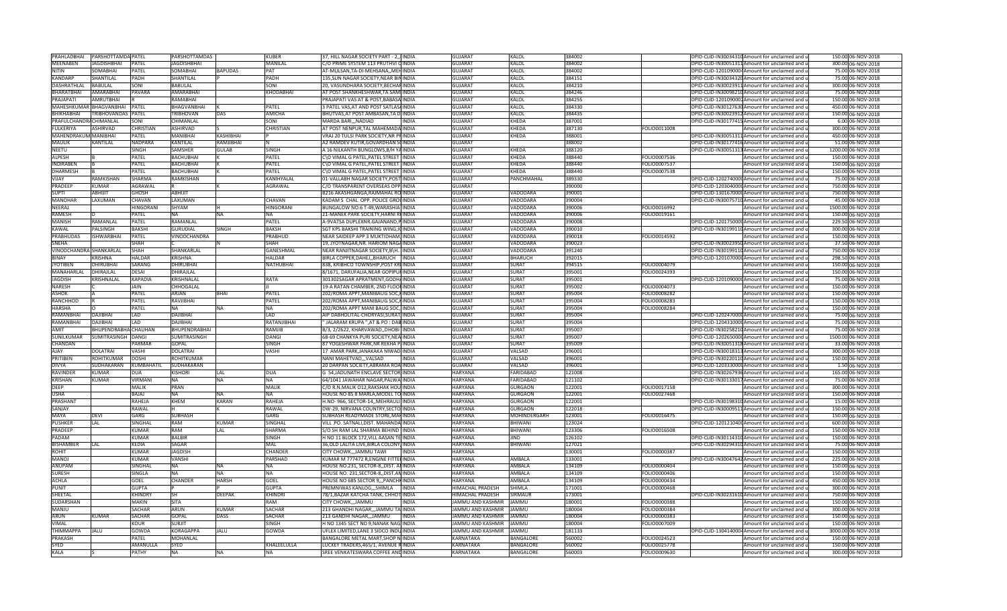| PRAHLADBHAI                     | PARSHOTTAMDA PATEL            |                              | PARSHOTTAMDAS                  |                | <b>KUBER</b>     | 37, HILL NAGAR SOCIETY PART - 2,, INDIA                                               | <b>GUJARAT</b>                   | KALOL                  | 384002           |              | DPID-CLID-IN30034310 Amount for unclaimed and u                                                    | 150.00 06-NOV-2018                       |
|---------------------------------|-------------------------------|------------------------------|--------------------------------|----------------|------------------|---------------------------------------------------------------------------------------|----------------------------------|------------------------|------------------|--------------|----------------------------------------------------------------------------------------------------|------------------------------------------|
| <b>MEENABEN</b>                 | <b>JAGDISHBHAI</b>            | PATEL                        | <b>JAGDISHBHAI</b>             |                | <b>MANILAL</b>   | C/O PRIME SYSTEM 113 PRUTHVI CINDIA                                                   | <b>GUJARAT</b>                   | <b>KALOL</b>           | 384002           |              | DPID-CLID-IN30051311 Amount for unclaimed and u                                                    | 300.00 06-NOV-2018                       |
| <b>NITIN</b>                    | <b>SOMABHAI</b>               | PATEL                        | SOMABHAI                       | <b>BAPUDAS</b> | PAT              | AT-MULSAN, TA-DI-MEHSANA, , MEHINDIA                                                  | <b>GUJARAT</b>                   | <b>KALOL</b>           | 384002           |              | DPID-CLID-1201090004Amount for unclaimed and u                                                     | 75.00 06-NOV-2018                        |
| <b>KANDARP</b>                  | SHANTILAL                     | PADH                         | SHANTILAL                      |                | PADH             | 135, SUN NAGAR SOCIETY, NEAR BININDIA                                                 | <b>GUJARAT</b>                   | <b>KALOL</b>           | 384151           |              | DPID-CLID-IN30034320 Amount for unclaimed and u                                                    | 75.00 06-NOV-2018                        |
| DASHRATHLAL                     | <b>BABULAL</b>                | SONI                         | BABULAL                        |                | SONI             | 20, VASUNDHARA SOCIETY, BECHARINDIA                                                   | <b>GUJARAT</b>                   | <b>KALOL</b>           | 384210           |              | DPID-CLID-IN30023911 Amount for unclaimed and u                                                    | 300.00 06-NOV-2018                       |
| BHARATBHAI<br>PRAJAPATI         | AMARABHAI<br><b>AMRUTBHAI</b> | PAVARA                       | AMARABHAI<br>RAMABHAI          |                | KHODABHAI        | AT POST SHANKHESHWAR,TA SAMI INDIA<br><b>PRAJAPATI VAS AT &amp; POST.BABASA INDIA</b> | <b>GUJARAT</b><br><b>GUJARAT</b> | KALOL<br>KALOL         | 384246<br>384255 |              | DPID-CLID-IN30098210 Amount for unclaimed and u<br>DPID-CLID-1201090002Amount for unclaimed and ul | 75.00 06-NOV-2018<br>150.00 06-NOV-2018  |
|                                 | MAHESHKUMAR BHAGVANBHAI       | PATEL                        | BHAGVANBHAI                    |                | PATEL            | 3 PATEL VAS, AT AND POST SATLASAINDIA                                                 | GUJARAT                          | <b>KALOL</b>           | 384330           |              | DPID-CLID-IN30127630 Amount for unclaimed and u                                                    | 450.00 06-NOV-2018                       |
| BHIKHABHAI                      | TRIBHOVANDAS                  | PATEL                        | <b>TRIBHOVAN</b>               | DAS            | AMICHA           | BHUTVAS, AT POST AMBASAN, TA DIINDIA                                                  | GUJARAT                          | KALOL                  | 384435           |              | DPID-CLID-IN30023912 Amount for unclaimed and u                                                    | 150.00 06-NOV-2018                       |
| PRAFULCHANDRACHIMANLAL          |                               | SONI                         | CHIMANLAL                      |                | SONI             | MARDA BARINADIAD<br><b>INDIA</b>                                                      | <b>GUJARAT</b>                   | KHEDA                  | 387001           |              | DPID-CLID-IN30177415 Amount for unclaimed and u                                                    | 6.00 06-NOV-2018                         |
| <b>FULKERIYA</b>                | <b>ASHIRVAD</b>               | <b>CHRISTIAN</b>             | <b>ASHIRVAD</b>                |                | <b>CHRISTIAN</b> | AT POST NENPUR, TAL MAHEMADA INDIA                                                    | <b>GUJARAT</b>                   | <b>KHEDA</b>           | 387130           | FOLIO0011008 | Amount for unclaimed and u                                                                         | 300.00 06-NOV-2018                       |
| MAHENDRAKUM MANIBHAI            |                               | PATEL                        | <b>MANIBHAI</b>                | KASHIBHAI      |                  | VRAJ 20 TULSI PARK SOCIETY, NR PRINDIA                                                | <b>GUJARAT</b>                   | <b>KHEDA</b>           | 388001           |              | DPID-CLID-IN30051311 Amount for unclaimed and u                                                    | 450.00 06-NOV-2018                       |
| <b>MAULIK</b>                   | <b>KANTILAL</b>               | <b>NADPARA</b>               | KANTILAL                       | RAMJIBHAI      |                  | A2 RAMDEV KUTIR, GOVARDHAN SOINDIA                                                    | <b>GUJARAT</b>                   |                        | 388002           |              | DPID-CLID-IN30177416 Amount for unclaimed and u                                                    | 51.00 06-NOV-2018                        |
| <b>NEETU</b>                    |                               | SINGH                        | SAMSHER                        | <b>GULAB</b>   | SINGH            | A 16 NILKANTH BUNGLOWS, B/H YAINDIA                                                   | <b>GUJARAT</b>                   | KHEDA                  | 388120           |              | DPID-CLID-IN30051313 Amount for unclaimed and u                                                    | 1200.00 06-NOV-2018                      |
| <b>ALPESH</b>                   |                               | PATEL                        | <b>BACHUBHAI</b>               |                | PATEL            | C\O VIMAL G PATEL, PATEL STREET INDIA                                                 | <b>GUJARAT</b>                   | <b>KHEDA</b>           | 388440           | FOLIO0007536 | Amount for unclaimed and u                                                                         | 150.00 06-NOV-2018                       |
| <b>INDIRABEN</b>                |                               | PATEL                        | <b>BACHUBHAI</b>               |                | <b>PATEL</b>     | C\O VIMAL G PATEL, PATEL STREET INDIA                                                 | <b>GUJARAT</b>                   | KHEDA                  | 388440           | FOLIO0007537 | Amount for unclaimed and u                                                                         | 150.00 06-NOV-2018                       |
| <b>DHARMESH</b>                 |                               | PATEL                        | <b>BACHUBHAI</b>               |                | <b>PATEL</b>     | C\O VIMAL G PATEL, PATEL STREET INDIA                                                 | <b>GUJARAT</b>                   | KHEDA                  | 388440           | FOLIO0007538 | Amount for unclaimed and u                                                                         | 150.00 06-NOV-2018                       |
| VIJAY                           | <b>RAMKISHAN</b>              | <b>SHARMA</b>                | RAMKISHAN                      |                | KANIHYALAL       | 01-VALLABH NAGAR SOCIETY, POST INDIA                                                  | <b>GUJARAT</b>                   | PANCHMAHAL             | 389330           |              | DPID-CLID-1202740000 Amount for unclaimed and u                                                    | 75.00 06-NOV-2018                        |
| PRADEEP                         | <b>KUMAR</b>                  | <b>AGRAWAL</b>               |                                |                | <b>AGRAWAL</b>   | C/O TRANSPARENT OVERSEAS OPP INDIA                                                    | <b>GUJARAT</b>                   |                        | 390000           |              | DPID-CLID-1203040000 Amount for unclaimed and u                                                    | 750.00 06-NOV-2018                       |
| <b>SUPTI</b>                    | ABHIJIT                       | GHOSH                        | ABHIJIT                        |                |                  | B216 AKASHGANGA, RAJMAHAL RO INDIA                                                    | <b>GUJARAT</b>                   | VADODARA               | 390001           |              | DPID-CLID-1301670000 Amount for unclaimed and u                                                    | 750.00 06-NOV-2018                       |
| <b>MANOHAF</b>                  | LAXUMAN                       | CHAVAN                       | LAXUMAN                        |                | <b>HAVAN</b>     | KADAM S CHAL OPP. POLICE GROUNDIA                                                     | GUJARAT                          | VADODARA               | 390004           |              | DPID-CLID-IN30075710 Amount for unclaimed and u                                                    | 45.00 06-NOV-2018                        |
| NEERAJ                          |                               | <b>HINGORANI</b>             | SHYAM                          |                | <b>HINGORANI</b> | BUNGALOW NO.6 T-49, WARASHIA INDIA                                                    | <b>GUJARAT</b>                   | VADODARA               | 390006           | OLIO0016992  | Amount for unclaimed and u                                                                         | 1500.00 06-NOV-2018                      |
| <b>RAMESH</b>                   |                               | PATEL                        | ΝA                             | NA             | NA               | 21-MANEK PARK SOCIETY, HARNI RONDIA                                                   | <b>GUJARAT</b>                   | VADODARA               | 390006           | FOLIO0019161 | Amount for unclaimed and u                                                                         | 150.00 06-NOV-2018                       |
| MANISH                          | RAMANLAL                      | PATEL                        | RAMANLAL                       |                | PATEL            | A-9VATSA DUPLEXNR.GAJANAND, PINDIA                                                    | <b>GUJARAT</b>                   | VADODARA               | 390008           |              | DPID-CLID-1201750000 Amount for unclaimed and u                                                    | 229.50 06-NOV-2018                       |
| <b>KAWAL</b>                    | PALSINGH                      | <b>BAKSHI</b>                | <b>GURUDIAL</b>                | SINGH          | <b>BAKSH</b>     | SGT KPS BAKSHI TRAINING WING, ICINDIA                                                 | <b>GUJARAT</b>                   | VADODARA               | 390010           |              | DPID-CLID-IN30199110 Amount for unclaimed and u                                                    | 300.00 06-NOV-2018                       |
| <b>PRABHUDAS</b>                | <b>ISHWARBHAI</b>             | PATEL                        | VINODCHANDRA                   |                | PRABHUD          | NEAR SAIDEEP APP 3 MUKTIDHAM, INDIA                                                   | <b>GUJARAT</b>                   | VADODARA               | 390018           | OLIO0014592  | Amount for unclaimed and u                                                                         | 150.00 06-NOV-2018                       |
| SNEHA                           |                               | SHAH                         |                                |                | SHAH             | 19, JYOTNAGAR, NR. HARIOM NAGAINDIA                                                   | <b>GUJARAT</b>                   | VADODARA               | 390023           |              | DPID-CLID-IN30023950 Amount for unclaimed and u                                                    | 37.50 06-NOV-2018                        |
| VINODCHANDRA SHANKARLAL         |                               | SHAH                         | SHANKARLAL                     |                | GANESHMAL        | NEAR RANJITNAGAR SOCIETY, B\H. IINDIA                                                 | <b>GUJARAT</b>                   | VADODARA               | 391240           |              | DPID-CLID-IN30199110 Amount for unclaimed and u                                                    | 750.00 06-NOV-2018                       |
| <b>BINAY</b>                    | <b>KRISHNA</b>                | <b>HALDAR</b>                | <b>KRISHNA</b>                 |                | HALDAR           | BIRLA COPPER.DAHEJBHARUCH   INDIA                                                     | <b>GUJARAT</b>                   | <b>BHARUCH</b>         | 392015           |              | DPID-CLID-1201070000 Amount for unclaimed and ul                                                   | 298.50 06-NOV-2018                       |
| <b>JYOTIBEN</b>                 | DHIRLIRHAL                    | SARANG                       | DHIRUBHAI                      |                | <b>NATHUBHAI</b> | 838, KRIBHCO TOWNSHIP, POST KRIINDIA                                                  | <b>GUJARAT</b>                   | <b>SURAT</b>           | 394515           | FOLIO0004079 | Amount for unclaimed and u                                                                         | 150.00 06-NOV-2018                       |
| <b>MANAHARLAL</b>               | DHIRAJLAL                     | DESAI                        | DHIRAJLAL                      |                |                  | 8/1671, DARUFALIA, NEAR GOPIPUHINDIA                                                  | <b>GUJARAT</b>                   | <b>SURAT</b>           | 395001           | FOLIO0024393 | Amount for unclaimed and u                                                                         | 150.00 06-NOV-2018                       |
| <b>JAGDISH</b><br><b>NARESH</b> | KRISHNALAL                    | KAPADIA<br><b>JAIN</b>       | <b>KRISHNALAL</b><br>CHHOGALAL |                | RATA             | 301302SAGAR APRATMENT, GODHAINDIA<br>19-A RATAN CHAMBER, 2ND FLOOFINDIA               | <b>GUJARAT</b><br><b>GUJARAT</b> | <b>SURAT</b><br>SURAT  | 395001<br>395002 | FOLIO0004073 | DPID-CLID-1201090000 Amount for unclaimed and u                                                    | 75.00 06-NOV-2018<br>150.00 06-NOV-2018  |
| <b>ASHOK</b>                    |                               | PATEL                        | ARJAN                          | <b>BHAI</b>    | <b>PATEL</b>     | 202/ROMA APPT, MANIBAUG SOC, KINDIA                                                   | <b>GUJARAT</b>                   | <b>SURAT</b>           | 395004           | OLIO0008282  | Amount for unclaimed and u                                                                         | 150.00 06-NOV-2018                       |
| <b>RANCHHOD</b>                 |                               | PATEL                        | RAVJIBHAI                      |                | PATEL            | 202/ROMA APPT,MANIBAUG SOC,MINDIA                                                     | <b>GUJARAT</b>                   | SURAT                  | 395004           | OLIO0008283  | Amount for unclaimed and u<br>Amount for unclaimed and u                                           | 150.00 06-NOV-2018                       |
| <b>HARSHA</b>                   |                               | PATEL                        |                                | NΑ             | <b>NA</b>        | 202/ROMA APPT MANI BAUG SOC, INDIA                                                    | <b>GUJARAT</b>                   | <b>SURAT</b>           | 395004           | OLIO0008284  | Amount for unclaimed and u                                                                         | 150.00 06-NOV-2018                       |
| RAMANBHAI                       | <b>DAIIRHA</b>                | LAD                          | <b>DAIIRHAI</b>                |                | LAD              | AIP DABHOLITAL-CHORYASI, SURAT, INDIA                                                 | <b>GUJARAT</b>                   | <b>SURAT</b>           | 395004           |              | DPID-CLID-1202470000 Amount for unclaimed and u                                                    | 75.00 06-NOV-2018                        |
| RAMANBHAI                       | <b>DAJIBHAI</b>               | LAD                          | DAJIBHAI                       |                | RATANJIBHAI      | JALARAM KRUPA ",AT & PO : DAB INDIA                                                   | <b>GUJARAT</b>                   | SURAT                  | 395004           |              | DPID-CLID-1204310000 Amount for unclaimed and u                                                    | 75.00 06-NOV-2018                        |
| <b>AMIT</b>                     | BHUPENDRABHA CHAUHAN          |                              | BHUPENDRABHAI                  |                | RAMJIB           | B/3, 2/2622, KHARVAWAD,, DHOBI INDIA                                                  | <b>GUJARAT</b>                   | <b>SURAT</b>           | 395007           |              | DPID-CLID-IN30258210 Amount for unclaimed and u                                                    | 75.00 06-NOV-2018                        |
| SUNILKUMAR                      | SUMITRASINGH                  | <b>DANGI</b>                 | SUMITRASINGH                   |                | DANGI            | 68-69 CHANKYA PURI SOCIETY, NEA INDIA                                                 | <b>GUJARAT</b>                   | <b>SURAT</b>           | 395007           |              | DPID-CLID-1202650000 Amount for unclaimed and u                                                    | 1500.00 06-NOV-2018                      |
| CHANDAN                         |                               | PARMAR                       | GOPAL                          |                | SINGH            | 87 YOGESHWAR PARK, NR REKHA P/INDIA                                                   | <b>GUJARAT</b>                   | SURAT                  | 395009           |              | DPID-CLID-IN30051318 Amount for unclaimed and u                                                    | 33.00 06-NOV-2018                        |
| AJAY                            | <b>DOLATRAI</b>               | VASHI                        | <b>DOLATRAI</b>                |                | VASHI            | 17 AMAR PARK, JANAKAKA NIWADI INDIA                                                   | <b>GUJARAT</b>                   | VALSAD                 | 396001           |              | DPID-CLID-IN30018313 Amount for unclaimed and u                                                    | 300.00 06-NOV-2018                       |
| <b>PRITIBEN</b>                 | ROHITKUMAR                    | <b>DOSHI</b>                 | ROHITKUMAR                     |                |                  | NANI MAHETVAD,,,VALSAD<br>INDIA                                                       | <b>GUJARAT</b>                   | VALSAD                 | 396001           |              | DPID-CLID-IN30220110 Amount for unclaimed and u                                                    | 150.00 06-NOV-2018                       |
| <b>DIVYA</b>                    | SUDHAKARAN                    | KUMBAHATIL                   | SUDHAKARAN                     |                |                  | 20 DARPAN SOCIETY, ABRAMA ROA INDIA                                                   | <b>GUJARAT</b>                   | VALSAD                 | 396001           |              | DPID-CLID-1203330000 Amount for unclaimed and u                                                    | 1.50 06-NOV-2018                         |
| <b>RAVINDER</b>                 | KUMAR                         | DUA                          | <b>KISHORI</b>                 | LAL            | DUA              | G 54, JADUNATH ENCLAVE SECTOR INDIA                                                   | <b>HARYANA</b>                   | <b>FARIDABAD</b>       | 121008           |              | DPID-CLID-IN30267936 Amount for unclaimed and u                                                    | 165.00 06-NOV-2018                       |
| <b>KRISHAN</b>                  | <b>KUMAR</b>                  | VIRMANI                      | ΝA                             | NA             | NA               | 64/1041 JAWAHAR NAGAR, PALWA INDIA                                                    | <b>HARYANA</b>                   | <b>FARIDABAD</b>       | 121102           |              | DPID-CLID-IN30133017 Amount for unclaimed and u                                                    | 75.00 06-NOV-2018                        |
| <b>DEEP</b>                     |                               | <b>MALIK</b>                 | PRAN                           |                | <b>MALIK</b>     | C/O R.N. MALIK 012. RAKSHAK HOU INDIA                                                 | <b>HARYANA</b>                   | <b>GURGAON</b>         | 122001           | FOLIO0017158 | Amount for unclaimed and u                                                                         | 300.00 06-NOV-2018                       |
| <b>USHA</b>                     |                               | BAJAJ                        | NΔ                             | <b>NA</b>      | <b>NA</b>        | HOUSE NO 85 8 MARLA, MODEL TO INDIA                                                   | <b>HARYANA</b>                   | <b>GURGAON</b>         | 122001           | FOLIO0027468 | Amount for unclaimed and u                                                                         | 150.00 06-NOV-2018                       |
| PRASHANT                        |                               | RAHEJA                       | KHFM                           | <b>KARAN</b>   | RAHEJA           | H.NO- 966, SECTOR-14,,MEHRAULI INDIA                                                  | <b>HARYANA</b>                   | <b>GURGAON</b>         | 122001           |              | DPID-CLID-IN30198310 Amount for unclaimed and u                                                    | 15.00 06-NOV-2018                        |
| SANJAY                          |                               | RAWAL                        |                                |                | RAWAL            | DW-29, NIRVANA COUNTRY, SECTO INDIA                                                   | <b>HARYANA</b>                   | <b>GURGAON</b>         | 122018           |              | DPID-CLID-IN30009511 Amount for unclaimed and u                                                    | 150.00 06-NOV-2018                       |
| <b>MAYA</b>                     | <b>DEVI</b>                   | GARG                         | <b>SUBHASH</b>                 |                | GARG             | SUBHASH READYMADE STORE, MAHINDIA                                                     | HARYANA                          | MOHINDERGARH           | 123001           | OLIO0016475  | Amount for unclaimed and u                                                                         | 150.00 06-NOV-2018                       |
| <b>PUSHKER</b>                  | LAL                           | SINGHAL                      | RAM                            | <b>KUMAR</b>   | SINGHAL          | VILL .PO. SATNALI, DIST. MAHANDA INDIA                                                | HARYANA                          | BHIWANI                | 123024           |              | DPID-CLID-1201210400 Amount for unclaimed and u                                                    | 600.00 06-NOV-2018                       |
| PRADEEP<br>PADAM                |                               | <b>KUMAR</b><br><b>KUMAR</b> | RAM<br><b>BALBIR</b>           | LAL            | SHARMA<br>SINGH  | S/O SH RAM LAL SHARMA BEHIND IINDIA<br>H NO 11 BLOCK 172,VILL AASAN TE INDIA          | HARYANA<br>HARYANA               | BHIWANI<br><b>JIND</b> | 123306<br>126102 | OLIO0016508  | Amount for unclaimed and u<br>DPID-CLID-IN30114310 Amount for unclaimed and u                      | 150.00 06-NOV-2018<br>150.00 06-NOV-2018 |
| <b>BISHAMBER</b>                | LAL                           | <b>KEDIA</b>                 | SAGAR                          |                | <b>MAL</b>       | 36, OLD LALITA LIVE, BIRLA COLONY, INDIA                                              | <b>HARYANA</b>                   | <b>BHIWANI</b>         | 127021           |              | DPID-CLID-IN30294310 Amount for unclaimed and u                                                    | 75.00 06-NOV-2018                        |
| ROHIT                           |                               | <b>KUMAR</b>                 | <b>JAGDISH</b>                 |                | <b>CHANDER</b>   | CITY CHOWK,,,JAMMU TAWI<br><b>INDIA</b>                                               | HARYANA                          |                        | 130001           | OLIO0000387  | Amount for unclaimed and u                                                                         | 150.00 06-NOV-2018                       |
| <b>MANOJ</b>                    |                               | <b>KUMAR</b>                 | VANSHI                         |                | <b>PARSHAD</b>   | KUMAR M 777472 R,ENGINE FITTEFINDIA                                                   | <b>HARYANA</b>                   | AMBALA                 | 133001           |              | DPID-CLID-IN30047642 Amount for unclaimed and u                                                    | 225.00 06-NOV-2018                       |
| ANUPAM                          |                               | SINGHAL                      | NA                             | <b>ΝΑ</b>      | <b>NA</b>        | HOUSE NO.231, SECTOR-8, DIST. ANINDIA                                                 | HARYANA                          | AMBALA                 | 134109           | OLIO0000404  | Amount for unclaimed and u                                                                         | 150.00 06-NOV-2018                       |
| <b>SURESH</b>                   |                               | SINGLA                       | <b>NA</b>                      | <b>NA</b>      | <b>NA</b>        | HOUSE NO. 231, SECTOR-8, , DIST. AN INDIA                                             | <b>HARYANA</b>                   | AMBALA                 | 134109           | FOLIO0000406 | Amount for unclaimed and u                                                                         | 150.00 06-NOV-2018                       |
| <b>ACHLA</b>                    |                               | <b>GOEL</b>                  | <b>CHANDER</b>                 | <b>HARSH</b>   | GOEL             | HOUSE NO 685 SECTOR 9,,, PANCHKINDIA                                                  | <b>HARYANA</b>                   | AMBALA                 | 134109           | FOLIO0000434 | Amount for unclaimed and u                                                                         | 450.00 06-NOV-2018                       |
| <b>PUNIT</b>                    |                               | <b>GUPTA</b>                 |                                |                | <b>GUPTA</b>     | PREMNIWAS KANLOG,,,SHIMLA<br><b>INDIA</b>                                             | HIMACHAL PRADESH                 | SHIMLA                 | 171001           | FOLIO0000468 | Amount for unclaimed and u                                                                         | 300.00 06-NOV-2018                       |
| SHFFTAL                         |                               | <b>KHINDRY</b>               | <b>SH</b>                      | <b>DFFPAK</b>  | <b>KHINDRI</b>   | 78/1, BAZAR KATCHA TANK, CHHOT INDIA                                                  | HIMACHAL PRADESH                 | <b>SIRMAUR</b>         | 173001           |              | DPID-CLID-IN30231610 Amount for unclaimed and u                                                    | 750.00 06-NOV-2018                       |
| SUDARSHAN                       |                               | <b>MAKIN</b>                 | SITA                           |                | RAM              | CITY CHOWK,,,JAMMU<br><b>INDIA</b>                                                    | JAMMU AND KASHMIR                | <b>JAMMU</b>           | 180001           | FOLIO0000388 | Amount for unclaimed and u                                                                         | 150.00 06-NOV-2018                       |
| <b>MANJU</b>                    |                               | SACHAR                       | ARUN                           | KUMAR          | SACHAR           | 213 GHANDHI NAGAR,,,JAMMU TA'INDIA                                                    | JAMMU AND KASHMIR                | JAMMU                  | 180004           | OLIO0000384  | Amount for unclaimed and u                                                                         | 300.00 06-NOV-2018                       |
| <b>ARUN</b>                     | KUMAR                         | SACHAR                       | GOPAL                          | DASS           | SACHAR           | 213 GANDHI NAGAR,,,JAMMU<br><b>INDIA</b>                                              | JAMMU AND KASHMIR                | <b>JAMML</b>           | 180004           | OLIO0000383  | Amount for unclaimed and u                                                                         | 150.00 06-NOV-2018                       |
| <b>VIMAL</b>                    |                               | <b>KOUR</b>                  | <b>SURJIT</b>                  |                | SINGH            | H NO 1345 SECT NO 9.NANAK NAGJINDIA                                                   | JAMMU AND KASHMIR                | <b>JAMMU</b>           | 180004           | OLIO0007009  | Amount for unclaimed and u                                                                         | 150.00 06-NOV-2018                       |
| <b>THIMMAPPA</b>                | <b>JALU</b>                   | GOWDA                        | <b>KORAGAPPA</b>               | JALU           | GOWDA            | UFLEX LIMITED, LANE 3 SIDCO INDUINDIA                                                 | JAMMU AND KASHMIR                | <b>JAMMU</b>           | 181133           |              | DPID-CLID-1304140004Amount for unclaimed and u                                                     | 3000.00 06-NOV-2018                      |
| <b>PRAKASH</b>                  |                               | PATEL                        | <b>MOHANLAL</b>                |                |                  | BANGALORE METAL MART, SHOP NINDIA                                                     | <b>KARNATAKA</b>                 | <b>BANGALORE</b>       | 560002           | OLIO0024523  | Amount for unclaimed and u                                                                         | 150.00 06-NOV-2018                       |
| <b>SYED</b>                     |                               | AMANULLA                     | SYED                           |                | KHALEELULLA      | LUCKEY TRADERS,465/1, AVENUE RINDIA                                                   | <b>KARNATAKA</b>                 | <b>BANGALORE</b>       | 560002           | FOLIO0025778 | Amount for unclaimed and u                                                                         | 150.00 06-NOV-2018                       |
| <b>KALA</b>                     |                               | PATHY                        | <b>NA</b>                      | <b>NA</b>      | <b>NA</b>        | SREE VENKATESWARA COFFEE AND INDIA                                                    | <b>KARNATAKA</b>                 | <b>BANGALORE</b>       | 560003           | FOLIO0009630 | Amount for unclaimed and u                                                                         | 300.00 06-NOV-2018                       |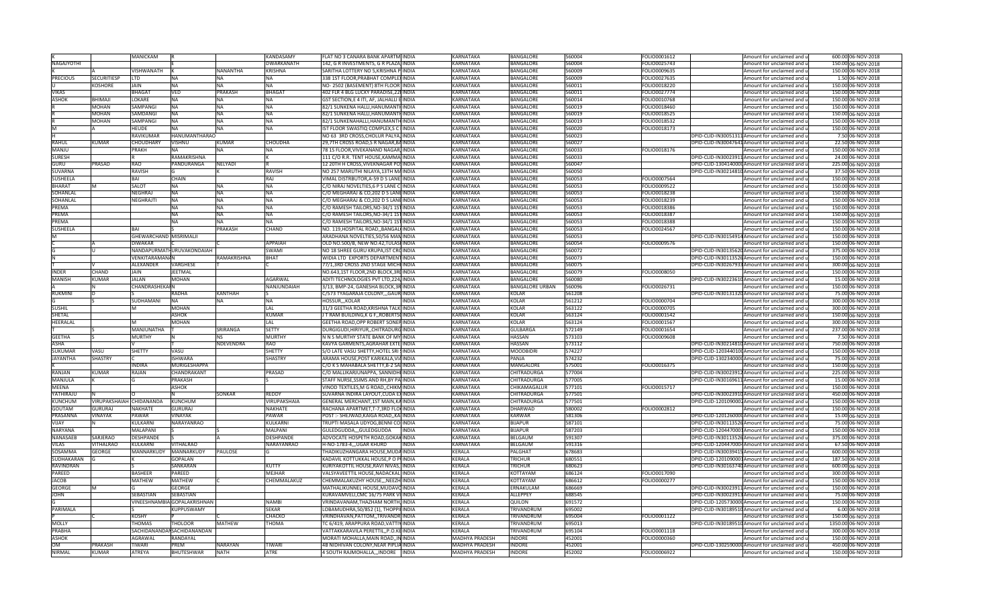|                            |                          | <b>MANICKAM</b>               |                              |                               | KANDASAMY                  | FLAT NO 3 CANARA BANK APARTM INDIA                                           |              | KARNATAKA                                      | <b>BANGALORE</b>         | 560004           | FOLIO0001612 | Amount for unclaimed and u                                                    | 600.00 06-NOV-2018                       |
|----------------------------|--------------------------|-------------------------------|------------------------------|-------------------------------|----------------------------|------------------------------------------------------------------------------|--------------|------------------------------------------------|--------------------------|------------------|--------------|-------------------------------------------------------------------------------|------------------------------------------|
| <b>NAGAJYOTHI</b>          |                          |                               |                              |                               | DWARKANATH                 | 142, G R INVESTMENTS, G R PLAZA, INDIA                                       |              | KARNATAKA                                      | BANGALORE                | 560004           | FOLIO0025743 | Amount for unclaimed and u                                                    | 150.00 06-NOV-2018                       |
|                            |                          | VISHWANATH                    |                              | <b>NANANTHA</b>               | KRISHNA                    | SARITHA LOTTERY NO 5, KRISHNA PINDIA                                         |              | KARNATAKA                                      | BANGALORE                | 560009           | FOLIO0009635 | Amount for unclaimed and u                                                    | 150.00 06-NOV-2018                       |
| <b>PRECIOUS</b>            | <b>SECURITIESP</b>       | <b>LTD</b>                    | <b>NA</b>                    | <b>NA</b>                     |                            | 338 1ST FLOOR, PRABHAT COMPLEX INDIA                                         |              | KARNATAKA                                      | BANGALORE                | 560009           | FOLIO0027635 | Amount for unclaimed and u                                                    | 1.50 06-NOV-2018                         |
|                            | <b>KOSHORE</b>           | <b>JAIN</b>                   | <b>NA</b>                    | <b>NA</b>                     | NΔ                         | NO-2502 (BASEMENT) 8TH FLOOR INDIA                                           |              | <b>KARNATAKA</b>                               | <b>BANGALORE</b>         | 560011           | FOLIO0018220 | Amount for unclaimed and u                                                    | 150.00 06-NOV-2018                       |
| VIKAS                      |                          | <b>BHAGAT</b>                 | <b>VED</b>                   | <b>PRAKASH</b>                | <b>BHAGA</b>               | 402 FLR 4 BLG LUCKY PARADISE, 22 INDIA                                       |              | <b>KARNATAKA</b>                               | <b>BANGALORE</b>         | 560011           | FOLIO0027774 | Amount for unclaimed and u                                                    | 150.00 06-NOV-2018                       |
| <b>ASHOK</b>               | <b>BHIMAJI</b>           | LOKARE                        | NA                           | <b>NA</b>                     |                            | GST SECTION,E 4 ITI, AF, JALHALLI E INDIA                                    |              | KARNATAKA                                      | <b>BANGALORE</b>         | 560014           | FOLIO0010768 | Amount for unclaimed and u                                                    | 150.00 06-NOV-2018                       |
|                            | MOHAN                    | SAMPANGI                      | <b>NA</b>                    | <b>NA</b>                     | <b>NA</b>                  | 82/1 SUNKENA HALLI, HANUMANTHINDIA                                           |              | KARNATAKA                                      | <b>BANGALORE</b>         | 560019           | FOLIO0018460 | Amount for unclaimed and u                                                    | 150.00 06-NOV-2018                       |
|                            | MOHAN                    | SAMDANGI                      | <b>NA</b>                    | <b>NA</b>                     | NA                         | 82/1 SUNKENA HALLI, HANUMANTHINDIA                                           |              | KARNATAKA                                      | <b>BANGALORE</b>         | 560019           | FOLIO0018525 | Amount for unclaimed and u                                                    | 150.00 06-NOV-2018                       |
|                            | <b>MOHAN</b>             | SAMPANGI                      | <b>NA</b>                    | <b>NA</b>                     | NA                         | 82/1 SUNKENAHALLI, HANUMANTH INDIA                                           |              | KARNATAKA                                      | BANGALORE                | 560019           | FOLIO0018532 | Amount for unclaimed and u                                                    | 150.00 06-NOV-2018                       |
| M                          |                          | <b>HFUDF</b>                  | <b>NA</b>                    | <b>NA</b>                     | <b>NA</b>                  | IST FLOOR SWASTIQ COMPLEX, S C HNDIA                                         |              | <b>KARNATAKA</b>                               | <b>BANGALORE</b>         | 560020           | FOLIO0018173 | Amount for unclaimed and u                                                    | 150.00 06-NOV-2018                       |
|                            |                          | RAVIKUMAR                     | <b>HANUMANTHARAO</b>         |                               |                            | NO 63 3RD CROSS, CHOLUR PALYA, INDIA                                         |              | KARNATAKA                                      | BANGALORE                | 560023           |              | DPID-CLID-IN30051311 Amount for unclaimed and u                               | 7.50 06-NOV-2018                         |
| RAHUL                      | <b>KUMAR</b>             | CHOUDHARY                     | <b>VISHNU</b>                | <b>KUMAR</b>                  | CHOUDHA                    | 29,7TH CROSS ROAD, SR NAGAR, BAINDIA                                         |              | KARNATAKA                                      | BANGALORE                | 560027           |              | DPID-CLID-IN30047641 Amount for unclaimed and u                               | 22.50 06-NOV-2018                        |
| MANJU                      |                          | PRAKH                         | NA                           | NA                            |                            | 78 1S FLOOR, VIVEKANAND NAGAR, INDIA                                         |              | KARNATAKA                                      | BANGALORE                | 560033           | FOLIO0018176 | Amount for unclaimed and u                                                    | 150.00 06-NOV-2018                       |
| <b>SURESH</b>              |                          |                               | RAMAKRISHNA                  |                               |                            | 111 C/O R.R. TENT HOUSE, KAMMA INDIA                                         |              | KARNATAKA                                      | BANGALORE                | 560033           |              | DPID-CLID-IN30023911 Amount for unclaimed and u                               | 24.00 06-NOV-2018                        |
| GURU                       | PRASAD                   | <b>RAO</b>                    | PANDURANGA                   | <b>NELYADI</b>                |                            | 12 20TH H CROSS, VIVEKNAGAR POSINDIA                                         |              | KARNATAKA                                      | BANGALORE                | 560047           |              | DPID-CLID-1304140000 Amount for unclaimed and u                               | 225.00 06-NOV-2018                       |
| <b>SUVARNA</b>             |                          | <b>RAVISH</b>                 |                              |                               | RAVISH                     | NO 257 MARUTHI NILAYA, 13TH MAINDIA                                          |              | KARNATAKA                                      | BANGALORE                | 560050           |              | DPID-CLID-IN30214810 Amount for unclaimed and u                               | 37.50 06-NOV-2018                        |
| <b>SUSHEELA</b>            |                          | BAI                           | CHAIN                        |                               | RAI                        | VIMAL DISTRBUTOR, A-59 D S LANE INDIA                                        |              | KARNATAKA                                      | BANGALORE                | 560053           | FOLIO0007564 | Amount for unclaimed and u                                                    | 150.00 06-NOV-2018                       |
| <b>BHARAT</b>              |                          | SALOT                         | <b>NA</b>                    | <b>NA</b>                     | <b>NA</b>                  | C/O NIRAJ NOVELTIES, 6 P S LANE CHNDIA                                       |              | <b>KARNATAKA</b>                               | BANGALORE                | 560053           | FOLIO0009522 | Amount for unclaimed and u                                                    | 150.00 06-NOV-2018                       |
| SOHANLAL                   |                          | <b>NEGHRAJ</b>                | <b>NA</b>                    | <b>NA</b>                     | NΔ                         | C/O MEGHARAJ & CO, 202 D S LANEINDIA                                         |              | KARNATAKA                                      | BANGALORE                | 560053           | FOLIO0018238 | Amount for unclaimed and u                                                    | 150.00 06-NOV-2018                       |
| SOHANLAL                   |                          | NEGHRAJTI                     | <b>NA</b>                    | <b>NA</b>                     | <b>NA</b>                  | C/O MEGHARAJ & CO, 202 D S LANEINDIA                                         |              | KARNATAKA                                      | BANGALORE                | 560053           | FOLIO0018239 | Amount for unclaimed and u                                                    | 150.00 06-NOV-2018                       |
| PREMA                      |                          |                               | <b>NA</b>                    | <b>NA</b>                     | NΔ                         | C/O RAMESH TAILORS, NO-34/1 1ST INDIA                                        |              | KARNATAKA                                      | BANGALORE                | 560053           | OLIO0018386  | Amount for unclaimed and u                                                    | 150.00 06-NOV-2018                       |
| PREMA                      |                          |                               | <b>NA</b>                    | <b>NA</b>                     | NΔ                         | C/O RAMESH TAILORS, NO-34/1 1ST INDIA                                        |              | <b>KARNATAKA</b>                               | BANGALORE                | 560053           | FOLIO0018387 | Amount for unclaimed and u                                                    | 150.00 06-NOV-2018                       |
| PRFMA                      |                          |                               | <b>NA</b>                    | <b>NA</b>                     | ΝA                         | C/O RAMESH TAILORS, NO-34/1 1ST INDIA                                        |              | KARNATAKA                                      | BANGALORE                | 560053           | FOLIO0018388 | Amount for unclaimed and u                                                    | 150.00 06-NOV-2018                       |
| <b>SUSHEELA</b>            |                          | BAI                           |                              | PRAKASH                       | CHAND                      | NO. 119, HOSPITAL ROAD,, BANGAL(INDIA                                        |              | KARNATAKA                                      | BANGALORE                | 560053           | FOLIO0024567 | Amount for unclaimed and u                                                    | 150.00 06-NOV-2018                       |
|                            |                          | GHEWARCHAND MISRIMALJI        |                              |                               |                            | ARADHANA NOVELTIES, 50/56 MAN INDIA                                          |              | KARNATAKA                                      | BANGALORE                | 560053           |              | DPID-CLID-IN30154914 Amount for unclaimed and u                               | 150.00 06-NOV-2018                       |
|                            |                          | <b>DIWAKAR</b>                |                              |                               | <b>APPAIAH</b>             | OLD NO.500/B, NEW NO.42, TULASI INDIA                                        |              | KARNATAKA                                      | BANGALORE                | 560054           | FOLIO0009576 | Amount for unclaimed and u                                                    | 150.00 06-NOV-2018                       |
|                            |                          |                               | NANDAPURMATI URUVAKONDAIAH   |                               | SWAMI                      | NO 18 SHREE GURU KRUPA, IST CROINDIA                                         |              | KARNATAKA                                      | BANGALORE                | 560072           |              | DPID-CLID-IN30135620 Amount for unclaimed and u                               | 375.00 06-NOV-2018                       |
|                            |                          | <b>VENKITARAMANAN</b>         |                              | RAMAKRISHNA                   | <b>BHAT</b>                | WIDIA LTD EXPORTS DEPARTMENT INDIA                                           |              | <b>KARNATAKA</b>                               | BANGALORE                | 560073           |              | DPID-CLID-IN30113526 Amount for unclaimed and u                               | 150.00 06-NOV-2018                       |
|                            |                          | <b>ALEXANDER</b>              | <b>VARGHESE</b>              |                               |                            | 77/1,3RD CROSS 2ND STAGE MICHEINDIA                                          |              | KARNATAKA                                      | <b>BANGALORE</b>         | 560075           |              | DPID-CLID-IN30267933 Amount for unclaimed and u                               | 300.00 06-NOV-2018                       |
| INDFR                      | CHAND                    | <b>JAIN</b>                   | <b>JEETMAL</b>               |                               |                            | NO.643,1ST FLOOR,2ND BLOCK,3RDINDIA                                          |              | <b>KARNATAKA</b>                               | <b>BANGALORE</b>         | 560079           | FOLIO0008050 | Amount for unclaimed and u                                                    | 150.00 06-NOV-2018                       |
| <b>MANISH</b>              | <b>KUMAR</b>             | <b>JALAN</b>                  | <b>MOHAN</b>                 |                               | AGARWAL                    | ADITI TECHNOLOGIES PVT LTD, 224/INDIA                                        |              | KARNATAKA                                      | <b>BANGALORE</b>         | 560080           |              | DPID-CLID-IN30223610 Amount for unclaimed and u                               | 15.00 06-NOV-2018                        |
|                            |                          | <b>CHANDRASHEKAIN</b>         |                              |                               | NANJUNDAIAH                | 3/13, BMP-24, GANESHA BLOCK, 3R INDIA                                        |              | <b>KARNATAKA</b>                               | <b>BANGALORE URBAN</b>   | 560096           | FOLIO0026731 | Amount for unclaimed and u                                                    | 150.00 06-NOV-2018                       |
| <b>RUKMINI</b>             |                          |                               | <b>RADHA</b>                 | <b>KANTHAH</b>                |                            | C/573 TYAGARAJA COLONY, GAUR INDIA                                           |              | <b>KARNATAKA</b>                               | <b>KOLAR</b>             | 561208           |              | DPID-CLID-IN30131320 Amount for unclaimed and u                               | 75.00 06-NOV-2018                        |
|                            |                          | SUDHAMANI                     | <b>NA</b>                    | <b>NA</b>                     | NA                         | HOSSUR,,,KOLAR                                                               | INDIA        | <b>KARNATAKA</b>                               | KOLAR                    | 561212           | FOLIO0000704 | Amount for unclaimed and u                                                    | 300.00 06-NOV-2018                       |
| <b>SUSHIL</b>              |                          |                               | <b>MOHAN</b>                 |                               | <b>AL</b>                  | 31/3 GEETHA ROAD, KRISHNA TALKIINDIA                                         |              | KARNATAKA                                      | KOLAR                    | 563122           | FOLIO0000705 | Amount for unclaimed and u                                                    | 300.00 06-NOV-2018                       |
| SHETAL                     |                          |                               | <b>ASHOK</b>                 |                               | KUMAR                      | I T RAM BUILDING.K G FROBERTSCINDIA                                          |              | KARNATAKA                                      | KOLAR                    | 563124           | FOLIO0001542 | Amount for unclaimed and u                                                    | 150.00 06-NOV-2018                       |
| <b>HEERALAL</b>            |                          |                               | MOHAN                        |                               | LAL                        | GEETHA ROAD, OPP ROBERT SONEP INDIA                                          |              | <b>KARNATAKA</b>                               | KOLAR                    | 563124           | FOLIO0001567 | Amount for unclaimed and u                                                    | 300.00 06-NOV-2018                       |
|                            |                          |                               |                              |                               |                            |                                                                              |              |                                                |                          |                  |              |                                                                               |                                          |
|                            |                          | MANJUNATHA                    |                              | SRIRANGA                      | SETTY                      | DURGIGUDI, HIRIYUR,, CHITRADURG INDIA                                        |              | KARNATAKA                                      | <b>GULBARGA</b>          | 572149           | FOLIO0001654 | Amount for unclaimed and u                                                    | 237.00 06-NOV-2018                       |
| <b>GFFTHA</b>              |                          | <b>MURTHY</b>                 |                              | <b>NS</b>                     | <b>MURTH</b>               | N N S MURTHY STATE BANK OF MY INDIA                                          |              | KARNATAKA                                      | HASSAN                   | 573103           | FOLIO0009608 | Amount for unclaimed and u                                                    | 7.50 06-NOV-2018                         |
| <b>ASHA</b>                |                          |                               |                              | NDEVENDRA                     | <b>RAO</b>                 | KAVYA GARMENTS, AGRAHAR EXTE INDIA                                           |              | KARNATAKA                                      | HASSAN                   | 573112           |              | DPID-CLID-IN30214810 Amount for unclaimed and u                               | 750.00 06-NOV-2018                       |
| <b>SUKUMAF</b>             | VASU                     | SHETTY                        | VASU                         |                               | SHETTY                     | S/O LATE VASU SHETTY, HOTEL SRI SINDIA                                       |              | <b>KARNATAKA</b>                               | <b>MOODBIDRI</b>         | 574227           |              | DPID-CLID-120344010(Amount for unclaimed and u                                | 150.00 06-NOV-2018                       |
| <b>JAYANTHA</b>            | SHASTRY                  |                               | <b>ISHWARA</b>               |                               | SHASTRY                    | ARAMA HOUSE, POST KARIKALA, VIA INDIA                                        |              | KARNATAKA                                      | PANJA                    | 574232           |              | DPID-CLID-1302340000 Amount for unclaimed and u                               | 75.00 06-NOV-2018                        |
|                            |                          | <b>INDIRA</b>                 | MURIGESHAPPA                 |                               |                            | C/O K S MAHABALA SHETTY, B-2 SAHINDIA                                        |              | KARNATAKA                                      | MANGALORE                | 575001           | FOLIO0016375 | Amount for unclaimed and u                                                    | 150.00 06-NOV-2018                       |
| RANJAN                     | KUMAR                    | RAIAN                         | CHANDRAKANT                  |                               | PRASAD                     | C/O MALLIKARJUNAPPA, SANNIDHI INDIA                                          |              | <b>KARNATAKA</b>                               | CHITRADURGA              | 577004           |              | DPID-CLID-IN30023912 Amount for unclaimed and u                               | 225.00 06-NOV-2018                       |
| MANJULA                    |                          |                               | PRAKASH                      |                               |                            | STAFF NURSE, SSIMS AND RH, BY PAINDIA                                        |              | KARNATAKA                                      | <b>CHITRADURGA</b>       | 577005           |              | DPID-CLID-IN30169611 Amount for unclaimed and u                               | 15.00 06-NOV-2018                        |
| <b>MEENA</b>               |                          |                               | <b>ASHOK</b>                 |                               |                            | VINOD TEXTILES, M G ROAD, , CHIKMINDIA                                       |              | KARNATAKA                                      | CHIKAMAGALUR             | 577101           | FOLIO0015717 | Amount for unclaimed and u                                                    | 150.00 06-NOV-2018                       |
| YATHIRAJU                  |                          |                               |                              | <b>SONKAR</b>                 | REDDY                      | SUVARNA INDIRA LAYOUT, CUDA EXINDIA                                          |              | <b>KARNATAKA</b>                               | CHITRADURGA              | 577501           |              | DPID-CLID-IN30023910 Amount for unclaimed and u                               | 450.00 06-NOV-2018                       |
| <b>KUNCHUM</b>             | VIRUPAKSHAIAH CHIDANANDA |                               | KUNCHUM                      |                               | <b>VIRUPAKSHAIA</b>        | GENERAL MERCHANT, 1ST MAIN, KAINDIA                                          |              | <b>KARNATAKA</b>                               | <b>CHITRADURGA</b>       | 577501           |              | DPID-CLID-1201090002 Amount for unclaimed and u                               | 150.00 06-NOV-2018                       |
| <b>GOUTAM</b>              | <b>GURURA</b>            | <b>NAKHATE</b>                | GURURAI                      |                               | NAKHATE                    | RACHANA APARTMET, T-7,3RD FLO(INDIA                                          |              | KARNATAKA                                      | DHARWAD                  | 580002           | FOLIO0002812 | Amount for unclaimed and u                                                    | 150.00 06-NOV-2018                       |
| PRASANNA                   | VINAYAK                  | PAWAR                         | VINAYAK                      |                               | PAWAR                      | POST :- SHEJWAD, KAIGA ROAD, , KAI INDIA                                     |              | KARNATAKA                                      | KARWAR                   | 581306           |              | DPID-CLID-1201260000Amount for unclaimed and u                                | 15.00 06-NOV-2018                        |
| VIJAY                      |                          | KULKARNI                      | <b>NARAYANRAO</b>            |                               | KULKARNI                   | TRUPTI MASALA UDYOG, BENNI COLINDIA                                          |              | <b>KARNATAKA</b>                               | <b>BIJAPUR</b>           | 587101           |              | DPID-CLID-IN30113526 Amount for unclaimed and u                               | 75.00 06-NOV-2018                        |
| NARYANA                    |                          | MALAPANI                      |                              |                               | MALPANI                    | GULEDGUDDA,,,GULEDGUDDA                                                      | <b>INDIA</b> | KARNATAKA                                      | <b>BIJAPUR</b>           | 587203           |              | DPID-CLID-1204470001Amount for unclaimed and u                                | 150.00 06-NOV-2018                       |
| NANASAEB                   | SARJERAO                 | DESHPANDE                     |                              |                               | DESHPANDE                  | ADVOCATE HOSPETH ROAD, GOKAK INDIA                                           |              | KARNATAKA                                      | <b>BELGAUM</b>           | 591307           |              | DPID-CLID-IN30113526 Amount for unclaimed and u                               | 375.00 06-NOV-2018                       |
| VILAS                      | VITHALRAC                | KULKARNI                      | <b>VITHALRAO</b>             |                               | NARAYANRAO                 | H-NO-1783-4,,,UGAR KHURD                                                     | INDIA        | KARNATAKA                                      | BELGAUM                  | 591316           |              | DPID-CLID-1204470004 Amount for unclaimed and u                               | 67.50 06-NOV-2018                        |
| SOSAMMA                    | <b>GEORGE</b>            | MANNARKUDY MANNARKUDY         |                              | PAULOSE                       |                            | THADIKUZHANGARA HOUSE, MUDA INDIA                                            |              | KERALA                                         | PALGHAT                  | 678683           |              | DPID-CLID-IN30039415 Amount for unclaimed and u                               | 600.00 06-NOV-2018                       |
| SUDHAKARAN                 |                          |                               | GOPALAN                      |                               |                            | KADAVIL KOTTUKKAL HOUSE,P O PUINDIA                                          |              | KERALA                                         | <b>TRICHUR</b>           | 680551           |              | DPID-CLID-1201090001Amount for unclaimed and u                                | 187.50 06-NOV-2018                       |
| RAVINDRAN                  |                          |                               | SANKARAN                     |                               | KUTTY                      | KURIYAKOTTIL HOUSE,RAVI NIVAS, INDIA                                         |              | KERALA                                         | RICHUF                   | 680623           |              | DPID-CLID-IN30163740 Amount for unclaimed and u                               | 600.00 06-NOV-2018                       |
| PAREED                     |                          | <b>BASHEEF</b>                | PAREED                       |                               | MEJHAR                     | VALSYAVEETTIL HOUSE,NADACKAL INDIA                                           |              | <b>KERALA</b>                                  | KOTTAYAM                 | 686124           | FOLIO0017090 | Amount for unclaimed and u                                                    | 300.00 06-NOV-2018                       |
| <b>JACOB</b>               |                          | <b>MATHEW</b>                 | <b>MATHEW</b>                |                               | CHEMMALAKUZ                | CHEMMALAKUZHY HOUSE,,,NEEZH INDIA                                            |              | <b>KERALA</b>                                  | KOTTAYAM                 | 686612           | FOLIO0000277 | Amount for unclaimed and u                                                    | 150.00 06-NOV-2018                       |
| <b>GEORGE</b>              |                          |                               | GEORGE                       |                               |                            | MATHALIKUNNEL HOUSE, MUDAVOINDIA                                             |              | KERALA                                         | ERNAKULAM                | 686669           |              | DPID-CLID-IN30023911 Amount for unclaimed and u                               | 150.00 06-NOV-2018                       |
| <b>JOHN</b>                |                          | SEBASTIAN                     | SEBASTIAN                    |                               |                            | KURAVAMVELI, CMC 16/75 PARK VI INDIA                                         |              | <b>KERALA</b>                                  | ALLEPPEY                 | 688545           |              | DPID-CLID-IN30023913 Amount for unclaimed and u                               | 75.00 06-NOV-2018                        |
|                            |                          |                               | VINEESHNAMBIA GOPALAKRISHNAN |                               | <b>NAMBI</b>               | VRINDAVANAM, THAZHAM NORTH, INDIA                                            |              | KERALA                                         | QUILON                   | 691572           |              | DPID-CLID-1205730000 Amount for unclaimed and u                               | 150.00 06-NOV-2018                       |
| PARIMALA                   |                          |                               | <b>KUPPUSWAMY</b>            |                               | <b>SEKAR</b>               | LOBAMUDHRA, 50/852 (1), THOPPILINDIA                                         |              | <b>KERALA</b>                                  | <b>TRIVANDRUM</b>        | 695002           |              | DPID-CLID-IN30189510 Amount for unclaimed and u                               | 6.00 06-NOV-2018                         |
|                            |                          | <b>KOSHY</b>                  |                              |                               | СНАСКО                     | VRINDHAVAN, PATTOM, , TRIVANDRI INDIA                                        |              | KERALA                                         | <b>TRIVANDRUM</b>        | 695004           | FOLIO0001122 | mount for unclaimed and <b>u</b>                                              | 150.00 06-NOV-2018                       |
| <b>MOLLY</b>               |                          | <b>THOMAS</b>                 | THOLOOI                      | <b>MATHFW</b>                 | <b>HOMA</b>                | TC 6/419, ARAPPURA ROAD, VATTIY INDIA                                        |              | KERALA                                         | <b><i>TRIVANDRUM</i></b> | 695013           |              | DPID-CLID-IN30189510 Amount for unclaimed and u                               | 1350.00 06-NOV-2018                      |
| PRARHA                     |                          |                               | SACHIDANANDAI SACHIDANANDAN  |                               |                            | VATTAKKARAVILA PERETTIL,,P.O.KE INDIA                                        |              | KERALA                                         | <b>RIVANDRUM</b>         | 695104           | FOLIO0001118 | Amount for unclaimed and u                                                    | 300.00 06-NOV-2018                       |
| ASHOK                      |                          | AGRAWAL                       | RANDAYAL                     |                               |                            | MORATI MOHALLA,MAIN ROAD,,IN INDIA                                           |              | MADHYA PRADESH                                 | <b>NDORF</b>             | 452001           | FOLIO0000360 | Amount for unclaimed and u                                                    | 150.00 06-NOV-2018                       |
| <b>OM</b><br><b>NIRMAL</b> | PRAKASH<br>KUMAR         | <b>TIWAR</b><br><b>ATREYA</b> | PREM<br><b>BHUTESHWAR</b>    | <b>NARAYAN</b><br><b>NATH</b> | <b>IWAR</b><br><b>ATRF</b> | 4B NIDHIVAN COLONY, NEAR PIPLIA INDIA<br>4 SOUTH RAJMOHALLA,,, INDORE  INDIA |              | <b>MADHYA PRADESH</b><br><b>MADHYA PRADESH</b> | <b>NDORE</b><br>INDORE   | 452001<br>452002 | FOLIO0006922 | DPID-CLID-1302590000 Amount for unclaimed and u<br>Amount for unclaimed and u | 450.00 06-NOV-2018<br>150.00 06-NOV-2018 |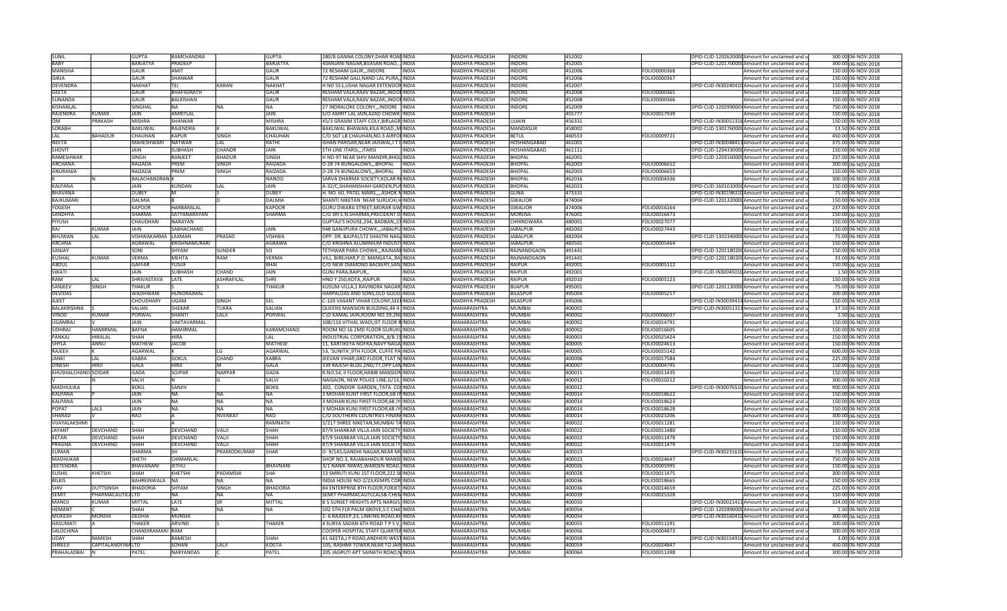| <b>SUNIL</b>                  |                   | <b>GUPTA</b>          | RAMCHANDRA         |                   | <b>GUPTA</b>          | 280/8 GANNA COLONY, DHAR ROADINDIA                                            |              | <b>MADHYA PRADESH</b>      | INDORE           | 452002           |                              | DPID-CLID-1202620000 Amount for unclaimed and u          | 300.00 06-NOV-2018                       |
|-------------------------------|-------------------|-----------------------|--------------------|-------------------|-----------------------|-------------------------------------------------------------------------------|--------------|----------------------------|------------------|------------------|------------------------------|----------------------------------------------------------|------------------------------------------|
| <b>RARY</b>                   |                   | <b>BARJATYA</b>       | <b>PRADEEP</b>     |                   | <b>BARJATYA</b>       | 40ANJANI NAGAR, BIJASAN ROAD, , INDIA                                         |              | <b>MADHYA PRADESH</b>      | INDORE           | 452005           |                              | DPID-CLID-1201700000 Amount for unclaimed and u          | 300.00 06-NOV-2018                       |
| <b>MANISHA</b>                |                   | GAUR                  | <b>AMIT</b>        |                   | <b>GAUR</b>           | 72 RESHAM GAUR, , INDORE                                                      | <b>INDIA</b> | <b>MADHYA PRADESH</b>      | INDORE           | 452006           | FOLIO0000368                 | Amount for unclaimed and u                               | 150.00 06-NOV-2018                       |
| <b>GIRJA</b>                  |                   | GAUR                  | SHANKAR            |                   | GAUR                  |                                                                               |              |                            | <b>NDORE</b>     |                  | FOLIO0000367                 |                                                          |                                          |
|                               |                   |                       |                    |                   |                       | 72 RESHAM GALI, NAND LAL PURA,, INDIA                                         |              | <b>MADHYA PRADESH</b>      |                  | 452006           |                              | Amount for unclaimed and u                               | 150.00 06-NOV-2018                       |
| <b>DEVENDRA</b>               |                   | NAKHAT                | TEJ                | KARAN             | <b>NAKHA</b>          | H NO 551,USHA NAGAR EXTENSIONINDIA                                            |              | MADHYA PRADESH             | <b>NDORE</b>     | 152007           |                              | DPID-CLID-IN30240410 Amount for unclaimed and u          | 150.00 06-NOV-2018                       |
| <b>GEETA</b>                  |                   | GAUR                  | BHAFIGIRATH        |                   | GAUR                  | RESHAM VALA,RAJIV BAZAR,,INDOFINDIA                                           |              | MADHYA PRADESH             | <b>NDORE</b>     | 452008           | OLIO0000365                  | Amount for unclaimed and u                               | 150.00 06-NOV-2018                       |
| <b>SUNANDA</b>                |                   | GAUR                  | <b>BALKISHAN</b>   |                   | GAUR                  | RESHAM VALA,RAJIV BAZAR,,INDOFINDIA                                           |              | MADHYA PRADESH             | <b>NDORE</b>     | 452008           | FOLIO0000366                 | Amount for unclaimed and u                               | 150.00 06-NOV-2018                       |
| KISHANLAL                     |                   | SINGHAL               | <b>NA</b>          | <b>NA</b>         | <b>NA</b>             | 27 INDRALOKE COLONY,,,INDORE INDIA                                            |              | MADHYA PRADESH             | INDORE           | 452009           |                              | DPID-CLID-1202990004Amount for unclaimed and u           | 750.00 06-NOV-2018                       |
| RAJENDRA                      | KUMAR             | <b>JAIN</b>           | <b>AMRITLAL</b>    |                   | <b>JAIN</b>           | S/O AMRIT LAL JAIN, AZAD CHOWK INDIA                                          |              | <b>MADHYA PRADESH</b>      |                  | 455777           | FOLIO0017939                 | Amount for unclaimed and u                               | 150.00 06-NOV-2018                       |
| <b>OM</b>                     | <b>PRAKASH</b>    | <b>MISHRA</b>         | <b>SHANKAR</b>     |                   | <b>MISHRA</b>         | 45/3 GRASIM STAFF COLY, BIRLAGR INDIA                                         |              | <b>MADHYA PRADESH</b>      | UJJAIN           | 456331           |                              | DPID-CLID-IN30051316 Amount for unclaimed and u          | 150.00 06-NOV-2018                       |
| <b>SORABH</b>                 |                   | BAKLIWAL              | RAJENDRA           |                   | <b>BAKLIWAL</b>       | BAKLIWAL BHAWAN, KILA ROAD,, MINDIA                                           |              | <b>MADHYA PRADESH</b>      | MANDASUR         | 458002           |                              | DPID-CLID-1301760000 Amount for unclaimed and u          | 13.50 06-NOV-2018                        |
|                               |                   |                       |                    |                   |                       |                                                                               |              |                            |                  |                  |                              |                                                          |                                          |
| LAL                           | <b>BAHADUR</b>    | CHAUHAN               | KAPUR              | SINGH             | CHAUHAN               | C/O SGT LB CHAUHAN, NO.3 AIRFOHNDIA                                           |              | MADHYA PRADESH             | BETUL            | 460553           | FOLIO0009721                 | Amount for unclaimed and u                               | 450.00 06-NOV-2018                       |
| <b>NEETA</b>                  |                   | MAHESHWARI            | <b>NATWAR</b>      | LAL               | RATHI                 | ISHAN PARISAR,NEAR JAISWAL,I T I INDIA                                        |              | <b>MADHYA PRADESH</b>      | HOSHANGABAD      | 161001           |                              | DPID-CLID-IN30048413 Amount for unclaimed and u          | 375.00 06-NOV-2018                       |
| SHOVIT                        |                   | <b>JAIN</b>           | SUBHASH            | CHANDF            | JAIN                  | 5TH LINE ITARSI,,,ITARSI                                                      | <b>INDIA</b> | <b>MADHYA PRADESH</b>      | HOSHANGABAD      | 461111           |                              | DPID-CLID-1204330000 Amount for unclaimed and u          | 150.00 06-NOV-2018                       |
| RAMESHWAR                     |                   | SINGH                 | RANJEET            | <b>BHADUF</b>     | <b>SINGH</b>          | H NO-97 NEAR SHIV MANDIR, BHOL INDIA                                          |              | <b>MADHYA PRADESH</b>      | BHOPAL           | 462001           |                              | DPID-CLID-1203160000 Amount for unclaimed and u          | 237.00 06-NOV-2018                       |
| <b>ARCHANA</b>                |                   | RAIZADA               | PREM               | SINGH             | RAIZADA               | D-28 74 BUNGALOWS,,,BHOPAL                                                    | <b>INDIA</b> | <b>MADHYA PRADESH</b>      | <b>BHOPAL</b>    | 462003           | FOLIO0006652                 | Amount for unclaimed and u                               | 300.00 06-NOV-2018                       |
| ANURANJA                      |                   | RAIZADA               | PREM               | SINGH             | RAIZADA               | D-28 74 BUNGALOWS,,,BHOPAL                                                    | <b>INDIA</b> | <b>MADHYA PRADESH</b>      | <b>BHOPAL</b>    | 462003           | FOLIO0006653                 | Amount for unclaimed and u                               | 150.00 06-NOV-2018                       |
|                               |                   | <b>BALACHANDRAN K</b> |                    |                   | <b>NANOO</b>          | SARVA DHARMA SOCIETY, KOLAR RUNDIA                                            |              | <b>MADHYA PRADESH</b>      | <b>BHOPAL</b>    | 462016           | FOLIO0004336                 | Amount for unclaimed and u                               | 300.00 06-NOV-2018                       |
|                               |                   |                       |                    |                   |                       |                                                                               |              |                            |                  |                  |                              |                                                          |                                          |
| KALPANA                       |                   | <b>JAIN</b>           | KUNDAN             | LAL               | <b>JAIN</b>           | A-32/C, SHAHANSHAH GARDEN, PUNINDIA                                           |              | MADHYA PRADESH             | <b>BHOPAL</b>    | 462023           |                              | DPID-CLID-1601010000 Amount for unclaimed and u          | 150.00 06-NOV-2018                       |
| <b>BHAVANA</b>                |                   | <b>DUBEY</b>          |                    |                   | <b>DUBEY</b>          | H. NO. 60, PATEL MARG,,,,ASHOK NINDIA                                         |              | <b>MADHYA PRADESH</b>      | GUNA             | 473331           |                              | DPID-CLID-IN30198310 Amount for unclaimed and u          | 75.00 06-NOV-2018                        |
| RAJKUMARI                     |                   | DALMIA                |                    |                   | <b>DALMIA</b>         | SHANTI NIKETAN NEAR SURUCHI,HINDIA                                            |              | <b>MADHYA PRADESH</b>      | <b>GWALIOR</b>   | 474004           |                              | DPID-CLID-1201320000 Amount for unclaimed and u          | 150.00 06-NOV-2018                       |
| YOGESH                        |                   | KAPOOF                | HARBANSLAL         |                   | <b>KAPOOR</b>         | GURU DWARA STREET, MORAR GW INDIA                                             |              | MADHYA PRADESH             | GWALIOR          | 474006           | OLIO0016164                  | Amount for unclaimed and u                               | 237.00 06-NOV-2018                       |
| SANDHYA                       |                   | SHARMA                | SATYANARAYAN       |                   | SHARMA                | C/O SRI S.N.SHARMA, PRECIDENT DIINDIA                                         |              | MADHYA PRADESH             | MORENA           | 476001           | FOLIO0016473                 | Amount for unclaimed and u                               | 150.00 06-NOV-2018                       |
| PIYUSH                        |                   | CHAUDHARI             | <b>NARAYAN</b>     |                   |                       | GUPTAJI'S HOUSE, 234, BADBAN, CHINDIA                                         |              | MADHYA PRADESH             | CHHINDWARA       | 480001           | FOLIO0027077                 | Amount for unclaimed and u                               | 150.00 06-NOV-2018                       |
| RAI                           | KUMAR             | <b>JAIN</b>           | SABHACHAND         |                   | <b>JAIN</b>           | 948 GANJIPURA CHOWK,,,JABALPU INDIA                                           |              | <b>MADHYA PRADESH</b>      | <b>JABALPUR</b>  | 482002           | FOLIO0027443                 | Amount for unclaimed and u                               | 150.00 06-NOV-2018                       |
|                               |                   |                       |                    |                   |                       |                                                                               |              |                            |                  |                  |                              |                                                          |                                          |
| <b>BHUWAN</b>                 | LAL               | VISHWAKARMA           | LAXMAN             | PRASAD            | <b>VISHWA</b>         | OPP. DR. BAJPAI,572 SHASTRI NAGAINDIA                                         |              | MADHYA PRADESH             | <b>JABALPUR</b>  | 482004           |                              | DPID-CLID-1302340000 Amount for unclaimed and u          | 75.00 06-NOV-2018                        |
| <b>ARCHNA</b>                 |                   | <b>AGRAWAL</b>        | KRISHNAMURARI      |                   | <b>AGRAWA</b>         | C/O KRISHNA ALUMINIUM INDUSTIINDIA                                            |              | MADHYA PRADESH             | <b>ABALPUR</b>   | 483501           | FOLIO0005464                 | Amount for unclaimed and u                               | 150.00 06-NOV-2018                       |
| SANJAY                        |                   | SONI                  | SHYAM              | SUNDER            | <sub>SO</sub>         | TETHWAR PARA CHOWK,,,RAJNANI INDIA                                            |              | <b>MADHYA PRADESH</b>      | RAJNANDGAON      | 491441           |                              | DPID-CLID-1201180200 Amount for unclaimed and u          | 150.00 06-NOV-2018                       |
| <b>KUSHAL</b>                 | KUMAR             | VERMA                 | <b>MEHTA</b>       | RAM               | <b>VERMA</b>          | VILL. BIREJHAR, P.O. MANGATA,, RAJINDIA                                       |              | <b>MADHYA PRADESH</b>      | RAJNANDGAON      | 491441           |                              | DPID-CLID-1201180200 Amount for unclaimed and u          | 33.00 06-NOV-2018                        |
| <b>ABDUL</b>                  |                   | <b>GAFFAR</b>         | YUSUF              |                   | <b>BHAI</b>           | C/O NEW DIAMOND BACKERY, SANJINDIA                                            |              | MADHYA PRADESH             | RAIPUR           | 492001           | FOLIO0005112                 | Amount for unclaimed and u                               | 150.00 06-NOV-2018                       |
| <b>SWATI</b>                  |                   | <b>JAIN</b>           | <b>SUBHASH</b>     | CHAND             | <b>JAIN</b>           | <b>GUNJ PARA, RAIPUR,</b>                                                     | <b>INDIA</b> | <b>MADHYA PRADESH</b>      | RAIPUR           | 492001           |                              | DPID-CLID-IN30045010 Amount for unclaimed and u          | 1.50 06-NOV-2018                         |
| RAM                           | LAL               | SHRIVASTAVA           | LATE               | <b>ASHRAFILAL</b> | SHRI                  | HNO Y 250, KOTA,, RAIPUR                                                      | <b>INDIA</b> | <b>MADHYA PRADESH</b>      | RAIPUR           | 492010           | FOLIO0005123                 | Amount for unclaimed and u                               | 150.00 06-NOV-2018                       |
|                               |                   |                       |                    |                   |                       |                                                                               |              |                            |                  |                  |                              |                                                          |                                          |
| SANJEEV                       | <b>SINGH</b>      | THAKUR                |                    |                   | THAKUR                | KUSUM-VILLA,1 RAVINDRA NAGAR INDIA                                            |              | MADHYA PRADESH             | <b>BIJAPUR</b>   | 495001           |                              | DPID-CLID-1201130000 Amount for unclaimed and u          | 75.00 06-NOV-2018                        |
| <b>DEVIDAS</b>                |                   | WADHWANI              | HUNDRAJMAL         |                   |                       | HARPALDAS AND SONS, OLD GOOD INDIA                                            |              | MADHYA PRADESH             | BILASPUR         | 495004           | FOLIO0005217                 | Amount for unclaimed and u                               | 300.00 06-NOV-2018                       |
|                               |                   |                       |                    |                   |                       |                                                                               |              |                            |                  |                  |                              |                                                          |                                          |
| <b>AJEET</b>                  |                   | CHOUDHARY             | <b>UGAM</b>        | SINGE             | <b>SFL</b>            | C-120 VASANT VIHAR COLONY, SEEFINDIA                                          |              | MADHYA PRADESH             | BILASPUF         | 195006           |                              | DPID-CLID-IN30039414 Amount for unclaimed and u          | 150.00 06-NOV-2018                       |
| <b>BALAKRISHNA</b>            |                   | SALIAN                | <b>SHEKAR</b>      | <b>TUKRA</b>      | SALIAN                | QUEENS MANSION BUILDING, 44 4 INDIA                                           |              | <b>MAHARASHTRA</b>         | <b>MUMBAI</b>    | 400001           |                              | DPID-CLID-IN30051313 Amount for unclaimed and u          |                                          |
|                               | KUMAR             | PORWAI                |                    | <b>ALII</b>       |                       |                                                                               |              |                            |                  |                  |                              |                                                          | 37.50 06-NOV-2018                        |
| VINOD                         |                   |                       | SHANTI             |                   | <b>PORWAL</b>         | C\O KAMAL JAIN, ROOM NO.39, 2NDINDIA                                          |              | MAHARASHTRA                | MUMBAI           | 400002           | OLIO0006037                  | Amount for unclaimed and u                               | 1.50 06-NOV-2018                         |
| <b>UGAMRA</b>                 |                   | <b>JAIN</b>           | VAKTAVARMAL        |                   |                       | 108/116 VITHAL WADI, IST FLOOR RINDIA                                         |              | MAHARASHTRA                | <b>MUMBAI</b>    | 400002           | FOLIO0014791                 | Amount for unclaimed and u                               | 150.00 06-NOV-2018                       |
| SIDHRAJ                       | <b>HAMIRMAL</b>   | <b>BAFNA</b>          | <b>HAMIRMAL</b>    |                   | KARAMCHAND            | ROOM NO 16 2MD FLOOR GURUKUINDIA                                              |              | <b>MAHARASHTRA</b>         | <b>MUMBAI</b>    | 400002           | FOLIO0016605                 | Amount for unclaimed and u                               | 150.00 06-NOV-2018                       |
| PANKAJ                        | <b>HIRALAL</b>    | <b>«НАН</b>           | <b>HIRA</b>        |                   | LAL.                  | INDUSTRIAL CORPORATION, 8/B 1S INDIA                                          |              | <b>MAHARASHTRA</b>         | MUMBAI           | 400003           | FOLIO0025424                 | Amount for unclaimed and u                               | 150.00 06-NOV-2018                       |
| SHYLA                         | ANNU              | MATHEW                | <b>JACOB</b>       |                   | <b>MATHEW</b>         | 11, KARTIKEYA NOFRA, NAVY NAGA INDIA                                          |              | MAHARASHTRA                | MUMBAI           | 400005           | FOLIO0024613                 | Amount for unclaimed and u                               | 150.00 06-NOV-2018                       |
| RAJEEV                        |                   | AGARWAI               |                    |                   | AGARWAL               | 53, 'SUNITA', 9TH FLOOR, CUFFE PAINDIA                                        |              | MAHARASHTRA                | MUMBAI           | 400005           | FOLIO0025142                 | Amount for unclaimed and u                               | 600.00 06-NOV-2018                       |
| <b>JANKI</b>                  | LAL               | <b>KABRA</b>          | GOKUL              | CHAND             | <b>KABRA</b>          | JEEVAN VIHAR, GRD. FLOOR, FLAT NUNDIA                                         |              | <b>MAHARASHTRA</b>         | <b>MUMBAI</b>    | 400006           | FOLIO0017584                 | Amount for unclaimed and u                               | 225.00 06-NOV-2018                       |
| <b>DINESH</b>                 | <b>HIRJI</b>      |                       | <b>HIRJI</b>       | м                 |                       |                                                                               |              |                            |                  |                  |                              |                                                          |                                          |
|                               |                   | GALA                  |                    |                   | <b>GALA</b>           | 339 RAJESH BLDG 2ND/77,OPP LAN INDIA                                          |              | MAHARASHTRA                | <b>MUMBAI</b>    | 400007           | FOLIO0004795                 | Amount for unclaimed and u                               | 150.00 06-NOV-2018                       |
| KHUSHALCHAND SOIDAR           |                   | GADA                  | SOJPAR             | <b>NARPAR</b>     | <b>GADA</b>           | R.NO.54, II FLOOR, HABIB MANSION INDIA                                        |              | MAHARASHTRA                | MUMBAI           | 400011           | FOLIO0011435                 | Amount for unclaimed and u                               | 150.00 06-NOV-2018                       |
|                               |                   | SALVI                 |                    |                   | <b>SALVI</b>          | NAIGAON, NEW POLICE LINE, G/13, INDIA                                         |              | <b>MAHARASHTRA</b>         | <b>MUMBAI</b>    | 400012           | FOLIO0010212                 | Amount for unclaimed and u                               | 300.00 06-NOV-2018                       |
| MADHULIKA                     |                   | <b>BOKIL</b>          | SANJIV             |                   | <b>BOKIL</b>          | 302, CONDOR GARDEN, TATA COLINDIA                                             |              | MAHARASHTRA                | MUMBAL           | 400012           |                              | DPID-CLID-IN30076510 Amount for unclaimed and u          | 900.00 06-NOV-2018                       |
| KALPANA                       |                   | <b>JAIN</b>           |                    | <b>NA</b>         | <b>NA</b>             | 3 MOHAN KUNT FIRST FLOOR, 68 JY INDIA                                         |              | MAHARASHTRA                | MUMBAI           | 400014           | FOLIO0018622                 | Amount for unclaimed and u                               | 150.00 06-NOV-2018                       |
| <b>KALPANA</b>                |                   | <b>JAIN</b>           | NA                 | <b>NA</b>         | <b>NA</b>             | 3 MOHAN KUNJ FIRST FLOOR,68 JY INDIA                                          |              | MAHARASHTRA                | MUMBAI           | 400014           | OLIO0018623                  | Amount for unclaimed and u                               | 150.00 06-NOV-2018                       |
| POPAT                         | LALS              | JAIN                  | NA                 | <b>NA</b>         | <b>NA</b>             | 3 MOHAN KUNJ FIRST FLOOR,68 JY INDIA                                          |              | <b>MAHARASHTRA</b>         | MUMBAI           | 400014           | OLIO0018628                  | Amount for unclaimed and u                               | 150.00 06-NOV-2018                       |
| SHARAD                        |                   | <b>RAO</b>            |                    | <b>NVENKAT</b>    | <b>RAO</b>            | C/O SOUTHERN COUNTRIES FINANCINDIA                                            |              | MAHARASHTRA                | MUMBAI           | 400014           | FOLIO0025206                 | Amount for unclaimed and u                               | 300.00 06-NOV-2018                       |
|                               |                   |                       |                    |                   |                       |                                                                               |              |                            |                  |                  |                              |                                                          |                                          |
| VIJAYALAKSHMI                 |                   |                       |                    |                   | RAMNATH               | 5/217 SHREE NIKETAN, MUMBAI TA INDIA                                          |              | MAHARASHTRA                | MUMBAI           | 400022           | FOLIO0011281                 | Amount for unclaimed and u                               | 150.00 06-NOV-2018                       |
| <b>JAYANT</b>                 | <b>DEVCHAND</b>   | <b>SHAH</b>           | <b>DEVCHAND</b>    | VALII             | <b>SHAH</b>           | 87/9 SHANKAR VILLA JAIN SOCIETY INDIA                                         |              | <b>MAHARASHTRA</b>         | <b>MUMBAI</b>    | 400022           | FOLIO0011480                 | Amount for unclaimed and u                               | 150.00 06-NOV-2018                       |
| <b>KETAN</b>                  | <b>DEVCHAND</b>   | <b>SHAH</b>           | <b>DEVCHAND</b>    | VALI              | <b>SHAH</b>           | 87/9 SHANKAR VILLA JAIN SOCIETY INDIA                                         |              | <b>MAHARASHTRA</b>         | <b>MUMBAI</b>    | 400022           | FOLIO0011478                 | Amount for unclaimed and u                               | 150.00 06-NOV-2018                       |
| PRAGNA                        | <b>DEVCHAND</b>   | <b>SHAH</b>           | <b>DEVCHAND</b>    | VAI II            | <b>SHAH</b>           | 87/9 SHANKAR VILLA JAIN SOCIETY, INDIA                                        |              | <b>MAHARASHTRA</b>         | <b>MUMBAI</b>    | 400022           | FOLIO0011479                 | Amount for unclaimed and u                               | 150.00 06-NOV-2018                       |
| SUMAN                         |                   | <b>SHARMA</b>         |                    | PRAMODKUMAR       | SHAR                  | D-9/145, GANDHI NAGAR, NEAR MUINDIA                                           |              | MAHARASHTRA                | MUMBAI           | 400023           |                              | DPID-CLID-IN30231610 Amount for unclaimed and u          | 75.00 06-NOV-2018                        |
| <b>MADHUKAF</b>               |                   | <b>SHETH</b>          | CHIMANLAL          |                   |                       | SHOP NO.3, RAJABAHADUR MANSI INDIA                                            |              | <b>MAHARASHTRA</b>         | <b>MUMBAI</b>    | 400023           | FOLIO0024647                 | Amount for unclaimed and u                               | 750.00 06-NOV-2018                       |
| <b>JEETENDRA</b>              |                   | BHAVANANI             | <b>JETHU</b>       |                   | <b>BHAVNANI</b>       | 3/1 NANIK NIWAS, WARDEN ROAD, INDIA                                           |              | <b>MAHARASHTRA</b>         | <b>MUMBAI</b>    | 400026           | FOLIO0005995                 | Amount for unclaimed and u                               | 150.00 06-NOV-2018                       |
| <b>SUSHIL</b>                 | KHETSHI           | SHAH                  | KHETSHI            | PADAMSHI          | <b>SHA</b>            | 13 SMRUTI KUNJ 1ST FLOOR, 222 SEINDIA                                         |              | MAHARASHTRA                | MUMBAI           | 400028           | FOLIO0011475                 | Amount for unclaimed and u                               | 300.00 06-NOV-2018                       |
|                               |                   |                       |                    |                   |                       |                                                                               |              |                            |                  |                  |                              |                                                          |                                          |
| <b>BILKIS</b>                 |                   | BAHREINWALA           | <b>NA</b>          | NA                | <b>NA</b>             | INDIA HOUSE NO-2/23, KEMPS COR INDIA                                          |              | MAHARASHTRA                | MUMBAI           | 400036           | FOLIO0018665                 | Amount for unclaimed and u                               | 150.00 06-NOV-2018                       |
| SHIV                          | <b>DUTTSINGH</b>  | <b>BHADORIA</b>       | SHYAM              | SINGH             | <b>BHADORIA</b>       | 84 ENTERPRISE 8TH FLOOR, FORJET INDIA                                         |              | MAHARASHTRA                | MUMBAI           | 400036           | FOLIO0014659                 | Amount for unclaimed and u                               | 225.00 06-NOV-2018                       |
| <b>SEMIT</b>                  | PHARMACAUTICALTD  |                       | NΔ                 | NA                | <b>INA</b>            | SEMIT PHARMACAUTLCALS& CHEMINDIA                                              |              | MAHARASHTRA                | MUMBAI           | 400039           | FOLIO0025328                 | Amount for unclaimed and u                               | 150.00 06-NOV-2018                       |
| <b>MANOJ</b>                  | KUMAR             | MITTAL                | LATE               | <b>SR</b>         | <b>MITTAL</b>         | <b>B 5 SUNSET HEIGHTS APTS NARGIS INDIA</b>                                   |              | MAHARASHTRA                | MUMBAI           | 400050           |                              | DPID-CLID-IN30021411Amount for unclaimed and u           | 324.00 06-NOV-2018                       |
| <b>HEMANT</b>                 |                   | SHAH                  |                    | <b>NA</b>         | <b>NA</b>             | 502 5TH FLR PALM GROVE, S C CHA INDIA                                         |              | <b>MAHARASHTRA</b>         | <b>MUMBAI</b>    | 400054           |                              | DPID-CLID-1202890000 Amount for unclaimed and u          | 1.50 06-NOV-2018                         |
| <b>MUKESH</b>                 | <b>MONSHI</b>     | DEDHIA                | <b>MUNSHI</b>      |                   |                       | 1- 6 RAJDEEP,23, LINKING ROAD,KHINDIA                                         |              | <b>MAHARASHTRA</b>         | <b>MUMBAI</b>    | 400054           |                              | DPID-CLID-IN30160410 Amount for unclaimed and u          | 300.00 06-NOV-2018                       |
| <b>HASUMATI</b>               |                   | THAKFR                | <b>ARVIND</b>      |                   | <b>THAKFR</b>         | 4 SURYA SADAN 6TH ROAD T P S V, INDIA                                         |              | MAHARASHTRA                | <b>MUMBAI</b>    | 400055           | FOLIO0011291                 | Amount for unclaimed and ul                              |                                          |
|                               |                   |                       |                    |                   |                       |                                                                               |              |                            |                  |                  |                              |                                                          | 300.00 06-NOV-2018                       |
| SALOCHINA                     |                   | CHANDIRAMANI RAM      |                    |                   |                       | COOPER HOSPITAL STAFF QUARTERINDIA                                            |              | MAHARASHTRA                | MUMBAI           | 400056           | FOLIO0004873                 | Amount for unclaimed and u                               | 300.00 06-NOV-2018                       |
| <b>UDAY</b>                   | RAMESH            | <b>SHAH</b>           | RAMESH             |                   | <b>SHAH</b>           | 41 GEETA, J P ROAD, ANDHERI WESTINDIA                                         |              | <b>MAHARASHTRA</b>         | MUMBAI           | 400058           |                              | DPID-CLID-IN30154916 Amount for unclaimed and u          | 3.00 06-NOV-2018                         |
| <b>SHRFFJI</b><br>PRAHALADBAI | CAPITALANDFINALTD | PATEL                 | SOHAN<br>NARYANDAS | <b>LALII</b>      | <b>KOGTA</b><br>PATEL | 105, RASHMI TOWER, NEAR TO JAIN INDIA<br>205 JAGRUTI APT SAINATH ROAD, MINDIA |              | MAHARASHTRA<br>MAHARASHTRA | MUMBAI<br>MUMBAI | 400059<br>400064 | FOLIO0024847<br>FOLIO0011398 | Amount for unclaimed and u<br>Amount for unclaimed and u | 450.00 06-NOV-2018<br>300.00 06-NOV-2018 |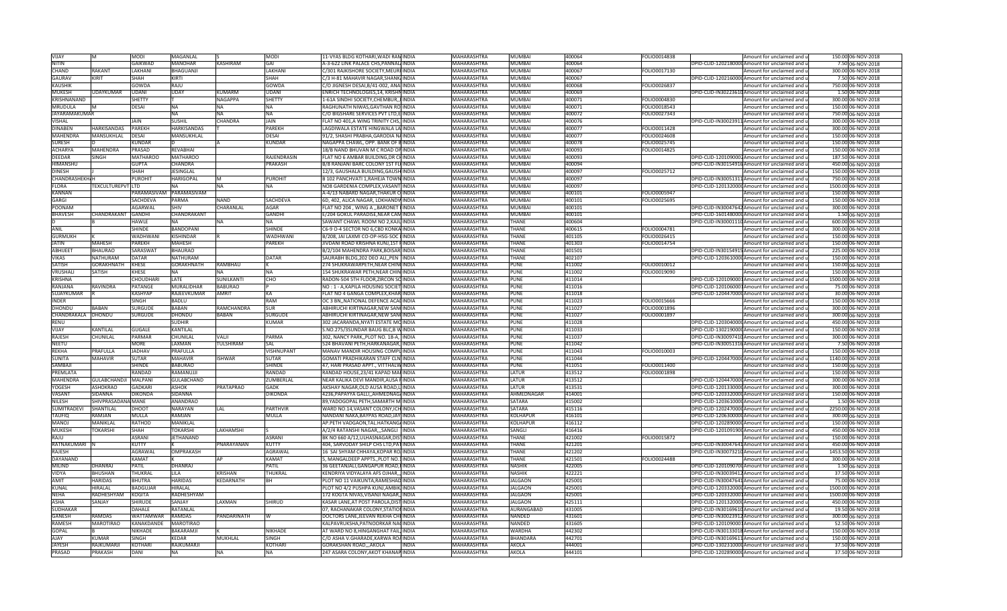| <b>VIJAY</b>          | М                    | <b>MODI</b>     | MAGANLAL                 |                  | <b>MODI</b>                | 11-VYAS BLDG KOTHARI, WADI RAMINDIA       |              | MAHARASHTRA        | MUMBAI                | 400064           | FOLIO0014838 | Amount for unclaimed and u                      | 150.00 06-NOV-2018  |
|-----------------------|----------------------|-----------------|--------------------------|------------------|----------------------------|-------------------------------------------|--------------|--------------------|-----------------------|------------------|--------------|-------------------------------------------------|---------------------|
| <b>NITIN</b>          |                      | GAIKWAD         | <b>MANOHAR</b>           | <b>KASHIRAM</b>  | GAI                        | A-3-622 LINK PALACE CHS, PANNAL INDIA     |              | <b>MAHARASHTRA</b> | MUMBAI                | 400064           |              | DPID-CLID-1202180000 Amount for unclaimed and u | 7.50 06-NOV-2018    |
| CHAND                 | RAKANT               | LAKHANI         | <b>BHAGUANJI</b>         |                  | LAKHANI                    | C/301 RAJKISHORE SOCIETY, MEURI INDIA     |              | <b>MAHARASHTRA</b> | MUMBAI                | 400067           | FOLIO0017130 | Amount for unclaimed and u                      | 300.00 06-NOV-2018  |
| <b>GAURAV</b>         | KIRIT                | <b>SHAH</b>     | KIRTI                    |                  | SHAH                       | C/3 H-81 MAHAVIR NAGAR, SHANK/INDIA       |              | MAHARASHTRA        | MUMBAI                | 400067           |              | DPID-CLID-1202160000 Amount for unclaimed and u | 7.50 06-NOV-2018    |
| <b>KAUSHIK</b>        |                      | GOWDA           | RAJU                     |                  | GOWD/                      | C/O JIGNESH DESAI,B/41-002, ANAIINDIA     |              | MAHARASHTRA        | MUMBAI                | 400068           | FOLIO0026837 | Amount for unclaimed and u                      | 750.00 06-NOV-2018  |
| <b>MUKESH</b>         | UDAYKUMAR            | UDANI           | UDAY                     | <b>CUMARM</b>    | UDANI                      | ENRICH TECHNOLOGIES, 14, KRISHNINDIA      |              | MAHARASHTRA        | MUMBAI                | 400069           |              | DPID-CLID-IN30223610 Amount for unclaimed and u | 1.50 06-NOV-2018    |
| KRISHNANAND           |                      | SHETTY          |                          | <b>NAGAPPA</b>   | <b>SHETTY</b>              | 1-61A SINDHI SOCIETY.CHEMBUR INDIA        |              | <b>MAHARASHTRA</b> | MUMBAI                | 400071           | FOLIO0004830 | Amount for unclaimed and u                      | 300.00 06-NOV-2018  |
|                       |                      |                 |                          |                  |                            |                                           |              |                    |                       |                  |              |                                                 |                     |
| MRUDULA               | M                    | DESAI           | ΝA                       | NA               | <b>NA</b>                  | RAGHUNATH NIWAS, GAVTHAN ROJINDIA         |              | MAHARASHTRA        | MUMBAI                | 400071           | FOLIO0018543 | Amount for unclaimed and u                      | 150.00 06-NOV-2018  |
| <b>JAYARAMAKUMAR</b>  |                      |                 | <b>NA</b>                | <b>NA</b>        | <b>NA</b>                  | C/O BIGSHARE SERVICES PVT LTD, E INDIA    |              | <b>MAHARASHTRA</b> | <b>MUMBAI</b>         | 400072           | FOLIO0027343 | Amount for unclaimed and u                      | 750.00 06-NOV-2018  |
| <b>VISHAL</b>         |                      | <b>JAIN</b>     | <b>SUSHIL</b>            | CHANDRA          | JAIN                       | FLAT NO 401, A WING TRINITY CHS, INDIA    |              | <b>MAHARASHTRA</b> | <b>MUMBAI</b>         | 400076           |              | DPID-CLID-IN30023911 Amount for unclaimed and u | 300.00 06-NOV-2018  |
| <b>DINABEN</b>        | <b>HARKISANDAS</b>   | PAREKH          | <b>HARKISANDAS</b>       |                  | <b>PAREKH</b>              | LAGDIWALA ESTATE HINGWALA LA INDIA        |              | <b>MAHARASHTRA</b> | MUMBAI                | 400077           | FOLIO0011428 | Amount for unclaimed and u                      | 300.00 06-NOV-2018  |
| <b>MAHENDRA</b>       | MANSUKHLAL           | DESAI           | MANSUKHLAL               |                  | <b>DESAI</b>               | 91/2, SHASHI PRABHA, GARODIA NAINDIA      |              | MAHARASHTRA        | MUMBAI                | 400077           | FOLIO0024608 | Amount for unclaimed and u                      | 150.00 06-NOV-2018  |
| <b>SURESH</b>         |                      | KUNDAF          |                          |                  | <b>KUNDAR</b>              | NAGAPPA CHAWL, OPP. BANK OF BINDIA        |              | MAHARASHTRA        | MUMBAI                | 400078           | FOLIO0025745 | Amount for unclaimed and u                      | 150.00 06-NOV-2018  |
| <b>ACHARYA</b>        | MAHFNDRA             | PRASAD          | RFVABHAI                 |                  |                            | 18/B NAND BHUVAN M C ROAD OP INDIA        |              | <b>MAHARASHTRA</b> | <b>MUMBAI</b>         | 400093           | FOLIO0014825 | Amount for unclaimed and u                      | 150.00 06-NOV-2018  |
| DEEDAR                | <b>SINGH</b>         | MATHAROO        | <b>MATHAROO</b>          |                  | RAJENDRASIN                | FLAT NO 6 AMBAR BUILDING, DR CHINDIA      |              | MAHARASHTRA        | <b>MUMBAI</b>         | 400093           |              | DPID-CLID-1201090002 Amount for unclaimed and u | 187.50 06-NOV-2018  |
| HIMANSHU              |                      | <b>GUPTA</b>    | CHANDRA                  |                  | PRAKASH                    | B/8 RANJANI BARC COLONY 1ST FLOINDIA      |              | MAHARASHTRA        | MUMBAI                | 400094           |              | DPID-CLID-IN30154916 Amount for unclaimed and u | 450.00 06-NOV-2018  |
| <b>DINESH</b>         |                      | <b>SHAH</b>     | <b>JESINGLAL</b>         |                  |                            | 12/3, GAUSHALA BUILDING, GAUSH INDIA      |              | <b>MAHARASHTRA</b> | <b>MUMBAI</b>         | 400097           | FOLIO0025712 | Amount for unclaimed and u                      | 150.00 06-NOV-2018  |
| <b>CHANDRASHEKH/H</b> |                      | <b>PUROHIT</b>  | <b>HARIGOPAL</b>         | M                | PUROHIT                    | B 102 PANCHVATI 1, RAHEJA TOWN INDIA      |              | <b>MAHARASHTRA</b> | MUMBAI                | 400097           |              | DPID-CLID-IN30051311 Amount for unclaimed and u | 750.00 06-NOV-2018  |
| <b>FLORA</b>          | TEXCULTUREPVT LTD    |                 | NΔ                       | <b>NA</b>        | <b>NA</b>                  | NO8 GARDENIA COMPLEX, VASANT INDIA        |              | MAHARASHTRA        | <b>MUMBAI</b>         | 400097           |              | DPID-CLID-1201320000 Amount for unclaimed and u | 1500.00 06-NOV-2018 |
| <b>KANNAN</b>         |                      | PARAMASIVAM     | PARAMASIVAM              |                  |                            | A-4/13 NABARD NAGAR, THAKUR CUNDIA        |              | MAHARASHTRA        | MUMBAI                | 400101           | FOLIO0005947 | Amount for unclaimed and u                      | 150.00 06-NOV-2018  |
| GARGI                 |                      | SACHDEVA        | <b>PARMA</b>             | NAND             | SACHDEVA                   | 6D, 402, ALICA NAGAR, LOKHANDWINDIA       |              | <b>MAHARASHTRA</b> | <b>MUMBAI</b>         | 400101           | FOLIO0025695 | Amount for unclaimed and u                      | 150.00 06-NOV-2018  |
| POONAM                |                      | AGARWAL         | SHIV                     | CHARANLAL        | AGAR                       | FLAT NO 204, WING A ,, BARONET LINDIA     |              | MAHARASHTRA        | <b>MUMBAI</b>         | 400101           |              | DPID-CLID-IN30047642 Amount for unclaimed and u | 300.00 06-NOV-2018  |
|                       |                      |                 |                          |                  |                            |                                           |              |                    |                       |                  |              |                                                 |                     |
| <b>BHAVESH</b>        | CHANDRAKANT          | <b>GANDHI</b>   | CHANDRAKANT<br><b>NA</b> | <b>NA</b>        | <b>GANDHI</b><br><b>NA</b> | E/204 GOKUL PARADISE, NEAR CAMINDIA       |              | MAHARASHTRA        | MUMBAI<br><b>HANE</b> | 400101<br>400604 |              | DPID-CLID-1601480000 Amount for unclaimed and u | 1.50 06-NOV-2018    |
|                       |                      | HAWLE           |                          |                  |                            | SAWANT CHAWL ROOM NO 2, KAJUINDIA         |              | MAHARASHTRA        |                       |                  |              | DPID-CLID-IN30001110 Amount for unclaimed and u | 600.00 06-NOV-2018  |
| ANIL                  |                      | <b>SHINDE</b>   | <b>BANDOPANI</b>         |                  | <b>SHINDE</b>              | C6-9 O-4 SECTOR NO 6,CBD KONKA INDIA      |              | <b>MAHARASHTRA</b> | <b>HANE</b>           | 400615           | FOLIO0004781 | Amount for unclaimed and u                      | 300.00 06-NOV-2018  |
| <b>GURMUKH</b>        |                      | WADHWANI        | KISHINDAR                |                  | <b>WADHWANI</b>            | B/208, JAI LAXMI CO-OP-HSG-SOC LINDIA     |              | MAHARASHTRA        | THANE                 | 401105           | FOLIO0026415 | Amount for unclaimed and u                      | 150.00 06-NOV-2018  |
| <b>JATIN</b>          | MAHESH               | PAREKH          | MAHESH                   |                  | <b>PAREKH</b>              | JIVDANI ROAD KRISHNA KUNJ,1ST FINDIA      |              | MAHARASHTRA        | <b>HANE</b>           | 401303           | FOLIO0014754 | Amount for unclaimed and u                      | 150.00 06-NOV-2018  |
| <b>ABHIJEET</b>       | <b>BHAURAO</b>       | SARASWAT        | <b>BHAURAO</b>           |                  |                            | B/2/104 MAHENDRA PARK, BOISAR, INDIA      |              | <b>MAHARASHTRA</b> | <b>HANE</b>           | 401501           |              | DPID-CLID-IN30154915Amount for unclaimed and u  | 225.00 06-NOV-2018  |
| <b>VIKAS</b>          | <b>NATHURAM</b>      | <b>DATAR</b>    | <b>NATHURAM</b>          |                  | <b>DATAR</b>               | SAURABH BLDG, 202 DEO ALI, , PEN INDIA    |              | <b>MAHARASHTRA</b> | <b>HANE</b>           | 402107           |              | DPID-CLID-1203610000 Amount for unclaimed and u | 150.00 06-NOV-2018  |
| <b>SATISH</b>         | GORAKHNATH           | <b>KHESE</b>    | GORAKHNATH               | RAMBHAU          |                            | 274 SHUKRAWARPETH, NEAR CHIN INDIA        |              | MAHARASHTRA        | PUNE                  | 411002           | FOLIO0010012 | Amount for unclaimed and u                      | 150.00 06-NOV-2018  |
| VRUSHALI              | SATISH               | KHESE           | ΝA                       | <b>NA</b>        | <b>INA</b>                 | 154 SHUKRAWAR PETH, NEAR CHIN INDIA       |              | MAHARASHTRA        | PUNE                  | 411002           | FOLIO0019090 | Amount for unclaimed and u                      | 150.00 06-NOV-2018  |
| <b>KRISHNA</b>        |                      | CHOUDHARI       | LATE                     | SUNILKANTI       | <b>CHO</b>                 | RADON-504 5TH FLOOR, ZIRCON SO INDIA      |              | <b>MAHARASHTRA</b> | PUNE                  | 411014           |              | DPID-CLID-1201090001Amount for unclaimed and u  | 1500.00 06-NOV-2018 |
| RANJANA               | <b>RAVINDRA</b>      | PATANGE         | <b>MURALIDHAR</b>        | <b>BABURAO</b>   |                            | NO: 1 - A, KAPILA HOUSING SOCIET INDIA    |              | <b>MAHARASHTRA</b> | PUNE                  | 411016           |              | DPID-CLID-1201060001Amount for unclaimed and u  | 75.00 06-NOV-2018   |
| SUJAYKUMAR            |                      | <b>KASHYAP</b>  | RAJEEVKUMAR              | <b>AMRIT</b>     | <b>KA</b>                  | FLAT NO 4 GANGA COMPLEX, KHAR INDIA       |              | MAHARASHTRA        | PUNE                  | 411018           |              | DPID-CLID-1204470000 Amount for unclaimed and u | 30.00 06-NOV-2018   |
| <b>INDER</b>          |                      | SINGH           | BADLU                    |                  | RAM                        | OC 3 BN, NATIONAL DEFENCE ACAUINDIA       |              | MAHARASHTRA        | PUNE                  | 411023           | FOLIO0015666 | Amount for unclaimed and u                      | 150.00 06-NOV-2018  |
|                       |                      |                 |                          |                  |                            |                                           |              |                    |                       |                  |              |                                                 |                     |
|                       | <b>BABAI</b>         | SURGUDE         |                          |                  |                            |                                           |              |                    |                       |                  |              |                                                 |                     |
| <b>DHONDU</b>         |                      |                 | <b>BABAN</b>             | RAMCHANDRA       | <b>SUR</b>                 | ABHIRUCHI KIRTINAGAR,NEW SANCINDIA        |              | MAHARASHTRA        | UNE                   | 411027           | OLIO0001896  | Amount for unclaimed and u                      | 300.00 06-NOV-2018  |
| CHANDRAKALA DHONDU    |                      | SURGUDE         | DHONDU                   | RARAN            | <b>SURGUDE</b>             | ABHIRUCHI KIRTINAGAR,NEW SANCINDIA        |              | MAHARASHTRA        | PUNE                  | 411027           | FOLIO0001897 | Amount for unclaimed and u                      | 300.00 06-NOV-2018  |
| <b>RENU</b>           |                      |                 | SUDHIR                   |                  | <b>KUMAR</b>               | 302 JACARANDA, NYATI ESTATE MOINDIA       |              | MAHARASHTRA        | PUNE                  | 411028           |              | DPID-CLID-1203040000 Amount for unclaimed and u | 450.00 06-NOV-2018  |
| VIJAY                 | KANTILAL             | <b>GUGALE</b>   | KANTILAL                 |                  |                            | S.NO.275/3SUNDAR BAUG BLC, B WINDIA       |              | MAHARASHTRA        | PUNE                  | 411033           |              | DPID-CLID-1302190000 Amount for unclaimed and u | 150.00 06-NOV-2018  |
| <b>RAJESH</b>         | CHUNILAL             | PARMAR          | CHUNILAI                 | VALII            | PARMA                      | 302, NANCY PARK, PLOT NO. 18-A, INDIA     |              | <b>MAHARASHTRA</b> | PUNE                  | 411037           |              | DPID-CLID-IN30097410 Amount for unclaimed and u | 300.00 06-NOV-2018  |
| <b>NEETU</b>          |                      | MORE            | LAXMAN                   | TULSHIRAM        | SAL                        | 524 BHAVANI PETH, HARKANAGAR, INDIA       |              | MAHARASHTRA        | PUNE                  | 411042           |              | DPID-CLID-IN30051316 Amount for unclaimed and u | 7.50 06-NOV-2018    |
| <b>REKHA</b>          | PRAFULLA             | <b>JADHAV</b>   | PRAFULLA                 |                  | VISHNUPANT                 | MANAV MANDIR HOUSING COMPLINDIA           |              | MAHARASHTRA        | PUNE                  | 411043           | FOLIO0010003 | Amount for unclaimed and u                      | 150.00 06-NOV-2018  |
| <b>SUNITA</b>         | MAHAVIF              | <b>SUTAR</b>    | MAHAVIR                  | <b>ISHWAR</b>    | <b>SUTAR</b>               | <b>GOMATI PRADHIKARAN STAFF CLN INDIA</b> |              | MAHARASHTRA        | PUNE                  | 411044           |              | DPID-CLID-1204470000 Amount for unclaimed and u | 1140.00 06-NOV-2018 |
| SAMBAJ                |                      | <b>SHINDE</b>   | <b>BABURAO</b>           |                  | <b>SHINDE</b>              | 47. HARI PRASAD APPT., VITTHALWINDIA      |              | <b>MAHARASHTRA</b> | PUNE                  | 411051           | FOLIO0011400 | Amount for unclaimed and u                      | 150.00 06-NOV-2018  |
| PREMLATA              |                      | RANDAD          | RAMANUJJI                |                  | <b>RANDAD</b>              | RANDAD HOUSE, 23/41 KAPAD MAHINDIA        |              | MAHARASHTRA        | LATUR                 | 413512           | FOLIO0001898 | Amount for unclaimed and u                      | 150.00 06-NOV-2018  |
| MAHENDRA              | GULABCHANDJI MALPANI |                 | GULABCHAND               |                  | ZUMBERLAL                  | NEAR KALIKA DEVI MANDIR, AUSA FINDIA      |              | MAHARASHTRA        | LATUR                 | 413512           |              | DPID-CLID-1204470000 Amount for unclaimed and u | 300.00 06-NOV-2018  |
| <b>YOGESH</b>         | <b>ASHOKRAO</b>      | <b>GADKARI</b>  | <b>ASHOK</b>             | <b>PRATAPRAO</b> | <b>GADK</b>                | AKSHAY NAGAR, OLD AUSA ROAD, LINDIA       |              | <b>MAHARASHTRA</b> | LATUR                 | 413531           |              | DPID-CLID-1201330000 Amount for unclaimed and u | 300.00 06-NOV-2018  |
| VASANT                | <b>SIDANNA</b>       | <b>DIKONDA</b>  | SIDANNA                  |                  | <b>DIKONDA</b>             | 4236, PAPAYYA GALLI, , AHMEDNAGAINDIA     |              | <b>MAHARASHTRA</b> | AHMEDNAGAR            | 414001           |              | DPID-CLID-1203320000 Amount for unclaimed and u | 150.00 06-NOV-2018  |
| NILESH                | SHIVPRASADANA MANE   |                 | ANANDRAO                 |                  |                            | 89, YADOGOPAL PETH, SAMARTH M. INDIA      |              | MAHARASHTRA        | SATARA                | 415002           |              | DPID-CLID-1203610000 Amount for unclaimed and u | 1.50 06-NOV-2018    |
| SUMITRADEVI           | SHANTILAL            | DHOOT           | NARAYAN                  | LAL              | <b>PARTHVIR</b>            | WARD NO.14, VASANT COLONY, ICH INDIA      |              | MAHARASHTRA        | SATARA                | 415116           |              | DPID-CLID-1202470000 Amount for unclaimed and u | 2250.00 06-NOV-2018 |
| TAUFIQ                | <b>AMIAN</b>         | MULLA           | RAMJAN                   |                  | MULLA                      | NANDANI NAKA,BAYPAS ROAD,JAY INDIA        |              | MAHARASHTRA        | KOLHAPUF              | 416101           |              | DPID-CLID-1206300000 Amount for unclaimed and u | 300.00 06-NOV-2018  |
| MANO.                 | <b>MANIKLAL</b>      | RATHOL          | MANIKI AI                |                  |                            | AP.PETH VADGAON, TAL.HATKANGAINDIA        |              | <b>MAHARASHTRA</b> | KOLHAPUR              | 416112           |              | DPID-CLID-1202890000 Amount for unclaimed and u | 150.00 06-NOV-2018  |
| MUKESH                | <b>TOKARSHI</b>      | SHAH            | TOKARSHI                 | LAKHAMSH         |                            | A/2/4 RATANSHI NAGAR,,,SANGLI  INDIA      |              | MAHARASHTRA        | SANGLI                | 416416           |              | DPID-CLID-1201091900 Amount for unclaimed and u | 450.00 06-NOV-2018  |
|                       |                      |                 |                          |                  |                            |                                           |              |                    |                       |                  |              |                                                 |                     |
| RAJU                  |                      | <b>ASRANI</b>   | <b>JETHANAND</b>         |                  | <b>ASRANI</b>              | BK NO 660 A/12, ULHASNAGAR, DISTINDIA     |              | <b>MAHARASHTRA</b> | THANE                 | 421002           | FOLIO0015872 | Amount for unclaimed and u                      | 150.00 06-NOV-2018  |
| RATNAKUMARI           |                      | <b>KUTTY</b>    |                          | PNARAYANAN       | <b>KUTTY</b>               | 404, SARVODAY SHILP CHS LTD, PATINDIA     |              | <b>MAHARASHTRA</b> | <b>HANE</b>           | 421201           |              | DPID-CLID-IN30047641 Amount for unclaimed and u | 450.00 06-NOV-2018  |
| <b>RAJESH</b>         |                      | <b>AGRAWAL</b>  | OMPRAKASH                |                  | <b>AGRAWAL</b>             | 16 SAI SHYAM CHHAYA, KOPAR ROJINDIA       |              | <b>MAHARASHTRA</b> | THANE                 | 421202           |              | DPID-CLID-IN30073210 Amount for unclaimed and u | 1453.50 06-NOV-2018 |
| DAYANAND              |                      | KAMAT           |                          |                  | KAMAT                      | 5, MANGALDEEP APPTS.,PLOT NO.1 INDIA      |              | MAHARASHTRA        | <b>HANE</b>           | 421501           | FOLIO0024488 | Amount for unclaimed and u                      | 300.00 06-NOV-2018  |
| MILIND                | DHANRAI              | PATIL           | DHANRAJ                  |                  | PATIL                      | 36 GEETANJALI, GANGAPUR ROAD, FINDIA      |              | MAHARASHTRA        | NASHIK                | 422005           |              | DPID-CLID-1201090700 Amount for unclaimed and u | 1.50 06-NOV-2018    |
| <b>VIDYA</b>          | <b>BHUSHAN</b>       | THUKRAL         | <b>LILA</b>              | KRISHAN          | THUKRAL                    | KENDRIYA VIDYALAYA AFS OJHAR,,, INDIA     |              | <b>MAHARASHTRA</b> | <b>NASHIK</b>         | 422221           |              | DPID-CLID-IN30039412 Amount for unclaimed and u | 37.50 06-NOV-2018   |
| <b>AMIT</b>           | HARIDAS              | BHUTRA          | <b>HARIDAS</b>           | KEDARNATH        | <b>BH</b>                  | PLOT NO 11 VAIKUNTA, RAMESHAD INDIA       |              | <b>MAHARASHTRA</b> | <b>ALGAON</b>         | 425001           |              | DPID-CLID-IN30047641 Amount for unclaimed and u | 75.00 06-NOV-2018   |
| KUNAL                 | HIRALAL              | <b>BADGUJAR</b> | HIRALAL                  |                  |                            | PLOT NO 4/2 PUSHPA KUNJ, AMBIK, INDIA     |              | MAHARASHTRA        | <b>JALGAON</b>        | 425001           |              | DPID-CLID-1203320000 Amount for unclaimed and u | 1500.00 06-NOV-2018 |
| <b>NEHA</b>           | RADHESHYAM           | <b>KOGITA</b>   | RADHESHYAM               |                  |                            | 172 KOGTA NIVAS, VISANJI NAGAR, INDIA     |              | <b>MAHARASHTRA</b> | <b>JALGAON</b>        | 425001           |              | DPID-CLID-1203320001Amount for unclaimed and u  | 1500.00 06-NOV-2018 |
| <b>ASHA</b>           | SANJAY               | <b>SHIRUDE</b>  | SANJAY                   | LAXMAN           | <b>SHIRUD</b>              | KASAR LANE, AT POST PAROLA, DIST INDIA    |              | <b>MAHARASHTRA</b> | <b>JALGAON</b>        | 425111           |              | DPID-CLID-1201320000 Amount for unclaimed and u | 450.00 06-NOV-2018  |
| <b>SUDHAKAR</b>       |                      | DAHALE          | RATANLAL                 |                  |                            | 07, RACHANAKAR COLONY, STATION INDIA      |              | MAHARASHTRA        | AURANGABAD            | 431005           |              | DPID-CLID-IN30169610 Amount for unclaimed and u | 19.50 06-NOV-2018   |
| <b>GANESH</b>         | <b>RAMDAS</b>        | WATTAMWAR       | <b>RAMDAS</b>            | PANDARINATH      | IW                         | DOCTORS LANE, JEEVAN REKHA CHEINDIA       |              | MAHARASHTRA        | NANDED                | 431601           |              | DPID-CLID-IN30023912 Amount for unclaimed and u | 300.00 06-NOV-2018  |
| <b>RAMESH</b>         | <b>MAROTIRAO</b>     | KANAKDANDF      | <b>MAROTIRAO</b>         |                  |                            | KALPAVRUKSHA, PATNOORKAR NACINDIA         |              | <b>MAHARASHTRA</b> | NANDED                | 431605           |              | DPID-CLID-1201090001Amount for unclaimed and u  | 52.50 06-NOV-2018   |
| <b>GOPAL</b>          |                      | <b>NIKHADE</b>  | BAKARAMJI                |                  | <b>NIKHADF</b>             | AT WARD NO 8, HINGANGHAT FAIL, INDIA      |              | <b>MAHARASHTRA</b> | WARDHA                | 442302           |              | DPID-CLID-IN30133018 Amount for unclaimed and u | 150.00 06-NOV-2018  |
| AIAY                  | KUMAR                | SINGH           | KEDAR                    | MUKHLAL          | SINGH                      | C/O ASHA V.GHARADE, KARWA ROAINDIA        |              | MAHARASHTRA        | <b>BHANDARA</b>       | 442701           |              | DPID-CLID-IN30169611 Amount for unclaimed and u | 150.00 06-NOV-2018  |
| <b>JAYESH</b>         | RAJKUMARJ            | <b>KOTHAR</b>   | RAJKUMARJI               |                  | KOTHARI                    | GORAKSHAN ROAD,,,AKOLA                    | <b>INDIA</b> | <b>MAHARASHTRA</b> | AKOLA                 | 444001           |              | DPID-CLID-1302310000 Amount for unclaimed and u | 37.50 06-NOV-2018   |
| PRASAD                | PRAKASH              | DANI            | NA                       | <b>NA</b>        | <b>NA</b>                  | 247 ASARA COLONY, AKOT KHANAP INDIA       |              | <b>MAHARASHTRA</b> | AKOLA                 | 444101           |              | DPID-CLID-1202890000 Amount for unclaimed and u | 37.50 06-NOV-2018   |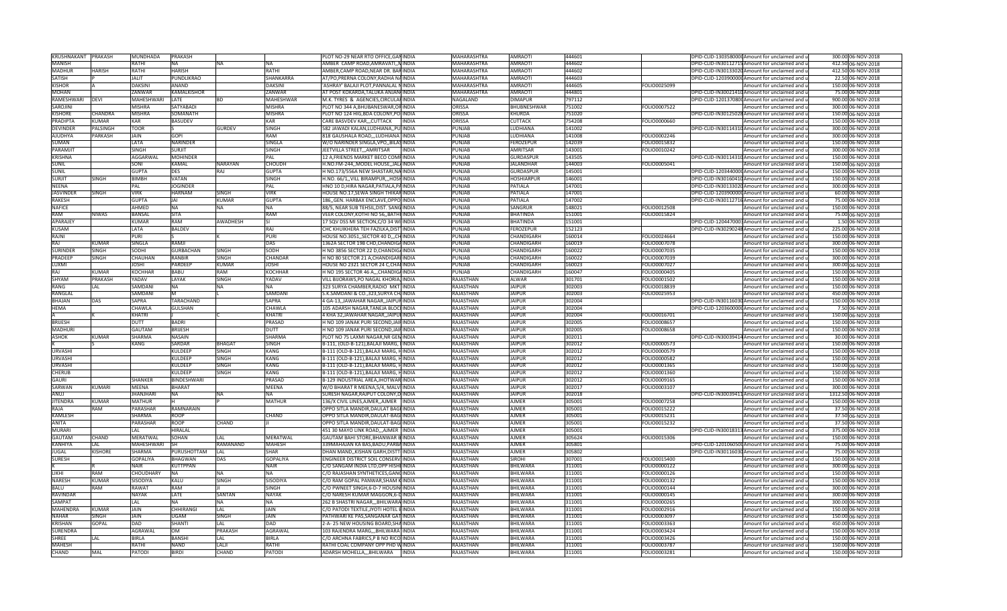| KRUSHNAKANT PRAKASH    |                 | MUNDHADA               | <b>PRAKASH</b>              |                 |                        | PLOT NO-29 NEAR RTO OFFICE, GANINDIA                                           | <b>MAHARASHTRA</b>     | <b>AMRAOTI</b>       | 444601           |                              | DPID-CLID-1303580000 Amount for unclaimed and u          | 300.00 06-NOV-2018                       |
|------------------------|-----------------|------------------------|-----------------------------|-----------------|------------------------|--------------------------------------------------------------------------------|------------------------|----------------------|------------------|------------------------------|----------------------------------------------------------|------------------------------------------|
| <b>MANISH</b>          |                 | <b>RATHI</b>           | <b>NA</b>                   | <b>NA</b>       | <b>NA</b>              | AMBER CAMP ROAD, AMRAVATI, NINDIA                                              | <b>MAHARASHTRA</b>     | <b>AMRAOTI</b>       | 444602           |                              | DPID-CLID-IN30112715 Amount for unclaimed and u          | 412.50 06-NOV-2018                       |
|                        |                 |                        |                             |                 |                        |                                                                                |                        |                      |                  |                              |                                                          |                                          |
| <b>MADHUR</b>          | <b>HARISH</b>   | RATHI                  | <b>HARISH</b>               |                 | <b>RATHI</b>           | AMBER, CAMP ROAD, NEAR DR. BARINDIA                                            | MAHARASHTRA            | <b>AMRAOTI</b>       | 444602           |                              | DPID-CLID-IN30133020 Amount for unclaimed and u          | 412.50 06-NOV-2018                       |
| SATISH                 |                 | <b>JALIT</b>           | PUNDLIKRAO                  |                 | SHANKARRA              | AT/PO, PRERNA COLONY, RADHA NAINDIA                                            | MAHARASHTRA            | <b>AMRAOTI</b>       | 444603           |                              | DPID-CLID-120390000(Amount for unclaimed and u           | 22.50 06-NOV-2018                        |
| <b>KISHOR</b>          |                 | <b>DAKSINI</b>         | <b>ANAND</b>                |                 | <b>DAKSINI</b>         | ASHRAY' BALAJI PLOT, PANNALAL NINDIA                                           | <b>MAHARASHTRA</b>     | <b>AMRAOTI</b>       | 444605           | FOLIO0025099                 | Amount for unclaimed and u                               | 150.00 06-NOV-2018                       |
| <b>MOHAN</b>           |                 | ZANWAR                 | KAMALKISHOR                 |                 | <b>ZANWAR</b>          | AT POST KOKARDA.TALUKA ANJANJINDIA                                             | <b>MAHARASHTRA</b>     | <b>AMRAOTI</b>       | 444801           |                              | DPID-CLID-IN30021410 Amount for unclaimed and u          | 75.00 06-NOV-2018                        |
| RAMESHWARI             | DEVI            | MAHESHWARI             | LATE                        | BD              | MAHESHWAR              | M.K. TYRES & AGENCIES, CIRCULARINDIA                                           | NAGALAND               | <b>DIMAPUR</b>       | 797112           |                              | DPID-CLID-1201370800 Amount for unclaimed and u          | 900.00 06-NOV-2018                       |
|                        |                 |                        |                             |                 |                        |                                                                                |                        |                      |                  |                              |                                                          |                                          |
| SAROJINI               |                 | <b>MISHRA</b>          | SATYABADI                   |                 | <b>MISHRA</b>          | PLOT NO 344 A, BHUBANESWAR, ORINDIA                                            | ORISSA                 | <b>BHUBNESHWAR</b>   | 751002           | FOLIO0007522                 | Amount for unclaimed and u                               | 300.00 06-NOV-2018                       |
| <b>KISHORE</b>         | <b>CHANDRA</b>  | <b>MISHRA</b>          | SOMANATH                    |                 | <b>MISHRA</b>          | PLOT NO 124 HIG, BDA COLONY, PO INDIA                                          | <b>ORISSA</b>          | KHURDA               | 751020           |                              | DPID-CLID-IN30125028 Amount for unclaimed and u          | 150.00 06-NOV-2018                       |
| <b>PRADIPTA</b>        | KUMAR           | <b>KAR</b>             | <b>BASUDEV</b>              |                 | KAR                    | CARE BASVDEV KAR,,,CUTTACK INDIA                                               | <b>ORISSA</b>          | <b>CUTTACK</b>       | 754208           | FOLIO0000660                 | Amount for unclaimed and u                               | 150.00 06-NOV-2018                       |
| <b>DEVINDER</b>        | <b>PALSINGH</b> | <b>TOOR</b>            |                             | GURDEV          | <b>SINGH</b>           | 582 JAWADI KALAN, LUDHIANA, , PU INDIA                                         | PUNJAB                 | <b>LUDHIANA</b>      | 141002           |                              | DPID-CLID-IN30114310 Amount for unclaimed and u          | 300.00 06-NOV-2018                       |
| <b>AJUDHYA</b>         | PARKASH         | JAIN                   | GOPI                        |                 | RAM                    | 818 GAUSHALA ROAD,,,LUDHIANA INDIA                                             | PUNJAB                 | LUDHIANA             | 141008           | FOLIO0002246                 | Amount for unclaimed and u                               | 300.00 06-NOV-2018                       |
| SUMAN                  |                 | LATA                   | <b>NARINDER</b>             |                 | SINGLA                 | W/O NARINDER SINGLA, VPO, BILASINDIA                                           | PUNJAB                 | FEROZEPUR            | 142039           | FOLIO0015832                 |                                                          | 150.00 06-NOV-2018                       |
|                        |                 |                        |                             |                 |                        |                                                                                |                        |                      |                  |                              | Amount for unclaimed and u                               |                                          |
| PARAMJIT               |                 | <b>SINGH</b>           | SURJIT                      |                 | <b>SINGH</b>           | JEETVILLA STREET,,,AMRITSAR<br><b>INDIA</b>                                    | PUNJAB                 | <b>AMRITSAR</b>      | 143001           | FOLIO0010242                 | Amount for unclaimed and u                               | 300.00 06-NOV-2018                       |
| <b>KRISHNA</b>         |                 | <b>AGGARWAI</b>        | <b>MOHINDER</b>             |                 | PAL                    | 12 A, FRIENDS MARKET BECO COMPINDIA                                            | PUNJAB                 | GURDASPUF            | 143505           |                              | DPID-CLID-IN30114310 Amount for unclaimed and u          | 150.00 06-NOV-2018                       |
| <b>SUNIL</b>           |                 | SONI                   | KAMAL                       | NARAYAN         | <b>CHOUDH</b>          | H.NO.FM-244,, MODEL HOUSE,, JALAINDIA                                          | PUNJAB                 | <b>JALANDHAR</b>     | 144003           | FOLIO0005041                 | Amount for unclaimed and u                               | 150.00 06-NOV-2018                       |
| <b>SUNIL</b>           |                 | <b>GUPTA</b>           | <b>DES</b>                  | RAJ             | <b>GUPTA</b>           | H NO.173/556A NEW SHASTARI, NA INDIA                                           | <b>PUNJAB</b>          | <b>GURDASPUR</b>     | 145001           |                              | DPID-CLID-1203440000 Amount for unclaimed and u          | 150.00 06-NOV-2018                       |
| <b>SURJIT</b>          | <b>SINGH</b>    | <b>BIMBH</b>           | <b>VATAN</b>                |                 | <b>SINGH</b>           | H.NO. 66/1,, VILL BIRAMPUR,,, HOSHINDIA                                        |                        | <b>HOSHIARPUR</b>    | 146001           |                              | DPID-CLID-IN30160410 Amount for unclaimed and u          |                                          |
|                        |                 |                        |                             |                 |                        |                                                                                | PUNJAB                 |                      |                  |                              |                                                          | 150.00 06-NOV-2018                       |
| <b>NEENA</b>           |                 | PAL                    | <b>JOGINDER</b>             |                 | PAL                    | HNO 10 D, HIRA NAGAR, PATIALA, PAINDIA                                         | PUNJAB                 | PATIALA              | 147001           |                              | DPID-CLID-IN30133020 Amount for unclaimed and u          | 300.00 06-NOV-2018                       |
| <b>JASVINDEF</b>       | SINGH           | VIRK                   | <b>HARNAM</b>               | <b>SINGE</b>    | VIRK                   | HOUSE NO.17, SEWA SINGH THIKARINDIA                                            | <b>UNJAB</b>           | PATIALA              | 147001           |                              | DPID-CLID-1203900000 Amount for unclaimed and u          | 60.00 06-NOV-2018                        |
| <b>RAKESH</b>          |                 | <b>GUPTA</b>           | JAI                         | KUMAR           | <b>GUPTA</b>           | 186, GEN. HARBAX ENCLAVE, OPPO INDIA                                           | PUNJAB                 | PATIALA              | 147002           |                              | DPID-CLID-IN30112716 Amount for unclaimed and u          | 75.00 06-NOV-2018                        |
| <b>NAFICE</b>          |                 | AHMED                  | NA                          | NA              | <b>NA</b>              | 88/5, NEAR SUB TEHSIL, DIST. SANG INDIA                                        | PUNJAB                 | SANGRUR              | 148021           | FOLIO0012508                 | Amount for unclaimed and u                               | 150.00 06-NOV-2018                       |
| RAM                    | <b>NIWAS</b>    | <b>BANSAL</b>          | SITA                        |                 | RAM                    | VEER COLONY, KOTHI NO 56, BATHI INDIA                                          | PUNJAB                 | <b>BHATINDA</b>      | 151001           | FOLIO0015824                 | Amount for unclaimed and u                               | 75.00 06-NOV-2018                        |
|                        |                 |                        |                             |                 |                        |                                                                                |                        |                      |                  |                              |                                                          |                                          |
| <b>APARAJEY</b>        |                 | <b>KUMAR</b>           | <b>RAM</b>                  | <b>AWADHESH</b> | $\mathsf{S}$           | 17 SQV DSS MI SECTION, C/O 34 WI INDIA                                         | <b>PUNJAB</b>          | <b>BHATINDA</b>      | 151001           |                              | DPID-CLID-1204470003Amount for unclaimed and u           | 1.50 06-NOV-2018                         |
| <b>KUSAM</b>           |                 | LATA                   | <b>BALDEV</b>               |                 | RAJ                    | CHC KHUIKHERA TEH FAZILKA, DIST INDIA                                          | <b>PUNJAB</b>          | <b>FEROZEPUR</b>     | 152123           |                              | DPID-CLID-IN30290248 Amount for unclaimed and u          | 225.00 06-NOV-2018                       |
| RAJNI                  |                 | <b>PURI</b>            |                             |                 | <b>PURI</b>            | HOUSE NO.3051,, SECTOR 40 D,,, CHINDIA                                         | PUNJAB                 | CHANDIGARH           | 160014           | FOLIO0024664                 | Amount for unclaimed and u                               | 150.00 06-NOV-2018                       |
| RAJ                    | KUMAF           | SINGLA                 | RAMI                        |                 | DAS                    | 1362A SECTOR 19B CHD, CHANDIGAINDIA                                            | PUNJAB                 | CHANDIGARH           | 160019           | FOLIO0007078                 | Amount for unclaimed and u                               | 300.00 06-NOV-2018                       |
| <b>SURINDEF</b>        | SINGH           | SODHI                  | <b>GURBACHAN</b>            |                 | SODH                   | H NO 3856 SECTOR 22 D, CHANDIGAINDIA                                           | PUNJAB                 | CHANDIGARH           | 160022           | FOLIO0007035                 |                                                          | 150.00 06-NOV-2018                       |
|                        |                 |                        |                             | SINGH           |                        |                                                                                |                        |                      |                  |                              | Amount for unclaimed and u                               |                                          |
| <b>PRADEEF</b>         | SINGH           | CHAUHAN                | RANBIR                      | SINGH           | CHANDAF                | H NO 80 SECTOR 21 A, CHANDIGARI INDIA                                          | PUNJAB                 | CHANDIGARH           | 160022           | FOLIO0007039                 | Amount for unclaimed and u                               | 300.00 06-NOV-2018                       |
| LUXMI                  |                 | <b>JOSHI</b>           | PARDEEF                     | KUMAR           | <b>JOSHI</b>           | HOUSE NO 2321 SECTOR 24 C, CHANINDIA                                           | PUNJAB                 | CHANDIGARH           | 160023           | FOLIO0007027                 | Amount for unclaimed and u                               | 300.00 06-NOV-2018                       |
| RAI                    | KUMAR           | <b>KOCHHAF</b>         | <b>BABU</b>                 | RAM             | <b>KOCHHAF</b>         | H NO 195 SECTOR 46 A,,,CHANDIGAINDIA                                           | PUNJAB                 | CHANDIGARH           | 160047           | FOLIO0000405                 | Amount for unclaimed and u                               | 150.00 06-NOV-2018                       |
| <b>SHYAM</b>           | <b>PRAKASH</b>  | YADAV                  | LAYAK                       | <b>SINGH</b>    | YADAV                  | VILL BIJORAWS, PO NAGAL KHORIA, INDIA                                          | RAJASTHAN              | <b>ALWAR</b>         | 301701           | FOLIO0001502                 | Amount for unclaimed and u                               | 150.00 06-NOV-2018                       |
|                        |                 | SAMDANI                |                             |                 | <b>NA</b>              | 323 SURYA CHAMBER, RADIO MKT INDIA                                             |                        |                      | 302003           |                              |                                                          |                                          |
| RANG                   | LAL             |                        | NA                          |                 |                        |                                                                                | RAJASTHAN              | <b>JAIPUR</b>        |                  | FOLIO0018839                 | Amount for unclaimed and u                               | 150.00 06-NOV-2018                       |
| <b>RANGLAI</b>         |                 | SAMDANI                |                             |                 | SAMDANI                | S.K.SAMDANI & CO., 323, SURYA CHAINDIA                                         | RAJASTHAN              | <b>JAIPUR</b>        | 302003           | FOLIO0025953                 | Amount for unclaimed and u                               | 450.00 06-NOV-2018                       |
| <b>BHAJAN</b>          | <b>DAS</b>      | SAPRA                  | TARACHAND                   |                 | SAPRA                  | 4 GA-13, JAWAHAR NAGAR, JAIPURINDIA                                            | RAJASTHAN              | <b>JAIPUR</b>        | 302004           |                              | DPID-CLID-IN30116030 Amount for unclaimed and u          | 150.00 06-NOV-2018                       |
| <b>HEMA</b>            |                 | CHAWLA                 | <b>GULSHAN</b>              |                 | CHAWLA                 | 105 ADARSH NAGAR, TANEJA BLOCHINDIA                                            | <b>RAJASTHAN</b>       | <b>JAIPUR</b>        | 302004           |                              | DPID-CLID-1203600000 Amount for unclaimed and u          | 7.50 06-NOV-2018                         |
|                        |                 | <b>KHATRI</b>          |                             |                 | KHATRI                 | 4 KHA 32, JAWAHAR NAGAR, JAIPUHNDIA                                            | RAJASTHAN              | <b>JAIPUR</b>        | 302004           | FOLIO0016701                 | Amount for unclaimed and u                               | 150.00 06-NOV-2018                       |
| <b>BRIJESH</b>         |                 | DUTT                   | <b>BADRI</b>                |                 | PRASAD                 | H NO 109 JANAK PURI SECOND, JAIHINDIA                                          | RAJASTHAN              | <b>JAIPUR</b>        | 302005           | FOLIO0008657                 | Amount for unclaimed and u                               | 150.00 06-NOV-2018                       |
|                        |                 |                        |                             |                 |                        |                                                                                |                        |                      |                  |                              |                                                          |                                          |
| <b>MADHURI</b>         |                 | <b>GAUTAM</b>          | <b>BRIJESH</b>              |                 | <b>DUTT</b>            | H NO 109 JANAK PURI SECOND, JAIHINDIA                                          | <b>RAJASTHAN</b>       | <b>JAIPUR</b>        | 302005           | FOLIO0008658                 | Amount for unclaimed and u                               | 150.00 06-NOV-2018                       |
| <b>ASHOK</b>           | <b>KUMAR</b>    | <b>SHARMA</b>          | <b>NASAIN</b>               |                 | <b>SHARMA</b>          | PLOT NO 75 LAXMI NAGAR, NR GEMINDIA                                            | RAJASTHAN              | <b>JAIPUR</b>        | 302011           |                              | DPID-CLID-IN30039414 Amount for unclaimed and u          | 30.00 06-NOV-2018                        |
|                        |                 | KANG                   | SARDAR                      | <b>BHAGAT</b>   | SINGH                  | B-111, (OLD-B-121), BALAJI MARG, HINDIA                                        | RAJASTHAN              | <b>JAIPUR</b>        | 302012           | FOLIO0000573                 | Amount for unclaimed and u                               | 150.00 06-NOV-2018                       |
| <b>URVASHI</b>         |                 |                        | KULDEEP                     | SINGH           | KANG                   | B-111 (OLD-B-121), BALAJI MARG, HINDIA                                         | RAJASTHAN              | <b>JAIPUR</b>        | 302012           | FOLIO0000579                 | Amount for unclaimed and u                               | 150.00 06-NOV-2018                       |
| <b>URVASHI</b>         |                 |                        | <b>KULDEEP</b>              | <b>SINGH</b>    | <b>KANG</b>            | B-111 (OLD-B-121), BALAJI MARG, HINDIA                                         | <b>RAJASTHAN</b>       | <b>JAIPUR</b>        | 302012           | FOLIO0000582                 |                                                          | 150.00 06-NOV-2018                       |
|                        |                 |                        |                             |                 |                        |                                                                                |                        |                      |                  |                              | Amount for unclaimed and u                               |                                          |
| <b>URVASHI</b>         |                 |                        | KULDEEP                     | <b>SINGH</b>    | KANG                   | B-111 (OLD-B-121), BALAJI MARG, HINDIA                                         | RAJASTHAN              | <b>JAIPUR</b>        | 302012           | FOLIO0001365                 | Amount for unclaimed and u                               | 150.00 06-NOV-2018                       |
| <b>CHERUB</b>          |                 |                        | KULDEEP                     | มNG⊦            | KANG                   | B-111 (OLD-B-121), BALAJI MARG, HINDIA                                         | RAJASTHAN              | <b>JAIPUR</b>        | 302012           | FOLIO0001360                 | Amount for unclaimed and u                               | 150.00 06-NOV-2018                       |
| <b>GAURI</b>           |                 | SHANKER                | BINDESHWARI                 |                 | PRASAD                 | B-129 INDUSTRIAL AREA, JHOTWAR INDIA                                           | RAJASTHAN              | <b>JAIPUR</b>        | 302012           | FOLIO0009165                 | Amount for unclaimed and u                               | 150.00 06-NOV-2018                       |
| SARWAN                 | <b>KUMARI</b>   | <b>MEENA</b>           | <b>BHARAT</b>               |                 | <b>MEENA</b>           | W/O BHARAT R MEENA, 5/4, MALVIINDIA                                            | RAJASTHAN              | <b>JAIPUR</b>        | 302017           | FOLIO0003107                 | Amount for unclaimed and u                               | 300.00 06-NOV-2018                       |
| ANUJ                   |                 | <b>JHANJHARI</b>       | <b>NA</b>                   | NA              |                        | SURESH NAGAR, RAJPUT COLONY, D INDIA                                           | RAJASTHAN              | <b>JAIPUR</b>        | 302018           |                              | DPID-CLID-IN30039411 Amount for unclaimed and u          | 1312.50 06-NOV-2018                      |
|                        |                 |                        |                             |                 |                        |                                                                                |                        |                      |                  |                              |                                                          |                                          |
| <b>JITENDRA</b>        | KUMAF           | <b>MATHUR</b>          |                             |                 | <b>MATHUR</b>          | 136/X CIVIL LINES, AJMER, AJMER   INDIA                                        | RAJASTHAN              | <b>AJMER</b>         | 305001           | FOLIO0007258                 | Amount for unclaimed and u                               | 150.00 06-NOV-2018                       |
| RAJA                   | RAM             | <b>PARASHAR</b>        | RAMNARAIN                   |                 |                        | OPPO SITLA MANDIR, DAULAT BAGHINDIA                                            | RAJASTHAN              | <b>AJMER</b>         | 305001           | OLIO0015222                  | Amount for unclaimed and u                               | 37.50 06-NOV-2018                        |
| <b>KAMLESH</b>         |                 | SHARMA                 | ROOP                        |                 | CHAND                  | OPPO SITLA MANDIR, DAULAT-BAGI INDIA                                           | RAJASTHAN              | <b>AJMER</b>         | 305001           | FOLIO0015231                 | Amount for unclaimed and u                               | 37.50 06-NOV-2018                        |
| ANITA                  |                 | PARASHAR               | <b>ROOP</b>                 | CHAND           |                        | OPPO SITLA MANDIR, DAULAT-BAGHNDIA                                             | RAJASTHAN              | <b>AJMER</b>         | 305001           | FOLIO0015232                 | Amount for unclaimed and u                               | 37.50 06-NOV-2018                        |
| <b>MURARI</b>          |                 | LAI                    | HIRALAL                     |                 |                        | 451 30 MAYO LINK ROAD, , AJMER INDIA                                           | RAJASTHAN              | <b>AJMER</b>         | 305001           |                              | DPID-CLID-IN30018313 Amount for unclaimed and u          | 375.00 06-NOV-2018                       |
| <b>GAUTAM</b>          | <b>CHAND</b>    | <b>MERATWAL</b>        | SOHAN                       | LAL.            | <b>MERATWAL</b>        | GAUTAM BAHI STORE, BHANWAR B INDIA                                             | <b>RAJASTHAN</b>       | <b>AJMER</b>         | 305624           | FOLIO0015306                 | Amount for unclaimed and u                               | 150.00 06-NOV-2018                       |
|                        |                 |                        |                             |                 |                        |                                                                                |                        |                      |                  |                              |                                                          |                                          |
| KANHIYA                | LAL             | <b>MAHESHWARI</b>      | ٢н                          | RAMANAND        | <b>MAHESH</b>          | 339MAHAJAN KA BAS, BADU, PARBAINDIA                                            | RAJASTHAN              | <b>AJMER</b>         | 305801           |                              | DPID-CLID-1201060500 Amount for unclaimed and u          | 75.00 06-NOV-2018                        |
| <b>JUGAL</b>           | <b>KISHORE</b>  | SHARMA                 | PURUSHOTTAM                 | LAL             | SHAR                   | DHAN MAND,, KISHAN GARH, DISTT-INDIA                                           | RAJASTHAN              | <b>AJMER</b>         | 305802           |                              | DPID-CLID-IN30116030 Amount for unclaimed and u          | 75.00 06-NOV-2018                        |
| <b>SURESH</b>          |                 | GOPALIYA               | <b>BHAGWAN</b>              | DAS             | GOPALIYA               | ENGINEER DISTRICT SOIL CONSERVIINDIA                                           | RAJASTHAN              | <b>SIROHI</b>        | 307001           | FOLIO0015400                 | Amount for unclaimed and u                               | 150.00 06-NOV-2018                       |
|                        |                 | <b>NAIR</b>            | <b>KUTTPPAN</b>             |                 | <b>NAIR</b>            | C/O SANGAM INDIA LTD, OPP HISHEINDIA                                           | RAJASTHAN              | <b>BHILWARA</b>      | 311001           | FOLIO0000122                 | Amount for unclaimed and u                               | 300.00 06-NOV-2018                       |
|                        |                 |                        |                             |                 |                        |                                                                                |                        |                      |                  |                              |                                                          |                                          |
| LIKHI                  | RAM             | CHOUDHARY              | <b>NA</b>                   | NA              | <b>NA</b>              | C/O RAJASHAN SYNTHETICES, GANCINDIA                                            | RAJASTHAN              | <b>BHILWARA</b>      | 311001           | FOLIO0000126                 | Amount for unclaimed and u                               | 150.00 06-NOV-2018                       |
| <b>NARESH</b>          | <b>KUMAR</b>    | SISODIYA               | KALU                        | SINGH           | SISODIYA               | C/O RAM GOPAL PANWAR, SHAM KINDIA                                              | RAJASTHAN              | <b>BHILWARA</b>      | 311001           | FOLIO0000132                 | Amount for unclaimed and u                               | 150.00 06-NOV-2018                       |
| <b>BALU</b>            | <b>RAM</b>      | RAWAT                  | RAM                         |                 | SINGH                  | C/O PWNEET SINGH, 6-D-7 HOUSIN INDIA                                           | RAJASTHAN              | BHILWARA             | 311001           | FOLIO0000144                 | Amount for unclaimed and u                               | 300.00 06-NOV-2018                       |
| RAVINDAR               |                 | <b>NAYAK</b>           | LATE                        | SANTAN          | <b>NAYAK</b>           | C/O NARESH KUMAR MAGGON, 6-DINDIA                                              | RAJASTHAN              | <b>BHILWARA</b>      | 311001           | FOLIO0000145                 | Amount for unclaimed and u                               | 300.00 06-NOV-2018                       |
| SAMPAT                 |                 | LAL                    | <b>NA</b>                   |                 | NΑ                     | 262 B SHASTRI NAGAR, BHILWARA INDIA                                            | RAJASTHAN              | BHILWARA             | 311001           | FOLIO0000265                 | Amount for unclaimed and u                               | 300.00 06-NOV-2018                       |
|                        |                 |                        |                             |                 |                        |                                                                                |                        |                      |                  |                              |                                                          |                                          |
| <b>MAHENDRA</b>        | KUMAF           | <b>JAIN</b>            | CHHIRANG                    | LAI.            | <b>JAIN</b>            | C/O PATODI TEXTILE, JYOTI HOTEL BINDIA                                         | RAJASTHAN              | <b>BHILWARA</b>      | 311001           | FOLIO0002916                 | Amount for unclaimed and u                               | 150.00 06-NOV-2018                       |
| <b>NAHAR</b>           | SINGH           | <b>JAIN</b>            | <b>JGAM</b>                 | SINGH           | <b>JAIN</b>            | PATHWARI KE PAS.SANGANAR GATIINDIA                                             | RAJASTHAN              | BHILWARA             | 311001           | OLIO0003097                  | Amount for unclaimed and u                               | 150.00 06-NOV-2018                       |
| <b>KRISHAN</b>         | <b>GOPAL</b>    | <b>DAD</b>             | SHANTI                      | LAL             | <b>DAD</b>             | 2-A-25 NEW HOUSING BOARD, SHAINDIA                                             | RAJASTHAN              | <b>BHILWARA</b>      | 311001           | FOLIO0003363                 | Amount for unclaimed and u                               | 450.00 06-NOV-2018                       |
| <b>SURENDRA</b>        |                 | AGRAWAI                | <b>OM</b>                   | PRAKASH         |                        |                                                                                | RAJASTHAN              | <b>BHILWARA</b>      | 311001           | FOLIO0003424                 | Amount for unclaimed and u                               | 150.00 06-NOV-2018                       |
|                        |                 |                        |                             |                 |                        |                                                                                |                        |                      |                  |                              |                                                          |                                          |
|                        |                 |                        |                             |                 | AGRAWAL                | 103 RAJENDRA MARG,,,BHILWARA INDIA                                             |                        |                      |                  |                              |                                                          |                                          |
| <b>SHREE</b>           | LAL             | <b>BIRLA</b>           | <b>BANSHI</b>               | LAL             | <b>BIRLA</b>           | C/O ARCHNA FABRICS, P B NO RICO INDIA                                          | RAJASTHAN              | <b>BHILWARA</b>      | 311001           | FOLIO0003426                 | Amount for unclaimed and u                               | 150.00 06-NOV-2018                       |
| <b>MAHESH</b><br>CHAND | <b>MAL</b>      | <b>RATHI</b><br>PATODI | <b>NAND</b><br><b>BIRDI</b> | LALI<br>CHAND   | <b>RATHI</b><br>PATODI | RATHI COAL COMPANY OPP PHD WINDIA<br>ADARSH MOHELLA,,,BHILWARA<br><b>INDIA</b> | RAJASTHAN<br>RAJASTHAN | BHILWARA<br>BHILWARA | 311001<br>311001 | FOLIO0003787<br>FOLIO0003281 | Amount for unclaimed and u<br>Amount for unclaimed and u | 150.00 06-NOV-2018<br>150.00 06-NOV-2018 |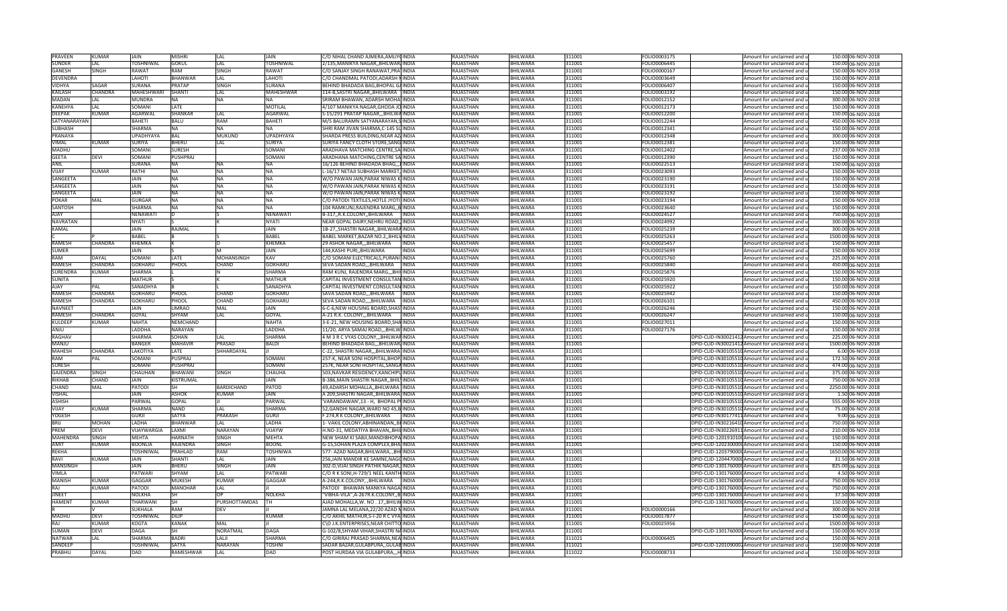| PRAVEEN           | KUMAF          | <b>JAIN</b>             | MISHRI                    | <b>LAL</b>                   | JAIN                 | C/O NIHAL CHAND AJMERA, AMLIYOINDIA                                          |              | RAJASTHAN              | BHILWARA             | 311001           | FOLIO0003175 | Amount for unclaimed and u                                                    | 150.00 06-NOV-2018                       |
|-------------------|----------------|-------------------------|---------------------------|------------------------------|----------------------|------------------------------------------------------------------------------|--------------|------------------------|----------------------|------------------|--------------|-------------------------------------------------------------------------------|------------------------------------------|
| <b>SUNDER</b>     | LAL            | <b>TOSHNIWAL</b>        | <b>GOKUL</b>              | LAL                          | <b>TOSHNIWAL</b>     | 2/135, MANIKYA NAGAR, , BHILWAR INDIA                                        |              | <b>RAJASTHAN</b>       | BHILWARA             | 311001           | FOLIO0006445 | Amount for unclaimed and u                                                    | 150.00 06-NOV-2018                       |
| <b>GANESH</b>     | <b>SINGH</b>   | RAWAT                   | RAM                       | <b>SINGH</b>                 | <b>RAWAT</b>         | C/O SANJAY SINGH RANAWAT, PRA INDIA                                          |              | <b>RAJASTHAN</b>       | BHILWARA             | 311001           | FOLIO0000167 | Amount for unclaimed and u                                                    | 150.00 06-NOV-2018                       |
| <b>DEVENDRA</b>   |                | LAHOTI                  | <b>BHANWAR</b>            | A                            | LAHOTI               | C/O CHANDMAL PATODI, ADARSH NINDIA                                           |              | <b>RAJASTHAN</b>       | <b>BHILWARA</b>      | 311001           | FOLIO0003649 | Amount for unclaimed and u                                                    | 150.00 06-NOV-2018                       |
| VIDHYA            | SAGAR          | SURANA                  | PRATAP                    | <b>SINGH</b>                 | <b>SURANA</b>        | BEHIND BHADADA BAG, BHOPAL GAINDIA                                           |              | RAJASTHAN              | BHILWARA             | 311001           | FOLIO0006407 | Amount for unclaimed and u                                                    | 150.00 06-NOV-2018                       |
| <b>KAILASH</b>    | CHANDRA        | MAHESHWARI              | <b>SHANTI</b>             | LAL                          | <b>MAHESHWAR</b>     | 114-B, SASTRI NAGAR, BHILWARA INDIA                                          |              | RAJASTHAN              | <b>BHILWARA</b>      | 311001           | FOLIO0003192 | Amount for unclaimed and u                                                    | 150.00 06-NOV-2018                       |
| MADAN             | LAL.           | MUNDRA                  | NA                        | <b>NA</b>                    | <b>NA</b>            | SRIRAM BHAWAN, ADARSH MOHAI INDIA                                            |              | RAJASTHAN              | <b>BHILWARA</b>      | 311001           | FOLIO0012152 | Amount for unclaimed and u                                                    | 300.00 06-NOV-2018                       |
| KANEHYA           | LAL            | SOMANI                  | LATE                      |                              | <b>MOTILAL</b>       | 4/107 MANIKYA NAGAR, GHODA JO INDIA                                          |              | RAJASTHAN              | <b>BHILWARA</b>      | 311001           | OLIO0012173  | Amount for unclaimed and u                                                    | 150.00 06-NOV-2018                       |
| <b>DEEPAK</b>     | KUMAR          | AGARWAI                 | SHANKAR                   | LAI                          | AGARWAL              | S-15/291 PRATAP NAGAR,,,BHILWAINDIA                                          |              | RAJASTHAN              | <b>BHILWARA</b>      | 311001           | FOLIO0012200 | Amount for unclaimed and u                                                    | 150.00 06-NOV-2018                       |
| SATYANARAYAN      |                | BAHETI                  | BALU                      | RAM                          | <b>BAHETI</b>        | M/S BALURAMN SATYANARAYAN, SINDIA                                            |              | RAJASTHAN              | <b>BHILWARA</b>      | 311001           | FOLIO0012244 | Amount for unclaimed and u                                                    | 450.00 06-NOV-2018                       |
| <b>SUBHASH</b>    |                | <b>SHARMA</b>           | <b>NA</b>                 | <b>NA</b>                    | <b>NA</b>            | SHRI RAM JIVAN SHARMA, C-145 SUINDIA                                         |              | <b>RAJASTHAN</b>       | <b>BHILWARA</b>      | 311001           | FOLIO0012341 | Amount for unclaimed and u                                                    | 150.00 06-NOV-2018                       |
| PRANAYA           |                | <b>UPADHYAYA</b>        | <b>BAL</b>                | <b>MUKUND</b>                | <b>UPADHYAYA</b>     | SHARDA PRESS BUILDING, NEAR AZ INDIA                                         |              | RAJASTHAN              | BHILWARA             | 311001           | FOLIO0012348 | Amount for unclaimed and u                                                    | 300.00 06-NOV-2018                       |
| VIMAL             | KUMAR          | <b>SURIYA</b>           | <b>BHERU</b>              | LAL                          | <b>SURIYA</b>        | SURIYA FANCY CLOTH STORE, SANG INDIA                                         |              | <b>RAJASTHAN</b>       | BHILWARA             | 311001           | FOLIO0012381 | Amount for unclaimed and u                                                    | 150.00 06-NOV-2018                       |
| <b>MADHU</b>      |                | SOMANI                  | SURESH                    |                              | SOMAN                | ARADHAVA MATCHING CENTRE, SAIINDIA                                           |              | <b>RAJASTHAN</b>       | <b>BHILWARA</b>      | 311001           | FOLIO0012402 | Amount for unclaimed and u                                                    | 237.00 06-NOV-2018                       |
| <b>GEETA</b>      | <b>DEVI</b>    | SOMANI                  | <b>PUSHPRAJ</b>           |                              | SOMANI               | ARADHANA MATCHING, CENTRE SA INDIA                                           |              | <b>RAJASTHAN</b>       | BHILWARA             | 311001           | FOLIO0012390 | Amount for unclaimed and u                                                    | 150.00 06-NOV-2018                       |
| <b>ANIL</b>       |                | <b>SURANA</b>           | NA                        | <b>NA</b>                    | <b>INA</b>           | 16/126 BEHIND BHADADA BHAG,,, INDIA                                          |              | RAJASTHAN              | <b>BHILWARA</b>      | 311001           | FOLIO0022513 | Amount for unclaimed and u                                                    | 150.00 06-NOV-2018                       |
| VIJAY             | KUMAR          | RATHI                   | NA                        | <b>NA</b>                    | <b>NA</b>            | L-16/17 NETAJI SUBHASH MARKET, INDIA                                         |              | RAJASTHAN              | BHILWARA             | 311001           | FOLIO0023093 | Amount for unclaimed and u                                                    | 150.00 06-NOV-2018                       |
| SANGEETA          |                | <b>JAIN</b>             | <b>NA</b>                 | <b>NA</b>                    | <b>NA</b>            | W/O PAWAN JAIN, PARAK NIWAS KIINDIA                                          |              | <b>RAJASTHAN</b>       | <b>BHILWARA</b>      | 311001           | FOLIO0023190 | Amount for unclaimed and u                                                    | 150.00 06-NOV-2018                       |
| SANGEETA          |                | JAIN                    | <b>NA</b>                 | <b>NA</b>                    | <b>NA</b>            | W/O PAWAN JAIN, PARAK NIWAS KINDIA                                           |              | RAJASTHAN              | BHILWARA             | 311001           | FOLIO0023191 | Amount for unclaimed and u                                                    | 150.00 06-NOV-2018                       |
| SANGEETA          |                | JAIN                    | NA                        | <b>NA</b>                    | <b>NA</b>            | W/O PAWAN JAIN, PARAK NIWAS KINDIA                                           |              | RAJASTHAN              | <b>BHILWARA</b>      | 311001           | FOLIO0023192 | Amount for unclaimed and u                                                    | 150.00 06-NOV-2018                       |
| <b>POKAR</b>      | MAL            | GURGAE                  | <b>NA</b>                 | <b>NA</b>                    | <b>NA</b>            | C/O PATODI TEXTILES,HOTLE JYOTI INDIA                                        |              | RAJASTHAN              | <b>HILWARA</b>       | 311001           | OLIO0023194  | Amount for unclaimed and u                                                    | 150.00 06-NOV-2018                       |
| SANTOSH           |                | SHARMA                  | NA                        | <b>NA</b>                    | <b>NA</b>            | 104 RAMKUNJ,RAJENDRA MARG,,BINDIA                                            |              | <b>RAJASTHAN</b>       | <b>BHILWARA</b>      | 311001           | OLIO0023640  | Amount for unclaimed and u                                                    | 150.00 06-NOV-2018                       |
| AJAY              |                | NENAWATI                |                           |                              | NENAWATI             | B-317,,R.K.COLONY,,BHILWARA                                                  | <b>INDIA</b> | RAJASTHAN              | <b>BHILWARA</b>      | 311001           | OLIO0024527  | Amount for unclaimed and u                                                    | 750.00 06-NOV-2018                       |
| <b>NAVRATAN</b>   |                | <b>NYATI</b>            |                           |                              | <b>NYATI</b>         | NEAR GOPAL DAIRY, NEHRU ROAD,, INDIA                                         |              | <b>RAJASTHAN</b>       | <b>BHILWARA</b>      | 311001           | FOLIO0024992 | Amount for unclaimed and u                                                    | 300.00 06-NOV-2018                       |
| KAMAL             |                | <b>JAIN</b>             | RAJMAL                    |                              | JAIN                 | 1B-27, SHASTRI NAGAR, BHILWARA INDIA                                         |              | <b>RAJASTHAN</b>       | <b>BHILWARA</b>      | 311001           | FOLIO0025239 | Amount for unclaimed and u                                                    | 300.00 06-NOV-2018                       |
|                   |                | <b>BABEL</b>            |                           |                              | <b>BABEL</b>         | BABEL MARKET, BAZAR NO.2,, BHILVINDIA                                        |              | RAJASTHAN              | <b>BHILWARA</b>      | 311001           | FOLIO0025263 | Amount for unclaimed and u                                                    | 1500.00 06-NOV-2018                      |
| <b>RAMESH</b>     | CHANDRA        | KHEMKA                  |                           |                              | KHEMKA               | 29 ASHOK NAGAR,,, BHILWARA                                                   | <b>INDIA</b> | RAJASTHAN              | BHILWARA             | 311001           | FOLIO0025457 | Amount for unclaimed and u                                                    | 150.00 06-NOV-2018                       |
| <b>SUMER</b>      |                | <b>JAIN</b>             |                           |                              | <b>JAIN</b>          | 144,KASHI PURI,,BHILWARA                                                     | <b>INDIA</b> | RAJASTHAN              | <b>BHILWARA</b>      | 311001           | FOLIO0025699 | Amount for unclaimed and u                                                    | 150.00 06-NOV-2018                       |
| RAM               | DAYAL          | SOMANI                  | LATF                      | <b>MOHANSINGH</b>            | KAV                  | C/O SOMANI ELECTRICALS, PURANI INDIA                                         |              | <b>RAJASTHAN</b>       | <b>BHILWARA</b>      | 311001           | FOLIO0025760 | Amount for unclaimed and u                                                    | 225.00 06-NOV-2018                       |
| RAMESH            | <b>CHANDRA</b> | <b>GOKHARU</b>          | PHOOL                     | CHAND                        | <b>GOKHARU</b>       | SEVA SADAN ROAD,,, BHILWARA   INDIA                                          |              | RAJASTHAN              | BHILWARA             | 311001           | FOLIO0025840 | Amount for unclaimed and u                                                    | 450.00 06-NOV-2018                       |
| <b>SURENDRA</b>   | <b>KUMAR</b>   | SHARMA                  |                           |                              | SHARMA               | RAM KUNJ, RAJENDRA MARG,,, BHILINDIA                                         |              | RAJASTHAN              | BHILWARA             | 311001           | FOLIO0025876 | Amount for unclaimed and u                                                    | 150.00 06-NOV-2018                       |
| <b>SUNITA</b>     |                | <b>MATHUR</b>           |                           |                              | <b>MATHUR</b>        | CAPITAL INVESTMENT CONSULTAN INDIA                                           |              | RAJASTHAN              | <b>BHILWARA</b>      | 311001           | FOLIO0025920 | Amount for unclaimed and u                                                    | 150.00 06-NOV-2018                       |
| AIAY              | PAI            | <b>SANADHYA</b>         |                           |                              | SANADHYA             | CAPITAL INVESTMENT CONSULTAN INDIA                                           |              | RAJASTHAN              | <b>BHILWARA</b>      | 311001           | FOLIO0025922 | Amount for unclaimed and u                                                    | 150.00 06-NOV-2018                       |
| <b>RAMESH</b>     | CHANDRA        | <b>GOKHARU</b>          | PHOOL                     | CHAND                        | <b>GOKHARU</b>       | SAVA SADAN ROAD,,,BHILWARA                                                   | <b>INDIA</b> | RAJASTHAN              | <b>BHILWARA</b>      | 311001           | FOLIO0025942 | Amount for unclaimed and u                                                    | 150.00 06-NOV-2018                       |
| RAMESH            | CHANDRA        | GOKHARU                 | PHOOL                     | CHAND                        | <b>GOKHARU</b>       | SEVA SADAN ROAD,,,,BHILWARA                                                  | <b>INDIA</b> | RAJASTHAN              | <b>HILWARA</b>       | 311001           | FOLIO0026101 | Amount for unclaimed and u                                                    | 450.00 06-NOV-2018                       |
| <b>NAVNEET</b>    |                | <b>JAIN</b>             | <b>IMRAO</b>              | MAL                          | <b>JAIN</b>          | 6-C-6,NEW HOUSING BOARD, SHAS INDIA                                          |              | <b>RAJASTHAN</b>       | <b>BHILWARA</b>      | 311001           | OLIO0026246  | Amount for unclaimed and u                                                    | 150.00 06-NOV-2018                       |
|                   |                |                         |                           |                              |                      |                                                                              |              |                        |                      |                  |              |                                                                               |                                          |
| RAMESH            | CHANDRA        | GOYAL                   | SHYAM                     | LAL                          | GOYAL                | A-21 R.K. COLONY,,,BHILWARA                                                  | <b>INDIA</b> | RAJASTHAN              | BHILWARA             | 311001           | OLIO0026247  | Amount for unclaimed and u                                                    | 150.00 06-NOV-2018                       |
| <b>KULDEEP</b>    | KUMAR          | <b>NAHTA</b>            | NEMCHAND                  |                              | <b>NAHTA</b>         | 3-E-21, NEW HOUSING BOARD, SHAINDIA                                          |              | RAJASTHAN              | BHILWARA             | 311001           | FOLIO0027011 | Amount for unclaimed and u                                                    | 150.00 06-NOV-2018                       |
| ULIAA             |                | LADDHA                  | NARAYAN                   |                              | <b>LADDHA</b>        | 11/20, ARYA SAMAJ ROAD, BHILW INDIA                                          |              | <b>RAJASTHAN</b>       | BHILWARA             | 311001           | FOLIO0027176 | Amount for unclaimed and u                                                    | 150.00 06-NOV-2018                       |
| <b>RAGHAV</b>     |                | SHARMA                  | SOHAN                     | LAL.                         | <b>SHARMA</b>        | 4 M 3 R C VYAS COLONY, BHILWARINDIA                                          |              | <b>RAJASTHAN</b>       | <b>BHILWARA</b>      | 311001           |              | DPID-CLID-IN30021412 Amount for unclaimed and u                               | 225.00 06-NOV-2018                       |
| <b>MANJU</b>      |                | <b>BANGER</b>           | <b>MAHAVIR</b>            | PRASAD                       | <b>BALDI</b>         | BEHIND BHADADA BAG,,,BHILWAR/INDIA                                           |              | RAJASTHAN              | BHILWARA             | 311001           |              | DPID-CLID-IN30021412 Amount for unclaimed and u                               | 1500.00 06-NOV-2018                      |
| <b>MAHESH</b>     | CHANDRA        | LAKOTIYA                | LATE                      | SHHARDAYAL                   |                      | C-22, SHASTRI NAGAR,,,BHILWARA INDIA                                         |              | RAJASTHAN              | <b>BHILWARA</b>      | 311001           |              | DPID-CLID-IN30105510 Amount for unclaimed and u                               | 6.00 06-NOV-2018                         |
| RAM               | PAL            | SOMANI                  | <b>PUSPRAJ</b>            |                              | SOMANI               | 257-K. NEAR SONI HOSPITAL BHOP INDIA                                         |              | <b>RAJASTHAN</b>       | <b>BHILWARA</b>      | 311001           |              | DPID-CLID-IN30105510Amount for unclaimed and u                                | 172.50 06-NOV-2018                       |
| <b>SURESH</b>     |                | SOMANI                  | PUSHPRAJ                  |                              | SOMANI               | 257K, NEAR SONI HOSPITAL, SANGA INDIA                                        |              | RAJASTHAN              | <b>BHILWARA</b>      | 311001           |              | DPID-CLID-IN30105510 Amount for unclaimed and u                               | 474.00 06-NOV-2018                       |
| <b>GAJENDRA</b>   | <b>SINGH</b>   | CHAUHAN                 | BHAWANI                   | SINGH                        | CHAUHA               | 503, NAVKAR RESIDENCY, KANCHIPUINDIA                                         |              | RAJASTHAN              | BHILWARA             | 311001           |              | DPID-CLID-IN30105510 Amount for unclaimed and u                               | 375.00 06-NOV-2018                       |
| <b>RIKHAB</b>     | CHAND          | <b>JAIN</b>             | KISTRUMAL                 |                              | <b>JAIN</b>          | B-386, MAIN SHASTRI NAGAR, BHILLINDIA                                        |              | <b>RAJASTHAN</b>       | <b>BHILWARA</b>      | 311001           |              | DPID-CLID-IN30105510 Amount for unclaimed and u                               | 750.00 06-NOV-2018                       |
| CHAND             | MAL            | PATODI                  | <b>SH</b>                 | <b>BARDICHAND</b>            | PATOD                | 49, ADARSH MOHALLA, BHILWARA INDIA                                           |              | <b>RAJASTHAN</b>       | <b>BHILWARA</b>      | 311001           |              | DPID-CLID-IN30105510 Amount for unclaimed and u                               | 2250.00 06-NOV-2018                      |
| <b>VISHAL</b>     |                | JAIN                    | ASHOK                     | KUMAR                        | JAIN                 | A 209, SHASTRI NAGAR, BHILWARA INDIA                                         |              | RAJASTHAN              | BHILWARA             | 311001           |              | DPID-CLID-IN30105510 Amount for unclaimed and u                               | 1.50 06-NOV-2018                         |
| <b>ASHISH</b>     |                | PARWAL                  | GOPAL                     |                              | PARWAI               | VARANDAWAN',13 - H, BHOPAL PUNDIA                                            |              | RAJASTHAN              | <b>BHILWARA</b>      | 311001           |              | DPID-CLID-IN30105510 Amount for unclaimed and u                               | 555.00 06-NOV-2018                       |
| VIJAY             | KUMAR          | SHARMA                  | NAND                      | LAI                          | <b>SHARMA</b>        | 52, GANDHI NAGAR, WARD NO 45, B INDIA                                        |              | RAJASTHAN              | <b>HILWARA</b>       | 311001           |              | DPID-CLID-IN30105510 Amount for unclaimed and u                               | 75.00 06-NOV-2018                        |
| YOGESH            |                | GURII                   | <b>SATYA</b>              | PRAKASH                      | <b>GURJI</b>         | <sup>2</sup> 74,R K COLONY,,BHILWARA                                         | <b>INDIA</b> | <b>RAJASTHAN</b>       | <b>BHILWARA</b>      | 311001           |              | DPID-CLID-IN30177411 Amount for unclaimed and u                               | 9.00 06-NOV-2018                         |
| RRII              | <b>MOHAN</b>   | LADHA                   | BHANWAR                   | LAL                          | LADHA                | 1- VAKIL COLONY, ABHINANDAN, BHINDIA                                         |              | RAJASTHAN              | BHILWARA             | 311001           |              | DPID-CLID-IN30216410 Amount for unclaimed and u                               | 750.00 06-NOV-2018                       |
| PREM              | <b>DFVI</b>    | VIJAYWARGIA             | LAXMI                     | <b>NARAYAN</b>               | <b>VIJAYW</b>        | H.NO-31, MEDATIYA BHAVAN, BHILINDIA                                          |              | <b>RAJASTHAN</b>       | <b>BHILWARA</b>      | 311001           |              | DPID-CLID-IN30226911 Amount for unclaimed and u                               | 210.00 06-NOV-2018                       |
| <b>MAHENDRA</b>   | <b>SINGH</b>   | <b>MEHTA</b>            | HARNATH                   | SINGH                        | <b>MEHTA</b>         | NEW SHAM KI SABJI.MANDIBHOPA INDIA                                           |              | <b>RAJASTHAN</b>       | <b>BHILWARA</b>      | 311001           |              | DPID-CLID-1201910100 Amount for unclaimed and u                               | 150.00 06-NOV-2018                       |
| <b>AMIT</b>       | <b>KUMAR</b>   | <b>BOONLIA</b>          | RAJENDRA                  | <b>SINGH</b>                 | <b>BOONL</b>         | G-15, SOHAN PLAZA COMPLEX, BHAINDIA                                          |              | <b>RAJASTHAN</b>       | <b>BHILWARA</b>      | 311001           |              | DPID-CLID-1202300000 Amount for unclaimed and u                               | 150.00 06-NOV-2018                       |
| <b>REKHA</b>      |                | TOSHNIWAL               | PRAHLAD                   | <b>RAM</b>                   | <b>TOSHNIWA</b>      | 577- AZAD NAGAR, BHILWARA,., BHI INDIA                                       |              | RAJASTHAN              | BHILWARA             | 311001           |              | DPID-CLID-1203790000 Amount for unclaimed and u                               | 1650.00 06-NOV-2018                      |
| RAVI              | KUMAR          | JAIN                    | SHANTI                    | LAL                          | <b>JAIN</b>          | 256, JAIN MANDIR KE SAMNE, NAGQINDIA                                         |              | <b>RAJASTHAN</b>       | <b>BHILWARA</b>      | 311001           |              | DPID-CLID-1204470000 Amount for unclaimed and u                               | 31.50 06-NOV-2018                        |
| <b>MANSINGH</b>   |                | <b>JAIN</b>             | BHERU                     | <b>SINGH</b>                 | <b>JAIN</b>          | 302-D, VIJAI SINGH PATHIK NAGAR, INDIA                                       |              | <b>RAJASTHAN</b>       | <b>BHILWARA</b>      | 311001           |              | DPID-CLID-1301760000 Amount for unclaimed and u                               | 825.00 06-NOV-2018                       |
| VIMLA             |                | PATWARI                 | SHYAM                     | LAL                          | PATWARI              | C/O R K SONI, H-729/1 NEEL KANTH INDIA                                       |              | RAJASTHAN              | <b>BHILWARA</b>      | 311001           |              | DPID-CLID-1301760000 Amount for unclaimed and u                               | 4.50 06-NOV-2018                         |
| MANISH            | KUMAR          | GAGGAR                  | <b>MUKESH</b>             | KUMAI                        | GAGGAR               | A-244, R.K.COLONY, , BHILWARA                                                | <b>INDIA</b> | RAJASTHAN              | BHILWARA             | 311001           |              | DPID-CLID-1301760000 Amount for unclaimed and u                               | 750.00 06-NOV-2018                       |
| RAI               | KUMAR          | <b>PATODI</b>           | MANOHAR                   | LAL                          |                      | PATODI BHAWAN MANKYA NAGA INDIA                                              |              | RAJASTHAN              | BHILWARA             | 311001           |              | DPID-CLID-1301760000 Amount for unclaimed and u                               | 750.00 06-NOV-2018                       |
| <b>JINEET</b>     |                | <b>NOLKHA</b>           | <b>SH</b>                 |                              | <b>NOLKHA</b>        | "VIBHA-VILA",A-267R.K.COLONY,,BIINDIA                                        |              | <b>RAJASTHAN</b>       | <b>BHILWARA</b>      | 311001           |              | DPID-CLID-1301760000 Amount for unclaimed and u                               | 37.50 06-NOV-2018                        |
| <b>HAMENT</b>     | <b>KUMAR</b>   | THARWANI                | <b>SH</b>                 | PURSHOTTAMDAS                |                      | AJAD MOHALLA, W. NO. 17, BHILW INDIA                                         |              | RAJASTHAN              | <b>BHILWARA</b>      | 311001           |              | DPID-CLID-1301760000 Amount for unclaimed and u                               | 150.00 06-NOV-2018                       |
|                   |                | SUKHALA                 | <b>RAM</b>                | DEV                          |                      | JAMNA LAL MELANA, 22/20 AZAD NINDIA                                          |              | RAJASTHAN              | <b>BHILWARA</b>      | 311001           | FOLIO0000166 | Amount for unclaimed and u                                                    | 300.00 06-NOV-2018                       |
| <b>MADHU</b>      | <b>DEVI</b>    | <b>TOSHNIWAL</b>        | <b>DILIF</b>              |                              | <b>KUMAR</b>         | C/O AKHIL MATHUR,5-I-20 R C VYAJINDIA                                        |              | <b>RAJASTHAN</b>       | <b>BHILWARA</b>      | 311001           | OLIO0017877  | Amount for unclaimed and u                                                    | 150.00 06-NOV-2018                       |
| RAJ               | KUMAR          | KOGTA                   | <b>KANAK</b>              | MAL                          |                      | C\O J.K.ENTERPRISES, NEAR CHITTO INDIA                                       |              | RAJASTHAN              | <b>BHILWARA</b>      | 311001           | FOLIO0025956 | Amount for unclaimed and u                                                    | 1500.00 06-NOV-2018                      |
| <b>SUMAN</b>      | <b>DEVI</b>    | DAGA                    | SH                        | <b>NORATMAL</b>              | <b>DAGA</b>          | G-102/8, SHYAM VIHAR, SHASTRI NAINDIA                                        |              | <b>RAJASTHAN</b>       | <b>BHILWARA</b>      | 311001           |              | DPID-CLID-1301760000 Amount for unclaimed and u                               | 150.00 06-NOV-2018                       |
| <b>NATWAF</b>     | <b>LAL</b>     | SHARMA                  | <b>BADR</b>               | LALJI                        | <b>SHARMA</b>        | C/O GIRIRAJ PRASAD SHARMA, NEA INDIA                                         |              | <b>RAJASTHAN</b>       | <b>BHILWARA</b>      | 311021           | OLIO0006405  | Amount for unclaimed and u                                                    | 150.00 06-NOV-2018                       |
| SANDEEP<br>PRABHU | <b>DAYAL</b>   | <b>TOSHNIWAL</b><br>DAD | <b>SATYA</b><br>RAMESHWAR | <b>NARAYAN</b><br><b>LAL</b> | <b>TOSHNI</b><br>DAD | SADAR BAZAR, GULABPURA,, GULAB INDIA<br>POST HURDAA VIA GULABPURA,,, H INDIA |              | RAJASTHAN<br>RAJASTHAN | BHILWARA<br>BHILWARA | 311021<br>311022 | FOLIO0008733 | DPID-CLID-1201090002 Amount for unclaimed and u<br>Amount for unclaimed and u | 150.00 06-NOV-2018<br>150.00 06-NOV-2018 |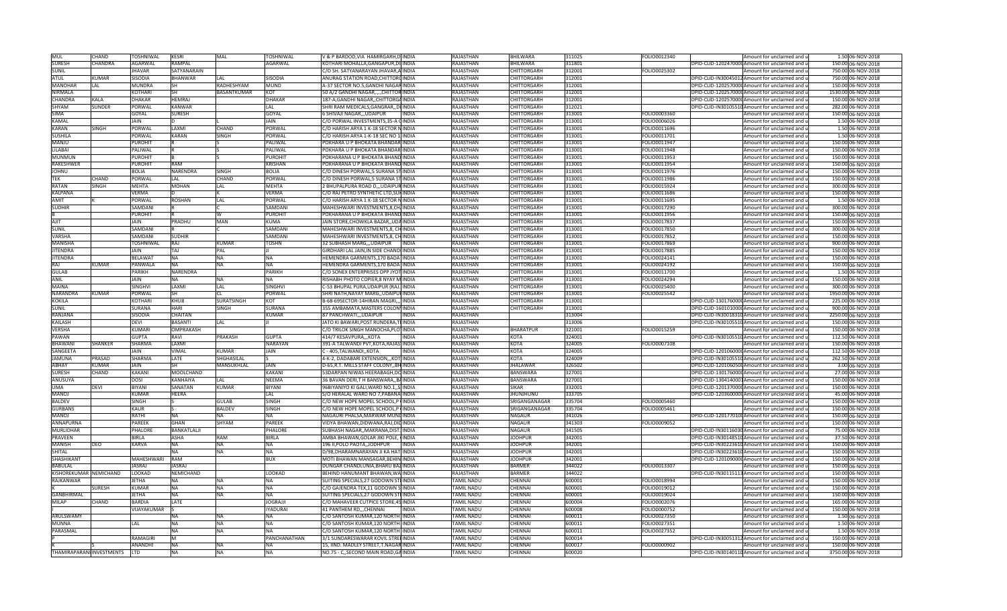| <b>MUL</b>             | CHAND          | TOSHNIWAL        | KESRI              | MAL               | TOSHNIWAL      | V & P BARDOD, VIA HAMIRGARH, DINDIA      |              | RAJASTHAN         | BHILWARA           | 311025 | FOLIO0012340 | Amount for unclaimed and u                      | 1.50 06-NOV-2018    |
|------------------------|----------------|------------------|--------------------|-------------------|----------------|------------------------------------------|--------------|-------------------|--------------------|--------|--------------|-------------------------------------------------|---------------------|
| <b>SURESH</b>          | <b>CHANDRA</b> | <b>AGARWAL</b>   | <b>RAMPAL</b>      |                   | <b>AGARWAL</b> | KOTHARI MOHALLA, GANGAPUR, DI INDIA      |              | RAJASTHAN         | <b>BHILWARA</b>    | 311801 |              | DPID-CLID-1202470000 Amount for unclaimed and u | 150.00 06-NOV-2018  |
| <b>SUNIL</b>           |                | <b>JHAVAR</b>    | SATYANARAIN        |                   |                | C/O SH. SATYANARAYAN JHAVAR, A INDIA     |              | <b>RAJASTHAN</b>  | CHITTORGARH        | 312001 | FOLIO0025302 | Amount for unclaimed and u                      | 750.00 06-NOV-2018  |
| <b>ATUL</b>            | <b>KUMAR</b>   | <b>SISODIA</b>   | <b>BHANWAR</b>     | IAI               | <b>SISODIA</b> | ANURAG STATION ROAD, CHITTOROINDIA       |              | <b>RAJASTHAN</b>  | CHITTORGARH        | 312001 |              | DPID-CLID-IN30045012 Amount for unclaimed and u | 750.00 06-NOV-2018  |
| <b>MANOHAR</b>         | LAL            | <b>MUNDRA</b>    | <b>SH</b>          | RADHESHYAM        | MUND           | A-37 SECTOR NO.5, GANDHI NAGARINDIA      |              | RAJASTHAN         | CHITTORGARH        | 312001 |              | DPID-CLID-1202570000 Amount for unclaimed and u | 150.00 06-NOV-2018  |
| <b>NIRMALA</b>         |                | KOTHARI          | lsh                | BASANTKUMAR       | KOT            | 50 A/2 GANDHI NAGAR,.,.,CHITTOR INDIA    |              | RAJASTHAN         | CHITTORGARH        | 312001 |              | DPID-CLID-1202570000 Amount for unclaimed and u | 1530.00 06-NOV-2018 |
| CHANDRA                | <b>KALA</b>    | DHAKAR           | <b>HFMRAI</b>      |                   | <b>DHAKAR</b>  | 187-A, GANDHI NAGAR, , CHITTORGA INDIA   |              | <b>RAJASTHAN</b>  | CHITTORGARH        | 312001 |              | DPID-CLID-1202570000 Amount for unclaimed and u | 150.00 06-NOV-2018  |
| SHYAM                  | SUNDER         | PORWAI           | <b>KANWAR</b>      |                   | LAL            | SHRI RAM MEDICALS, GANGRAR, , DI INDIA   |              | RAJASTHAN         | CHITTORGARH        | 312021 |              | DPID-CLID-IN30105510 Amount for unclaimed and u | 282.00 06-NOV-2018  |
| <b>SIMA</b>            |                |                  |                    |                   |                |                                          |              |                   |                    |        |              |                                                 |                     |
|                        |                | GOYAL            | SURESH             |                   | GOYAL          | 6 SHIVAJI NAGAR,,,UDAIPUR                | INDIA        | RAJASTHAN         | CHITTORGARH        | 313001 | FOLIO0003360 | Amount for unclaimed and u                      | 150.00 06-NOV-2018  |
| KAMAL                  |                | <b>JAIN</b>      |                    |                   | JAIN           | C/O PORWAL INVESTMENTS, 35-A CINDIA      |              | RAJASTHAN         | CHITTORGARH        | 313001 | FOLIO0006026 | Amount for unclaimed and u                      | 1.50 06-NOV-2018    |
| <b>KARAN</b>           | SINGH          | PORWAL           | LAXMI              | CHAND             | PORWAL         | C/O HARISH ARYA 1 K-18 SECTOR NINDIA     |              | RAJASTHAN         | CHITTORGARH        | 313001 | FOLIO0011696 | Amount for unclaimed and u                      | 1.50 06-NOV-2018    |
| <b>SUSHILA</b>         |                | PORWAL           | <b>KARAN</b>       | <b>SINGH</b>      | PORWAL         | C/O HARISH ARYA 1-K-18 SEC NO 1 INDIA    |              | RAJASTHAN         | CHITTORGARH        | 313001 | FOLIO0011701 | Amount for unclaimed and u                      | 1.50 06-NOV-2018    |
| MANJU                  |                | <b>PUROHIT</b>   |                    |                   | PALIWAL        | POKHARA U P BHOKATA BHANDAR INDIA        |              | RAJASTHAN         | CHITTORGARH        | 313001 | FOLIO0011947 | Amount for unclaimed and u                      | 150.00 06-NOV-2018  |
| LILABAI                |                | PALIWAL          |                    |                   | PALIWAL        | POKHARA U P BHOKATA BHANDAR INDIA        |              | RAJASTHAN         | CHITTORGARH        | 313001 | FOLIO0011948 | Amount for unclaimed and u                      | 150.00 06-NOV-2018  |
| <b>MUNMUN</b>          |                | <b>PUROHIT</b>   |                    |                   | PUROHIT        | POKHARANA U P BHOKATA BHAND INDIA        |              | <b>RAJASTHAN</b>  | CHITTORGARH        | 313001 | FOLIO0011953 | Amount for unclaimed and u                      | 150.00 06-NOV-2018  |
| <b>RAKESHWER</b>       |                | PUROHIT          | <b>RAM</b>         |                   | KRISHAN        | POKHARANA U P BHOKATA BHAND INDIA        |              | RAJASTHAN         | <b>CHITTORGARH</b> | 313001 | FOLIO0011954 | Amount for unclaimed and u                      | 150.00 06-NOV-2018  |
| <b>JOHNU</b>           |                | <b>BOLIA</b>     | NARENDRA           | SINGH             | <b>BOLIA</b>   | C/O DINESH PORWAL,5 SURANA STINDIA       |              | RAJASTHAN         | CHITTORGARH        | 313001 | FOLIO0011976 | Amount for unclaimed and u                      | 150.00 06-NOV-2018  |
| <b>TFK</b>             | CHAND          | PORWAL           | <b>LAL</b>         | CHAND             | PORWAL         | C/O DINESH PORWAL,5 SURANA STINDIA       |              | <b>RAJASTHAN</b>  | CHITTORGARH        | 313001 | FOLIO0011986 | Amount for unclaimed and u                      | 150.00 06-NOV-2018  |
| <b>RATAN</b>           | <b>SINGH</b>   | MEHTA            | <b>MOHAN</b>       | LAL               | MEHTA          | 2 BHUPALPURA ROAD D,,, UDAIPUR INDIA     |              | RAJASTHAN         | CHITTORGARH        | 313001 | FOLIO0015924 | Amount for unclaimed and u                      | 300.00 06-NOV-2018  |
| <b>KALPANA</b>         |                | VFRMA            |                    |                   | VERMA          | C/O RAJ PETRO SYNTHETIC LTD, SUMINDIA    |              | RAJASTHAN         | CHITTORGARH        | 313001 | FOLIO0011686 | Amount for unclaimed and u                      | 150.00 06-NOV-2018  |
| <b>AMIT</b>            |                | PORWAL           | ROSHAN             | LAL               | <b>ORWAL</b>   | C/O HARISH ARYA 1 K-18 SECTOR NINDIA     |              | RAJASTHAN         | CHITTORGARH        | 313001 | OLIO0011695  | Amount for unclaimed and u                      | 1.50 06-NOV-2018    |
| <b>SUDHIR</b>          |                | SAMDAN           |                    |                   | SAMDANI        | MAHESHWARI INVESTMENTS.8.CH/INDIA        |              | RAJASTHAN         | CHITTORGARH        | 313001 |              |                                                 |                     |
|                        |                |                  |                    |                   |                |                                          |              |                   |                    |        | OLIO0017290  | Amount for unclaimed and u                      | 300.00 06-NOV-2018  |
|                        |                | <b>PUROHI</b>    |                    | W                 | PUROHIT        | POKHARANA U P BHOKATA BHAND INDIA        |              | RAJASTHAN         | CHITTORGARH        | 313001 | FOLIO0011956 | Amount for unclaimed and u                      | 150.00 06-NOV-2018  |
| <b>AJIT</b>            |                | <b>JAIN</b>      | PRADHU             | MAN               | KUMA           | JAIN STORE, CHOWKLA BAZAR, , UDA INDIA   |              | RAJASTHAN         | CHITTORGARH        | 313001 | FOLIO0017837 | Amount for unclaimed and u                      | 150.00 06-NOV-2018  |
| <b>SUNIL</b>           |                | SAMDANI          |                    |                   | SAMDANI        | MAHESHWARI INVESTMENTS, 8, CHINDIA       |              | RAJASTHAN         | CHITTORGARH        | 313001 | FOLIO0017850 | Amount for unclaimed and u                      | 300.00 06-NOV-2018  |
| VARSHA                 |                | SAMDANI          | <b>SUDHIR</b>      |                   | SAMDANI        | MAHESHWARI INVESTMENTS, 8, CHINDIA       |              | <b>RAJASTHAN</b>  | CHITTORGARH        | 313001 | FOLIO0017852 | Amount for unclaimed and u                      | 150.00 06-NOV-2018  |
| <b>MANISHA</b>         |                | <b>TOSHNIWAL</b> | RAJ                | <b>KUMAR</b>      | <b>TOSHN</b>   | 32 SUBHASH MARG,,, UDAIPUR               | <b>INDIA</b> | RAJASTHAN         | CHITTORGARH        | 313001 | FOLIO0017869 | Amount for unclaimed and u                      | 900.00 06-NOV-2018  |
| <b>JITENDRA</b>        |                | <b>JAIN</b>      | TAJ                | PAL               |                | GIRDHARI LAL JAIN, IN SIDE CHANDHINDIA   |              | RAJASTHAN         | CHITTORGARH        | 313001 | FOLIO0017885 | Amount for unclaimed and u                      | 150.00 06-NOV-2018  |
| <b>JITENDRA</b>        |                | <b>BELAWAT</b>   | <b>NA</b>          | <b>NA</b>         | <b>NA</b>      | HEMENDRA GARMENTS, 170 BADA INDIA        |              | RAJASTHAN         | CHITTORGARH        | 313001 | FOLIO0024141 | Amount for unclaimed and u                      | 150.00 06-NOV-2018  |
| RAJ                    | KUMAR          | PANWALA          | <b>NA</b>          | <b>NA</b>         | NA             | HEMENDRA GARMENTS, 170 BADA INDIA        |              | RAJASTHAN         | CHITTORGARH        | 313001 | FOLIO0024192 | Amount for unclaimed and u                      | 150.00 06-NOV-2018  |
| <b>GULAB</b>           |                | PARIKH           | NARENDRA           |                   | PARIKH         | C/O SONEX ENTERPRISES OPP JYOT INDIA     |              | RAJASTHAN         | CHITTORGARH        | 313001 | FOLIO0011700 | Amount for unclaimed and u                      | 1.50 06-NOV-2018    |
| <b>ANIL</b>            |                | <b>JAIN</b>      | <b>NA</b>          | <b>NA</b>         |                | RISHABH PHOTO COPIER, 8 NYAY M INDIA     |              | RAJASTHAN         | CHITTORGARH        | 313001 | FOLIO0024294 | Amount for unclaimed and u                      | 150.00 06-NOV-2018  |
| <b>MAINA</b>           |                | <b>SINGHVI</b>   | LAXMI              | LAL               | <b>SINGHVI</b> | C-53 BHUPAL PURA, UDAIPUR (RAJ. INDIA    |              | RAJASTHAN         | CHITTORGARH        | 313001 | FOLIO0025400 | Amount for unclaimed and u                      | 300.00 06-NOV-2018  |
| NARANDRA               | KUMAR          | PORWAL           | <b>SH</b>          | CL.               | PORWAL         | SHRI NATH, NAYAY MARG,, UDAIPUI INDIA    |              | RAJASTHAN         | CHITTORGARH        | 313001 | FOLIO0025542 | Amount for unclaimed and u                      | 1950.00 06-NOV-2018 |
| <b>KOKILA</b>          |                | KOTHARI          | KHUB               | <b>SURATSINGH</b> |                |                                          |              |                   |                    |        |              |                                                 |                     |
|                        |                |                  |                    | <b>SINGH</b>      |                | B-68-69SECTOR-14HIRAN MAGRI,,, INDIA     |              | RAJASTHAN         | CHITTORGARH        | 313001 |              | DPID-CLID-1301760000 Amount for unclaimed and u | 225.00 06-NOV-2018  |
| <b>SUNIL</b>           |                | <b>SURANA</b>    | HARI               |                   | SURANA         | 355 AMBAMATA, MASTERS COLON INDIA        |              | RAJASTHAN         | CHITTORGARH        | 313001 |              | DPID-CLID-1601010000 Amount for unclaimed and u | 900.00 06-NOV-2018  |
| RANJANA                |                | SISODIA          | CHAITAN            |                   | KUMAR          | 87 PANCHWATI,,,UDAIPUR                   | NDIA         | RAJASTHAN         |                    | 313004 |              | DPID-CLID-IN30018310 Amount for unclaimed and u | 2250.00 06-NOV-2018 |
| <b>KAILASH</b>         |                | <b>DEVI</b>      | <b>BASANTI</b>     | LAL               |                | JATO KI BAWARI, POST RUNDERA, TEINDIA    |              | RAJASTHAN         |                    | 313006 |              | DPID-CLID-IN30105510 Amount for unclaimed and u | 150.00 06-NOV-2018  |
| VERSHA                 |                | <b>KUMARI</b>    | <b>OMPRAKASH</b>   |                   |                | C/O TRILOK SINGH MANOCHA, PLOTINDIA      |              | RAJASTHAN         | <b>BHARATPUR</b>   | 321001 | FOLIO0015259 | Amount for unclaimed and u                      | 150.00 06-NOV-2018  |
| PAWAN                  |                | <b>GUPTA</b>     | RAVI               | <b>PRAKASH</b>    | <b>GUPTA</b>   | 414/7 KESAVPURA,,,KOTA                   | INDIA        | RAJASTHAN         | <b>KOTA</b>        | 324001 |              | DPID-CLID-IN30105510 Amount for unclaimed and u | 112.50 06-NOV-2018  |
| <b>BHAWANI</b>         | <b>SHANKER</b> | SHARMA           | LAXMI              |                   | NARAYAN        | 391-A TALWANDI PVT, KOTA, RAJAS INDIA    |              | RAJASTHAN         | KOTA               | 324005 | FOLIO0007108 | Amount for unclaimed and u                      | 150.00 06-NOV-2018  |
| SANGEETA               |                | <b>JAIN</b>      | VIMAL              | KUMAR             | <b>JAIN</b>    | 2 - 405, TALWANDI, KOTA                  | <b>NDIA</b>  | RAJASTHAN         | KOTA               | 324005 |              | DPID-CLID-1201060000 Amount for unclaimed and u | 112.50 06-NOV-2018  |
| <b>JAMUNA</b>          | PRASAD         | <b>SHARMA</b>    | LATF               | SHGHASILAL        |                | 4-K-2, DADABARI EXTENSIONKOT INDIA       |              | RAJASTHAN         | KOTA               | 324009 |              | DPID-CLID-IN30105510Amount for unclaimed and u  | 262.50 06-NOV-2018  |
| ABHAY                  | KIIMAR         | <b>JAIN</b>      | <b>SH</b>          | MANSUKHLAL        | <b>JAIN</b>    | D-65, R.T. MILLS STAFF COLONY,, BH INDIA |              | RAJASTHAN         | <b>JHALAWAR</b>    | 326502 |              | DPID-CLID-1201060500 Amount for unclaimed and u | 3.00 06-NOV-2018    |
| <b>SURESH</b>          | CHAND          | KAKAN            | MOOLCHAND          |                   | KAKANI         | 53DARPAN NIWAS HEERABAGH, DOINDIA        |              | RAJASTHAN         | <b>BANSWARA</b>    | 327001 |              | DPID-CLID-1301760000 Amount for unclaimed and u | 27.00 06-NOV-2018   |
| ANUSUYA                |                | <b>DOSI</b>      | <b>KANHAIYA</b>    | LAL               | NEEMA          | 36 BAVAN DERI, TH BANSWARA,, BAINDIA     |              | RAJASTHAN         | <b>BANSWARA</b>    | 327001 |              | DPID-CLID-1304140001Amount for unclaimed and u  | 150.00 06-NOV-2018  |
| UMA                    | <b>DEVI</b>    | <b>BIYANI</b>    | SANATAN            | <b>KUMAR</b>      | BIYANI         | 96BIYANIYO KI GALI, WARD NO.1,,SHNDIA    |              | <b>RAJASTHAN</b>  | SIKAR              | 332001 |              | DPID-CLID-1201370000 Amount for unclaimed and u | 150.00 06-NOV-2018  |
|                        |                | KUMAR            | <b>HEERA</b>       |                   |                | S/O HERALAL WARD NO 7, PABANA INDIA      |              | <b>RAJASTHAN</b>  |                    |        |              |                                                 |                     |
| MANOJ                  |                |                  |                    |                   | LAL            |                                          |              |                   | UNUHLNUHL          | 333705 |              | DPID-CLID-1203600000 Amount for unclaimed and u | 45.00 06-NOV-2018   |
| <b>BALDEV</b>          |                | <b>SINGH</b>     |                    | <b>GULAB</b>      | SINGH          | C/O NEW HOPE MOPEL SCHOOL,P (INDIA       |              | RAJASTHAN         | SRIGANGANAGAF      | 335704 | FOLIO0005460 | Amount for unclaimed and u                      | 150.00 06-NOV-2018  |
| <b>GURBANS</b>         |                | KAUR             |                    | <b>BALDEV</b>     | SINGH          | C/O NEW HOPE MOPEL SCHOOL,P (INDIA       |              | RAJASTHAN         | SRIGANGANAGAR      | 335704 | FOLIO0005461 | Amount for unclaimed and u                      | 150.00 06-NOV-2018  |
| <b>MANOJ</b>           |                | RATHI            | <b>NA</b>          | <b>NA</b>         | NА             | NAGAURI PHALSA.MARWAR MUNLINDIA          |              | RAJASTHAN         | NAGAUR             | 341026 |              | DPID-CLID-1201770100 Amount for unclaimed and u | 150.00 06-NOV-2018  |
| ANNAPURNA              |                | <b>PARFFK</b>    | <b>GHAN</b>        | SHYAM             | PAREEK         | VIDYA BHAWAN,DIDWANA,RAJ,DIDINDIA        |              | RAJASTHAN         | NAGAUR             | 341303 | FOLIO0009052 | Amount for unclaimed and u                      | 150.00 06-NOV-2018  |
| <b>MURLIDHAR</b>       |                | PHALORE          | <b>BANKATLALJI</b> |                   | PHALORE        | SUBHASH NAGAR, MAKRANA, DIST. INDIA      |              | RAJASTHAN         | NAGAUR             | 341505 |              | DPID-CLID-IN30116030 Amount for unclaimed and u | 75.00 06-NOV-2018   |
| <b>PRAVEEN</b>         |                | <b>BIRLA</b>     | <b>ASHA</b>        | RAM               | <b>BIRLA</b>   | AMBA BHAWAN.GOLAR JIKI POLE, (INDIA      |              | RAJASTHAN         | <b>JODHPUR</b>     | 342001 |              | DPID-CLID-IN30148510Amount for unclaimed and u  | 37.50 06-NOV-2018   |
| <b>MANISH</b>          | DEO            | <b>KARVA</b>     | <b>NA</b>          | <b>NA</b>         | <b>NA</b>      | 196 II, POLO PAOTA, JODHPUR              | <b>INDIA</b> | RAJASTHAN         | <b>JODHPUR</b>     | 342001 |              | DPID-CLID-IN30223610 Amount for unclaimed and u | 150.00 06-NOV-2018  |
| SHITAL                 |                |                  | <b>NA</b>          | <b>NA</b>         | <b>NA</b>      | D/98, DHARAMNARAYAN JI KA HATIINDIA      |              | RAJASTHAN         | <b>JODHPUR</b>     | 342001 |              | DPID-CLID-IN30223610 Amount for unclaimed and u | 150.00 06-NOV-2018  |
| SHASHIKANT             |                | MAHESHWARI       | RAM                |                   | <b>BUX</b>     | MOTI BHAWAN MANSAGAR, BEHIN INDIA        |              | RAJASTHAN         | <b>JODHPUR</b>     | 342001 |              | DPID-CLID-120109000(Amount for unclaimed and u  | 150.00 06-NOV-2018  |
| <b>BABULAL</b>         |                | <b>JASRAJ</b>    | <b>JASRAJ</b>      |                   |                | DUNGAR CHANDLUNIA, BHARU BAZINDIA        |              | RAJASTHAN         | BARMER             | 344022 | FOLIO0013307 | Amount for unclaimed and u                      | 150.00 06-NOV-2018  |
| KISHOREKUMAR NEMICHAND |                | LOOKAD           | NEMICHAND          |                   | LOOKAD         | BEHIND HANUMANT BHAWAN, WA INDIA         |              | RAJASTHAN         | <b>BARMER</b>      | 344022 |              | DPID-CLID-IN30115113 Amount for unclaimed and u | 150.00 06-NOV-2018  |
| RAJKANWAR              |                | <b>JETHA</b>     | <b>NA</b>          | <b>NA</b>         | NA             | SUITING SPECIALS, 27 GODOWN STRINDIA     |              | TAMIL NADU        | CHENNAI            | 600001 | FOLIO0018994 | Amount for unclaimed and u                      | 150.00 06-NOV-2018  |
|                        | SURESH         | <b>KUMAR</b>     | <b>NA</b>          | <b>NA</b>         | <b>NA</b>      | C/O GAJENDRA TEX, 11 GODOWN SINDIA       |              | TAMIL NADU        | CHENNAI            | 600001 | FOLIO0019012 | Amount for unclaimed and u                      | 150.00 06-NOV-2018  |
|                        |                |                  |                    |                   | NΔ             |                                          |              |                   |                    |        |              |                                                 |                     |
| <b>GANBHIRMAL</b>      |                | <b>JETHA</b>     | <b>NA</b>          | <b>NA</b>         |                | SUITING SPECIALS, 27 GODOWN STRINDIA     |              | <b>TAMIL NADU</b> | <b>CHENNAI</b>     | 600001 | FOLIO0019024 | Amount for unclaimed and u                      | 150.00 06-NOV-2018  |
| <b>MILAP</b>           | CHAND          | <b>BARDIA</b>    | LATE               |                   | <b>JOGRAJJ</b> | C/O MAHAVEER CUTPICE STORE, 45 INDIA     |              | TAMIL NADU        | CHENNAI            | 600004 | FOLIO0002076 | Amount for unclaimed and u                      | 165.00 06-NOV-2018  |
|                        |                |                  |                    |                   | YADURAI        | 41 PANTHEM RD,,,CHENNAI                  | <b>NDIA</b>  | <b>TAMIL NADU</b> | CHENNAI            | 600008 | FOLIO0000752 | Amount for unclaimed and u                      | 150.00 06-NOV-2018  |
|                        |                | VIJAYAKUMAR      |                    |                   |                |                                          |              |                   |                    |        |              |                                                 |                     |
| ARULSWAMY              |                |                  | NA                 | <b>NA</b>         |                | C/O SANTOSH KUMAR.120 NORTH INDIA        |              | <b>TAMIL NADU</b> | CHENNAL            | 600011 | OLIO0027350  | Amount for unclaimed and u                      | 1.50 06-NOV-2018    |
| <b>MUNNA</b>           |                | LAL              | <b>NA</b>          | <b>NA</b>         | NΔ             | C/O SANTOSH KUMAR, 120 NORTH INDIA       |              | <b>TAMIL NADU</b> | CHENNAI            | 600011 | FOLIO0027351 | Amount for unclaimed and u                      | 1.50 06-NOV-2018    |
| PARASMAL               |                |                  | <b>NA</b>          | <b>NA</b>         | NA             | C/O SANTOSH KUMAR, 120 NORTH INDIA       |              | <b>TAMIL NADU</b> | CHENNAI            | 600011 | FOLIO0027352 | Amount for unclaimed and u                      | 1.50 06-NOV-2018    |
|                        |                | RAMAGIR          | M                  |                   | PANCHANATHAN   | 3/1 SUNDARESWARAR KOVIL STREEINDIA       |              | <b>TAMIL NADU</b> | CHENNAI            | 600014 |              | DPID-CLID-IN30051312 Amount for unclaimed and u | 150.00 06-NOV-2018  |
|                        |                | <b>ANANDHI</b>   | <b>NA</b>          | <b>NA</b>         | <b>NA</b>      | 15, IIND. MADLEY STREET, T.NAGAR INDIA   |              | <b>TAMIL NADU</b> | <b>CHENNAI</b>     | 600017 | FOLIO0000902 | Amount for unclaimed and u                      | 150.00 06-NOV-2018  |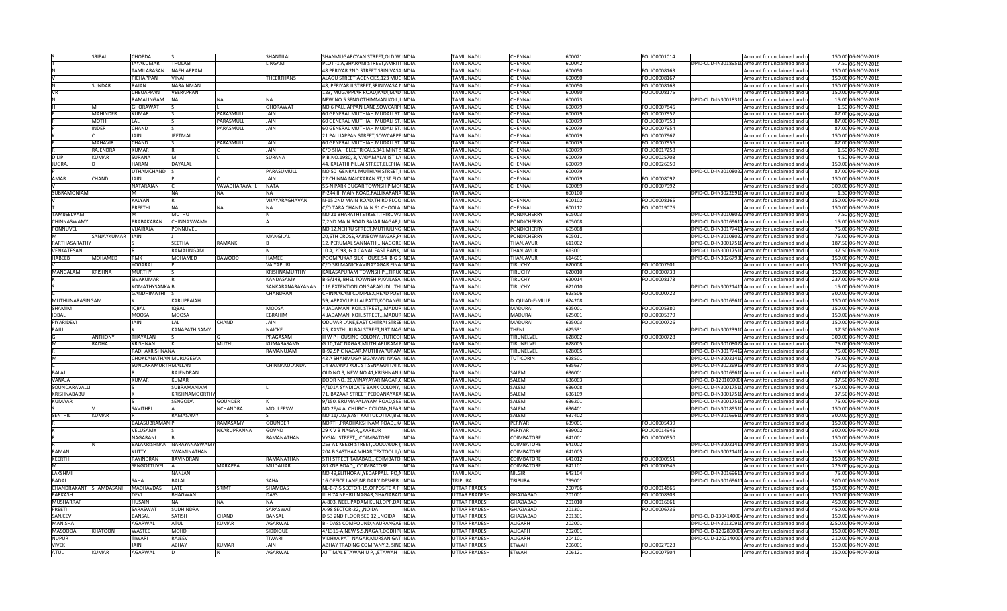|                             | SRIPAL          | CHOPDA                 |                            |                 | SHANTILAL              | SHANMUGAROYAN STREET, OLD WINDIA                                          | <b>TAMIL NADU</b>                     | CHENNAI                      | 600021           | FOLIO0001014                 | Amount for unclaimed and u                               | 150.00 06-NOV-2018                       |
|-----------------------------|-----------------|------------------------|----------------------------|-----------------|------------------------|---------------------------------------------------------------------------|---------------------------------------|------------------------------|------------------|------------------------------|----------------------------------------------------------|------------------------------------------|
|                             |                 | <b>JAYAKUMAR</b>       | THOLASI                    |                 | LINGAM                 | PLOT -1 A, BHARANI STREET, AMRITHINDIA                                    | <b>TAMIL NADU</b>                     | CHENNAI                      | 600042           |                              | DPID-CLID-IN30189510 Amount for unclaimed and u          | 7.50 06-NOV-2018                         |
|                             |                 | TAMILARASAN            | <b>NAFHIAPPAM</b>          |                 |                        | 48 PERIYAR 2ND STREET, SRINIVASA INDIA                                    | <b>TAMIL NADU</b>                     | CHENNAI                      | 600050           | FOLIO0008163                 | Amount for unclaimed and u                               | 150.00 06-NOV-2018                       |
|                             |                 | PICHAPPAN              | VINAI                      |                 | <b>THEERTHANS</b>      | ALAGU STREET AGENCIES, 123 MUGINDIA                                       | <b>TAMIL NADU</b>                     | <b>CHENNAI</b>               | 600050           | FOLIO0008167                 | Amount for unclaimed and u                               | 150.00 06-NOV-2018                       |
|                             | SUNDAR          | RAJAN                  | NARAINMAN                  |                 |                        | 48, PERIYAR II STREET, SRINIWASA NINDIA                                   | <b>TAMIL NADU</b>                     | <b>CHENNAI</b>               | 600050           | FOLIO0008168                 | Amount for unclaimed and u                               | 150.00 06-NOV-2018                       |
|                             |                 | CHEUAPPAN              | VEERAPPAN                  |                 |                        | 123, MUGAPPIAR ROAD, PADI, MAD INDIA                                      | <b>TAMIL NADU</b>                     | CHENNAI                      | 600050           | FOLIO0008175                 | Amount for unclaimed and u                               | 150.00 06-NOV-2018                       |
|                             |                 | RAMALINGAM             | NA                         | <b>NA</b>       |                        | NEW NO 5 SENGOTHIMMAN KOIL, INDIA                                         | <b>TAMIL NADU</b>                     | CHENNAI                      | 600073           |                              | DPID-CLID-IN30018310 Amount for unclaimed and u          | 15.00 06-NOV-2018                        |
|                             |                 |                        |                            |                 |                        |                                                                           |                                       |                              |                  |                              |                                                          |                                          |
|                             |                 | GHORAWAT               |                            |                 | <b>GHORAWAT</b>        | NO 6 PALLIAPPAN LANE.SOWCARPHINDIA                                        | <b>TAMIL NADU</b>                     | CHENNAI                      | 600079           | FOLIO0007846                 | Amount for unclaimed and u                               | 1.50 06-NOV-2018                         |
|                             | <b>MAHINDER</b> | KUMAR                  |                            | PARASMULL       | JAIN                   | 60 GENERAL MUTHIAH MUDALI ST. INDIA                                       | <b>TAMIL NADU</b>                     | CHENNAI                      | 600079           | FOLIO0007952                 | Amount for unclaimed and u                               | 87.00 06-NOV-2018                        |
|                             | MOTHI           | LAL                    |                            | PARASMULL       | JAIN                   | 60 GENERAL MUTHIAH MUDALI ST. INDIA                                       | <b>TAMIL NADU</b>                     | CHENNAI                      | 600079           | FOLIO0007953                 | Amount for unclaimed and u                               | 87.00 06-NOV-2018                        |
|                             | <b>INDER</b>    | CHAND                  |                            | PARASMULL       | <b>JAIN</b>            | 60 GENERAL MUTHIAH MUDALI ST. INDIA                                       | <b>TAMIL NADU</b>                     | CHENNAI                      | 600079           | FOLIO0007954                 | Amount for unclaimed and u                               | 87.00 06-NOV-2018                        |
|                             |                 | <b>JAIN</b>            | <b>IFFTMAL</b>             |                 |                        | 21 PALLIAPPAN STREET, SOWCARPE INDIA                                      | <b>TAMIL NADU</b>                     | <b>CHENNAI</b>               | 600079           | FOLIO0007967                 | Amount for unclaimed and u                               | 150.00 06-NOV-2018                       |
|                             | <b>MAHAVIR</b>  | CHAND                  |                            | PARASMULL       | <b>JAIN</b>            | 60 GENERAL MUTHIAH MUDALI ST. INDIA                                       | <b>TAMIL NADU</b>                     | <b>CHENNAI</b>               | 600079           | FOLIO0007956                 | Amount for unclaimed and u                               | 87.00 06-NOV-2018                        |
|                             | RAJENDRA        | <b>KUMAR</b>           |                            |                 | JAIN                   | C/O SHAH ELECTRICALS, 341 MINT SINDIA                                     | <b>TAMIL NADU</b>                     | CHENNAI                      | 600079           | FOLIO0017258                 | Amount for unclaimed and u                               | 1.50 06-NOV-2018                         |
| DILIF                       | <b>UMAR</b>     | SURANA                 |                            |                 | <b>SURANA</b>          | P.B.NO.1980, 3, VADAMALAI, IST.LA INDIA                                   | <b>TAMIL NADU</b>                     | CHENNAI                      | 600079           | FOLIO0025703                 | Amount for unclaimed and u                               | 4.50 06-NOV-2018                         |
| <b>JUGRAJ</b>               |                 | HARAN                  | <b>DAYALAL</b>             |                 |                        | 44, KALATHI PILLAI STREET, ELEPHAIINDIA                                   | <b>TAMIL NADU</b>                     | <b>CHENNAI</b>               | 600079           | FOLIO0026050                 | Amount for unclaimed and u                               | 150.00 06-NOV-2018                       |
|                             |                 |                        |                            |                 |                        |                                                                           |                                       |                              |                  |                              |                                                          |                                          |
|                             |                 | <b>JTHAMCHAND</b>      |                            |                 | PARASUMULL             | NO 50 GENRAL MUTHIAH STREET, I INDIA                                      | <b>TAMIL NADU</b>                     | CHENNAI                      | 600079           |                              | DPID-CLID-IN30108022 Amount for unclaimed and u          | 87.00 06-NOV-2018                        |
| <b>AMAR</b>                 | CHAND           | <b>JAIN</b>            |                            |                 | <b>JAIN</b>            | 22 CHINNA NAICKARAN ST, 1ST FLO INDIA                                     | <b>TAMIL NADU</b>                     | CHENNAI                      | 600079           | FOLIO0008092                 | Amount for unclaimed and u                               | 150.00 06-NOV-2018                       |
|                             |                 | NATARAJAN              |                            | VAVADHARAYAHL   | <b>NATA</b>            | 55-N PARK DUGAR TOWNSHIP MOUNDIA                                          | <b>TAMIL NADU</b>                     | <b>CHENNAL</b>               | 600089           | FOLIO0007992                 | Amount for unclaimed and u                               | 300.00 06-NOV-2018                       |
| SUBRAMONIAM                 |                 |                        | NA                         | <b>NA</b>       |                        | P-244, III MAIN ROAD, PALLIKARANA INDIA                                   | <b>TAMIL NADU</b>                     |                              | 600100           |                              | DPID-CLID-IN30226910 Amount for unclaimed and u          | 1.50 06-NOV-2018                         |
|                             |                 | KALYANI                |                            |                 | VIJAYARAGHAVAN         | N-15 2ND MAIN ROAD, THIRD FLOO INDIA                                      | <b>TAMIL NADU</b>                     | CHENNAI                      | 600102           | FOLIO0008165                 | Amount for unclaimed and u                               | 150.00 06-NOV-2018                       |
|                             |                 | PREETHI                | NA                         | <b>NA</b>       | <b>NA</b>              | C/O TARA CHAND JAIN 61 CHOOLAINDIA                                        | <b>TAMIL NADU</b>                     | CHENNAI                      | 600112           | FOLIO0019076                 | Amount for unclaimed and u                               | 150.00 06-NOV-2018                       |
| TAMIJSELVAM                 |                 |                        | MUTHU                      |                 |                        | NO 21 BHARATHI STREET, THIRUVALINDIA                                      | <b>TAMIL NADU</b>                     | <b>PONDICHERRY</b>           | 605003           |                              | DPID-CLID-IN30108022 Amount for unclaimed and u          | 7.50 06-NOV-2018                         |
| CHINNASWAMY                 |                 | PRABAKARAN             | CHINNASWAMY                |                 |                        | 7,2ND MAIN ROAD RAJAJI NAGAR, LINDIA                                      | <b>TAMIL NADU</b>                     | PONDICHERRY                  | 605008           |                              | DPID-CLID-IN30169611 Amount for unclaimed and u          | 15.00 06-NOV-2018                        |
| PONNUVEL                    |                 | /IJAIRAJA              | PONNUVEL                   |                 |                        | NO 12, NEHRU STREET, MUTHULING INDIA                                      | <b>TAMIL NADU</b>                     | PONDICHERRY                  | 605008           |                              | DPID-CLID-IN30177411 Amount for unclaimed and u          | 75.00 06-NOV-2018                        |
|                             |                 | <b>JAIN</b>            |                            |                 |                        |                                                                           |                                       |                              |                  |                              |                                                          |                                          |
|                             | SANJAYKUMAR     |                        |                            |                 | MANGILAL               | 20,6TH CROSS, RAINBOW NAGAR, PINDIA                                       | <b>TAMIL NADU</b>                     | <b>PONDICHERRY</b>           | 605011           |                              | DPID-CLID-IN30108022 Amount for unclaimed and u          | 75.00 06-NOV-2018                        |
| PARTHASARATHY               |                 |                        | <b>SFFTHA</b>              | <b>RAMANK</b>   |                        | 12, PERUMAL SANNATHI,,,NAGORE INDIA                                       | <b>TAMIL NADU</b>                     | THANJAVUR                    | 611002           |                              | DPID-CLID-IN30017510 Amount for unclaimed and u          | 187.50 06-NOV-2018                       |
| VENKATESAN                  |                 |                        | RAMALINGAM                 |                 |                        | 10 A, 2098, G A CANAL EAST BANK, INDIA                                    | <b>TAMIL NADU</b>                     | THANJAVUR                    | 613001           |                              | DPID-CLID-IN30017510 Amount for unclaimed and u          | 37.50 06-NOV-2018                        |
| HABEEB                      | <b>MOHAMED</b>  | <b>RMK</b>             | <b>MOHAMED</b>             | <b>DAWOOD</b>   | <b>HAME</b>            | POOMPUKAR SILK HOUSE,54 BIG SINDIA                                        | <b>TAMIL NADU</b>                     | THANJAVUR                    | 614601           |                              | DPID-CLID-IN30267930 Amount for unclaimed and u          | 150.00 06-NOV-2018                       |
|                             |                 | YOGARAJ                |                            |                 | VAIYAPUR               | C/O SRI MANICKAVINAYAGAR FINA INDIA                                       | <b>TAMIL NADU</b>                     | TIRUCHY                      | 620008           | FOLIO0007601                 | Amount for unclaimed and u                               | 150.00 06-NOV-2018                       |
| MANGALAM                    | KRISHNA         | <b>MURTHY</b>          |                            |                 | KRISHNAMURTHY          | KAILASAPURAM TOWNSHIP,,,TIRUCINDIA                                        | <b>TAMIL NADU</b>                     | TIRUCHY                      | 620010           | FOLIO0000733                 | Amount for unclaimed and u                               | 150.00 06-NOV-2018                       |
|                             |                 | SIVAKUMAR              |                            |                 | KANDASAMY              | B-5/148, BHEL TOWNSHIP, KAILASAIINDIA                                     | <b>TAMIL NADU</b>                     | TIRUCHY                      | 620014           | FOLIO0008178                 | Amount for unclaimed and u                               | 237.00 06-NOV-2018                       |
|                             |                 | <b>KOMATHYSANKA B</b>  |                            |                 |                        | SANKARANARAYANAN 116 EXTENTION, ONGARAKUDIL, THUNDIA                      | <b>TAMIL NADU</b>                     | TIRUCHY                      | 621010           |                              | DPID-CLID-IN30021411 Amount for unclaimed and u          | 15.00 06-NOV-2018                        |
|                             |                 | <b>GANDHIMATHI</b>     |                            |                 | <b>CHANDRAN</b>        | CHINNAKANI COMPLEX, HEAD POST INDIA                                       | <b>TAMIL NADU</b>                     |                              | 623506           | FOLIO0000722                 | Amount for unclaimed and u                               | 300.00 06-NOV-2018                       |
|                             |                 |                        |                            |                 |                        |                                                                           |                                       |                              |                  |                              |                                                          |                                          |
| MUTHUNARASINGAM             |                 |                        | KARUPPAIAH                 |                 |                        | 59, APPAVU PILLAI PATTI, KODANGI INDIA                                    | <b>TAMIL NADU</b>                     | D. QUIAD-E-MILLE             | 624208           |                              | DPID-CLID-IN30169610 Amount for unclaimed and u          | 150.00 06-NOV-2018                       |
| SHAMIM                      |                 | <b>IOBAL</b>           | <b>IQBAL</b>               |                 | <b>MOOSA</b>           | 4 JADAMANI KOIL STREET,,, MADURINDIA                                      | <b>TAMIL NADU</b>                     | <b>MADURAI</b>               | 625001           | FOLIO0005380                 | Amount for unclaimed and u                               | 150.00 06-NOV-2018                       |
| <b>IQBAL</b>                |                 | MOOSA                  | <b>MOOSA</b>               |                 | FRRAHIM                | 4 JADAMANI KOIL STREET,,, MADURINDIA                                      | <b>TAMIL NADU</b>                     | <b>MADURAI</b>               | 625001           | OLIO0005379                  | Amount for unclaimed and u                               | 150.00 06-NOV-2018                       |
| PIYARIDEVI                  |                 | <b>JAIN</b>            | LAL.                       | CHAND           | <b>JAIN</b>            | ODUVAR LANE, EAST CHITRAI STREEINDIA                                      | <b>TAMIL NADU</b>                     | <b>MADURAI</b>               | 625003           | FOLIO0000726                 | Amount for unclaimed and u                               | 150.00 06-NOV-2018                       |
| RAJU                        |                 |                        | KANAPATHISAMY              |                 | <b>NAICKE</b>          | 25, KASTHURI BAI STREET, NRT NAGINDIA                                     | <b>TAMIL NADU</b>                     | THENI                        | 625531           |                              | DPID-CLID-IN30023910 Amount for unclaimed and u          | 37.50 06-NOV-2018                        |
|                             | <b>ANTHONY</b>  | THAYALAN               |                            |                 | PRAGASAM               | H W P HOUSING COLONY, , TUTICOHNDIA                                       | <b>TAMIL NADU</b>                     | TIRUNELVELI                  | 628002           | FOLIO0000728                 | Amount for unclaimed and u                               | 300.00 06-NOV-2018                       |
|                             |                 |                        |                            |                 |                        |                                                                           |                                       |                              |                  |                              |                                                          |                                          |
|                             | RADHA           |                        |                            |                 |                        |                                                                           |                                       |                              |                  |                              |                                                          |                                          |
|                             |                 | KRISHNAN               |                            | MUTHU           | <b>KUMARASAMY</b>      | G 10, TAC NAGAR, MUTHIAPURAM FINDIA                                       | <b>TAMIL NADU</b>                     | TIRUNELVELI                  | 628005           |                              | DPID-CLID-IN30108022 Amount for unclaimed and u          | 75.00 06-NOV-2018                        |
|                             |                 | <b>RADHAKRISHNANA</b>  |                            |                 | RAMANUJAM              | B-92, SPIC NAGAR, MUTHIYAPURAM INDIA                                      | <b>TAMIL NADU</b>                     | TIRUNELVELI                  | 628005           |                              | DPID-CLID-IN30177412 Amount for unclaimed and u          | 75.00 06-NOV-2018                        |
|                             |                 | CHOKKANATHAN MURUGESAN |                            |                 |                        | 42 A SHANMUGA SIGAMANI NAGA INDIA                                         | <b>TAMIL NADU</b>                     | TUTICORIN                    | 628501           |                              | DPID-CLID-IN30021410 Amount for unclaimed and u          | 75.00 06-NOV-2018                        |
|                             |                 | SUNDARAMURTH MALLAN    |                            |                 | CHINNAKULANDA          | 14 BAJANAI KOIL ST, SENAGUTTAI KINDIA                                     | <b>TAMIL NADU</b>                     |                              | 635637           |                              | DPID-CLID-IN30226913 Amount for unclaimed and u          | 37.50 06-NOV-2018                        |
| <b>BALAJI</b>               |                 |                        | RAJENDRAN                  |                 |                        | OLD NO.9, NEW NO.41, KRISHNAN KINDIA                                      | <b>TAMIL NADU</b>                     | SALFM                        | 636001           |                              | DPID-CLID-IN30169610 Amount for unclaimed and u          | 600.00 06-NOV-2018                       |
| VANAIA                      |                 | KUMAR                  | KIIMAR                     |                 |                        | DOOR NO. 20, VINAYAYAR NAGAR, CINDIA                                      | <b>TAMIL NADU</b>                     | SALEM                        | 636003           |                              | DPID-CLID-1201090000 Amount for unclaimed and u          | 37.50 06-NOV-2018                        |
| SOUNDARAVALL                |                 |                        | SUBRAMANIAM                |                 |                        | 4/101A SYNDICATE BANK COLONY, IINDIA                                      | <b>TAMIL NADU</b>                     | SALEM                        | 636008           |                              | DPID-CLID-IN30017510 Amount for unclaimed and u          | 450.00 06-NOV-2018                       |
| KRISHNABABU                 |                 |                        | KRISHNAMOORTHY             |                 |                        | 71, BAZAAR STREET, PEDDANAYAKA INDIA                                      | <b>TAMIL NADU</b>                     | SALEM                        | 636109           |                              | DPID-CLID-IN30017510 Amount for unclaimed and u          | 37.50 06-NOV-2018                        |
| <b>KUMAAR</b>               |                 |                        | SENGODA                    | GOUNDER         |                        | 9/150, ERUMAPALAYAM ROAD, SEE INDIA                                       | <b>TAMIL NADU</b>                     | <b>SALEM</b>                 | 636201           |                              | DPID-CLID-IN30017510 Amount for unclaimed and u          | 75.00 06-NOV-2018                        |
|                             |                 | SAVITHRI               |                            |                 |                        |                                                                           |                                       |                              |                  |                              |                                                          |                                          |
|                             | KUMAR           |                        |                            | <b>NCHANDRA</b> | MOULEESW               | NO 2E/4 A, CHURCH COLONY, NEAR INDIA                                      | <b>TAMIL NADU</b>                     | <b>SALEM</b>                 | 636401           |                              | DPID-CLID-IN30189510 Amount for unclaimed and u          | 150.00 06-NOV-2018                       |
| SENTHIL                     |                 |                        | RAMASAMY                   |                 |                        | NO 11/103, EAST KATTUKOTTAI, BELINDIA                                     | <b>TAMIL NADU</b>                     | SALEM                        | 637402           |                              | DPID-CLID-IN30169610 Amount for unclaimed and u          | 300.00 06-NOV-2018                       |
|                             |                 | BALASUBRAMAN           |                            | RAMASAMY        | <b>GOUNDER</b>         | NORTH, PRADHAKSHNAM ROAD, , KAINDIA                                       | <b>TAMIL NADU</b>                     | PERIYAR                      | 639001           | OLIO0005439                  | Amount for unclaimed and u                               | 150.00 06-NOV-2018                       |
|                             |                 | VELUSAMY               |                            | NKARUPPANNA     | GOVND                  | 29 K V B NAGAR, , KARRUR<br><b>INDIA</b>                                  | <b>TAMIL NADU</b>                     | <b>PFRIVAR</b>               | 639002           | FOLIO0014946                 | Amount for unclaimed and u                               | 300.00 06-NOV-2018                       |
|                             |                 | NAGARANI               |                            |                 | RAMANATHAN             | <b>VYSIAL STREET,,,COIMBATORE</b><br>INDIA                                | <b>TAMIL NADU</b>                     | <b>COIMBATORE</b>            | 641001           | FOLIO0000550                 | Amount for unclaimed and u                               | 150.00 06-NOV-2018                       |
|                             |                 |                        | BALAKRISHNAN NARAYANASWAMY |                 |                        | 253 A1 KEEZH STREET, COODALUR (INDIA                                      | <b>TAMIL NADU</b>                     | COIMBATORE                   | 641002           |                              | DPID-CLID-IN30021411 Amount for unclaimed and u          | 150.00 06-NOV-2018                       |
| RAMAN                       |                 | KUTTY                  | SWAMINATHAN                |                 |                        | 204 B SASTHAA VIHAR, TEXTOOL L/(INDIA                                     | <b>TAMIL NADU</b>                     | COIMBATORE                   | 641005           |                              | DPID-CLID-IN30021410 Amount for unclaimed and u          | 15.00 06-NOV-2018                        |
| KEERTHI                     |                 | RAYINDRAN              | RAVINDRAN                  |                 | RAMANATHAN             | <b>5TH STREET TATABAD,,,COIMBATO INDIA</b>                                | <b>TAMIL NADU</b>                     | <b>COIMBATORE</b>            | 641012           | FOLIO0000551                 | Amount for unclaimed and u                               | 150.00 06-NOV-2018                       |
|                             |                 | SENGOTTUVEL            |                            | <b>MARAPPA</b>  | <b>MUDALIAR</b>        | 80 KNP ROAD,,,COIMBATORE<br><b>INDIA</b>                                  | <b>TAMIL NADU</b>                     | <b>COIMBATORE</b>            | 641101           | FOLIO0000546                 | Amount for unclaimed and u                               | 225.00 06-NOV-2018                       |
| LAKSHM                      |                 |                        | NANJAN                     |                 |                        | NO 49, ELITHORAI, YEDAPPALLI PO, NINDIA                                   | <b>TAMIL NADU</b>                     | <b>NILGIR</b>                | 643104           |                              | DPID-CLID-IN30169611 Amount for unclaimed and u          | 75.00 06-NOV-2018                        |
|                             |                 | SAHA                   |                            |                 | <b>SAHA</b>            |                                                                           |                                       |                              |                  |                              |                                                          |                                          |
| <b>BADAL</b>                |                 |                        | <b>BALAI</b>               |                 |                        | 16 OFFICE LANE, NR DAILY DESHER INDIA                                     | <b>TRIPURA</b>                        | <b>TRIPURA</b>               | 799001           |                              | DPID-CLID-IN30169611 Amount for unclaimed and u          | 300.00 06-NOV-2018                       |
| CHANDRAKANT SHAMDASANI      |                 | <b>MADHAVDAS</b>       | LATE                       | SRIMT           | <b>SHAMDAS</b>         | NL-6-7-5 SECTOR-15, OPPOSITE A P INDIA                                    | <b>UTTAR PRADESH</b>                  |                              | 200706           | FOLIO0014866                 | Amount for unclaimed and u                               | 150.00 06-NOV-2018                       |
| <b>PARKASH</b>              |                 | <b>DEVI</b>            | <b>BHAGWAN</b>             |                 | <b>DASS</b>            | III H 74 NEHRU NAGAR, GHAZIABAD INDIA                                     | <b>UTTAR PRADESH</b>                  | <b>GHAZIABAD</b>             | 201001           | FOLIO0008303                 | Amount for unclaimed and u                               | 150.00 06-NOV-2018                       |
| <b>MUSHARRAF</b>            |                 | <b>HUSAIN</b>          | <b>NA</b>                  | <b>NA</b>       | <b>NA</b>              | A-803, NEEL PADAM KUNJ, OPP. DAHNDIA                                      | <b>UTTAR PRADESH</b>                  | <b>GHAZIABAD</b>             | 201010           | FOLIO0016661                 | Amount for unclaimed and u                               | 450.00 06-NOV-2018                       |
| PREETI                      |                 | SARASWAT               | <b>SUDHINDRA</b>           |                 | SARASWAT               | A-98 SECTOR-22,,,NOIDA<br><b>INDIA</b>                                    | <b>UTTAR PRADESH</b>                  | <b>GHAZIABAD</b>             | 201301           | FOLIO0006736                 | Amount for unclaimed and u                               | 450.00 06-NOV-2018                       |
| SANJEEV                     |                 | BANSAL                 | <b>SATISH</b>              | CHAND           | <b>BANSAL</b>          | D 53 2ND FLOOR SEC 12,,, NOIDA INDIA                                      | <b>UTTAR PRADESH</b>                  | <b>GHAZIABAD</b>             | 201301           |                              | DPID-CLID-1304140004Amount for unclaimed and u           | 150.00 06-NOV-2018                       |
| MANISHA                     |                 | AGARWAL                | ATUL                       | KUMAR           | AGARWAL                | B - DASS COMPOUND, NAURANGABINDIA                                         | <b>UTTAR PRADESH</b>                  | <b>ALIGARH</b>               | 202001           |                              | DPID-CLID-IN30120910 Amount for unclaimed and u          | 2250.00 06-NOV-2018                      |
| <b>MASOODA</b>              | <b>KHATOON</b>  | WASTFF                 | MOHD                       |                 | <b>SIDDIQUE</b>        | 4/1316-A.NEW S.S.NAGAR.DODHPUINDIA                                        | UTTAR PRADESH                         | <b>ALIGARH</b>               | 202001           |                              | DPID-CLID-1202890000 Amount for unclaimed and u          | 150.00 06-NOV-2018                       |
| <b>NUPUR</b>                |                 | <b>TIWARI</b>          | RAIFFV                     |                 | <b>TIWARI</b>          |                                                                           |                                       | <b>ALIGARH</b>               | 204101           |                              |                                                          |                                          |
|                             |                 | <b>JAIN</b>            | ABHAY                      | KUMAR           |                        | VIDHYA PATI NAGAR, MURSAN GAT INDIA                                       | <b>UTTAR PRADESH</b>                  |                              |                  |                              | DPID-CLID-1202140000 Amount for unclaimed and u          | 210.00 06-NOV-2018                       |
| <b>VIVEK</b><br><b>ATUL</b> | KUMAR           | AGARWAL                |                            | N               | JAIN<br><b>AGARWAL</b> | ABHAY TRADING COMPANY, 2, SINDINDIA<br>AJIT MAL ETAWAH U P,,,ETAWAH INDIA | UTTAR PRADESH<br><b>UTTAR PRADESH</b> | <b>ETWAH</b><br><b>ETWAH</b> | 206001<br>206121 | FOLIO0027023<br>FOLIO0007504 | Amount for unclaimed and u<br>Amount for unclaimed and u | 150.00 06-NOV-2018<br>150.00 06-NOV-2018 |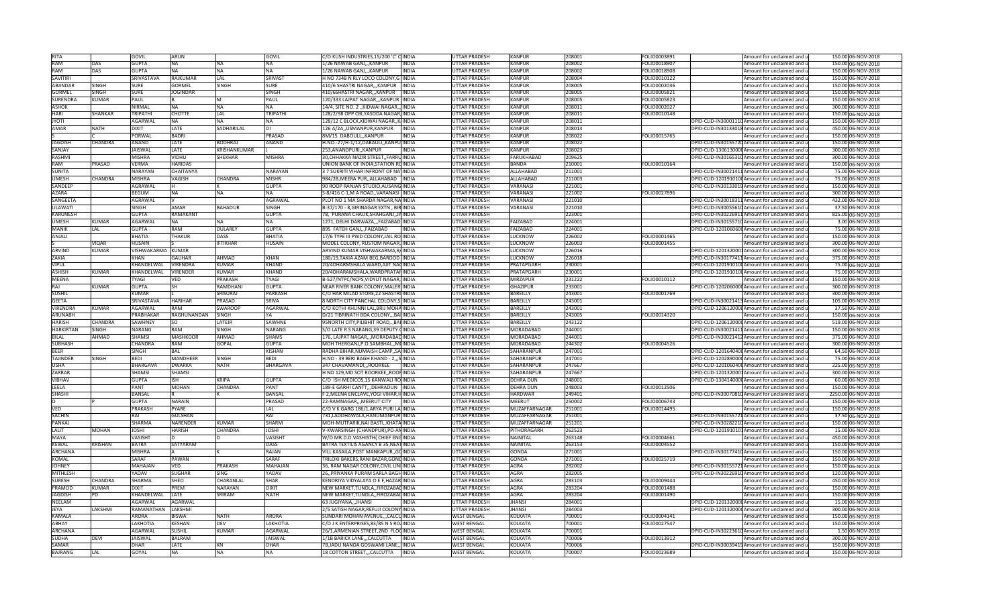| <b>RITA</b>                      |                | GOVIL                       | <b>ARUN</b>       |                     | GOVIL           | C/O KUSH INDUSTRIES, 15/200 'C' CINDIA                             |              | <b>UTTAR PRADESH</b>                     | <b>KANPUR</b>      | 208001           | FOLIO0003891 |                                                 | Amount for unclaimed and u                                                    | 150.00 06-NOV-2018                       |
|----------------------------------|----------------|-----------------------------|-------------------|---------------------|-----------------|--------------------------------------------------------------------|--------------|------------------------------------------|--------------------|------------------|--------------|-------------------------------------------------|-------------------------------------------------------------------------------|------------------------------------------|
| <b>RAM</b>                       | DAS            | <b>GUPTA</b>                | <b>NA</b>         | <b>NA</b>           | NA              | 1/26 NAWAB GANJ,,, KANPUR                                          | INDIA        | <b>UTTAR PRADESH</b>                     | KANPUR             | 208002           | FOLIO0018907 |                                                 | Amount for unclaimed and u                                                    | 150.00 06-NOV-2018                       |
| RAM                              | DAS            | <b>GUPTA</b>                | <b>NA</b>         | <b>NA</b>           | <b>NA</b>       | 1/26 NAWAB GANJ,,,KANPUR                                           | <b>INDIA</b> | <b>UTTAR PRADESH</b>                     | KANPUR             | 208002           | FOLIO0018908 |                                                 | Amount for unclaimed and u                                                    | 150.00 06-NOV-2018                       |
| <b>SAVITIRI</b>                  |                | SRIVASTAVA                  | RAJKUMAR          | LAL                 | SRIVAST         | H NO 734B N RLY LOCO COLONY, G INDIA                               |              | UTTAR PRADESH                            | KANPUR             | 208004           | FOLIO0010122 |                                                 | Amount for unclaimed and u                                                    | 150.00 06-NOV-2018                       |
| ABJINDAF                         | SINGH          | SURE                        | GORMEL            | SINGH               | SURE            | 410/6 SHASTRI NAGAR,,,KANPUR                                       | <b>INDIA</b> | <b>JTTAR PRADESH</b>                     | KANPUF             | 208005           | FOLIO0002036 |                                                 | Amount for unclaimed and u                                                    | 150.00 06-NOV-2018                       |
| <b>GORMEL</b>                    | SINGE          | <b>SURE</b>                 | <b>JOGINDAR</b>   |                     | SINGH           | 410/6SHASTRI NAGAR,,,KANPUR                                        | INDIA        | UTTAR PRADESH                            | KANPUR             | 208005           | OLIO0005821  |                                                 | Amount for unclaimed and u                                                    | 150.00 06-NOV-2018                       |
| <b>SURENDRA</b>                  | KUMAR          | PAUL                        |                   | M                   | PAUL            | 120/333 LAJPAT NAGARKANPUR INDIA                                   |              | <b>UTTAR PRADESH</b>                     | KANPUR             | 208005           | FOLIO0005823 |                                                 | Amount for unclaimed and u                                                    | 150.00 06-NOV-2018                       |
| <b>ASHOK</b>                     |                | NIRMAL                      | <b>NA</b>         | <b>NA</b>           | NA              | 14/4, SITE NO. 2 "KIDWAI NAGAR", INDIA                             |              | UTTAR PRADESH                            | KANPUR             | 208011           | FOLIO0002027 |                                                 | Amount for unclaimed and u                                                    | 300.00 06-NOV-2018                       |
| HARI                             | <b>SHANKAR</b> | TRIPATH                     | <b>CHOTTE</b>     |                     | TRIPATHI        | 128/2/98 OPP CBI, YASODA NAGAR, INDIA                              |              | <b>UTTAR PRADESH</b>                     | KANPUR             | 208011           | FOLIO0010148 |                                                 |                                                                               | 150.00 06-NOV-2018                       |
|                                  |                |                             |                   | LAL                 |                 |                                                                    |              |                                          |                    |                  |              |                                                 | Amount for unclaimed and u                                                    |                                          |
| <b>JYOTI</b>                     |                | <b>AGARWAI</b>              | <b>NA</b>         | <b>NA</b>           | <b>NA</b>       | 128/12 C BLOCK.KIDWAI NAGARKIINDIA                                 |              | <b>UTTAR PRADESH</b>                     | KANPUR             | 208011           |              |                                                 | DPID-CLID-IN30001110Amount for unclaimed and u                                | 150.00 06-NOV-2018                       |
| <b>AMAR</b>                      | <b>NATH</b>    | <b>DIXIT</b>                | LATE              | SADHARILAL          | <b>DI</b>       | 126 A/2A,, USMANPUR, KANPUR                                        | <b>INDIA</b> | <b>UTTAR PRADESH</b>                     | KANPUR             | 208014           |              |                                                 | DPID-CLID-IN30133018 Amount for unclaimed and u                               | 450.00 06-NOV-2018                       |
|                                  |                | PORWAL                      | <b>BADRI</b>      |                     | PRASAD          | 8M/15 DABOULI,,,KANPUR                                             | <b>NDIA</b>  | <b>UTTAR PRADESH</b>                     | KANPUR             | 208022           | FOLIO0015765 |                                                 | Amount for unclaimed and u                                                    | 150.00 06-NOV-2018                       |
| <b>JAGDISH</b>                   | CHANDRA        | ANAND                       | LATE              | <b>BODHRAJ</b>      | ANAND           | H.NO.-27/H-1/12,DABAULI,,KANPU INDIA                               |              | UTTAR PRADESH                            | KANPUR             | 208022           |              |                                                 | DPID-CLID-IN30155720 Amount for unclaimed and u                               | 150.00 06-NOV-2018                       |
| SANJAY                           |                | <b>JAISWAL</b>              | LATE              | <b>KRISHANKUMAR</b> |                 | 253.ANANDPURIKANPUR                                                | INDIA        | <b>UTTAR PRADESH</b>                     | KANPUR             | 208023           |              |                                                 | DPID-CLID-1306130000 Amount for unclaimed and u                               | 300.00 06-NOV-2018                       |
| <b>RASHMI</b>                    |                | <b>MISHRA</b>               | VIDHU             | SHEKHAR             | <b>MISHRA</b>   | 30, CHHAKKA NAZIR STREET, FARRUINDIA                               |              | <b>UTTAR PRADESH</b>                     | FARUKHABAD         | 209625           |              |                                                 | DPID-CLID-IN30165310 Amount for unclaimed and u                               | 300.00 06-NOV-2018                       |
| RAM                              | PRASAD         | VERMA                       | <b>HARIDAS</b>    |                     |                 | UNION BANK OF INDIA, STATION ROINDIA                               |              | <b>UTTAR PRADESH</b>                     | BANDA              | 210001           | FOLIO0010164 |                                                 | Amount for unclaimed and u                                                    | 150.00 06-NOV-2018                       |
| <b>SUNITA</b>                    |                | NARAYAN                     | <b>CHAITANYA</b>  |                     | NARAYAN         | 3 7 SUKRITI VIHAR INFRONT OF NATINDIA                              |              | <b>UTTAR PRADESH</b>                     | ALLAHABAD          | 211001           |              |                                                 | DPID-CLID-IN30021411Amount for unclaimed and u                                | 75.00 06-NOV-2018                        |
| <b>UMESH</b>                     | CHANDRA        | <b>MISHRA</b>               | VAGISH            | <b>CHANDRA</b>      | <b>MISHR</b>    | 984/2B, MEERA PUR, ALLAHABAD  INDIA                                |              | <b>UTTAR PRADESH</b>                     | ALLAHABAD          | 211003           |              |                                                 | DPID-CLID-1201910100 Amount for unclaimed and u                               | 75.00 06-NOV-2018                        |
| SANDEEP                          |                | <b>AGRAWAI</b>              |                   |                     | <b>GUPTA</b>    | 90 ROOP RANJAN STUDIO, AUSANG INDIA                                |              | UTTAR PRADESH                            | VARANASI           | 221001           |              |                                                 | DPID-CLID-IN30133019 Amount for unclaimed and u                               | 150.00 06-NOV-2018                       |
| <b>AZARA</b>                     |                | <b>BEGUM</b>                | <b>NA</b>         | <b>NA</b>           |                 | S-8/416 C-1,M A ROAD,,VARANASI INDIA                               |              | <b>JTTAR PRADESH</b>                     | <b>/ARANASI</b>    | 221002           | FOLIO0027896 |                                                 | Amount for unclaimed and u                                                    | 300.00 06-NOV-2018                       |
| SANGEETA                         |                | AGRAWAL                     |                   |                     | AGRAWAL         | PLOT NO 1 MA SHARDA NAGAR, NA INDIA                                |              | <b>UTTAR PRADESH</b>                     | <b>/ARANASI</b>    | 221010           |              |                                                 | DPID-CLID-IN30018311 Amount for unclaimed and u                               | 432.00 06-NOV-2018                       |
| LILAWATI                         |                | SINGH                       | AMAR              | <b>BAHADUR</b>      | SINGH           | B-37/170 - 8, GIRINAGAR EXTN, BIR INDIA                            |              | UTTAR PRADESH                            | VARANASI           | 221010           |              |                                                 | DPID-CLID-IN30055610 Amount for unclaimed and u                               | 37.50 06-NOV-2018                        |
| KARUNESH                         |                | <b>GUPTA</b>                | RAMAKANT          |                     | <b>GUPTA</b>    | 78, PURANA CHAUK, SHAHGANJ, JAINDIA                                |              | UTTAR PRADESH                            |                    | 223001           |              |                                                 | DPID-CLID-IN30226911 Amount for unclaimed and u                               | 825.00 06-NOV-2018                       |
| UMESH                            | KUMAR          | AGARWAL                     | <b>NA</b>         | <b>NA</b>           | <b>NA</b>       | 1271, DELHI DARWAZA,,,FAIZABAD INDIA                               |              | <b>UTTAR PRADESH</b>                     | FAIZABAD           | 224001           |              |                                                 | DPID-CLID-IN30155710 Amount for unclaimed and u                               | 3.00 06-NOV-2018                         |
| <b>MANIK</b>                     | LAL            | <b>GUPTA</b>                | RAM               | <b>DULAREY</b>      | <b>GUPTA</b>    | 895 FATEH GANJFAIZABAD                                             | <b>INDIA</b> |                                          | FAIZABAD           | 224001           |              |                                                 |                                                                               |                                          |
|                                  |                |                             |                   |                     |                 |                                                                    |              | <b>UTTAR PRADESH</b>                     |                    |                  |              |                                                 | DPID-CLID-1201060600 Amount for unclaimed and u                               | 75.00 06-NOV-2018                        |
| ANJALI                           |                | <b>BHATIA</b>               | THAKUR            | <b>DASS</b>         | BHATIA          | 17/6 TYPE III PWD COLONY, JAIL RO INDIA                            |              | <b>UTTAR PRADESH</b>                     | <b>LUCKNOW</b>     | 226002           | FOLIO0001465 |                                                 | Amount for unclaimed and u                                                    | 150.00 06-NOV-2018                       |
|                                  | VIOAR          | HUSAIN                      |                   | <b>IFTIKHAR</b>     | HUSAIN          | MODEL COLONY, RUSTOM NAGAR, INDIA                                  |              | <b>UTTAR PRADESH</b>                     | <b>LUCKNOW</b>     | 226003           | FOLIO0001455 |                                                 | Amount for unclaimed and u                                                    | 300.00 06-NOV-2018                       |
| <b>ARVIND</b>                    | KUMAR          | VISHWAKARMA KUMAR           |                   |                     |                 | ARVIND KUMAR VISHWAKARMA.9/INDIA                                   |              | <b>UTTAR PRADESH</b>                     | <b>LUCKNOW</b>     | 226016           |              |                                                 | DPID-CLID-1201320001Amount for unclaimed and u                                | 300.00 06-NOV-2018                       |
| 7AKIA                            |                | KHAN                        | <b>GAUHAR</b>     | <b>AHMAD</b>        | KHAN            | 180/19, TAKIA AZAM BEG, BAROOD INDIA                               |              | <b>UTTAR PRADESH</b>                     | LUCKNOW            | 226018           |              |                                                 | DPID-CLID-IN30177411 Amount for unclaimed and u                               | 375.00 06-NOV-2018                       |
| VIPUL                            |                | KHANDELWAL                  | <b>VIRENDRA</b>   | <b>KUMAR</b>        | KHAND           | 20/4DHARMSHALA WARD, AJIT NACINDIA                                 |              | <b>UTTAR PRADESH</b>                     | PRATAPGARH         | 230001           |              |                                                 | DPID-CLID-1201910100 Amount for unclaimed and u                               | 75.00 06-NOV-2018                        |
| <b>ASHISH</b>                    | KUMAR          | KHANDELWAL                  | <b>VIRENDER</b>   | <b>KUMAR</b>        | KHAND           | 20/4DHARAMSHALA, WARDPRATAPINDIA                                   |              | <b>UTTAR PRADESH</b>                     | PRATAPGARH         | 230001           |              |                                                 | DPID-CLID-120191010(Amount for unclaimed and u                                | 75.00 06-NOV-2018                        |
| <b>MEENA</b>                     |                | <b>TYAGI</b>                | <b>VED</b>        | <b>PRAKASH</b>      | <b>TYAGI</b>    | B-527/NTPC/NCPS, VIDYUT NAGAR, INDIA                               |              | <b>UTTAR PRADESH</b>                     | MIRZAPUR           | 231222           | FOLIO0010112 |                                                 | Amount for unclaimed and u                                                    | 150.00 06-NOV-2018                       |
| RAJ                              | KUMAR          | <b>GUPTA</b>                | <b>SH</b>         | RAMDHANI            | <b>GUPTA</b>    | NEAR RIVER BANK COLONY, MALER INDIA                                |              | <b>UTTAR PRADESH</b>                     | GHAZIPUR           | 233001           |              |                                                 | DPID-CLID-1202060000 Amount for unclaimed and u                               | 300.00 06-NOV-2018                       |
| <b>SUSHIL</b>                    |                | <b>KUMAR</b>                |                   | SRISURAJ            | PARKASH         | C/O HAR MILAD STORE, 22 SHASTRI INDIA                              |              | UTTAR PRADESH                            | BAREILLY           | 243001           | FOLIO0001769 |                                                 | Amount for unclaimed and u                                                    | 300.00 06-NOV-2018                       |
| <b>GEETA</b>                     |                | SRIVASTAVA                  | <b>HARIHAI</b>    | PRASAD              | <b>RIVA</b>     | 8 NORTH CITY PANCHAL COLONY, SHINDIA                               |              | <b>JTTAR PRADESH</b>                     | BAREILLY           | 243001           |              | DPID-CLID-IN30021413 Amount for unclaimed and u |                                                                               | 105.00 06-NOV-2018                       |
|                                  |                |                             |                   |                     |                 |                                                                    |              |                                          |                    |                  |              |                                                 |                                                                               |                                          |
| <b>VIRENDRA</b>                  | KUMAR          | AGARWAL                     | RAM               | <b>SWAROOR</b>      | AGARWAL         | C/O KOTHI KHUNNI LAL.BRIJ MOHAINDIA                                |              | <b>UTTAR PRADESH</b>                     | BAREILLY           | 243001           |              |                                                 | DPID-CLID-1206120000 Amount for unclaimed and u                               |                                          |
| <b>ARUNABH</b>                   |                | PRABHAKAE                   |                   |                     |                 |                                                                    |              |                                          |                    | 243005           |              |                                                 |                                                                               | 37.50 06-NOV-2018                        |
|                                  |                |                             | RAGHUNANDAN       | <b>SINGH</b>        |                 | D/21 TIBRINATH BDA COLONY,,, BALINDIA                              |              | UTTAR PRADESH                            | BAREILLY           |                  | FOLIO0014320 |                                                 | Amount for unclaimed and u<br>DPID-CLID-1206120000 Amount for unclaimed and u | 150.00 06-NOV-2018                       |
| <b>HARISH</b>                    | CHANDRA        | SAWHNEY                     | <b>SO</b>         | LATEJR              | <b>SAWHNE</b>   | 95NORTH CITY, PILIBHIT ROAD,., BARINDIA                            |              | <b>UTTAR PRADESH</b>                     | <b>BAREILLY</b>    | 243122           |              |                                                 |                                                                               | 519.00 06-NOV-2018                       |
| <b>HARKIRTAN</b><br><b>RILAI</b> | <b>SINGH</b>   | NARANG                      | <b>RAM</b>        | <b>SINGH</b>        | NARANG          | S/O LATE R S NARANG, 39 DEPUTY (INDIA                              |              | <b>UTTAR PRADESH</b>                     | MORADABAD          | 244001           |              |                                                 | DPID-CLID-IN30021411Amount for unclaimed and u                                | 150.00 06-NOV-2018                       |
|                                  | AHMAD          | SHAMSI                      | <b>MASHKOOR</b>   | AHMAD               | <b>SHAMS</b>    | 176, LAJPAT NAGAR,,, MORADABAD INDIA                               |              | <b>UTTAR PRADESH</b>                     | MORADABAD          | 244001           |              |                                                 | DPID-CLID-IN30021412 Amount for unclaimed and u                               | 375.00 06-NOV-2018                       |
| <b>SUBHASH</b>                   |                | <b>CHANDRA</b>              | RAM               | <b>GOPAL</b>        | <b>GUPTA</b>    | MOH THERGANJ, P.O.SAMBHAL,, MOINDIA                                |              | <b>UTTAR PRADESH</b>                     | MORADABAD          | 244302           | FOLIO0004526 |                                                 | Amount for unclaimed and u                                                    | 300.00 06-NOV-2018                       |
| BEER                             |                | SINGH                       | BAL               |                     | KISHAN          | RADHA BIHAR,NUMAISH CAMP,,SA INDIA                                 |              | UTTAR PRADESH                            | SAHARANPUR         | 247001           |              |                                                 | DPID-CLID-1201640400 Amount for unclaimed and u                               | 64.50 06-NOV-2018                        |
| TAJINDER                         | <b>SINGH</b>   | <b>BFDI</b>                 | <b>MANDHEER</b>   | <b>SINGH</b>        | <b>BFDI</b>     | H.NO - 39 BERI BAGH KHAND - 2,,,SINDIA                             |              | <b>UTTAR PRADESH</b>                     | SAHARANPUR         | 247001           |              |                                                 | DPID-CLID-1202890000 Amount for unclaimed and u                               | 75.00 06-NOV-2018                        |
| USHA                             |                | BHARGAVA                    | <b>DWARKA</b>     | <b>NATH</b>         | <b>BHARGAVA</b> | 347 CHAVAMANDI,,,ROORKEE                                           | <b>INDIA</b> | UTTAR PRADESH                            | SAHARANPUR         | 247667           |              |                                                 | DPID-CLID-1201060400 Amount for unclaimed and u                               | 225.00 06-NOV-2018                       |
| ZARRAF                           |                | SHAMSI                      | SHAMSI            |                     |                 | H NO 129, MD SOT ROORKEE, ROOFINDIA                                |              | <b>UTTAR PRADESH</b>                     | SAHARANPUR         | 247667           |              |                                                 | DPID-CLID-1201320001Amount for unclaimed and u                                | 300.00 06-NOV-2018                       |
| <b>VIBHAV</b>                    |                | <b>GUPTA</b>                | <b>ISH</b>        | <b>KRIPA</b>        | <b>GUPTA</b>    | C/O ISH MEDICOS, 15 KANWALI ROINDIA                                |              | <b>UTTAR PRADESH</b>                     | DEHRA DUN          | 248001           |              |                                                 | DPID-CLID-1304140000 Amount for unclaimed and u                               | 60.00 06-NOV-2018                        |
| LEELA                            |                | <b>PANT</b>                 | <b>MOHAN</b>      | <b>CHANDRA</b>      | PANT            | 189-E GARHI CANTT, DEHRADUN INDIA                                  |              | <b>UTTAR PRADESH</b>                     | <b>DEHRA DUN</b>   | 248003           | FOLIO0012506 |                                                 | Amount for unclaimed and u                                                    | 150.00 06-NOV-2018                       |
| <b>SHASHI</b>                    |                | <b>BANSAL</b>               |                   |                     | BANSAL          | F 2, MEENA ENCLAVE, YOGI VIHAR, HINDIA                             |              | <b>UTTAR PRADESH</b>                     | <b>HARDWAR</b>     | 249401           |              |                                                 | DPID-CLID-IN30070810 Amount for unclaimed and u                               | 2250.00 06-NOV-2018                      |
|                                  |                | <b>GUPTA</b>                | <b>NARAIN</b>     |                     | PRASAD          | 22-RAMNAGAR,,,MEERUT CITY                                          | <b>INDIA</b> | UTTAR PRADESH                            | MEERUT             | 250002           | FOLIO0006743 |                                                 | Amount for unclaimed and u                                                    | 150.00 06-NOV-2018                       |
| VED                              |                | PRAKASH                     | PYARE             |                     | LAL             | C/O V K GARG 186/1,ARYA PURI LAIINDIA                              |              | <b>JTTAR PRADESH</b>                     | MUZAFFARNAGAF      | 251001           | FOLIO0014495 |                                                 | Amount for unclaimed and u                                                    | 150.00 06-NOV-2018                       |
| <b>SACHIN</b>                    |                | RAI                         | <b>GULSHAN</b>    |                     | RAI             | 731,LADDHAWALA,HANUMANPURIINDIA                                    |              | <b>UTTAR PRADESH</b>                     | MUZAFFARNAGAR      | 251001           |              |                                                 | DPID-CLID-IN30155721 Amount for unclaimed and u                               | 37.50 06-NOV-2018                        |
| PANKAJ                           |                | SHARMA                      | NARENDER          | <b>KUMAR</b>        | SHARM           | MOH-MUTFARIK, NAI BASTI,, KHATA INDIA                              |              | UTTAR PRADESH                            | MUZAFFARNAGAR      | 251201           |              |                                                 | DPID-CLID-IN30282210 Amount for unclaimed and u                               | 150.00 06-NOV-2018                       |
| LALIT                            | MOHAN          | <b>JOSHI</b>                | <b>HARISH</b>     | <b>CHANDRA</b>      | <b>JOSHI</b>    | V-KWARSINGH (CHANDPUR), PO-ANINDIA                                 |              | <b>UTTAR PRADESH</b>                     | PITHORAGARH        | 262523           |              |                                                 | DPID-CLID-1201910101Amount for unclaimed and u                                | 15.00 06-NOV-2018                        |
| <b>MAYA</b>                      |                | <b>VASISHT</b>              |                   |                     | <b>VASISHT</b>  | W/O MR.D.D.VASHISTH( CHIEF ENGINDIA                                |              | <b>UTTAR PRADESH</b>                     | <b>NAINITAL</b>    | 263148           | FOLIO0004661 |                                                 | Amount for unclaimed and u                                                    | 450.00 06-NOV-2018                       |
| <b>KEWAL</b>                     | <b>KRISHAN</b> | <b>BATRA</b>                | SATYARAM          |                     | DASS            | BATRA TEXTILIS AGANCY B 35, NEAT INDIA                             |              | <b>UTTAR PRADESH</b>                     | NAINITAL           | 263153           | FOLIO0004552 |                                                 | Amount for unclaimed and u                                                    | 150.00 06-NOV-2018                       |
| <b>ARCHANA</b>                   |                | <b>MISHRA</b>               |                   |                     | RAJAN           | VILL KASAILA, POST MANKAPUR, GOINDIA                               |              | <b>UTTAR PRADESH</b>                     | GONDA              | 271001           |              |                                                 | DPID-CLID-IN30177410 Amount for unclaimed and u                               | 150.00 06-NOV-2018                       |
| <b>KOMAL</b>                     |                | SARAF                       | PAWAN             |                     | SARAF           | TRILOKI BAKERS,RANI BAZAR,GONDINDIA                                |              | UTTAR PRADESH                            | GONDA              | 271001           | FOLIO0025719 |                                                 | Amount for unclaimed and u                                                    | 150.00 06-NOV-2018                       |
| <b>JOHNEY</b>                    |                | MAHAJAN                     | VED               | PRAKASH             | MAHAJAN         | 36, RAM NAGAR COLONY, CIVIL LINI INDIA                             |              | <b>UTTAR PRADESH</b>                     | AGRA               | 282002           |              |                                                 | DPID-CLID-IN30155721 Amount for unclaimed and u                               | 150.00 06-NOV-2018                       |
| <b>MITHLESH</b>                  |                | YADAV                       | <b>SUGHAR</b>     | SING                | YADAV           | 26, PRIYANKA PURAM SARLA BAGHINDIA                                 |              | <b>UTTAR PRADESH</b>                     | AGRA               | 282005           |              |                                                 | DPID-CLID-IN30226910 Amount for unclaimed and u                               | 120.00 06-NOV-2018                       |
| SURESH                           | CHANDRA        | SHARMA                      | SHEO              | CHARANLAL           | SHAR            | KENDRIYA VIDYALAYA O E F, HAZAR INDIA                              |              | <b>UTTAR PRADESH</b>                     | AGRA               | 283103           | FOLIO0009444 |                                                 | Amount for unclaimed and u                                                    | 450.00 06-NOV-2018                       |
| PRAMOD                           | KUMAR          | DIXIT                       | PREM              | <b>NARAYAN</b>      | <b>DIXIT</b>    | NEW MARKET, TUNDLA,, FIROZABAL INDIA                               |              | <b>UTTAR PRADESH</b>                     | <b>AGRA</b>        | 283204           | FOLIO0001488 |                                                 | Amount for unclaimed and u                                                    | 150.00 06-NOV-2018                       |
|                                  | PD             |                             |                   |                     |                 |                                                                    |              |                                          |                    |                  |              |                                                 |                                                                               |                                          |
| <b>JAGDISH</b>                   |                | KHANDELWAL                  | LATE              | SRIRAM              | <b>NATH</b>     | NEW MARKET, TUNDLA,, FIROZABAL INDIA                               |              | <b>UTTAR PRADESH</b>                     | AGRA               | 283204           | FOLIO0001490 |                                                 | Amount for unclaimed and u                                                    | 150.00 06-NOV-2018                       |
| NEELAM                           |                | AGARWAL                     | AGARWAL           |                     |                 | 63 JUGIYANA,,,JHANSI                                               | INDIA        | UTTAR PRADESH                            | <b>JHANSI</b>      | 284001           |              |                                                 | DPID-CLID-1201320000 Amount for unclaimed and u                               | 15.00 06-NOV-2018                        |
| <b>JEYA</b>                      | LAKSHMI        | RAMANATHAN                  | LAKSHMI           |                     |                 | 2/5 SATISH NAGAR, REFUJI COLONY INDIA                              |              | UTTAR PRADESH                            | <b>HANSI</b>       | 284003           |              |                                                 | DPID-CLID-1201320000 Amount for unclaimed and u                               | 300.00 06-NOV-2018                       |
| <b>KAMALA</b>                    |                | ARORA                       | <b>BISWA</b>      | <b>NATH</b>         | ARORA           | SUNDARI MOHAN AVENUECALCUINDIA                                     |              | <b>WEST BENGAL</b>                       | KOLKATA            | 00001            | OLIO0004141  |                                                 | Amount for unclaimed and u                                                    | 150.00 06-NOV-2018                       |
| <b>ABHAY</b>                     |                | LAKHOTIA                    | <b>KESHAN</b>     | <b>DEV</b>          | LAKHOTIA        | C/O J K ENTERPRISES, 83/85 N S RO/INDIA                            |              | <b>WEST BENGAL</b>                       | KOLKATA            | 00001            | FOLIO0027547 |                                                 | Amount for unclaimed and u                                                    | 150.00 06-NOV-2018                       |
| <b>ARCHANA</b>                   |                | AGARWAL                     | <b>SUSHIL</b>     | <b>KUMAR</b>        | AGARWAL         | 26/1,ARMENIAN STREET,2ND FLOOINDIA                                 |              | <b>WEST BENGAL</b>                       | KOLKATA            | 700001           |              |                                                 | DPID-CLID-IN30223610 Amount for unclaimed and u                               | 1.50 06-NOV-2018                         |
| <b>SUDHA</b>                     | <b>DEVI</b>    | <b>JAISWAL</b>              | <b>BALRAM</b>     |                     | <b>JAISWAL</b>  | 1/1B BARICK LANE, ,CALCUTTA                                        | <b>INDIA</b> | <b>WEST BENGAL</b>                       | KOLKATA            | 700006           | FOLIO0013912 |                                                 | Amount for unclaimed and u                                                    | 300.00 06-NOV-2018                       |
| SAMAR<br><b>BAJRANG</b>          | LAL            | <b>DHAR</b><br><b>GOYAL</b> | LATE<br><b>NA</b> | KN<br><b>NA</b>     | <b>DHAR</b>     | 7B, JADU NANDA GOSWAMI LANE,, INDIA<br>18 COTTON STREET,,,CALCUTTA | <b>INDIA</b> | <b>WEST BENGAL</b><br><b>WEST BENGAL</b> | KOLKATA<br>KOLKATA | 700006<br>700007 | FOLIO0023689 |                                                 | DPID-CLID-IN30039415 Amount for unclaimed and u<br>Amount for unclaimed and u | 150.00 06-NOV-2018<br>150.00 06-NOV-2018 |